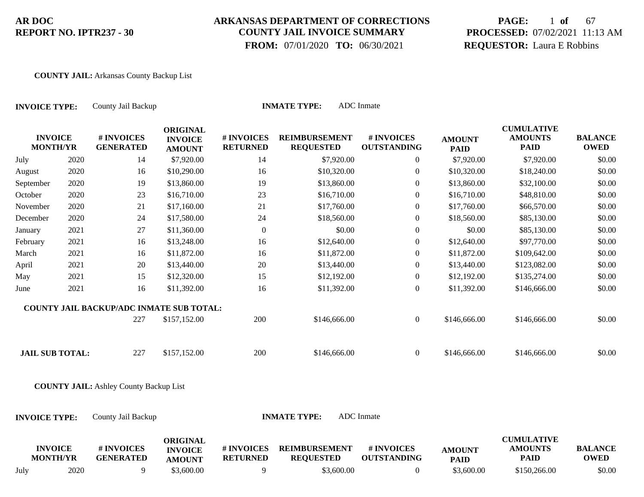### **ARKANSAS DEPARTMENT OF CORRECTIONS COUNTY JAIL INVOICE SUMMARY**

 **FROM:** 07/01/2020 **TO:** 06/30/2021

# **PAGE:** 1 **of** 67 **PROCESSED:** 07/02/2021 11:13 AM **REQUESTOR:** Laura E Robbins

#### **COUNTY JAIL:** Arkansas County Backup List

| <b>INVOICE TYPE:</b>              |      | County Jail Backup                              |                                                    |                               | <b>INMATE TYPE:</b>                      | <b>ADC</b> Inmate                |                              |                                                    |                               |
|-----------------------------------|------|-------------------------------------------------|----------------------------------------------------|-------------------------------|------------------------------------------|----------------------------------|------------------------------|----------------------------------------------------|-------------------------------|
| <b>INVOICE</b><br><b>MONTH/YR</b> |      | # INVOICES<br><b>GENERATED</b>                  | <b>ORIGINAL</b><br><b>INVOICE</b><br><b>AMOUNT</b> | # INVOICES<br><b>RETURNED</b> | <b>REIMBURSEMENT</b><br><b>REQUESTED</b> | # INVOICES<br><b>OUTSTANDING</b> | <b>AMOUNT</b><br><b>PAID</b> | <b>CUMULATIVE</b><br><b>AMOUNTS</b><br><b>PAID</b> | <b>BALANCE</b><br><b>OWED</b> |
| July                              | 2020 | 14                                              | \$7,920.00                                         | 14                            | \$7,920.00                               | $\overline{0}$                   | \$7,920.00                   | \$7,920.00                                         | \$0.00                        |
| August                            | 2020 | 16                                              | \$10,290.00                                        | 16                            | \$10,320.00                              | $\overline{0}$                   | \$10,320.00                  | \$18,240.00                                        | \$0.00                        |
| September                         | 2020 | 19                                              | \$13,860.00                                        | 19                            | \$13,860.00                              | $\overline{0}$                   | \$13,860.00                  | \$32,100.00                                        | \$0.00                        |
| October                           | 2020 | 23                                              | \$16,710.00                                        | 23                            | \$16,710.00                              | $\overline{0}$                   | \$16,710.00                  | \$48,810.00                                        | \$0.00                        |
| November                          | 2020 | 21                                              | \$17,160.00                                        | 21                            | \$17,760.00                              | $\boldsymbol{0}$                 | \$17,760.00                  | \$66,570.00                                        | \$0.00                        |
| December                          | 2020 | 24                                              | \$17,580.00                                        | 24                            | \$18,560.00                              | $\overline{0}$                   | \$18,560.00                  | \$85,130.00                                        | \$0.00                        |
| January                           | 2021 | 27                                              | \$11,360.00                                        | $\boldsymbol{0}$              | \$0.00                                   | $\boldsymbol{0}$                 | \$0.00                       | \$85,130.00                                        | \$0.00                        |
| February                          | 2021 | 16                                              | \$13,248.00                                        | 16                            | \$12,640.00                              | $\overline{0}$                   | \$12,640.00                  | \$97,770.00                                        | \$0.00                        |
| March                             | 2021 | 16                                              | \$11,872.00                                        | 16                            | \$11,872.00                              | $\overline{0}$                   | \$11,872.00                  | \$109,642.00                                       | \$0.00                        |
| April                             | 2021 | $20\,$                                          | \$13,440.00                                        | 20                            | \$13,440.00                              | $\boldsymbol{0}$                 | \$13,440.00                  | \$123,082.00                                       | \$0.00                        |
| May                               | 2021 | 15                                              | \$12,320.00                                        | 15                            | \$12,192.00                              | $\boldsymbol{0}$                 | \$12,192.00                  | \$135,274.00                                       | \$0.00                        |
| June                              | 2021 | 16                                              | \$11,392.00                                        | 16                            | \$11,392.00                              | $\overline{0}$                   | \$11,392.00                  | \$146,666.00                                       | \$0.00                        |
|                                   |      | <b>COUNTY JAIL BACKUP/ADC INMATE SUB TOTAL:</b> |                                                    |                               |                                          |                                  |                              |                                                    |                               |
|                                   |      | 227                                             | \$157,152.00                                       | 200                           | \$146,666.00                             | $\overline{0}$                   | \$146,666.00                 | \$146,666.00                                       | \$0.00                        |
| <b>JAIL SUB TOTAL:</b>            |      | 227                                             | \$157,152.00                                       | 200                           | \$146,666.00                             | $\overline{0}$                   | \$146,666.00                 | \$146,666.00                                       | \$0.00                        |
|                                   |      | <b>COUNTY JAIL:</b> Ashley County Backup List   |                                                    |                               |                                          |                                  |                              |                                                    |                               |
| <b>INVOICE TYPE:</b>              |      | County Jail Backup                              |                                                    |                               | <b>INMATE TYPE:</b>                      | <b>ADC</b> Inmate                |                              |                                                    |                               |
| <b>INVOICE</b><br><b>MONTH/YR</b> |      | # INVOICES<br><b>GENERATED</b>                  | <b>ORIGINAL</b><br><b>INVOICE</b><br><b>AMOUNT</b> | # INVOICES<br><b>RETURNED</b> | <b>REIMBURSEMENT</b><br><b>REQUESTED</b> | # INVOICES<br><b>OUTSTANDING</b> | <b>AMOUNT</b><br><b>PAID</b> | <b>CUMULATIVE</b><br><b>AMOUNTS</b><br><b>PAID</b> | <b>BALANCE</b><br><b>OWED</b> |

July 2020 9 \$3,600.00 9 \$3,600.00 0 \$3,600.00 \$150,266.00 \$0.00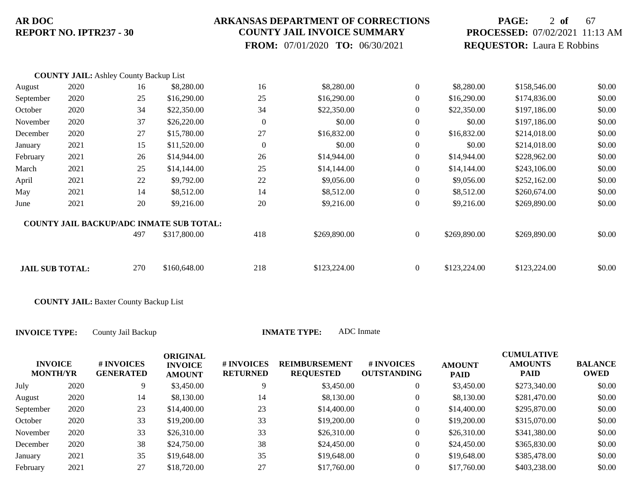### **ARKANSAS DEPARTMENT OF CORRECTIONS COUNTY JAIL INVOICE SUMMARY**

 **FROM:** 07/01/2020 **TO:** 06/30/2021

# **PAGE:** 2 **of** 67 **PROCESSED:** 07/02/2021 11:13 AM **REQUESTOR:** Laura E Robbins

|                        | <b>COUNTY JAIL:</b> Ashley County Backup List |     |                                                 |                |              |                |              |              |        |
|------------------------|-----------------------------------------------|-----|-------------------------------------------------|----------------|--------------|----------------|--------------|--------------|--------|
| August                 | 2020                                          | 16  | \$8,280.00                                      | 16             | \$8,280.00   | $\overline{0}$ | \$8,280.00   | \$158,546.00 | \$0.00 |
| September              | 2020                                          | 25  | \$16,290.00                                     | 25             | \$16,290.00  | $\overline{0}$ | \$16,290.00  | \$174,836.00 | \$0.00 |
| October                | 2020                                          | 34  | \$22,350.00                                     | 34             | \$22,350.00  | $\overline{0}$ | \$22,350.00  | \$197,186.00 | \$0.00 |
| November               | 2020                                          | 37  | \$26,220.00                                     | $\overline{0}$ | \$0.00       | $\overline{0}$ | \$0.00       | \$197,186.00 | \$0.00 |
| December               | 2020                                          | 27  | \$15,780.00                                     | 27             | \$16,832.00  | $\overline{0}$ | \$16,832.00  | \$214,018.00 | \$0.00 |
| January                | 2021                                          | 15  | \$11,520.00                                     | $\Omega$       | \$0.00       | $\overline{0}$ | \$0.00       | \$214,018.00 | \$0.00 |
| February               | 2021                                          | 26  | \$14,944.00                                     | 26             | \$14,944.00  | $\overline{0}$ | \$14,944.00  | \$228,962.00 | \$0.00 |
| March                  | 2021                                          | 25  | \$14,144.00                                     | 25             | \$14,144.00  | $\overline{0}$ | \$14,144.00  | \$243,106.00 | \$0.00 |
| April                  | 2021                                          | 22  | \$9,792.00                                      | 22             | \$9,056.00   | $\overline{0}$ | \$9,056.00   | \$252,162.00 | \$0.00 |
| May                    | 2021                                          | 14  | \$8,512.00                                      | 14             | \$8,512.00   | $\overline{0}$ | \$8,512.00   | \$260,674.00 | \$0.00 |
| June                   | 2021                                          | 20  | \$9,216.00                                      | 20             | \$9,216.00   | $\overline{0}$ | \$9,216.00   | \$269,890.00 | \$0.00 |
|                        |                                               |     | <b>COUNTY JAIL BACKUP/ADC INMATE SUB TOTAL:</b> |                |              |                |              |              |        |
|                        |                                               | 497 | \$317,800.00                                    | 418            | \$269,890.00 | $\overline{0}$ | \$269,890.00 | \$269,890.00 | \$0.00 |
|                        |                                               |     |                                                 |                |              |                |              |              |        |
| <b>JAIL SUB TOTAL:</b> |                                               | 270 | \$160,648.00                                    | 218            | \$123,224.00 | $\overline{0}$ | \$123,224.00 | \$123,224.00 | \$0.00 |

**COUNTY JAIL:** Baxter County Backup List

| <b>INVOICE</b><br><b>MONTH/YR</b> |      | <b># INVOICES</b><br><b>GENERATED</b> | <b>ORIGINAL</b><br><b>INVOICE</b><br><b>AMOUNT</b> | # INVOICES<br><b>RETURNED</b> | <b>REIMBURSEMENT</b><br><b>REQUESTED</b> | # INVOICES<br><b>OUTSTANDING</b> | <b>AMOUNT</b><br><b>PAID</b> | <b>CUMULATIVE</b><br><b>AMOUNTS</b><br><b>PAID</b> | <b>BALANCE</b><br>OWED |
|-----------------------------------|------|---------------------------------------|----------------------------------------------------|-------------------------------|------------------------------------------|----------------------------------|------------------------------|----------------------------------------------------|------------------------|
| July                              | 2020 | 9                                     | \$3,450.00                                         |                               | \$3,450.00                               | 0                                | \$3,450.00                   | \$273,340.00                                       | \$0.00                 |
| August                            | 2020 | 14                                    | \$8,130.00                                         | 14                            | \$8,130.00                               | 0                                | \$8,130.00                   | \$281,470.00                                       | \$0.00                 |
| September                         | 2020 | 23                                    | \$14,400.00                                        | 23                            | \$14,400.00                              | 0                                | \$14,400.00                  | \$295,870.00                                       | \$0.00                 |
| October                           | 2020 | 33                                    | \$19,200.00                                        | 33                            | \$19,200.00                              | 0                                | \$19,200.00                  | \$315,070.00                                       | \$0.00                 |
| November                          | 2020 | 33                                    | \$26,310.00                                        | 33                            | \$26,310.00                              | $\boldsymbol{0}$                 | \$26,310.00                  | \$341,380.00                                       | \$0.00                 |
| December                          | 2020 | 38                                    | \$24,750.00                                        | 38                            | \$24,450.00                              | $\boldsymbol{0}$                 | \$24,450.00                  | \$365,830.00                                       | \$0.00                 |
| January                           | 2021 | 35                                    | \$19,648.00                                        | 35                            | \$19,648.00                              | 0                                | \$19,648.00                  | \$385,478.00                                       | \$0.00                 |
| February                          | 2021 | 27                                    | \$18,720.00                                        | 27                            | \$17,760.00                              | 0                                | \$17,760.00                  | \$403,238.00                                       | \$0.00                 |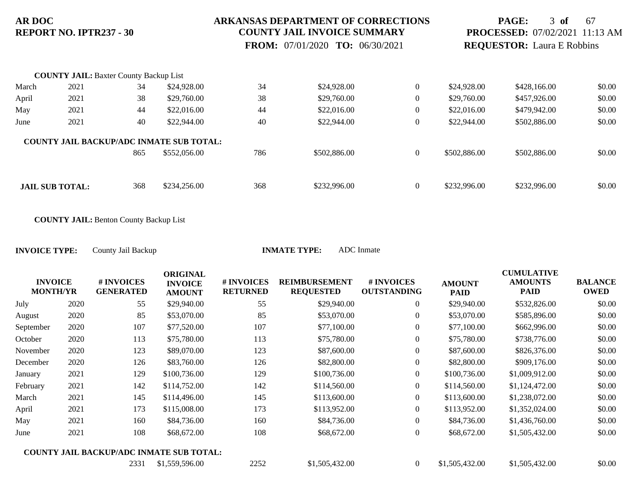### **ARKANSAS DEPARTMENT OF CORRECTIONS COUNTY JAIL INVOICE SUMMARY**

 **FROM:** 07/01/2020 **TO:** 06/30/2021

## **PAGE:** 3 **of** 67 **PROCESSED:** 07/02/2021 11:13 AM **REQUESTOR:** Laura E Robbins

|       | <b>COUNTY JAIL: Baxter County Backup List</b> |     |                                                 |     |              |                |              |              |        |
|-------|-----------------------------------------------|-----|-------------------------------------------------|-----|--------------|----------------|--------------|--------------|--------|
| March | 2021                                          | 34  | \$24,928.00                                     | 34  | \$24,928.00  | $\mathbf{0}$   | \$24,928.00  | \$428,166.00 | \$0.00 |
| April | 2021                                          | 38  | \$29,760.00                                     | 38  | \$29,760.00  | $\overline{0}$ | \$29,760.00  | \$457,926.00 | \$0.00 |
| May   | 2021                                          | 44  | \$22,016.00                                     | 44  | \$22,016.00  | $\mathbf{0}$   | \$22,016.00  | \$479,942.00 | \$0.00 |
| June  | 2021                                          | 40  | \$22,944.00                                     | 40  | \$22,944.00  | $\mathbf{0}$   | \$22,944.00  | \$502,886.00 | \$0.00 |
|       |                                               |     | <b>COUNTY JAIL BACKUP/ADC INMATE SUB TOTAL:</b> |     |              |                |              |              |        |
|       |                                               | 865 | \$552,056.00                                    | 786 | \$502,886.00 | $\mathbf{0}$   | \$502,886.00 | \$502,886.00 | \$0.00 |
|       |                                               |     |                                                 |     |              |                |              |              |        |
|       | <b>JAIL SUB TOTAL:</b>                        | 368 | \$234,256.00                                    | 368 | \$232,996.00 | $\mathbf{0}$   | \$232,996.00 | \$232,996.00 | \$0.00 |

**COUNTY JAIL:** Benton County Backup List

|           | <b>INVOICE</b><br><b>MONTH/YR</b> | # INVOICES<br><b>GENERATED</b> | <b>ORIGINAL</b><br><b>INVOICE</b><br><b>AMOUNT</b> | # INVOICES<br><b>RETURNED</b> | <b>REIMBURSEMENT</b><br><b>REQUESTED</b> | # INVOICES<br><b>OUTSTANDING</b> | <b>AMOUNT</b><br><b>PAID</b> | <b>CUMULATIVE</b><br><b>AMOUNTS</b><br><b>PAID</b> | <b>BALANCE</b><br><b>OWED</b> |
|-----------|-----------------------------------|--------------------------------|----------------------------------------------------|-------------------------------|------------------------------------------|----------------------------------|------------------------------|----------------------------------------------------|-------------------------------|
| July      | 2020                              | 55                             | \$29,940.00                                        | 55                            | \$29,940.00                              | $\mathbf{0}$                     | \$29,940.00                  | \$532,826.00                                       | \$0.00                        |
| August    | 2020                              | 85                             | \$53,070.00                                        | 85                            | \$53,070.00                              | $\overline{0}$                   | \$53,070.00                  | \$585,896.00                                       | \$0.00                        |
| September | 2020                              | 107                            | \$77,520.00                                        | 107                           | \$77,100.00                              | $\overline{0}$                   | \$77,100.00                  | \$662,996.00                                       | \$0.00                        |
| October   | 2020                              | 113                            | \$75,780.00                                        | 113                           | \$75,780.00                              | $\overline{0}$                   | \$75,780.00                  | \$738,776.00                                       | \$0.00                        |
| November  | 2020                              | 123                            | \$89,070.00                                        | 123                           | \$87,600.00                              | $\overline{0}$                   | \$87,600.00                  | \$826,376.00                                       | \$0.00                        |
| December  | 2020                              | 126                            | \$83,760.00                                        | 126                           | \$82,800.00                              | $\overline{0}$                   | \$82,800.00                  | \$909,176.00                                       | \$0.00                        |
| January   | 2021                              | 129                            | \$100,736.00                                       | 129                           | \$100,736.00                             | $\overline{0}$                   | \$100,736.00                 | \$1,009,912.00                                     | \$0.00                        |
| February  | 2021                              | 142                            | \$114,752.00                                       | 142                           | \$114,560.00                             | $\overline{0}$                   | \$114,560.00                 | \$1,124,472.00                                     | \$0.00                        |
| March     | 2021                              | 145                            | \$114,496.00                                       | 145                           | \$113,600.00                             | $\overline{0}$                   | \$113,600.00                 | \$1,238,072.00                                     | \$0.00                        |
| April     | 2021                              | 173                            | \$115,008.00                                       | 173                           | \$113,952.00                             | $\overline{0}$                   | \$113,952.00                 | \$1,352,024.00                                     | \$0.00                        |
| May       | 2021                              | 160                            | \$84,736.00                                        | 160                           | \$84,736.00                              | $\overline{0}$                   | \$84,736.00                  | \$1,436,760.00                                     | \$0.00                        |
| June      | 2021                              | 108                            | \$68,672.00                                        | 108                           | \$68,672.00                              | $\overline{0}$                   | \$68,672.00                  | \$1,505,432.00                                     | \$0.00                        |
|           |                                   |                                | <b>COUNTY JAIL BACKUP/ADC INMATE SUB TOTAL:</b>    |                               |                                          |                                  |                              |                                                    |                               |
|           |                                   | 2331                           | \$1,559,596.00                                     | 2252                          | \$1,505,432.00                           | $\overline{0}$                   | \$1,505,432.00               | \$1,505,432.00                                     | \$0.00                        |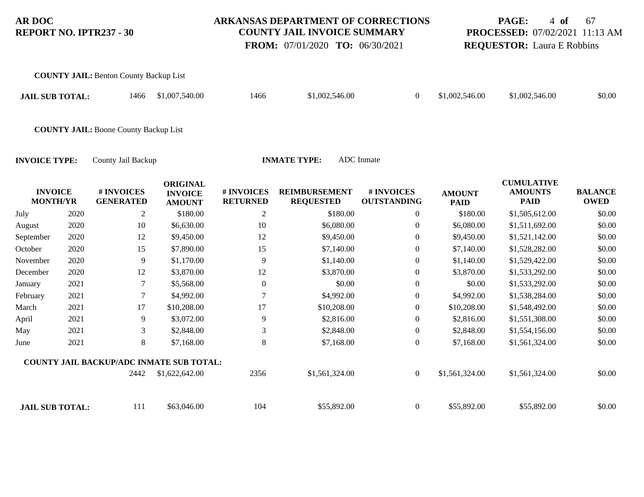**COUNTY JAIL:** Benton County Backup List

### **ARKANSAS DEPARTMENT OF CORRECTIONS COUNTY JAIL INVOICE SUMMARY**

 **FROM:** 07/01/2020 **TO:** 06/30/2021

# **PAGE:** 4 **of** 67 **PROCESSED:** 07/02/2021 11:13 AM **REQUESTOR:** Laura E Robbins

| <b>JAIL SUB TOTAL:</b>            |      | 1466                                            | \$1,007,540.00                                     | 1466                          | \$1,002,546.00                           | $\boldsymbol{0}$                 | \$1,002,546.00               | \$1,002,546.00                                     | \$0.00                        |
|-----------------------------------|------|-------------------------------------------------|----------------------------------------------------|-------------------------------|------------------------------------------|----------------------------------|------------------------------|----------------------------------------------------|-------------------------------|
|                                   |      | <b>COUNTY JAIL: Boone County Backup List</b>    |                                                    |                               |                                          |                                  |                              |                                                    |                               |
| <b>INVOICE TYPE:</b>              |      | County Jail Backup                              |                                                    |                               | <b>INMATE TYPE:</b>                      | <b>ADC</b> Inmate                |                              |                                                    |                               |
| <b>INVOICE</b><br><b>MONTH/YR</b> |      | # INVOICES<br><b>GENERATED</b>                  | <b>ORIGINAL</b><br><b>INVOICE</b><br><b>AMOUNT</b> | # INVOICES<br><b>RETURNED</b> | <b>REIMBURSEMENT</b><br><b>REQUESTED</b> | # INVOICES<br><b>OUTSTANDING</b> | <b>AMOUNT</b><br><b>PAID</b> | <b>CUMULATIVE</b><br><b>AMOUNTS</b><br><b>PAID</b> | <b>BALANCE</b><br><b>OWED</b> |
| July                              | 2020 | 2                                               | \$180.00                                           | $\overline{2}$                | \$180.00                                 | $\Omega$                         | \$180.00                     | \$1,505,612.00                                     | \$0.00                        |
| August                            | 2020 | 10                                              | \$6,630.00                                         | 10                            | \$6,080.00                               | 0                                | \$6,080.00                   | \$1,511,692.00                                     | \$0.00                        |
| September                         | 2020 | 12                                              | \$9,450.00                                         | 12                            | \$9,450.00                               | $\theta$                         | \$9,450.00                   | \$1,521,142.00                                     | \$0.00                        |
| October                           | 2020 | 15                                              | \$7,890.00                                         | 15                            | \$7,140.00                               | $\Omega$                         | \$7,140.00                   | \$1,528,282.00                                     | \$0.00                        |
| November                          | 2020 | 9                                               | \$1,170.00                                         | 9                             | \$1,140.00                               | $\theta$                         | \$1,140.00                   | \$1,529,422.00                                     | \$0.00                        |
| December                          | 2020 | 12                                              | \$3,870.00                                         | 12                            | \$3,870.00                               | $\theta$                         | \$3,870.00                   | \$1,533,292.00                                     | \$0.00                        |
| January                           | 2021 | 7                                               | \$5,568.00                                         | $\theta$                      | \$0.00                                   | $\theta$                         | \$0.00                       | \$1,533,292.00                                     | \$0.00                        |
| February                          | 2021 | 7                                               | \$4,992.00                                         | 7                             | \$4,992.00                               | $\theta$                         | \$4,992.00                   | \$1,538,284.00                                     | \$0.00                        |
| March                             | 2021 | 17                                              | \$10,208.00                                        | 17                            | \$10,208.00                              | $\theta$                         | \$10,208.00                  | \$1,548,492.00                                     | \$0.00                        |
| April                             | 2021 | 9                                               | \$3,072.00                                         | 9                             | \$2,816.00                               | $\theta$                         | \$2,816.00                   | \$1,551,308.00                                     | \$0.00                        |
| May                               | 2021 | 3                                               | \$2,848.00                                         | 3                             | \$2,848.00                               | $\boldsymbol{0}$                 | \$2,848.00                   | \$1,554,156.00                                     | \$0.00                        |
| June                              | 2021 | 8                                               | \$7,168.00                                         | 8                             | \$7,168.00                               | $\theta$                         | \$7,168.00                   | \$1,561,324.00                                     | \$0.00                        |
|                                   |      | <b>COUNTY JAIL BACKUP/ADC INMATE SUB TOTAL:</b> |                                                    |                               |                                          |                                  |                              |                                                    |                               |
|                                   |      | 2442                                            | \$1,622,642.00                                     | 2356                          | \$1,561,324.00                           | $\boldsymbol{0}$                 | \$1,561,324.00               | \$1,561,324.00                                     | \$0.00                        |
| <b>JAIL SUB TOTAL:</b>            |      | 111                                             | \$63,046.00                                        | 104                           | \$55,892.00                              | $\boldsymbol{0}$                 | \$55,892.00                  | \$55,892.00                                        | \$0.00                        |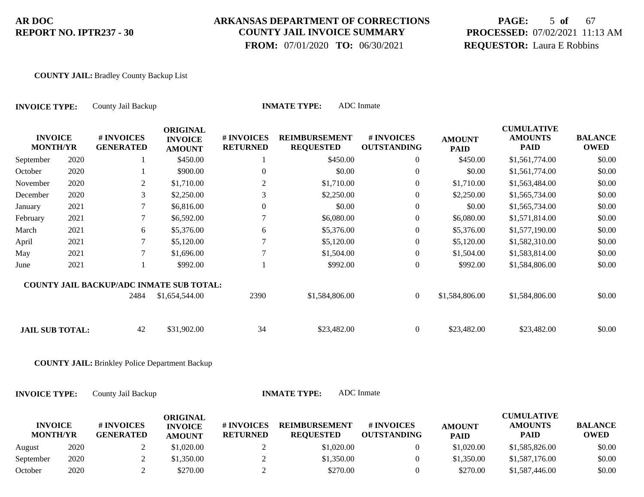### **ARKANSAS DEPARTMENT OF CORRECTIONS COUNTY JAIL INVOICE SUMMARY**

 **FROM:** 07/01/2020 **TO:** 06/30/2021

# **PAGE:** 5 **of** 67 **PROCESSED:** 07/02/2021 11:13 AM **REQUESTOR:** Laura E Robbins

#### **COUNTY JAIL:** Bradley County Backup List

| <b>INVOICE TYPE:</b>              |      | County Jail Backup                                    |                                                    |                               | <b>INMATE TYPE:</b>                      | <b>ADC</b> Inmate                |                              |                                                    |                               |
|-----------------------------------|------|-------------------------------------------------------|----------------------------------------------------|-------------------------------|------------------------------------------|----------------------------------|------------------------------|----------------------------------------------------|-------------------------------|
| <b>INVOICE</b><br><b>MONTH/YR</b> |      | # INVOICES<br><b>GENERATED</b>                        | <b>ORIGINAL</b><br><b>INVOICE</b><br><b>AMOUNT</b> | # INVOICES<br><b>RETURNED</b> | <b>REIMBURSEMENT</b><br><b>REQUESTED</b> | # INVOICES<br><b>OUTSTANDING</b> | <b>AMOUNT</b><br><b>PAID</b> | <b>CUMULATIVE</b><br><b>AMOUNTS</b><br><b>PAID</b> | <b>BALANCE</b><br><b>OWED</b> |
| September                         | 2020 | 1                                                     | \$450.00                                           |                               | \$450.00                                 | $\overline{0}$                   | \$450.00                     | \$1,561,774.00                                     | \$0.00                        |
| October                           | 2020 | 1                                                     | \$900.00                                           | 0                             | \$0.00                                   | $\boldsymbol{0}$                 | \$0.00                       | \$1,561,774.00                                     | \$0.00                        |
| November                          | 2020 | $\overline{2}$                                        | \$1,710.00                                         | $\overline{c}$                | \$1,710.00                               | $\boldsymbol{0}$                 | \$1,710.00                   | \$1,563,484.00                                     | \$0.00                        |
| December                          | 2020 | 3                                                     | \$2,250.00                                         | 3                             | \$2,250.00                               | $\boldsymbol{0}$                 | \$2,250.00                   | \$1,565,734.00                                     | \$0.00                        |
| January                           | 2021 | $\tau$                                                | \$6,816.00                                         | 0                             | \$0.00                                   | $\mathbf{0}$                     | \$0.00                       | \$1,565,734.00                                     | \$0.00                        |
| February                          | 2021 | 7                                                     | \$6,592.00                                         | 7                             | \$6,080.00                               | $\mathbf{0}$                     | \$6,080.00                   | \$1,571,814.00                                     | \$0.00                        |
| March                             | 2021 | 6                                                     | \$5,376.00                                         | 6                             | \$5,376.00                               | $\mathbf{0}$                     | \$5,376.00                   | \$1,577,190.00                                     | \$0.00                        |
| April                             | 2021 | 7                                                     | \$5,120.00                                         | 7                             | \$5,120.00                               | $\boldsymbol{0}$                 | \$5,120.00                   | \$1,582,310.00                                     | \$0.00                        |
| May                               | 2021 | $\tau$                                                | \$1,696.00                                         | $\overline{7}$                | \$1,504.00                               | $\boldsymbol{0}$                 | \$1,504.00                   | \$1,583,814.00                                     | \$0.00                        |
| June                              | 2021 | 1                                                     | \$992.00                                           |                               | \$992.00                                 | $\boldsymbol{0}$                 | \$992.00                     | \$1,584,806.00                                     | \$0.00                        |
|                                   |      | COUNTY JAIL BACKUP/ADC INMATE SUB TOTAL:              |                                                    |                               |                                          |                                  |                              |                                                    |                               |
|                                   |      | 2484                                                  | \$1,654,544.00                                     | 2390                          | \$1,584,806.00                           | $\boldsymbol{0}$                 | \$1,584,806.00               | \$1,584,806.00                                     | \$0.00                        |
| <b>JAIL SUB TOTAL:</b>            |      | 42                                                    | \$31,902.00                                        | 34                            | \$23,482.00                              | $\boldsymbol{0}$                 | \$23,482.00                  | \$23,482.00                                        | \$0.00                        |
|                                   |      | <b>COUNTY JAIL:</b> Brinkley Police Department Backup |                                                    |                               |                                          |                                  |                              |                                                    |                               |
| <b>INVOICE TYPE:</b>              |      | County Jail Backup                                    |                                                    |                               | <b>INMATE TYPE:</b>                      | <b>ADC</b> Inmate                |                              |                                                    |                               |
| <b>INVOICE</b><br><b>MONTH/YR</b> |      | # INVOICES<br><b>GENERATED</b>                        | <b>ORIGINAL</b><br><b>INVOICE</b><br><b>AMOUNT</b> | # INVOICES<br><b>RETURNED</b> | <b>REIMBURSEMENT</b><br><b>REQUESTED</b> | # INVOICES<br><b>OUTSTANDING</b> | <b>AMOUNT</b><br><b>PAID</b> | <b>CUMULATIVE</b><br><b>AMOUNTS</b><br><b>PAID</b> | <b>BALANCE</b><br><b>OWED</b> |
| August                            | 2020 | $\overline{2}$                                        | \$1,020.00                                         | $\overline{2}$                | \$1,020.00                               | $\overline{0}$                   | \$1,020.00                   | \$1,585,826.00                                     | \$0.00                        |

September 2020 2 \$1,350.00 2 \$1,350.00 \$1,350.00 \$1,350.00 \$1,350.00 \$1,587,176.00 October 2020 2 \$270.00 2 \$270.00 0 \$270.00 \$1,587,446.00 \$0.00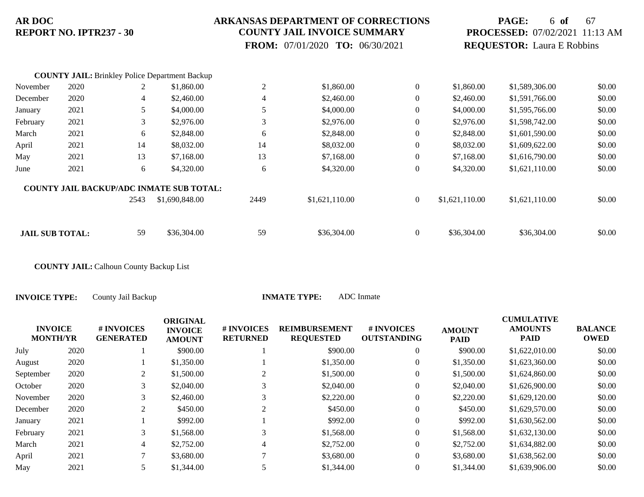### **ARKANSAS DEPARTMENT OF CORRECTIONS COUNTY JAIL INVOICE SUMMARY**

 **FROM:** 07/01/2020 **TO:** 06/30/2021

## **PAGE:** 6 **of** 67 **PROCESSED:** 07/02/2021 11:13 AM **REQUESTOR:** Laura E Robbins

|                        |      |      | <b>COUNTY JAIL:</b> Brinkley Police Department Backup |                |                |                  |                |                |        |
|------------------------|------|------|-------------------------------------------------------|----------------|----------------|------------------|----------------|----------------|--------|
| November               | 2020 |      | \$1,860.00                                            | 2              | \$1,860.00     | $\overline{0}$   | \$1,860.00     | \$1,589,306.00 | \$0.00 |
| December               | 2020 | 4    | \$2,460.00                                            | $\overline{4}$ | \$2,460.00     | $\mathbf{0}$     | \$2,460.00     | \$1,591,766.00 | \$0.00 |
| January                | 2021 | 5.   | \$4,000.00                                            | 5              | \$4,000.00     | $\theta$         | \$4,000.00     | \$1,595,766.00 | \$0.00 |
| February               | 2021 | 3    | \$2,976.00                                            | 3              | \$2,976.00     | $\overline{0}$   | \$2,976.00     | \$1,598,742.00 | \$0.00 |
| March                  | 2021 | 6    | \$2,848.00                                            | 6              | \$2,848.00     | $\overline{0}$   | \$2,848.00     | \$1,601,590.00 | \$0.00 |
| April                  | 2021 | 14   | \$8,032.00                                            | 14             | \$8,032.00     | $\overline{0}$   | \$8,032.00     | \$1,609,622.00 | \$0.00 |
| May                    | 2021 | 13   | \$7,168.00                                            | 13             | \$7,168.00     | $\overline{0}$   | \$7,168.00     | \$1,616,790.00 | \$0.00 |
| June                   | 2021 | 6    | \$4,320.00                                            | 6              | \$4,320.00     | $\boldsymbol{0}$ | \$4,320.00     | \$1,621,110.00 | \$0.00 |
|                        |      |      | <b>COUNTY JAIL BACKUP/ADC INMATE SUB TOTAL:</b>       |                |                |                  |                |                |        |
|                        |      | 2543 | \$1,690,848.00                                        | 2449           | \$1,621,110.00 | $\mathbf{0}$     | \$1,621,110.00 | \$1,621,110.00 | \$0.00 |
|                        |      |      |                                                       |                |                |                  |                |                |        |
| <b>JAIL SUB TOTAL:</b> |      | 59   | \$36,304.00                                           | 59             | \$36,304.00    | $\mathbf{0}$     | \$36,304.00    | \$36,304.00    | \$0.00 |

**COUNTY JAIL:** Calhoun County Backup List

| <b>INVOICE</b><br><b>MONTH/YR</b> | # INVOICES<br><b>GENERATED</b> | <b>ORIGINAL</b><br><b>INVOICE</b><br><b>AMOUNT</b> | # INVOICES<br><b>RETURNED</b> | <b>REIMBURSEMENT</b><br><b>REQUESTED</b> | # INVOICES<br><b>OUTSTANDING</b> | <b>AMOUNT</b><br><b>PAID</b> | <b>CUMULATIVE</b><br><b>AMOUNTS</b><br><b>PAID</b> | <b>BALANCE</b><br><b>OWED</b> |
|-----------------------------------|--------------------------------|----------------------------------------------------|-------------------------------|------------------------------------------|----------------------------------|------------------------------|----------------------------------------------------|-------------------------------|
| 2020                              |                                | \$900.00                                           |                               | \$900.00                                 | $\theta$                         | \$900.00                     | \$1,622,010.00                                     | \$0.00                        |
| 2020                              |                                | \$1,350.00                                         |                               | \$1,350.00                               | $\theta$                         | \$1,350.00                   | \$1,623,360.00                                     | \$0.00                        |
| 2020                              | 2                              | \$1,500.00                                         |                               | \$1,500.00                               | $\mathbf{0}$                     | \$1,500.00                   | \$1,624,860.00                                     | \$0.00                        |
| 2020                              | 3                              | \$2,040.00                                         | 3                             | \$2,040.00                               | $\mathbf{0}$                     | \$2,040.00                   | \$1,626,900.00                                     | \$0.00                        |
| 2020                              | 3                              | \$2,460.00                                         |                               | \$2,220.00                               | $\mathbf{0}$                     | \$2,220.00                   | \$1,629,120.00                                     | \$0.00                        |
| 2020                              | 2                              | \$450.00                                           |                               | \$450.00                                 | $\Omega$                         | \$450.00                     | \$1,629,570.00                                     | \$0.00                        |
| 2021                              |                                | \$992.00                                           |                               | \$992.00                                 | $\mathbf{0}$                     | \$992.00                     | \$1,630,562.00                                     | \$0.00                        |
| 2021                              | 3                              | \$1,568.00                                         |                               | \$1,568.00                               | $\overline{0}$                   | \$1,568.00                   | \$1,632,130.00                                     | \$0.00                        |
| 2021                              | 4                              | \$2,752.00                                         | 4                             | \$2,752.00                               | $\overline{0}$                   | \$2,752.00                   | \$1,634,882.00                                     | \$0.00                        |
| 2021                              |                                | \$3,680.00                                         |                               | \$3,680.00                               | $\overline{0}$                   | \$3,680.00                   | \$1,638,562.00                                     | \$0.00                        |
| 2021                              |                                | \$1,344.00                                         |                               | \$1,344.00                               | $\Omega$                         | \$1,344.00                   | \$1,639,906.00                                     | \$0.00                        |
|                                   |                                |                                                    |                               |                                          |                                  |                              |                                                    |                               |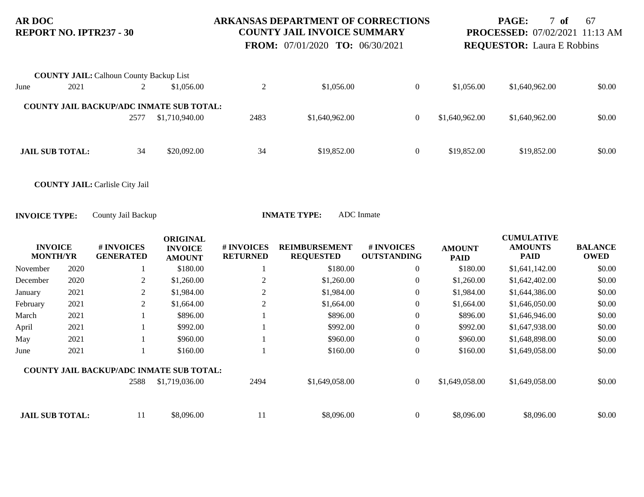### **ARKANSAS DEPARTMENT OF CORRECTIONS COUNTY JAIL INVOICE SUMMARY**

 **FROM:** 07/01/2020 **TO:** 06/30/2021

**PAGE:** 7 **of** 67 **PROCESSED:** 07/02/2021 11:13 AM **REQUESTOR:** Laura E Robbins

|      | <b>COUNTY JAIL: Calhoun County Backup List</b> |      |                                                 |      |                |                |                |                |        |
|------|------------------------------------------------|------|-------------------------------------------------|------|----------------|----------------|----------------|----------------|--------|
| June | 2021                                           |      | \$1,056.00                                      |      | \$1,056.00     | $\overline{0}$ | \$1,056.00     | \$1,640,962.00 | \$0.00 |
|      |                                                |      | <b>COUNTY JAIL BACKUP/ADC INMATE SUB TOTAL:</b> |      |                |                |                |                |        |
|      |                                                | 2577 | \$1,710,940.00                                  | 2483 | \$1,640,962.00 | $\overline{0}$ | \$1,640,962,00 | \$1,640,962.00 | \$0.00 |
|      |                                                |      |                                                 |      |                |                |                |                |        |
|      | <b>JAIL SUB TOTAL:</b>                         | 34   | \$20,092.00                                     | 34   | \$19,852.00    | $\overline{0}$ | \$19,852.00    | \$19,852.00    | \$0.00 |

**COUNTY JAIL:** Carlisle City Jail

|                                   |      |                                                 | <b>ORIGINAL</b>                 |                               |                                          |                                  |                              | <b>CUMULATIVE</b>      |                               |
|-----------------------------------|------|-------------------------------------------------|---------------------------------|-------------------------------|------------------------------------------|----------------------------------|------------------------------|------------------------|-------------------------------|
| <b>INVOICE</b><br><b>MONTH/YR</b> |      | # INVOICES<br><b>GENERATED</b>                  | <b>INVOICE</b><br><b>AMOUNT</b> | # INVOICES<br><b>RETURNED</b> | <b>REIMBURSEMENT</b><br><b>REQUESTED</b> | # INVOICES<br><b>OUTSTANDING</b> | <b>AMOUNT</b><br><b>PAID</b> | <b>AMOUNTS</b><br>PAID | <b>BALANCE</b><br><b>OWED</b> |
| November                          | 2020 |                                                 | \$180.00                        |                               | \$180.00                                 | $\overline{0}$                   | \$180.00                     | \$1,641,142.00         | \$0.00                        |
| December                          | 2020 | 2                                               | \$1,260.00                      | 2                             | \$1,260.00                               | $\overline{0}$                   | \$1,260.00                   | \$1,642,402.00         | \$0.00                        |
| January                           | 2021 | 2                                               | \$1,984.00                      | $\overline{c}$                | \$1,984.00                               | $\overline{0}$                   | \$1,984.00                   | \$1,644,386.00         | \$0.00                        |
| February                          | 2021 | 2                                               | \$1,664.00                      | $\overline{2}$                | \$1,664.00                               | $\overline{0}$                   | \$1,664.00                   | \$1,646,050.00         | \$0.00                        |
| March                             | 2021 |                                                 | \$896.00                        |                               | \$896.00                                 | $\overline{0}$                   | \$896.00                     | \$1,646,946.00         | \$0.00                        |
| April                             | 2021 |                                                 | \$992.00                        |                               | \$992.00                                 | $\overline{0}$                   | \$992.00                     | \$1,647,938.00         | \$0.00                        |
| May                               | 2021 |                                                 | \$960.00                        |                               | \$960.00                                 | $\overline{0}$                   | \$960.00                     | \$1,648,898.00         | \$0.00                        |
| June                              | 2021 |                                                 | \$160.00                        |                               | \$160.00                                 | $\overline{0}$                   | \$160.00                     | \$1,649,058.00         | \$0.00                        |
|                                   |      | <b>COUNTY JAIL BACKUP/ADC INMATE SUB TOTAL:</b> |                                 |                               |                                          |                                  |                              |                        |                               |
|                                   |      | 2588                                            | \$1,719,036.00                  | 2494                          | \$1,649,058.00                           | $\overline{0}$                   | \$1,649,058.00               | \$1,649,058.00         | \$0.00                        |
|                                   |      |                                                 |                                 |                               |                                          |                                  |                              |                        |                               |
| <b>JAIL SUB TOTAL:</b>            |      | 11                                              | \$8,096.00                      | 11                            | \$8,096.00                               | $\overline{0}$                   | \$8,096.00                   | \$8,096.00             | \$0.00                        |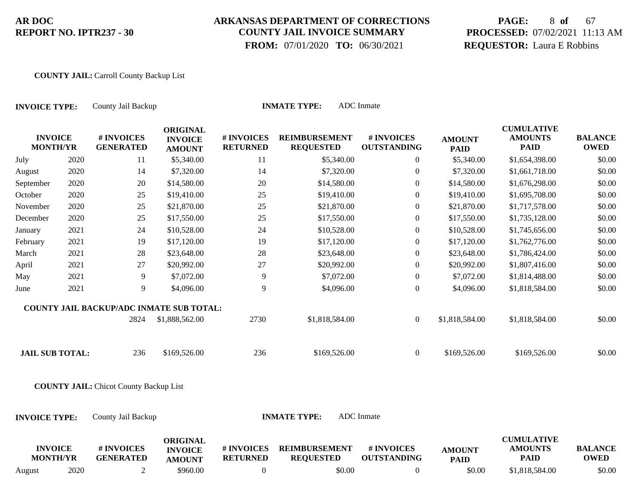### **ARKANSAS DEPARTMENT OF CORRECTIONS COUNTY JAIL INVOICE SUMMARY**

 **FROM:** 07/01/2020 **TO:** 06/30/2021

# **PAGE:** 8 **of** 67 **PROCESSED:** 07/02/2021 11:13 AM **REQUESTOR:** Laura E Robbins

#### **COUNTY JAIL:** Carroll County Backup List

| County Jail Backup<br><b>INVOICE TYPE:</b> |      |                                                 |                                                    |                               | <b>INMATE TYPE:</b>                      | <b>ADC</b> Inmate                |                              |                                                    |                               |
|--------------------------------------------|------|-------------------------------------------------|----------------------------------------------------|-------------------------------|------------------------------------------|----------------------------------|------------------------------|----------------------------------------------------|-------------------------------|
| <b>INVOICE</b><br><b>MONTH/YR</b>          |      | # INVOICES<br><b>GENERATED</b>                  | <b>ORIGINAL</b><br><b>INVOICE</b><br><b>AMOUNT</b> | # INVOICES<br><b>RETURNED</b> | <b>REIMBURSEMENT</b><br><b>REQUESTED</b> | # INVOICES<br><b>OUTSTANDING</b> | <b>AMOUNT</b><br><b>PAID</b> | <b>CUMULATIVE</b><br><b>AMOUNTS</b><br><b>PAID</b> | <b>BALANCE</b><br><b>OWED</b> |
| July                                       | 2020 | 11                                              | \$5,340.00                                         | 11                            | \$5,340.00                               | $\mathbf{0}$                     | \$5,340.00                   | \$1,654,398.00                                     | \$0.00                        |
| August                                     | 2020 | 14                                              | \$7,320.00                                         | 14                            | \$7,320.00                               | $\overline{0}$                   | \$7,320.00                   | \$1,661,718.00                                     | \$0.00                        |
| September                                  | 2020 | $20\,$                                          | \$14,580.00                                        | 20                            | \$14,580.00                              | $\overline{0}$                   | \$14,580.00                  | \$1,676,298.00                                     | \$0.00                        |
| October                                    | 2020 | 25                                              | \$19,410.00                                        | 25                            | \$19,410.00                              | $\overline{0}$                   | \$19,410.00                  | \$1,695,708.00                                     | \$0.00                        |
| November                                   | 2020 | 25                                              | \$21,870.00                                        | 25                            | \$21,870.00                              | $\overline{0}$                   | \$21,870.00                  | \$1,717,578.00                                     | \$0.00                        |
| December                                   | 2020 | 25                                              | \$17,550.00                                        | 25                            | \$17,550.00                              | $\overline{0}$                   | \$17,550.00                  | \$1,735,128.00                                     | \$0.00                        |
| January                                    | 2021 | 24                                              | \$10,528.00                                        | 24                            | \$10,528.00                              | $\overline{0}$                   | \$10,528.00                  | \$1,745,656.00                                     | \$0.00                        |
| February                                   | 2021 | 19                                              | \$17,120.00                                        | 19                            | \$17,120.00                              | $\boldsymbol{0}$                 | \$17,120.00                  | \$1,762,776.00                                     | \$0.00                        |
| March                                      | 2021 | 28                                              | \$23,648.00                                        | 28                            | \$23,648.00                              | $\overline{0}$                   | \$23,648.00                  | \$1,786,424.00                                     | \$0.00                        |
| April                                      | 2021 | 27                                              | \$20,992.00                                        | 27                            | \$20,992.00                              | $\boldsymbol{0}$                 | \$20,992.00                  | \$1,807,416.00                                     | \$0.00                        |
| May                                        | 2021 | $\overline{9}$                                  | \$7,072.00                                         | 9                             | \$7,072.00                               | $\boldsymbol{0}$                 | \$7,072.00                   | \$1,814,488.00                                     | \$0.00                        |
| June                                       | 2021 | 9                                               | \$4,096.00                                         | 9                             | \$4,096.00                               | $\overline{0}$                   | \$4,096.00                   | \$1,818,584.00                                     | \$0.00                        |
|                                            |      | <b>COUNTY JAIL BACKUP/ADC INMATE SUB TOTAL:</b> |                                                    |                               |                                          |                                  |                              |                                                    |                               |
|                                            |      | 2824                                            | \$1,888,562.00                                     | 2730                          | \$1,818,584.00                           | $\overline{0}$                   | \$1,818,584.00               | \$1,818,584.00                                     | \$0.00                        |
| <b>JAIL SUB TOTAL:</b>                     |      | 236                                             | \$169,526.00                                       | 236                           | \$169,526.00                             | $\overline{0}$                   | \$169,526.00                 | \$169,526.00                                       | \$0.00                        |
|                                            |      | <b>COUNTY JAIL: Chicot County Backup List</b>   |                                                    |                               |                                          |                                  |                              |                                                    |                               |
| <b>INVOICE TYPE:</b>                       |      | County Jail Backup                              |                                                    |                               | <b>INMATE TYPE:</b>                      | <b>ADC</b> Inmate                |                              |                                                    |                               |
| <b>INVOICE</b><br><b>MONTH/YR</b>          |      | # INVOICES<br><b>GENERATED</b>                  | <b>ORIGINAL</b><br><b>INVOICE</b><br><b>AMOUNT</b> | # INVOICES<br><b>RETURNED</b> | <b>REIMBURSEMENT</b><br><b>REQUESTED</b> | # INVOICES<br><b>OUTSTANDING</b> | <b>AMOUNT</b><br><b>PAID</b> | <b>CUMULATIVE</b><br><b>AMOUNTS</b><br><b>PAID</b> | <b>BALANCE</b><br><b>OWED</b> |

August 2020 2 \$960.00 0 \$0.00 0 \$0.00 \$1,818,584.00 \$0.00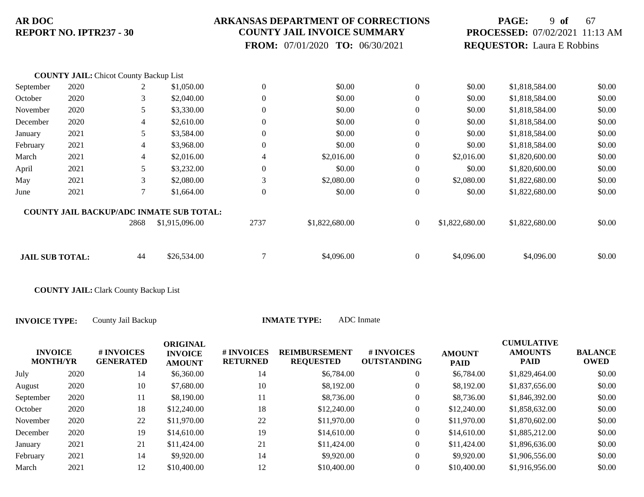### **ARKANSAS DEPARTMENT OF CORRECTIONS COUNTY JAIL INVOICE SUMMARY**

 **FROM:** 07/01/2020 **TO:** 06/30/2021

## **PAGE:** 9 **of** 67 **PROCESSED:** 07/02/2021 11:13 AM **REQUESTOR:** Laura E Robbins

|                        | <b>COUNTY JAIL: Chicot County Backup List</b> |                |                                                 |                  |                |                  |                |                |        |
|------------------------|-----------------------------------------------|----------------|-------------------------------------------------|------------------|----------------|------------------|----------------|----------------|--------|
| September              | 2020                                          | 2              | \$1,050.00                                      | $\boldsymbol{0}$ | \$0.00         | $\boldsymbol{0}$ | \$0.00         | \$1,818,584.00 | \$0.00 |
| October                | 2020                                          | 3              | \$2,040.00                                      | $\overline{0}$   | \$0.00         | $\theta$         | \$0.00         | \$1,818,584.00 | \$0.00 |
| November               | 2020                                          | 5              | \$3,330.00                                      | $\overline{0}$   | \$0.00         | $\overline{0}$   | \$0.00         | \$1,818,584.00 | \$0.00 |
| December               | 2020                                          | $\overline{4}$ | \$2,610.00                                      | $\boldsymbol{0}$ | \$0.00         | $\theta$         | \$0.00         | \$1,818,584.00 | \$0.00 |
| January                | 2021                                          | 5              | \$3,584.00                                      | $\overline{0}$   | \$0.00         | $\overline{0}$   | \$0.00         | \$1,818,584.00 | \$0.00 |
| February               | 2021                                          | $\overline{4}$ | \$3,968.00                                      | $\boldsymbol{0}$ | \$0.00         | $\theta$         | \$0.00         | \$1,818,584.00 | \$0.00 |
| March                  | 2021                                          | $\overline{4}$ | \$2,016.00                                      | $\overline{4}$   | \$2,016.00     | $\overline{0}$   | \$2,016.00     | \$1,820,600.00 | \$0.00 |
| April                  | 2021                                          | 5              | \$3,232.00                                      | $\overline{0}$   | \$0.00         | $\theta$         | \$0.00         | \$1,820,600.00 | \$0.00 |
| May                    | 2021                                          | 3              | \$2,080.00                                      | 3                | \$2,080.00     | $\theta$         | \$2,080.00     | \$1,822,680.00 | \$0.00 |
| June                   | 2021                                          | 7              | \$1,664.00                                      | $\boldsymbol{0}$ | \$0.00         | $\theta$         | \$0.00         | \$1,822,680.00 | \$0.00 |
|                        |                                               |                | <b>COUNTY JAIL BACKUP/ADC INMATE SUB TOTAL:</b> |                  |                |                  |                |                |        |
|                        |                                               | 2868           | \$1,915,096.00                                  | 2737             | \$1,822,680.00 | $\boldsymbol{0}$ | \$1,822,680.00 | \$1,822,680.00 | \$0.00 |
|                        |                                               |                |                                                 | $\mathcal{L}$    |                |                  |                |                |        |
| <b>JAIL SUB TOTAL:</b> |                                               | 44             | \$26,534.00                                     |                  | \$4,096.00     | $\overline{0}$   | \$4,096.00     | \$4,096.00     | \$0.00 |

**COUNTY JAIL:** Clark County Backup List

| <b>INVOICE</b><br><b>MONTH/YR</b> | # INVOICES<br><b>GENERATED</b> | ORIGINAL<br><b>INVOICE</b><br><b>AMOUNT</b> | <b># INVOICES</b><br><b>RETURNED</b> | <b>REIMBURSEMENT</b><br><b>REQUESTED</b> | # INVOICES<br><b>OUTSTANDING</b> | <b>AMOUNT</b><br><b>PAID</b> | <b>CUMULATIVE</b><br><b>AMOUNTS</b><br><b>PAID</b> | <b>BALANCE</b><br><b>OWED</b> |
|-----------------------------------|--------------------------------|---------------------------------------------|--------------------------------------|------------------------------------------|----------------------------------|------------------------------|----------------------------------------------------|-------------------------------|
| 2020                              | 14                             | \$6,360.00                                  | 14                                   | \$6,784.00                               | 0                                | \$6,784.00                   | \$1,829,464.00                                     | \$0.00                        |
| 2020                              | 10                             | \$7,680.00                                  | 10                                   | \$8,192.00                               | $\overline{0}$                   | \$8,192,00                   | \$1,837,656.00                                     | \$0.00                        |
| 2020                              | 11                             | \$8,190.00                                  | 11                                   | \$8,736.00                               | $\overline{0}$                   | \$8,736.00                   | \$1,846,392.00                                     | \$0.00                        |
| 2020                              | 18                             | \$12,240.00                                 | 18                                   | \$12,240.00                              | $\overline{0}$                   | \$12,240.00                  | \$1,858,632.00                                     | \$0.00                        |
| 2020                              | 22                             | \$11,970.00                                 | 22                                   | \$11,970.00                              | $\overline{0}$                   | \$11,970.00                  | \$1,870,602.00                                     | \$0.00                        |
| 2020                              | 19                             | \$14,610.00                                 | 19                                   | \$14,610.00                              | $\overline{0}$                   | \$14,610.00                  | \$1,885,212.00                                     | \$0.00                        |
| 2021                              | 21                             | \$11,424.00                                 | 21                                   | \$11,424.00                              | $\overline{0}$                   | \$11,424.00                  | \$1,896,636,00                                     | \$0.00                        |
| 2021                              | 14                             | \$9,920.00                                  | 14                                   | \$9,920.00                               | $\overline{0}$                   | \$9,920.00                   | \$1,906,556.00                                     | \$0.00                        |
| 2021                              | 12                             | \$10,400.00                                 | 12                                   | \$10,400.00                              | $\Omega$                         | \$10,400.00                  | \$1,916,956.00                                     | \$0.00                        |
|                                   |                                |                                             |                                      |                                          |                                  |                              |                                                    |                               |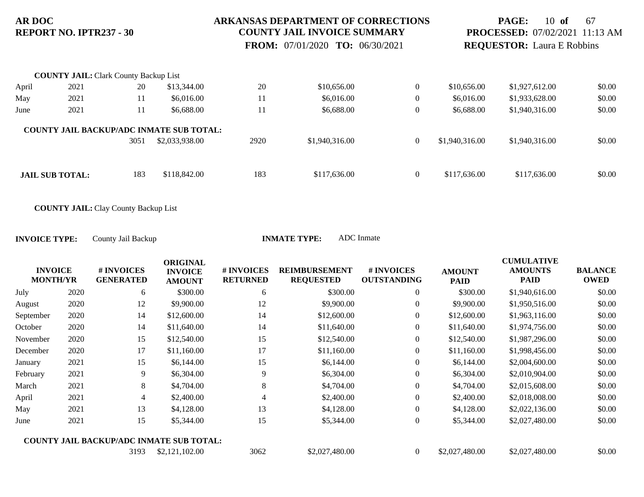### **ARKANSAS DEPARTMENT OF CORRECTIONS COUNTY JAIL INVOICE SUMMARY**

 **FROM:** 07/01/2020 **TO:** 06/30/2021

## **PAGE:** 10 **of** 67 **PROCESSED:** 07/02/2021 11:13 AM **REQUESTOR:** Laura E Robbins

|       | <b>COUNTY JAIL: Clark County Backup List</b> |      |                                                                   |      |                |              |                |                |        |
|-------|----------------------------------------------|------|-------------------------------------------------------------------|------|----------------|--------------|----------------|----------------|--------|
| April | 2021                                         | 20   | \$13,344.00                                                       | 20   | \$10,656.00    | $\theta$     | \$10,656.00    | \$1,927,612.00 | \$0.00 |
| May   | 2021                                         | 11   | \$6,016.00                                                        | 11   | \$6,016.00     | 0            | \$6,016.00     | \$1,933,628.00 | \$0.00 |
| June  | 2021                                         | 11   | \$6,688.00                                                        | 11   | \$6,688.00     |              | \$6,688.00     | \$1,940,316.00 | \$0.00 |
|       |                                              | 3051 | <b>COUNTY JAIL BACKUP/ADC INMATE SUB TOTAL:</b><br>\$2,033,938.00 | 2920 | \$1,940,316.00 | $\mathbf{0}$ | \$1,940,316.00 | \$1,940,316.00 | \$0.00 |
|       | <b>JAIL SUB TOTAL:</b>                       | 183  | \$118,842.00                                                      | 183  | \$117,636.00   | $\mathbf{0}$ | \$117,636.00   | \$117,636.00   | \$0.00 |

**COUNTY JAIL:** Clay County Backup List

| <b>INVOICE</b><br><b>MONTH/YR</b> |      | # INVOICES<br><b>GENERATED</b> | <b>ORIGINAL</b><br><b>INVOICE</b><br><b>AMOUNT</b> | # INVOICES<br><b>RETURNED</b> | <b>REIMBURSEMENT</b><br><b>REQUESTED</b> | # INVOICES<br><b>OUTSTANDING</b> | <b>AMOUNT</b><br><b>PAID</b> | <b>CUMULATIVE</b><br><b>AMOUNTS</b><br><b>PAID</b> | <b>BALANCE</b><br><b>OWED</b> |
|-----------------------------------|------|--------------------------------|----------------------------------------------------|-------------------------------|------------------------------------------|----------------------------------|------------------------------|----------------------------------------------------|-------------------------------|
| July                              | 2020 | 6                              | \$300.00                                           | 6                             | \$300.00                                 | $\overline{0}$                   | \$300.00                     | \$1,940,616.00                                     | \$0.00                        |
| August                            | 2020 | 12                             | \$9,900.00                                         | 12                            | \$9,900.00                               | $\overline{0}$                   | \$9,900.00                   | \$1,950,516.00                                     | \$0.00                        |
| September                         | 2020 | 14                             | \$12,600.00                                        | 14                            | \$12,600.00                              | $\boldsymbol{0}$                 | \$12,600.00                  | \$1,963,116.00                                     | \$0.00                        |
| October                           | 2020 | 14                             | \$11,640.00                                        | 14                            | \$11,640.00                              | $\overline{0}$                   | \$11,640.00                  | \$1,974,756.00                                     | \$0.00                        |
| November                          | 2020 | 15                             | \$12,540.00                                        | 15                            | \$12,540.00                              | $\overline{0}$                   | \$12,540.00                  | \$1,987,296.00                                     | \$0.00                        |
| December                          | 2020 | 17                             | \$11,160.00                                        | 17                            | \$11,160.00                              | $\boldsymbol{0}$                 | \$11,160.00                  | \$1,998,456.00                                     | \$0.00                        |
| January                           | 2021 | 15                             | \$6,144.00                                         | 15                            | \$6,144.00                               | $\overline{0}$                   | \$6,144.00                   | \$2,004,600.00                                     | \$0.00                        |
| February                          | 2021 | 9                              | \$6,304.00                                         | 9                             | \$6,304.00                               | $\overline{0}$                   | \$6,304.00                   | \$2,010,904.00                                     | \$0.00                        |
| March                             | 2021 | 8                              | \$4,704.00                                         | 8                             | \$4,704.00                               | $\overline{0}$                   | \$4,704.00                   | \$2,015,608.00                                     | \$0.00                        |
| April                             | 2021 | $\overline{4}$                 | \$2,400.00                                         | 4                             | \$2,400.00                               | $\overline{0}$                   | \$2,400.00                   | \$2,018,008.00                                     | \$0.00                        |
| May                               | 2021 | 13                             | \$4,128.00                                         | 13                            | \$4,128.00                               | $\overline{0}$                   | \$4,128.00                   | \$2,022,136.00                                     | \$0.00                        |
| June                              | 2021 | 15                             | \$5,344.00                                         | 15                            | \$5,344.00                               | $\overline{0}$                   | \$5,344.00                   | \$2,027,480.00                                     | \$0.00                        |
|                                   |      |                                | <b>COUNTY JAIL BACKUP/ADC INMATE SUB TOTAL:</b>    |                               |                                          |                                  |                              |                                                    |                               |
|                                   |      | 3193                           | \$2,121,102.00                                     | 3062                          | \$2,027,480.00                           | $\overline{0}$                   | \$2,027,480.00               | \$2,027,480.00                                     | \$0.00                        |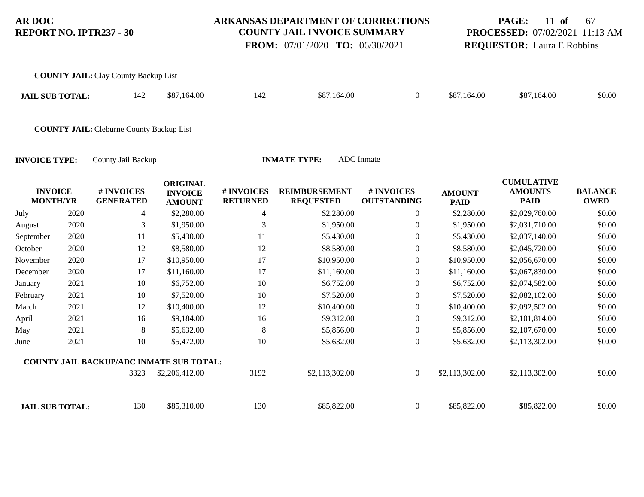#### **ARKANSAS DEPARTMENT OF CORRECTIONS COUNTY JAIL INVOICE SUMMARY**

 **FROM:** 07/01/2020 **TO:** 06/30/2021

## **PAGE:** 11 **of** 67 **PROCESSED:** 07/02/2021 11:13 AM **REQUESTOR:** Laura E Robbins

| <b>COUNTY JAIL:</b> Clay County Backup List |     |             |     |             |             |             |        |
|---------------------------------------------|-----|-------------|-----|-------------|-------------|-------------|--------|
| <b>JAIL SUB TOTAL:</b>                      | 142 | \$87,164.00 | 142 | \$87,164.00 | \$87,164.00 | \$87,164.00 | \$0.00 |

**COUNTY JAIL:** Cleburne County Backup List

| <b>INVOICE</b>         |      | # INVOICES                                      | <b>ORIGINAL</b><br><b>INVOICE</b> | # INVOICES      | <b>REIMBURSEMENT</b> | # INVOICES         | <b>AMOUNT</b>  | <b>CUMULATIVE</b><br><b>AMOUNTS</b> | <b>BALANCE</b> |
|------------------------|------|-------------------------------------------------|-----------------------------------|-----------------|----------------------|--------------------|----------------|-------------------------------------|----------------|
| <b>MONTH/YR</b>        |      | <b>GENERATED</b>                                | <b>AMOUNT</b>                     | <b>RETURNED</b> | <b>REQUESTED</b>     | <b>OUTSTANDING</b> | <b>PAID</b>    | <b>PAID</b>                         | <b>OWED</b>    |
| July                   | 2020 | 4                                               | \$2,280.00                        | 4               | \$2,280.00           | $\overline{0}$     | \$2,280.00     | \$2,029,760.00                      | \$0.00         |
| August                 | 2020 | 3                                               | \$1,950.00                        | 3               | \$1,950.00           | $\overline{0}$     | \$1,950.00     | \$2,031,710.00                      | \$0.00         |
| September              | 2020 | 11                                              | \$5,430.00                        | 11              | \$5,430.00           | $\overline{0}$     | \$5,430.00     | \$2,037,140.00                      | \$0.00         |
| October                | 2020 | 12                                              | \$8,580.00                        | 12              | \$8,580.00           | $\boldsymbol{0}$   | \$8,580.00     | \$2,045,720.00                      | \$0.00         |
| November               | 2020 | 17                                              | \$10,950.00                       | 17              | \$10,950.00          | $\boldsymbol{0}$   | \$10,950.00    | \$2,056,670.00                      | \$0.00         |
| December               | 2020 | 17                                              | \$11,160.00                       | 17              | \$11,160.00          | $\boldsymbol{0}$   | \$11,160.00    | \$2,067,830.00                      | \$0.00         |
| January                | 2021 | 10                                              | \$6,752.00                        | 10              | \$6,752.00           | $\boldsymbol{0}$   | \$6,752.00     | \$2,074,582.00                      | \$0.00         |
| February               | 2021 | 10                                              | \$7,520.00                        | 10              | \$7,520.00           | $\boldsymbol{0}$   | \$7,520.00     | \$2,082,102.00                      | \$0.00         |
| March                  | 2021 | 12                                              | \$10,400.00                       | 12              | \$10,400.00          | $\boldsymbol{0}$   | \$10,400.00    | \$2,092,502.00                      | \$0.00         |
| April                  | 2021 | 16                                              | \$9,184.00                        | 16              | \$9,312.00           | $\boldsymbol{0}$   | \$9,312.00     | \$2,101,814.00                      | \$0.00         |
| May                    | 2021 | 8                                               | \$5,632.00                        | 8               | \$5,856.00           | $\overline{0}$     | \$5,856.00     | \$2,107,670.00                      | \$0.00         |
| June                   | 2021 | 10                                              | \$5,472.00                        | 10              | \$5,632.00           | $\boldsymbol{0}$   | \$5,632.00     | \$2,113,302.00                      | \$0.00         |
|                        |      | <b>COUNTY JAIL BACKUP/ADC INMATE SUB TOTAL:</b> |                                   |                 |                      |                    |                |                                     |                |
|                        |      | 3323                                            | \$2,206,412.00                    | 3192            | \$2,113,302.00       | $\mathbf{0}$       | \$2,113,302.00 | \$2,113,302.00                      | \$0.00         |
| <b>JAIL SUB TOTAL:</b> |      | 130                                             | \$85,310.00                       | 130             | \$85,822.00          | $\overline{0}$     | \$85,822.00    | \$85,822.00                         | \$0.00         |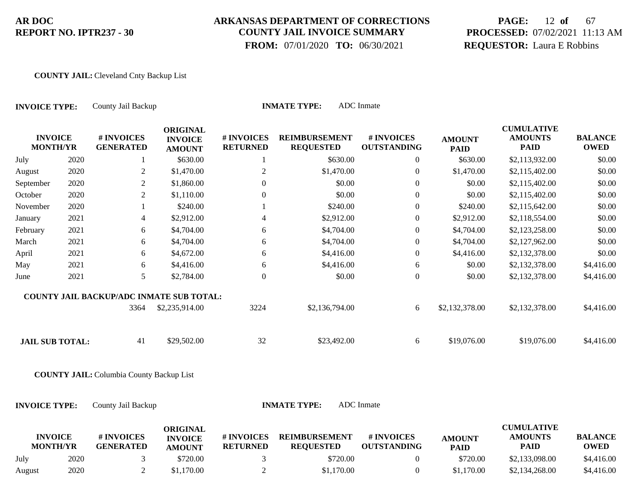### **ARKANSAS DEPARTMENT OF CORRECTIONS COUNTY JAIL INVOICE SUMMARY**

 **FROM:** 07/01/2020 **TO:** 06/30/2021

# **PAGE:** 12 **of** 67 **PROCESSED:** 07/02/2021 11:13 AM **REQUESTOR:** Laura E Robbins

#### **COUNTY JAIL:** Cleveland Cnty Backup List

| <b>INVOICE TYPE:</b>              |      | County Jail Backup                              |                                                    |                               | <b>INMATE TYPE:</b>                      | <b>ADC</b> Inmate                |                              |                                                    |                               |
|-----------------------------------|------|-------------------------------------------------|----------------------------------------------------|-------------------------------|------------------------------------------|----------------------------------|------------------------------|----------------------------------------------------|-------------------------------|
| <b>INVOICE</b><br><b>MONTH/YR</b> |      | # INVOICES<br><b>GENERATED</b>                  | <b>ORIGINAL</b><br><b>INVOICE</b><br><b>AMOUNT</b> | # INVOICES<br><b>RETURNED</b> | <b>REIMBURSEMENT</b><br><b>REQUESTED</b> | # INVOICES<br><b>OUTSTANDING</b> | <b>AMOUNT</b><br><b>PAID</b> | <b>CUMULATIVE</b><br><b>AMOUNTS</b><br><b>PAID</b> | <b>BALANCE</b><br><b>OWED</b> |
| July                              | 2020 | $\mathbf{1}$                                    | \$630.00                                           | 1                             | \$630.00                                 | 0                                | \$630.00                     | \$2,113,932.00                                     | \$0.00                        |
| August                            | 2020 | $\overline{2}$                                  | \$1,470.00                                         | $\overline{2}$                | \$1,470.00                               | $\boldsymbol{0}$                 | \$1,470.00                   | \$2,115,402.00                                     | \$0.00                        |
| September                         | 2020 | $\overline{2}$                                  | \$1,860.00                                         | $\boldsymbol{0}$              | \$0.00                                   | $\boldsymbol{0}$                 | \$0.00                       | \$2,115,402.00                                     | \$0.00                        |
| October                           | 2020 | $\overline{c}$                                  | \$1,110.00                                         | $\boldsymbol{0}$              | \$0.00                                   | $\boldsymbol{0}$                 | \$0.00                       | \$2,115,402.00                                     | \$0.00                        |
| November                          | 2020 | 1                                               | \$240.00                                           |                               | \$240.00                                 | $\boldsymbol{0}$                 | \$240.00                     | \$2,115,642.00                                     | \$0.00                        |
| January                           | 2021 | 4                                               | \$2,912.00                                         | $\overline{4}$                | \$2,912.00                               | $\overline{0}$                   | \$2,912.00                   | \$2,118,554.00                                     | \$0.00                        |
| February                          | 2021 | 6                                               | \$4,704.00                                         | 6                             | \$4,704.00                               | $\mathbf{0}$                     | \$4,704.00                   | \$2,123,258.00                                     | \$0.00                        |
| March                             | 2021 | 6                                               | \$4,704.00                                         | 6                             | \$4,704.00                               | $\overline{0}$                   | \$4,704.00                   | \$2,127,962.00                                     | \$0.00                        |
| April                             | 2021 | 6                                               | \$4,672.00                                         | 6                             | \$4,416.00                               | $\boldsymbol{0}$                 | \$4,416.00                   | \$2,132,378.00                                     | \$0.00                        |
| May                               | 2021 | 6                                               | \$4,416.00                                         | 6                             | \$4,416.00                               | 6                                | \$0.00                       | \$2,132,378.00                                     | \$4,416.00                    |
| June                              | 2021 | 5                                               | \$2,784.00                                         | $\boldsymbol{0}$              | \$0.00                                   | $\boldsymbol{0}$                 | \$0.00                       | \$2,132,378.00                                     | \$4,416.00                    |
|                                   |      | <b>COUNTY JAIL BACKUP/ADC INMATE SUB TOTAL:</b> |                                                    |                               |                                          |                                  |                              |                                                    |                               |
|                                   |      | 3364                                            | \$2,235,914.00                                     | 3224                          | \$2,136,794.00                           | 6                                | \$2,132,378.00               | \$2,132,378.00                                     | \$4,416.00                    |
| <b>JAIL SUB TOTAL:</b>            |      | 41                                              | \$29,502.00                                        | 32                            | \$23,492.00                              | 6                                | \$19,076.00                  | \$19,076.00                                        | \$4,416.00                    |
|                                   |      | <b>COUNTY JAIL:</b> Columbia County Backup List |                                                    |                               |                                          |                                  |                              |                                                    |                               |
| <b>INVOICE TYPE:</b>              |      | County Jail Backup                              |                                                    |                               | <b>INMATE TYPE:</b>                      | <b>ADC</b> Inmate                |                              |                                                    |                               |
| <b>INVOICE</b><br><b>MONTH/YR</b> |      | # INVOICES<br><b>GENERATED</b>                  | <b>ORIGINAL</b><br><b>INVOICE</b><br><b>AMOUNT</b> | # INVOICES<br><b>RETURNED</b> | <b>REIMBURSEMENT</b><br><b>REQUESTED</b> | # INVOICES<br><b>OUTSTANDING</b> | <b>AMOUNT</b><br><b>PAID</b> | <b>CUMULATIVE</b><br><b>AMOUNTS</b><br><b>PAID</b> | <b>BALANCE</b><br><b>OWED</b> |
| July                              | 2020 | 3                                               | \$720.00                                           | 3                             | \$720.00                                 | $\boldsymbol{0}$                 | \$720.00                     | \$2,133,098.00                                     | \$4,416.00                    |

August 2020 2 \$1,170.00 2 \$1,170.00 \$2,134,268.00 \$4,416.00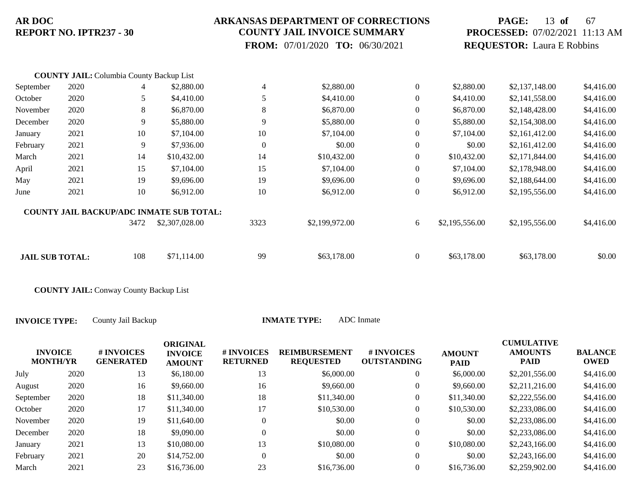### **ARKANSAS DEPARTMENT OF CORRECTIONS COUNTY JAIL INVOICE SUMMARY**

 **FROM:** 07/01/2020 **TO:** 06/30/2021

# **PAGE:** 13 **of** 67 **PROCESSED:** 07/02/2021 11:13 AM **REQUESTOR:** Laura E Robbins

|                        | <b>COUNTY JAIL:</b> Columbia County Backup List |      |                                                 |                  |                |                  |                |                |            |
|------------------------|-------------------------------------------------|------|-------------------------------------------------|------------------|----------------|------------------|----------------|----------------|------------|
| September              | 2020                                            | 4    | \$2,880.00                                      | $\overline{4}$   | \$2,880.00     | $\boldsymbol{0}$ | \$2,880.00     | \$2,137,148.00 | \$4,416.00 |
| October                | 2020                                            | 5    | \$4,410.00                                      | 5                | \$4,410.00     | $\theta$         | \$4,410.00     | \$2,141,558.00 | \$4,416.00 |
| November               | 2020                                            | 8    | \$6,870.00                                      | 8                | \$6,870.00     | $\mathbf{0}$     | \$6,870.00     | \$2,148,428.00 | \$4,416.00 |
| December               | 2020                                            | 9    | \$5,880.00                                      | 9                | \$5,880.00     | $\mathbf{0}$     | \$5,880.00     | \$2,154,308.00 | \$4,416.00 |
| January                | 2021                                            | 10   | \$7,104.00                                      | 10               | \$7,104.00     | $\mathbf{0}$     | \$7,104.00     | \$2,161,412.00 | \$4,416.00 |
| February               | 2021                                            | 9    | \$7,936.00                                      | $\boldsymbol{0}$ | \$0.00         | $\mathbf{0}$     | \$0.00         | \$2,161,412.00 | \$4,416.00 |
| March                  | 2021                                            | 14   | \$10,432.00                                     | 14               | \$10,432.00    | $\mathbf{0}$     | \$10,432.00    | \$2,171,844.00 | \$4,416.00 |
| April                  | 2021                                            | 15   | \$7,104.00                                      | 15               | \$7,104.00     | $\boldsymbol{0}$ | \$7,104.00     | \$2,178,948.00 | \$4,416.00 |
| May                    | 2021                                            | 19   | \$9,696.00                                      | 19               | \$9,696.00     | $\theta$         | \$9,696.00     | \$2,188,644.00 | \$4,416.00 |
| June                   | 2021                                            | 10   | \$6,912.00                                      | 10               | \$6,912.00     | $\overline{0}$   | \$6,912.00     | \$2,195,556.00 | \$4,416.00 |
|                        |                                                 |      | <b>COUNTY JAIL BACKUP/ADC INMATE SUB TOTAL:</b> |                  |                |                  |                |                |            |
|                        |                                                 | 3472 | \$2,307,028.00                                  | 3323             | \$2,199,972.00 | 6                | \$2,195,556.00 | \$2,195,556.00 | \$4,416.00 |
|                        |                                                 |      |                                                 |                  |                |                  |                |                |            |
| <b>JAIL SUB TOTAL:</b> |                                                 | 108  | \$71,114.00                                     | 99               | \$63,178.00    | $\mathbf{0}$     | \$63,178.00    | \$63,178.00    | \$0.00     |

**COUNTY JAIL:** Conway County Backup List

| <b>INVOICE</b><br><b>MONTH/YR</b> |      | # INVOICES<br><b>GENERATED</b> | <b>ORIGINAL</b><br><b>INVOICE</b><br><b>AMOUNT</b> | # INVOICES<br><b>RETURNED</b> | <b>REIMBURSEMENT</b><br><b>REQUESTED</b> | # INVOICES<br><b>OUTSTANDING</b> | <b>AMOUNT</b><br><b>PAID</b> | <b>CUMULATIVE</b><br><b>AMOUNTS</b><br><b>PAID</b> | <b>BALANCE</b><br><b>OWED</b> |
|-----------------------------------|------|--------------------------------|----------------------------------------------------|-------------------------------|------------------------------------------|----------------------------------|------------------------------|----------------------------------------------------|-------------------------------|
| July                              | 2020 | 13                             | \$6,180.00                                         | 13                            | \$6,000.00                               | $\theta$                         | \$6,000.00                   | \$2,201,556.00                                     | \$4,416.00                    |
| August                            | 2020 | 16                             | \$9,660.00                                         | 16                            | \$9,660.00                               | $\boldsymbol{0}$                 | \$9,660.00                   | \$2,211,216.00                                     | \$4,416.00                    |
| September                         | 2020 | 18                             | \$11,340.00                                        | 18                            | \$11,340.00                              | $\theta$                         | \$11,340.00                  | \$2,222,556.00                                     | \$4,416.00                    |
| October                           | 2020 | 17                             | \$11,340.00                                        | 17                            | \$10,530.00                              | $\overline{0}$                   | \$10,530.00                  | \$2,233,086.00                                     | \$4,416.00                    |
| November                          | 2020 | 19                             | \$11,640.00                                        |                               | \$0.00                                   | $\overline{0}$                   | \$0.00                       | \$2,233,086.00                                     | \$4,416.00                    |
| December                          | 2020 | 18                             | \$9,090.00                                         |                               | \$0.00                                   | $\theta$                         | \$0.00                       | \$2,233,086.00                                     | \$4,416.00                    |
| January                           | 2021 | 13                             | \$10,080.00                                        | 13                            | \$10,080.00                              | $\overline{0}$                   | \$10,080.00                  | \$2,243,166.00                                     | \$4,416.00                    |
| February                          | 2021 | 20                             | \$14,752.00                                        | $\Omega$                      | \$0.00                                   | $\theta$                         | \$0.00                       | \$2,243,166.00                                     | \$4,416.00                    |
| March                             | 2021 | 23                             | \$16,736.00                                        | 23                            | \$16,736.00                              | $\Omega$                         | \$16,736.00                  | \$2,259,902.00                                     | \$4,416.00                    |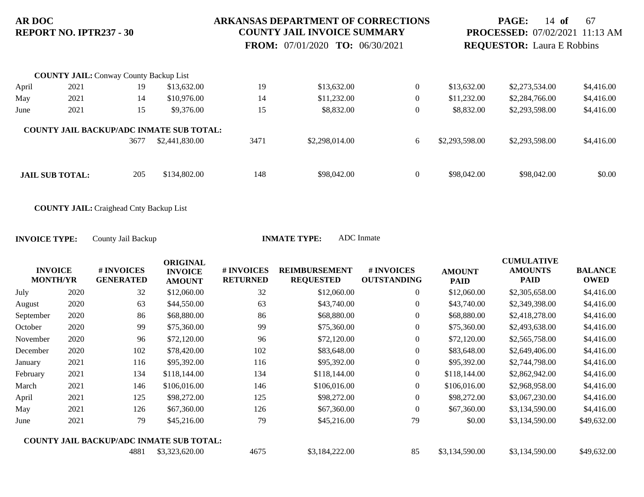#### **ARKANSAS DEPARTMENT OF CORRECTIONS COUNTY JAIL INVOICE SUMMARY**

 **FROM:** 07/01/2020 **TO:** 06/30/2021

**PAGE:** 14 **of** 67 **PROCESSED:** 07/02/2021 11:13 AM **REQUESTOR:** Laura E Robbins

|       | <b>COUNTY JAIL:</b> Conway County Backup List |      |                                                                   |      |                |                |                |                |            |
|-------|-----------------------------------------------|------|-------------------------------------------------------------------|------|----------------|----------------|----------------|----------------|------------|
| April | 2021                                          | 19   | \$13,632.00                                                       | 19   | \$13,632.00    | $\overline{0}$ | \$13,632.00    | \$2,273,534.00 | \$4,416.00 |
| May   | 2021                                          | 14   | \$10,976.00                                                       | 14   | \$11,232.00    | $\overline{0}$ | \$11,232.00    | \$2,284,766.00 | \$4,416.00 |
| June  | 2021                                          | 15   | \$9,376.00                                                        | 15   | \$8,832.00     | $\mathbf{0}$   | \$8,832.00     | \$2,293,598.00 | \$4,416.00 |
|       |                                               | 3677 | <b>COUNTY JAIL BACKUP/ADC INMATE SUB TOTAL:</b><br>\$2,441,830.00 | 3471 | \$2,298,014.00 | 6              | \$2,293,598.00 | \$2,293,598.00 | \$4,416.00 |
|       | <b>JAIL SUB TOTAL:</b>                        | 205  | \$134,802.00                                                      | 148  | \$98,042.00    | $\overline{0}$ | \$98,042.00    | \$98,042.00    | \$0.00     |

**COUNTY JAIL:** Craighead Cnty Backup List

| <b>INVOICE</b><br><b>MONTH/YR</b> |      | # INVOICES<br><b>GENERATED</b> | <b>ORIGINAL</b><br><b>INVOICE</b><br><b>AMOUNT</b> | # INVOICES<br><b>RETURNED</b> | <b>REIMBURSEMENT</b><br><b>REQUESTED</b> | # INVOICES<br><b>OUTSTANDING</b> | <b>AMOUNT</b><br><b>PAID</b> | <b>CUMULATIVE</b><br><b>AMOUNTS</b><br><b>PAID</b> | <b>BALANCE</b><br><b>OWED</b> |
|-----------------------------------|------|--------------------------------|----------------------------------------------------|-------------------------------|------------------------------------------|----------------------------------|------------------------------|----------------------------------------------------|-------------------------------|
| July                              | 2020 | 32                             | \$12,060.00                                        | 32                            | \$12,060.00                              | 0                                | \$12,060.00                  | \$2,305,658.00                                     | \$4,416.00                    |
| August                            | 2020 | 63                             | \$44,550.00                                        | 63                            | \$43,740.00                              | $\overline{0}$                   | \$43,740.00                  | \$2,349,398.00                                     | \$4,416.00                    |
| September                         | 2020 | 86                             | \$68,880.00                                        | 86                            | \$68,880.00                              | $\overline{0}$                   | \$68,880.00                  | \$2,418,278.00                                     | \$4,416.00                    |
| October                           | 2020 | 99                             | \$75,360.00                                        | 99                            | \$75,360.00                              | $\overline{0}$                   | \$75,360.00                  | \$2,493,638.00                                     | \$4,416.00                    |
| November                          | 2020 | 96                             | \$72,120.00                                        | 96                            | \$72,120.00                              | $\boldsymbol{0}$                 | \$72,120.00                  | \$2,565,758.00                                     | \$4,416.00                    |
| December                          | 2020 | 102                            | \$78,420.00                                        | 102                           | \$83,648.00                              | $\overline{0}$                   | \$83,648.00                  | \$2,649,406.00                                     | \$4,416.00                    |
| January                           | 2021 | 116                            | \$95,392.00                                        | 116                           | \$95,392.00                              | $\overline{0}$                   | \$95,392.00                  | \$2,744,798.00                                     | \$4,416.00                    |
| February                          | 2021 | 134                            | \$118,144.00                                       | 134                           | \$118,144.00                             | $\Omega$                         | \$118,144.00                 | \$2,862,942.00                                     | \$4,416.00                    |
| March                             | 2021 | 146                            | \$106,016.00                                       | 146                           | \$106,016.00                             | $\overline{0}$                   | \$106,016.00                 | \$2,968,958.00                                     | \$4,416.00                    |
| April                             | 2021 | 125                            | \$98,272.00                                        | 125                           | \$98,272.00                              | $\overline{0}$                   | \$98,272.00                  | \$3,067,230.00                                     | \$4,416.00                    |
| May                               | 2021 | 126                            | \$67,360.00                                        | 126                           | \$67,360.00                              | $\theta$                         | \$67,360.00                  | \$3,134,590.00                                     | \$4,416.00                    |
| June                              | 2021 | 79                             | \$45,216.00                                        | 79                            | \$45,216.00                              | 79                               | \$0.00                       | \$3,134,590.00                                     | \$49,632.00                   |
|                                   |      |                                | <b>COUNTY JAIL BACKUP/ADC INMATE SUB TOTAL:</b>    |                               |                                          |                                  |                              |                                                    |                               |
|                                   |      | 4881                           | \$3,323,620.00                                     | 4675                          | \$3,184,222.00                           | 85                               | \$3,134,590.00               | \$3,134,590.00                                     | \$49,632.00                   |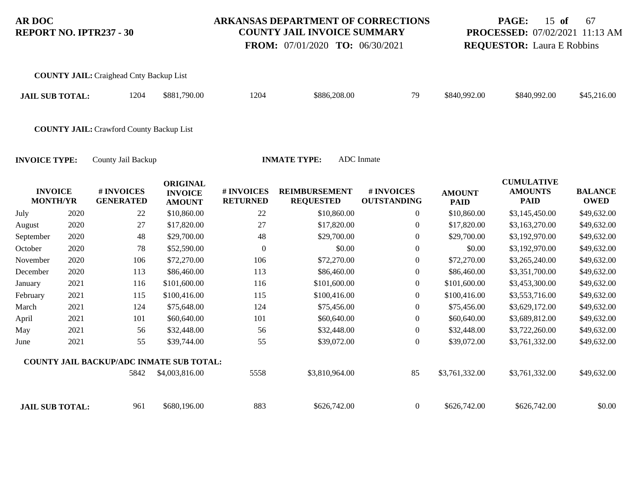**COUNTY JAIL:** Craighead Cnty Backup List

### **ARKANSAS DEPARTMENT OF CORRECTIONS COUNTY JAIL INVOICE SUMMARY**

 **FROM:** 07/01/2020 **TO:** 06/30/2021

# **PAGE:** 15 **of** 67 **PROCESSED:** 07/02/2021 11:13 AM **REQUESTOR:** Laura E Robbins

| <b>JAIL SUB TOTAL:</b>            |      | 1204                                            | \$881,790.00                                       | 1204                          | \$886,208.00                             | 79                               | \$840,992.00                 | \$840,992.00                                       | \$45,216.00                   |
|-----------------------------------|------|-------------------------------------------------|----------------------------------------------------|-------------------------------|------------------------------------------|----------------------------------|------------------------------|----------------------------------------------------|-------------------------------|
|                                   |      | <b>COUNTY JAIL: Crawford County Backup List</b> |                                                    |                               |                                          |                                  |                              |                                                    |                               |
| <b>INVOICE TYPE:</b>              |      | County Jail Backup                              |                                                    |                               | <b>INMATE TYPE:</b>                      | <b>ADC</b> Inmate                |                              |                                                    |                               |
| <b>INVOICE</b><br><b>MONTH/YR</b> |      | # INVOICES<br><b>GENERATED</b>                  | <b>ORIGINAL</b><br><b>INVOICE</b><br><b>AMOUNT</b> | # INVOICES<br><b>RETURNED</b> | <b>REIMBURSEMENT</b><br><b>REQUESTED</b> | # INVOICES<br><b>OUTSTANDING</b> | <b>AMOUNT</b><br><b>PAID</b> | <b>CUMULATIVE</b><br><b>AMOUNTS</b><br><b>PAID</b> | <b>BALANCE</b><br><b>OWED</b> |
| July                              | 2020 | 22                                              | \$10,860.00                                        | 22                            | \$10,860.00                              | $\overline{0}$                   | \$10,860.00                  | \$3,145,450.00                                     | \$49,632.00                   |
| August                            | 2020 | 27                                              | \$17,820.00                                        | 27                            | \$17,820.00                              | $\theta$                         | \$17,820.00                  | \$3,163,270.00                                     | \$49,632.00                   |
| September                         | 2020 | 48                                              | \$29,700.00                                        | 48                            | \$29,700.00                              | $\boldsymbol{0}$                 | \$29,700.00                  | \$3,192,970.00                                     | \$49,632.00                   |
| October                           | 2020 | 78                                              | \$52,590.00                                        | $\mathbf{0}$                  | \$0.00                                   | $\boldsymbol{0}$                 | \$0.00                       | \$3,192,970.00                                     | \$49,632.00                   |
| November                          | 2020 | 106                                             | \$72,270.00                                        | 106                           | \$72,270.00                              | $\boldsymbol{0}$                 | \$72,270.00                  | \$3,265,240.00                                     | \$49,632.00                   |
| December                          | 2020 | 113                                             | \$86,460.00                                        | 113                           | \$86,460.00                              | $\boldsymbol{0}$                 | \$86,460.00                  | \$3,351,700.00                                     | \$49,632.00                   |
| January                           | 2021 | 116                                             | \$101,600.00                                       | 116                           | \$101,600.00                             | $\overline{0}$                   | \$101,600.00                 | \$3,453,300.00                                     | \$49,632.00                   |
| February                          | 2021 | 115                                             | \$100,416.00                                       | 115                           | \$100,416.00                             | $\boldsymbol{0}$                 | \$100,416.00                 | \$3,553,716.00                                     | \$49,632.00                   |
| March                             | 2021 | 124                                             | \$75,648.00                                        | 124                           | \$75,456.00                              | 0                                | \$75,456.00                  | \$3,629,172.00                                     | \$49,632.00                   |
| April                             | 2021 | 101                                             | \$60,640.00                                        | 101                           | \$60,640.00                              | $\boldsymbol{0}$                 | \$60,640.00                  | \$3,689,812.00                                     | \$49,632.00                   |
| May                               | 2021 | 56                                              | \$32,448.00                                        | 56                            | \$32,448.00                              | $\boldsymbol{0}$                 | \$32,448.00                  | \$3,722,260.00                                     | \$49,632.00                   |
| June                              | 2021 | 55                                              | \$39,744.00                                        | 55                            | \$39,072.00                              | $\overline{0}$                   | \$39,072.00                  | \$3,761,332.00                                     | \$49,632.00                   |
|                                   |      | COUNTY JAIL BACKUP/ADC INMATE SUB TOTAL:        |                                                    |                               |                                          |                                  |                              |                                                    |                               |
|                                   |      | 5842                                            | \$4,003,816.00                                     | 5558                          | \$3,810,964.00                           | 85                               | \$3,761,332.00               | \$3,761,332.00                                     | \$49,632.00                   |
| <b>JAIL SUB TOTAL:</b>            |      | 961                                             | \$680,196.00                                       | 883                           | \$626,742.00                             | $\boldsymbol{0}$                 | \$626,742.00                 | \$626,742.00                                       | \$0.00                        |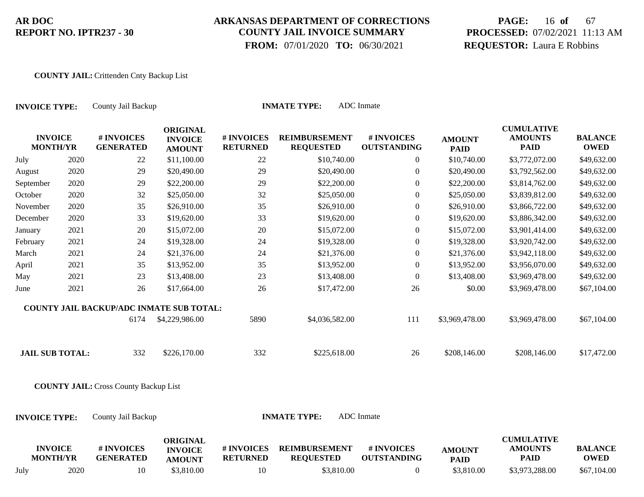### **ARKANSAS DEPARTMENT OF CORRECTIONS COUNTY JAIL INVOICE SUMMARY**

 **FROM:** 07/01/2020 **TO:** 06/30/2021

# **PAGE:** 16 **of** 67 **PROCESSED:** 07/02/2021 11:13 AM **REQUESTOR:** Laura E Robbins

#### **COUNTY JAIL:** Crittenden Cnty Backup List

| <b>INVOICE TYPE:</b>              |      | County Jail Backup                           |                                                    |                               | <b>INMATE TYPE:</b>                      | <b>ADC</b> Inmate                |                              |                                                    |                               |
|-----------------------------------|------|----------------------------------------------|----------------------------------------------------|-------------------------------|------------------------------------------|----------------------------------|------------------------------|----------------------------------------------------|-------------------------------|
| <b>INVOICE</b><br><b>MONTH/YR</b> |      | # INVOICES<br><b>GENERATED</b>               | <b>ORIGINAL</b><br><b>INVOICE</b><br><b>AMOUNT</b> | # INVOICES<br><b>RETURNED</b> | <b>REIMBURSEMENT</b><br><b>REQUESTED</b> | # INVOICES<br><b>OUTSTANDING</b> | <b>AMOUNT</b><br><b>PAID</b> | <b>CUMULATIVE</b><br><b>AMOUNTS</b><br><b>PAID</b> | <b>BALANCE</b><br><b>OWED</b> |
| July                              | 2020 | 22                                           | \$11,100.00                                        | 22                            | \$10,740.00                              | $\overline{0}$                   | \$10,740.00                  | \$3,772,072.00                                     | \$49,632.00                   |
| August                            | 2020 | 29                                           | \$20,490.00                                        | 29                            | \$20,490.00                              | $\boldsymbol{0}$                 | \$20,490.00                  | \$3,792,562.00                                     | \$49,632.00                   |
| September                         | 2020 | 29                                           | \$22,200.00                                        | 29                            | \$22,200.00                              | $\boldsymbol{0}$                 | \$22,200.00                  | \$3,814,762.00                                     | \$49,632.00                   |
| October                           | 2020 | 32                                           | \$25,050.00                                        | 32                            | \$25,050.00                              | $\boldsymbol{0}$                 | \$25,050.00                  | \$3,839,812.00                                     | \$49,632.00                   |
| November                          | 2020 | 35                                           | \$26,910.00                                        | 35                            | \$26,910.00                              | $\boldsymbol{0}$                 | \$26,910.00                  | \$3,866,722.00                                     | \$49,632.00                   |
| December                          | 2020 | 33                                           | \$19,620.00                                        | 33                            | \$19,620.00                              | $\boldsymbol{0}$                 | \$19,620.00                  | \$3,886,342.00                                     | \$49,632.00                   |
| January                           | 2021 | $20\,$                                       | \$15,072.00                                        | $20\,$                        | \$15,072.00                              | $\overline{0}$                   | \$15,072.00                  | \$3,901,414.00                                     | \$49,632.00                   |
| February                          | 2021 | 24                                           | \$19,328.00                                        | 24                            | \$19,328.00                              | $\boldsymbol{0}$                 | \$19,328.00                  | \$3,920,742.00                                     | \$49,632.00                   |
| March                             | 2021 | 24                                           | \$21,376.00                                        | 24                            | \$21,376.00                              | $\boldsymbol{0}$                 | \$21,376.00                  | \$3,942,118.00                                     | \$49,632.00                   |
| April                             | 2021 | 35                                           | \$13,952.00                                        | 35                            | \$13,952.00                              | $\boldsymbol{0}$                 | \$13,952.00                  | \$3,956,070.00                                     | \$49,632.00                   |
| May                               | 2021 | 23                                           | \$13,408.00                                        | 23                            | \$13,408.00                              | $\boldsymbol{0}$                 | \$13,408.00                  | \$3,969,478.00                                     | \$49,632.00                   |
| June                              | 2021 | 26                                           | \$17,664.00                                        | 26                            | \$17,472.00                              | 26                               | \$0.00                       | \$3,969,478.00                                     | \$67,104.00                   |
|                                   |      | COUNTY JAIL BACKUP/ADC INMATE SUB TOTAL:     |                                                    |                               |                                          |                                  |                              |                                                    |                               |
|                                   |      | 6174                                         | \$4,229,986.00                                     | 5890                          | \$4,036,582.00                           | 111                              | \$3,969,478.00               | \$3,969,478.00                                     | \$67,104.00                   |
| <b>JAIL SUB TOTAL:</b>            |      | 332                                          | \$226,170.00                                       | 332                           | \$225,618.00                             | 26                               | \$208,146.00                 | \$208,146.00                                       | \$17,472.00                   |
|                                   |      | <b>COUNTY JAIL: Cross County Backup List</b> |                                                    |                               |                                          |                                  |                              |                                                    |                               |
| <b>INVOICE TYPE:</b>              |      | County Jail Backup                           |                                                    |                               | <b>INMATE TYPE:</b>                      | <b>ADC</b> Inmate                |                              |                                                    |                               |
| <b>INVOICE</b><br><b>MONTH/YR</b> |      | # INVOICES<br><b>GENERATED</b>               | <b>ORIGINAL</b><br><b>INVOICE</b><br><b>AMOUNT</b> | # INVOICES<br><b>RETURNED</b> | <b>REIMBURSEMENT</b><br><b>REQUESTED</b> | # INVOICES<br><b>OUTSTANDING</b> | <b>AMOUNT</b><br><b>PAID</b> | <b>CUMULATIVE</b><br><b>AMOUNTS</b><br><b>PAID</b> | <b>BALANCE</b><br><b>OWED</b> |

July 2020 10 \$3,810.00 10 \$3,810.00 0 \$3,810.00 \$3,973,288.00 \$67,104.00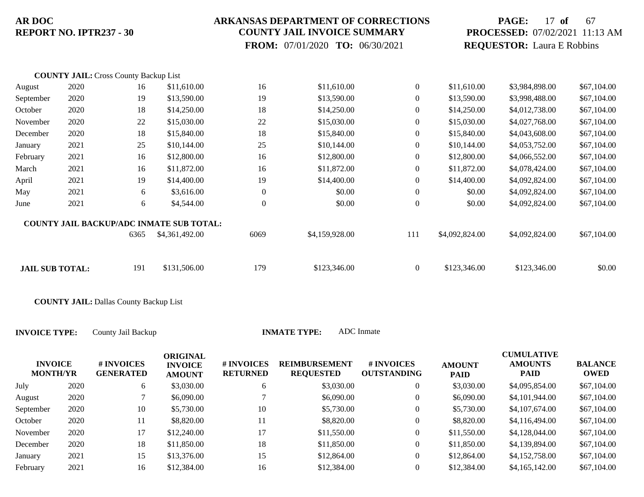### **ARKANSAS DEPARTMENT OF CORRECTIONS COUNTY JAIL INVOICE SUMMARY**

 **FROM:** 07/01/2020 **TO:** 06/30/2021

# **PAGE:** 17 **of** 67 **PROCESSED:** 07/02/2021 11:13 AM **REQUESTOR:** Laura E Robbins

|                        | <b>COUNTY JAIL: Cross County Backup List</b> |      |                                                 |                  |                |                  |                |                |             |
|------------------------|----------------------------------------------|------|-------------------------------------------------|------------------|----------------|------------------|----------------|----------------|-------------|
| August                 | 2020                                         | 16   | \$11,610.00                                     | 16               | \$11,610.00    | $\overline{0}$   | \$11,610.00    | \$3,984,898.00 | \$67,104.00 |
| September              | 2020                                         | 19   | \$13,590.00                                     | 19               | \$13,590.00    | $\overline{0}$   | \$13,590.00    | \$3,998,488.00 | \$67,104.00 |
| October                | 2020                                         | 18   | \$14,250.00                                     | 18               | \$14,250.00    | $\boldsymbol{0}$ | \$14,250.00    | \$4,012,738.00 | \$67,104.00 |
| November               | 2020                                         | 22   | \$15,030.00                                     | 22               | \$15,030.00    | $\overline{0}$   | \$15,030.00    | \$4,027,768.00 | \$67,104.00 |
| December               | 2020                                         | 18   | \$15,840.00                                     | 18               | \$15,840.00    | $\mathbf{0}$     | \$15,840.00    | \$4,043,608.00 | \$67,104.00 |
| January                | 2021                                         | 25   | \$10,144.00                                     | 25               | \$10,144.00    | $\mathbf{0}$     | \$10,144.00    | \$4,053,752.00 | \$67,104.00 |
| February               | 2021                                         | 16   | \$12,800.00                                     | 16               | \$12,800.00    | $\overline{0}$   | \$12,800.00    | \$4,066,552.00 | \$67,104.00 |
| March                  | 2021                                         | 16   | \$11,872.00                                     | 16               | \$11,872.00    | $\mathbf{0}$     | \$11,872.00    | \$4,078,424.00 | \$67,104.00 |
| April                  | 2021                                         | 19   | \$14,400.00                                     | 19               | \$14,400.00    | $\mathbf{0}$     | \$14,400.00    | \$4,092,824.00 | \$67,104.00 |
| May                    | 2021                                         | 6    | \$3,616.00                                      | $\boldsymbol{0}$ | \$0.00         | $\mathbf{0}$     | \$0.00         | \$4,092,824.00 | \$67,104.00 |
| June                   | 2021                                         | 6    | \$4,544.00                                      | $\mathbf{0}$     | \$0.00         | $\boldsymbol{0}$ | \$0.00         | \$4,092,824.00 | \$67,104.00 |
|                        |                                              |      | <b>COUNTY JAIL BACKUP/ADC INMATE SUB TOTAL:</b> |                  |                |                  |                |                |             |
|                        |                                              | 6365 | \$4,361,492.00                                  | 6069             | \$4,159,928.00 | 111              | \$4,092,824.00 | \$4,092,824.00 | \$67,104.00 |
| <b>JAIL SUB TOTAL:</b> |                                              | 191  | \$131,506.00                                    | 179              | \$123,346.00   | $\overline{0}$   | \$123,346.00   | \$123,346.00   | \$0.00      |
|                        |                                              |      |                                                 |                  |                |                  |                |                |             |

**COUNTY JAIL:** Dallas County Backup List

| <b>INVOICE</b><br><b>MONTH/YR</b> |      | # INVOICES<br><b>GENERATED</b> | <b>ORIGINAL</b><br><b>INVOICE</b><br><b>AMOUNT</b> | # INVOICES<br><b>RETURNED</b> | <b>REIMBURSEMENT</b><br><b>REQUESTED</b> | # INVOICES<br><b>OUTSTANDING</b> | <b>AMOUNT</b><br><b>PAID</b> | <b>CUMULATIVE</b><br><b>AMOUNTS</b><br><b>PAID</b> | <b>BALANCE</b><br><b>OWED</b> |
|-----------------------------------|------|--------------------------------|----------------------------------------------------|-------------------------------|------------------------------------------|----------------------------------|------------------------------|----------------------------------------------------|-------------------------------|
| July                              | 2020 | 6                              | \$3,030.00                                         | 6                             | \$3,030.00                               | $\theta$                         | \$3,030.00                   | \$4,095,854.00                                     | \$67,104.00                   |
| August                            | 2020 |                                | \$6,090.00                                         |                               | \$6,090.00                               | $\boldsymbol{0}$                 | \$6,090.00                   | \$4,101,944.00                                     | \$67,104.00                   |
| September                         | 2020 | 10                             | \$5,730.00                                         | 10                            | \$5,730.00                               | $\mathbf{0}$                     | \$5,730.00                   | \$4,107,674.00                                     | \$67,104.00                   |
| October                           | 2020 | 11                             | \$8,820.00                                         | 11                            | \$8,820.00                               | $\overline{0}$                   | \$8,820.00                   | \$4,116,494.00                                     | \$67,104.00                   |
| November                          | 2020 | 17                             | \$12,240.00                                        | 17                            | \$11,550.00                              | $\mathbf{0}$                     | \$11,550.00                  | \$4,128,044.00                                     | \$67,104.00                   |
| December                          | 2020 | 18                             | \$11,850.00                                        | 18                            | \$11,850.00                              | $\boldsymbol{0}$                 | \$11,850.00                  | \$4,139,894.00                                     | \$67,104.00                   |
| January                           | 2021 | 15                             | \$13,376.00                                        | 15                            | \$12,864.00                              | $\overline{0}$                   | \$12,864.00                  | \$4,152,758.00                                     | \$67,104.00                   |
| February                          | 2021 | 16                             | \$12,384.00                                        | 16                            | \$12,384.00                              | $\mathbf{0}$                     | \$12,384.00                  | \$4,165,142.00                                     | \$67,104.00                   |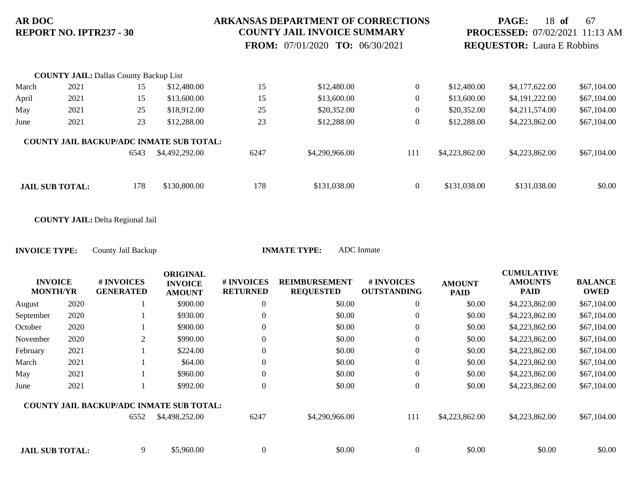#### **ARKANSAS DEPARTMENT OF CORRECTIONS COUNTY JAIL INVOICE SUMMARY**

 **FROM:** 07/01/2020 **TO:** 06/30/2021

## **PAGE:** 18 **of** 67 **PROCESSED:** 07/02/2021 11:13 AM **REQUESTOR:** Laura E Robbins

|       | <b>COUNTY JAIL: Dallas County Backup List</b> |      |                                                 |      |                |                |                |                |             |
|-------|-----------------------------------------------|------|-------------------------------------------------|------|----------------|----------------|----------------|----------------|-------------|
| March | 2021                                          | 15   | \$12,480.00                                     | 15   | \$12,480.00    | $\overline{0}$ | \$12,480.00    | \$4,177,622.00 | \$67,104.00 |
| April | 2021                                          | 15   | \$13,600.00                                     | 15   | \$13,600.00    | $\overline{0}$ | \$13,600.00    | \$4,191,222.00 | \$67,104.00 |
| May   | 2021                                          | 25   | \$18,912.00                                     | 25   | \$20,352.00    | $\theta$       | \$20,352.00    | \$4,211,574.00 | \$67,104.00 |
| June  | 2021                                          | 23   | \$12,288.00                                     | 23   | \$12,288.00    | $\mathbf{0}$   | \$12,288.00    | \$4,223,862.00 | \$67,104.00 |
|       |                                               |      | <b>COUNTY JAIL BACKUP/ADC INMATE SUB TOTAL:</b> |      |                |                |                |                |             |
|       |                                               | 6543 | \$4,492,292.00                                  | 6247 | \$4,290,966.00 | 111            | \$4,223,862.00 | \$4,223,862.00 | \$67,104.00 |
|       |                                               |      |                                                 |      |                |                |                |                |             |
|       | <b>JAIL SUB TOTAL:</b>                        | 178  | \$130,800.00                                    | 178  | \$131,038.00   | $\theta$       | \$131,038.00   | \$131,038.00   | \$0.00      |

**COUNTY JAIL:** Delta Regional Jail

**INVOICE TYPE:** County Jail Backup **INMATE TYPE:** ADC Inmate

| <b>INVOICE</b><br><b>MONTH/YR</b> |      | # INVOICES<br><b>GENERATED</b>                  | <b>ORIGINAL</b><br><b>INVOICE</b><br><b>AMOUNT</b> | # INVOICES<br><b>RETURNED</b> | <b>REIMBURSEMENT</b><br><b>REQUESTED</b> | # INVOICES<br><b>OUTSTANDING</b> | <b>AMOUNT</b><br><b>PAID</b> | <b>CUMULATIVE</b><br><b>AMOUNTS</b><br>PAID | <b>BALANCE</b><br><b>OWED</b> |
|-----------------------------------|------|-------------------------------------------------|----------------------------------------------------|-------------------------------|------------------------------------------|----------------------------------|------------------------------|---------------------------------------------|-------------------------------|
| August                            | 2020 |                                                 | \$900.00                                           | $\theta$                      | \$0.00                                   | $\theta$                         | \$0.00                       | \$4,223,862.00                              | \$67,104.00                   |
| September                         | 2020 |                                                 | \$930.00                                           | $\overline{0}$                | \$0.00                                   | $\overline{0}$                   | \$0.00                       | \$4,223,862.00                              | \$67,104.00                   |
| October                           | 2020 |                                                 | \$900.00                                           | $\theta$                      | \$0.00                                   | $\overline{0}$                   | \$0.00                       | \$4,223,862.00                              | \$67,104.00                   |
| November                          | 2020 | 2                                               | \$990.00                                           | $\Omega$                      | \$0.00                                   | $\overline{0}$                   | \$0.00                       | \$4,223,862.00                              | \$67,104.00                   |
| February                          | 2021 |                                                 | \$224.00                                           | $\overline{0}$                | \$0.00                                   | $\overline{0}$                   | \$0.00                       | \$4,223,862.00                              | \$67,104.00                   |
| March                             | 2021 |                                                 | \$64.00                                            | $\theta$                      | \$0.00                                   | $\overline{0}$                   | \$0.00                       | \$4,223,862.00                              | \$67,104.00                   |
| May                               | 2021 |                                                 | \$960.00                                           | $\theta$                      | \$0.00                                   | $\overline{0}$                   | \$0.00                       | \$4,223,862.00                              | \$67,104.00                   |
| June                              | 2021 |                                                 | \$992.00                                           | $\theta$                      | \$0.00                                   | $\overline{0}$                   | \$0.00                       | \$4,223,862.00                              | \$67,104.00                   |
|                                   |      | <b>COUNTY JAIL BACKUP/ADC INMATE SUB TOTAL:</b> |                                                    |                               |                                          |                                  |                              |                                             |                               |
|                                   |      | 6552                                            | \$4,498,252.00                                     | 6247                          | \$4,290,966.00                           | 111                              | \$4,223,862.00               | \$4,223,862.00                              | \$67,104.00                   |
|                                   |      |                                                 |                                                    |                               |                                          |                                  |                              |                                             |                               |
|                                   |      |                                                 |                                                    |                               |                                          |                                  |                              |                                             |                               |

**JAIL SUB TOTAL:** 9 \$5,960.00 0 \$0.00 \$0.00 \$0.00 \$0.00 \$0.00 \$0.00 \$0.00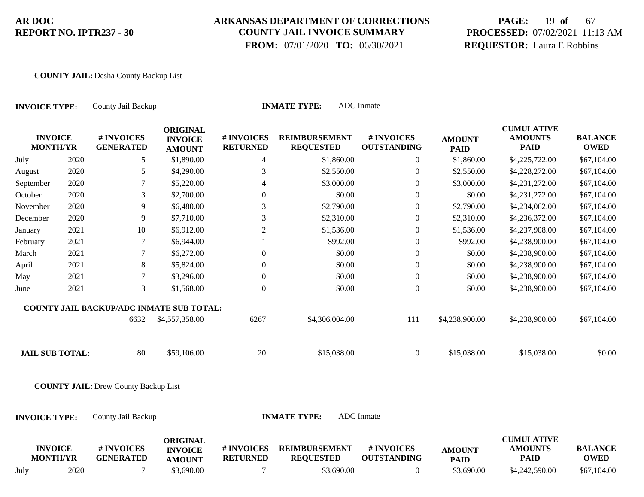### **ARKANSAS DEPARTMENT OF CORRECTIONS COUNTY JAIL INVOICE SUMMARY**

 **FROM:** 07/01/2020 **TO:** 06/30/2021

# **PAGE:** 19 **of** 67 **PROCESSED:** 07/02/2021 11:13 AM **REQUESTOR:** Laura E Robbins

#### **COUNTY JAIL:** Desha County Backup List

| <b>INVOICE TYPE:</b>              |      | County Jail Backup                          |                                                    |                               | <b>INMATE TYPE:</b>                      | <b>ADC</b> Inmate                |                              |                                                    |                               |
|-----------------------------------|------|---------------------------------------------|----------------------------------------------------|-------------------------------|------------------------------------------|----------------------------------|------------------------------|----------------------------------------------------|-------------------------------|
| <b>INVOICE</b><br><b>MONTH/YR</b> |      | # INVOICES<br><b>GENERATED</b>              | <b>ORIGINAL</b><br><b>INVOICE</b><br><b>AMOUNT</b> | # INVOICES<br><b>RETURNED</b> | <b>REIMBURSEMENT</b><br><b>REQUESTED</b> | # INVOICES<br><b>OUTSTANDING</b> | <b>AMOUNT</b><br><b>PAID</b> | <b>CUMULATIVE</b><br><b>AMOUNTS</b><br><b>PAID</b> | <b>BALANCE</b><br><b>OWED</b> |
| July                              | 2020 | 5                                           | \$1,890.00                                         | $\overline{4}$                | \$1,860.00                               | $\overline{0}$                   | \$1,860.00                   | \$4,225,722.00                                     | \$67,104.00                   |
| August                            | 2020 | 5                                           | \$4,290.00                                         | 3                             | \$2,550.00                               | $\boldsymbol{0}$                 | \$2,550.00                   | \$4,228,272.00                                     | \$67,104.00                   |
| September                         | 2020 | $\tau$                                      | \$5,220.00                                         | 4                             | \$3,000.00                               | $\boldsymbol{0}$                 | \$3,000.00                   | \$4,231,272.00                                     | \$67,104.00                   |
| October                           | 2020 | 3                                           | \$2,700.00                                         | $\Omega$                      | \$0.00                                   | $\overline{0}$                   | \$0.00                       | \$4,231,272.00                                     | \$67,104.00                   |
| November                          | 2020 | 9                                           | \$6,480.00                                         | 3                             | \$2,790.00                               | $\boldsymbol{0}$                 | \$2,790.00                   | \$4,234,062.00                                     | \$67,104.00                   |
| December                          | 2020 | $\overline{9}$                              | \$7,710.00                                         | 3                             | \$2,310.00                               | $\boldsymbol{0}$                 | \$2,310.00                   | \$4,236,372.00                                     | \$67,104.00                   |
| January                           | 2021 | 10                                          | \$6,912.00                                         | $\overline{2}$                | \$1,536.00                               | $\boldsymbol{0}$                 | \$1,536.00                   | \$4,237,908.00                                     | \$67,104.00                   |
| February                          | 2021 | $\tau$                                      | \$6,944.00                                         |                               | \$992.00                                 | $\boldsymbol{0}$                 | \$992.00                     | \$4,238,900.00                                     | \$67,104.00                   |
| March                             | 2021 | 7                                           | \$6,272.00                                         | $\overline{0}$                | \$0.00                                   | $\boldsymbol{0}$                 | \$0.00                       | \$4,238,900.00                                     | \$67,104.00                   |
| April                             | 2021 | $\,8\,$                                     | \$5,824.00                                         | $\overline{0}$                | \$0.00                                   | $\boldsymbol{0}$                 | \$0.00                       | \$4,238,900.00                                     | \$67,104.00                   |
| May                               | 2021 | $\tau$                                      | \$3,296.00                                         | $\boldsymbol{0}$              | \$0.00                                   | $\boldsymbol{0}$                 | \$0.00                       | \$4,238,900.00                                     | \$67,104.00                   |
| June                              | 2021 | $\mathfrak{Z}$                              | \$1,568.00                                         | $\Omega$                      | \$0.00                                   | $\mathbf{0}$                     | \$0.00                       | \$4,238,900.00                                     | \$67,104.00                   |
|                                   |      | COUNTY JAIL BACKUP/ADC INMATE SUB TOTAL:    |                                                    |                               |                                          |                                  |                              |                                                    |                               |
|                                   |      | 6632                                        | \$4,557,358.00                                     | 6267                          | \$4,306,004.00                           | 111                              | \$4,238,900.00               | \$4,238,900.00                                     | \$67,104.00                   |
| <b>JAIL SUB TOTAL:</b>            |      | 80                                          | \$59,106.00                                        | $20\,$                        | \$15,038.00                              | $\overline{0}$                   | \$15,038.00                  | \$15,038.00                                        | \$0.00                        |
|                                   |      | <b>COUNTY JAIL: Drew County Backup List</b> |                                                    |                               |                                          |                                  |                              |                                                    |                               |
| <b>INVOICE TYPE:</b>              |      | County Jail Backup                          |                                                    |                               | <b>INMATE TYPE:</b>                      | <b>ADC</b> Inmate                |                              |                                                    |                               |
| <b>INVOICE</b><br><b>MONTH/YR</b> |      | # INVOICES<br><b>GENERATED</b>              | <b>ORIGINAL</b><br><b>INVOICE</b><br><b>AMOUNT</b> | # INVOICES<br><b>RETURNED</b> | <b>REIMBURSEMENT</b><br><b>REQUESTED</b> | # INVOICES<br><b>OUTSTANDING</b> | <b>AMOUNT</b><br><b>PAID</b> | <b>CUMULATIVE</b><br><b>AMOUNTS</b><br><b>PAID</b> | <b>BALANCE</b><br><b>OWED</b> |

July 2020 7 \$3,690.00 7 \$3,690.00 0 \$3,690.00 \$4,242,590.00 \$67,104.00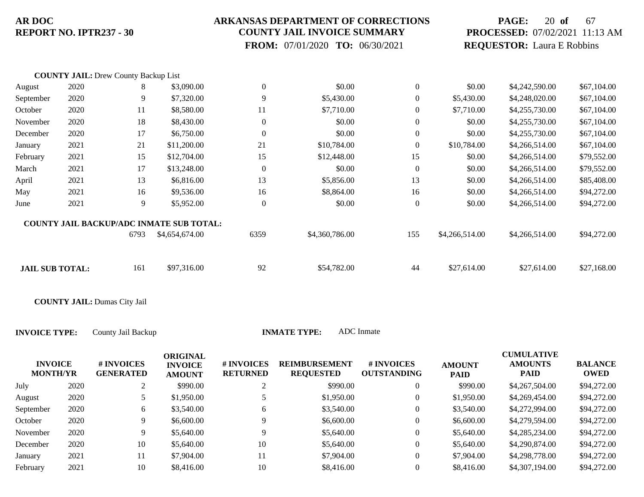### **ARKANSAS DEPARTMENT OF CORRECTIONS COUNTY JAIL INVOICE SUMMARY**

 **FROM:** 07/01/2020 **TO:** 06/30/2021

# **PAGE:** 20 **of** 67 **PROCESSED:** 07/02/2021 11:13 AM **REQUESTOR:** Laura E Robbins

|                        | <b>COUNTY JAIL: Drew County Backup List</b> |      |                                          |                  |                |                  |                |                |             |
|------------------------|---------------------------------------------|------|------------------------------------------|------------------|----------------|------------------|----------------|----------------|-------------|
| August                 | 2020                                        | 8    | \$3,090.00                               | $\boldsymbol{0}$ | \$0.00         | $\mathbf{0}$     | \$0.00         | \$4,242,590.00 | \$67,104.00 |
| September              | 2020                                        | 9    | \$7,320.00                               | 9                | \$5,430.00     | $\mathbf{0}$     | \$5,430.00     | \$4,248,020.00 | \$67,104.00 |
| October                | 2020                                        | 11   | \$8,580.00                               | 11               | \$7,710.00     | $\boldsymbol{0}$ | \$7,710.00     | \$4,255,730.00 | \$67,104.00 |
| November               | 2020                                        | 18   | \$8,430.00                               | $\theta$         | \$0.00         | $\mathbf{0}$     | \$0.00         | \$4,255,730.00 | \$67,104.00 |
| December               | 2020                                        | 17   | \$6,750.00                               | $\mathbf{0}$     | \$0.00         | $\theta$         | \$0.00         | \$4,255,730.00 | \$67,104.00 |
| January                | 2021                                        | 21   | \$11,200.00                              | 21               | \$10,784.00    | $\boldsymbol{0}$ | \$10,784.00    | \$4,266,514.00 | \$67,104.00 |
| February               | 2021                                        | 15   | \$12,704.00                              | 15               | \$12,448.00    | 15               | \$0.00         | \$4,266,514.00 | \$79,552.00 |
| March                  | 2021                                        | 17   | \$13,248.00                              | $\boldsymbol{0}$ | \$0.00         | $\theta$         | \$0.00         | \$4,266,514.00 | \$79,552.00 |
| April                  | 2021                                        | 13   | \$6,816.00                               | 13               | \$5,856.00     | 13               | \$0.00         | \$4,266,514.00 | \$85,408.00 |
| May                    | 2021                                        | 16   | \$9,536.00                               | 16               | \$8,864.00     | 16               | \$0.00         | \$4,266,514.00 | \$94,272.00 |
| June                   | 2021                                        | 9    | \$5,952.00                               | $\boldsymbol{0}$ | \$0.00         | $\boldsymbol{0}$ | \$0.00         | \$4,266,514.00 | \$94,272.00 |
|                        |                                             |      | COUNTY JAIL BACKUP/ADC INMATE SUB TOTAL: |                  |                |                  |                |                |             |
|                        |                                             | 6793 | \$4,654,674.00                           | 6359             | \$4,360,786.00 | 155              | \$4,266,514.00 | \$4,266,514.00 | \$94,272.00 |
|                        |                                             | 161  |                                          | 92               |                | 44               |                |                |             |
| <b>JAIL SUB TOTAL:</b> |                                             |      | \$97,316.00                              |                  | \$54,782.00    |                  | \$27,614.00    | \$27,614.00    | \$27,168.00 |

**COUNTY JAIL:** Dumas City Jail

| <b>INVOICE</b><br><b>MONTH/YR</b> |      | # INVOICES<br><b>GENERATED</b> | <b>ORIGINAL</b><br><b>INVOICE</b><br><b>AMOUNT</b> | # INVOICES<br><b>RETURNED</b> | <b>REIMBURSEMENT</b><br><b>REQUESTED</b> | # INVOICES<br><b>OUTSTANDING</b> | <b>AMOUNT</b><br><b>PAID</b> | <b>CUMULATIVE</b><br><b>AMOUNTS</b><br><b>PAID</b> | <b>BALANCE</b><br>OWED |
|-----------------------------------|------|--------------------------------|----------------------------------------------------|-------------------------------|------------------------------------------|----------------------------------|------------------------------|----------------------------------------------------|------------------------|
| July                              | 2020 |                                | \$990.00                                           |                               | \$990.00                                 | 0                                | \$990.00                     | \$4,267,504.00                                     | \$94,272.00            |
| August                            | 2020 |                                | \$1,950.00                                         |                               | \$1,950.00                               | 0                                | \$1,950.00                   | \$4,269,454.00                                     | \$94,272.00            |
| September                         | 2020 | 6                              | \$3,540.00                                         | <sub>b</sub>                  | \$3,540.00                               | 0                                | \$3,540.00                   | \$4,272,994.00                                     | \$94,272.00            |
| October                           | 2020 | 9                              | \$6,600.00                                         | Q                             | \$6,600.00                               | 0                                | \$6,600.00                   | \$4,279,594.00                                     | \$94,272.00            |
| November                          | 2020 | 9                              | \$5,640.00                                         | Q                             | \$5,640.00                               | 0                                | \$5,640.00                   | \$4,285,234.00                                     | \$94,272.00            |
| December                          | 2020 | 10                             | \$5,640.00                                         | 10                            | \$5,640.00                               | 0                                | \$5,640.00                   | \$4,290,874.00                                     | \$94,272.00            |
| January                           | 2021 | 11                             | \$7,904.00                                         | 11                            | \$7,904.00                               | 0                                | \$7,904.00                   | \$4,298,778.00                                     | \$94,272.00            |
| February                          | 2021 | 10                             | \$8,416.00                                         | 10                            | \$8,416.00                               | 0                                | \$8,416.00                   | \$4,307,194,00                                     | \$94,272.00            |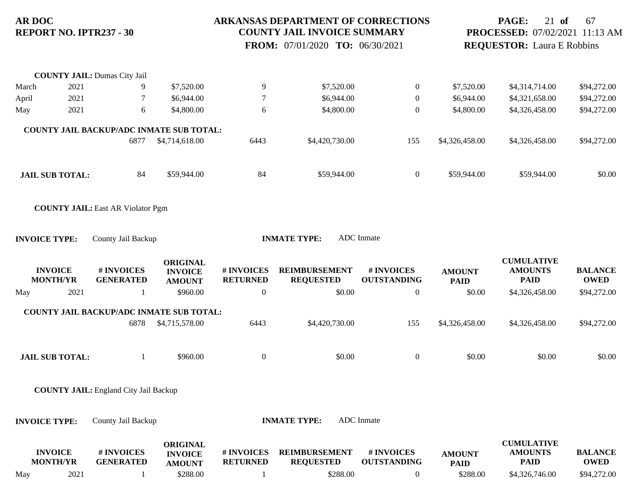### **ARKANSAS DEPARTMENT OF CORRECTIONS COUNTY JAIL INVOICE SUMMARY**

 **FROM:** 07/01/2020 **TO:** 06/30/2021

# **PAGE:** 21 **of** 67 **PROCESSED:** 07/02/2021 11:13 AM **REQUESTOR:** Laura E Robbins

|       |                                   | <b>COUNTY JAIL: Dumas City Jail</b>              |                                                    |                               |                                          |                                  |                              |                                                    |                               |
|-------|-----------------------------------|--------------------------------------------------|----------------------------------------------------|-------------------------------|------------------------------------------|----------------------------------|------------------------------|----------------------------------------------------|-------------------------------|
| March | 2021                              | 9                                                | \$7,520.00                                         | $\overline{9}$                | \$7,520.00                               | $\boldsymbol{0}$                 | \$7,520.00                   | \$4,314,714.00                                     | \$94,272.00                   |
| April | 2021                              | $\tau$                                           | \$6,944.00                                         | $\overline{7}$                | \$6,944.00                               | $\boldsymbol{0}$                 | \$6,944.00                   | \$4,321,658.00                                     | \$94,272.00                   |
| May   | 2021                              | 6                                                | \$4,800.00                                         | 6                             | \$4,800.00                               | $\mathbf{0}$                     | \$4,800.00                   | \$4,326,458.00                                     | \$94,272.00                   |
|       |                                   | COUNTY JAIL BACKUP/ADC INMATE SUB TOTAL:         |                                                    |                               |                                          |                                  |                              |                                                    |                               |
|       |                                   | 6877                                             | \$4,714,618.00                                     | 6443                          | \$4,420,730.00                           | 155                              | \$4,326,458.00               | \$4,326,458.00                                     | \$94,272.00                   |
|       | <b>JAIL SUB TOTAL:</b>            | 84                                               | \$59,944.00                                        | 84                            | \$59,944.00                              | $\mathbf{0}$                     | \$59,944.00                  | \$59,944.00                                        | \$0.00                        |
|       |                                   | <b>COUNTY JAIL: East AR Violator Pgm</b>         |                                                    |                               |                                          |                                  |                              |                                                    |                               |
|       |                                   |                                                  |                                                    |                               |                                          |                                  |                              |                                                    |                               |
|       | <b>INVOICE TYPE:</b>              | County Jail Backup                               |                                                    |                               | <b>INMATE TYPE:</b>                      | <b>ADC</b> Inmate                |                              |                                                    |                               |
|       | <b>INVOICE</b><br><b>MONTH/YR</b> | # INVOICES<br><b>GENERATED</b>                   | <b>ORIGINAL</b><br><b>INVOICE</b><br><b>AMOUNT</b> | # INVOICES<br><b>RETURNED</b> | <b>REIMBURSEMENT</b><br><b>REQUESTED</b> | # INVOICES<br><b>OUTSTANDING</b> | <b>AMOUNT</b><br><b>PAID</b> | <b>CUMULATIVE</b><br><b>AMOUNTS</b><br><b>PAID</b> | <b>BALANCE</b><br><b>OWED</b> |
| May   | 2021                              | 1                                                | \$960.00                                           | $\boldsymbol{0}$              | \$0.00                                   | $\mathbf{0}$                     | \$0.00                       | \$4,326,458.00                                     | \$94,272.00                   |
|       |                                   |                                                  |                                                    |                               |                                          |                                  |                              |                                                    |                               |
|       |                                   | COUNTY JAIL BACKUP/ADC INMATE SUB TOTAL:<br>6878 | \$4,715,578.00                                     | 6443                          | \$4,420,730.00                           | 155                              | \$4,326,458.00               | \$4,326,458.00                                     | \$94,272.00                   |
|       | <b>JAIL SUB TOTAL:</b>            | 1                                                | \$960.00                                           | $\boldsymbol{0}$              | \$0.00                                   | $\boldsymbol{0}$                 | \$0.00                       | \$0.00                                             | \$0.00                        |

|     | <b>INVOICE</b><br><b>MONTH/YR</b> | # INVOICES<br><b>GENERATED</b> | ORIGINAL<br><b>INVOICE</b><br><b>AMOUNT</b> | <b>#INVOICES</b><br><b>RETURNED</b> | <b>REIMBURSEMENT</b><br><b>REOUESTED</b> | <b>#INVOICES</b><br><b>OUTSTANDING</b> | <b>AMOUNT</b><br><b>PAID</b> | <b>CUMULATIVE</b><br><b>AMOUNTS</b><br>PAID | <b>BALANCE</b><br>OWED |
|-----|-----------------------------------|--------------------------------|---------------------------------------------|-------------------------------------|------------------------------------------|----------------------------------------|------------------------------|---------------------------------------------|------------------------|
| May | 2021                              |                                | \$288.00                                    |                                     | \$288.00                                 |                                        | \$288.00                     | \$4,326,746.00                              | \$94,272.00            |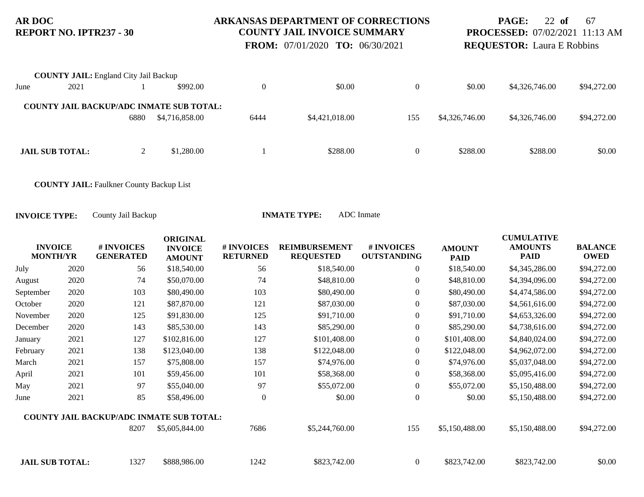### **ARKANSAS DEPARTMENT OF CORRECTIONS COUNTY JAIL INVOICE SUMMARY**

 **FROM:** 07/01/2020 **TO:** 06/30/2021

**PAGE:** 22 **of** 67 **PROCESSED:** 07/02/2021 11:13 AM

**REQUESTOR:** Laura E Robbins

|      | <b>COUNTY JAIL:</b> England City Jail Backup |      |                                                 |      |                |     |                |                |             |
|------|----------------------------------------------|------|-------------------------------------------------|------|----------------|-----|----------------|----------------|-------------|
| June | 2021                                         |      | \$992.00                                        |      | \$0.00         |     | \$0.00         | \$4,326,746.00 | \$94,272.00 |
|      |                                              |      | <b>COUNTY JAIL BACKUP/ADC INMATE SUB TOTAL:</b> |      |                |     |                |                |             |
|      |                                              | 6880 | \$4,716,858.00                                  | 6444 | \$4,421,018.00 | 155 | \$4,326,746.00 | \$4,326,746.00 | \$94,272.00 |
|      |                                              |      |                                                 |      |                |     |                |                |             |
|      | <b>JAIL SUB TOTAL:</b>                       |      | \$1,280.00                                      |      | \$288.00       |     | \$288.00       | \$288.00       | \$0.00      |

**COUNTY JAIL:** Faulkner County Backup List

| <b>INVOICE</b><br><b>MONTH/YR</b> |      | <b># INVOICES</b><br><b>GENERATED</b>           | <b>ORIGINAL</b><br><b>INVOICE</b><br><b>AMOUNT</b> | # INVOICES<br><b>RETURNED</b> | <b>REIMBURSEMENT</b><br><b>REQUESTED</b> | # INVOICES<br><b>OUTSTANDING</b> | <b>AMOUNT</b><br><b>PAID</b> | <b>CUMULATIVE</b><br><b>AMOUNTS</b><br><b>PAID</b> | <b>BALANCE</b><br><b>OWED</b> |
|-----------------------------------|------|-------------------------------------------------|----------------------------------------------------|-------------------------------|------------------------------------------|----------------------------------|------------------------------|----------------------------------------------------|-------------------------------|
| July                              | 2020 | 56                                              | \$18,540.00                                        | 56                            | \$18,540.00                              | $\overline{0}$                   | \$18,540.00                  | \$4,345,286.00                                     | \$94,272.00                   |
| August                            | 2020 | 74                                              | \$50,070.00                                        | 74                            | \$48,810.00                              | $\boldsymbol{0}$                 | \$48,810.00                  | \$4,394,096.00                                     | \$94,272.00                   |
| September                         | 2020 | 103                                             | \$80,490.00                                        | 103                           | \$80,490.00                              | $\boldsymbol{0}$                 | \$80,490.00                  | \$4,474,586.00                                     | \$94,272.00                   |
| October                           | 2020 | 121                                             | \$87,870.00                                        | 121                           | \$87,030.00                              | $\boldsymbol{0}$                 | \$87,030.00                  | \$4,561,616.00                                     | \$94,272.00                   |
| November                          | 2020 | 125                                             | \$91,830.00                                        | 125                           | \$91,710.00                              | $\boldsymbol{0}$                 | \$91,710.00                  | \$4,653,326.00                                     | \$94,272.00                   |
| December                          | 2020 | 143                                             | \$85,530.00                                        | 143                           | \$85,290.00                              | $\boldsymbol{0}$                 | \$85,290.00                  | \$4,738,616.00                                     | \$94,272.00                   |
| January                           | 2021 | 127                                             | \$102,816.00                                       | 127                           | \$101,408.00                             | $\overline{0}$                   | \$101,408.00                 | \$4,840,024.00                                     | \$94,272.00                   |
| February                          | 2021 | 138                                             | \$123,040.00                                       | 138                           | \$122,048.00                             | $\boldsymbol{0}$                 | \$122,048.00                 | \$4,962,072.00                                     | \$94,272.00                   |
| March                             | 2021 | 157                                             | \$75,808.00                                        | 157                           | \$74,976.00                              | $\overline{0}$                   | \$74,976.00                  | \$5,037,048.00                                     | \$94,272.00                   |
| April                             | 2021 | 101                                             | \$59,456.00                                        | 101                           | \$58,368.00                              | $\boldsymbol{0}$                 | \$58,368.00                  | \$5,095,416.00                                     | \$94,272.00                   |
| May                               | 2021 | 97                                              | \$55,040.00                                        | 97                            | \$55,072.00                              | $\boldsymbol{0}$                 | \$55,072.00                  | \$5,150,488.00                                     | \$94,272.00                   |
| June                              | 2021 | 85                                              | \$58,496.00                                        | $\overline{0}$                | \$0.00                                   | $\boldsymbol{0}$                 | \$0.00                       | \$5,150,488.00                                     | \$94,272.00                   |
|                                   |      | <b>COUNTY JAIL BACKUP/ADC INMATE SUB TOTAL:</b> |                                                    |                               |                                          |                                  |                              |                                                    |                               |
|                                   |      | 8207                                            | \$5,605,844.00                                     | 7686                          | \$5,244,760.00                           | 155                              | \$5,150,488.00               | \$5,150,488.00                                     | \$94,272.00                   |
| <b>JAIL SUB TOTAL:</b>            |      | 1327                                            | \$888,986.00                                       | 1242                          | \$823,742.00                             | $\overline{0}$                   | \$823,742.00                 | \$823,742.00                                       | \$0.00                        |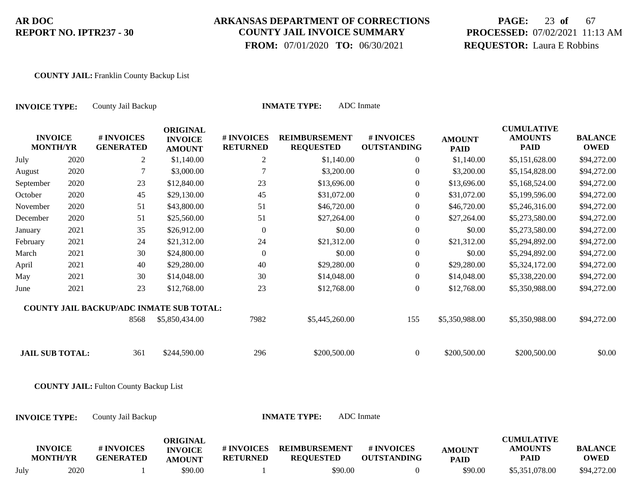### **ARKANSAS DEPARTMENT OF CORRECTIONS COUNTY JAIL INVOICE SUMMARY**

 **FROM:** 07/01/2020 **TO:** 06/30/2021

# **PAGE:** 23 **of** 67 **PROCESSED:** 07/02/2021 11:13 AM **REQUESTOR:** Laura E Robbins

#### **COUNTY JAIL:** Franklin County Backup List

| <b>INVOICE TYPE:</b>              |      | County Jail Backup                            | ADC Inmate<br><b>INMATE TYPE:</b>                  |                               |                                          |                                  |                              |                                                    |                               |  |  |  |
|-----------------------------------|------|-----------------------------------------------|----------------------------------------------------|-------------------------------|------------------------------------------|----------------------------------|------------------------------|----------------------------------------------------|-------------------------------|--|--|--|
| <b>INVOICE</b><br><b>MONTH/YR</b> |      | # INVOICES<br><b>GENERATED</b>                | <b>ORIGINAL</b><br><b>INVOICE</b><br><b>AMOUNT</b> | # INVOICES<br><b>RETURNED</b> | <b>REIMBURSEMENT</b><br><b>REQUESTED</b> | # INVOICES<br><b>OUTSTANDING</b> | <b>AMOUNT</b><br><b>PAID</b> | <b>CUMULATIVE</b><br><b>AMOUNTS</b><br><b>PAID</b> | <b>BALANCE</b><br><b>OWED</b> |  |  |  |
| July                              | 2020 | $\overline{2}$                                | \$1,140.00                                         | $\overline{c}$                | \$1,140.00                               | $\boldsymbol{0}$                 | \$1,140.00                   | \$5,151,628.00                                     | \$94,272.00                   |  |  |  |
| August                            | 2020 | $\tau$                                        | \$3,000.00                                         | 7                             | \$3,200.00                               | $\boldsymbol{0}$                 | \$3,200.00                   | \$5,154,828.00                                     | \$94,272.00                   |  |  |  |
| September                         | 2020 | 23                                            | \$12,840.00                                        | 23                            | \$13,696.00                              | $\boldsymbol{0}$                 | \$13,696.00                  | \$5,168,524.00                                     | \$94,272.00                   |  |  |  |
| October                           | 2020 | 45                                            | \$29,130.00                                        | 45                            | \$31,072.00                              | $\theta$                         | \$31,072.00                  | \$5,199,596.00                                     | \$94,272.00                   |  |  |  |
| November                          | 2020 | 51                                            | \$43,800.00                                        | 51                            | \$46,720.00                              | $\boldsymbol{0}$                 | \$46,720.00                  | \$5,246,316.00                                     | \$94,272.00                   |  |  |  |
| December                          | 2020 | 51                                            | \$25,560.00                                        | 51                            | \$27,264.00                              | $\boldsymbol{0}$                 | \$27,264.00                  | \$5,273,580.00                                     | \$94,272.00                   |  |  |  |
| January                           | 2021 | 35                                            | \$26,912.00                                        | $\boldsymbol{0}$              | \$0.00                                   | $\boldsymbol{0}$                 | \$0.00                       | \$5,273,580.00                                     | \$94,272.00                   |  |  |  |
| February                          | 2021 | 24                                            | \$21,312.00                                        | 24                            | \$21,312.00                              | $\boldsymbol{0}$                 | \$21,312.00                  | \$5,294,892.00                                     | \$94,272.00                   |  |  |  |
| March                             | 2021 | 30                                            | \$24,800.00                                        | $\boldsymbol{0}$              | \$0.00                                   | $\boldsymbol{0}$                 | \$0.00                       | \$5,294,892.00                                     | \$94,272.00                   |  |  |  |
| April                             | 2021 | 40                                            | \$29,280.00                                        | 40                            | \$29,280.00                              | $\boldsymbol{0}$                 | \$29,280.00                  | \$5,324,172.00                                     | \$94,272.00                   |  |  |  |
| May                               | 2021 | 30                                            | \$14,048.00                                        | 30                            | \$14,048.00                              | $\boldsymbol{0}$                 | \$14,048.00                  | \$5,338,220.00                                     | \$94,272.00                   |  |  |  |
| June                              | 2021 | 23                                            | \$12,768.00                                        | 23                            | \$12,768.00                              | $\boldsymbol{0}$                 | \$12,768.00                  | \$5,350,988.00                                     | \$94,272.00                   |  |  |  |
|                                   |      | COUNTY JAIL BACKUP/ADC INMATE SUB TOTAL:      |                                                    |                               |                                          |                                  |                              |                                                    |                               |  |  |  |
|                                   |      | 8568                                          | \$5,850,434.00                                     | 7982                          | \$5,445,260.00                           | 155                              | \$5,350,988.00               | \$5,350,988.00                                     | \$94,272.00                   |  |  |  |
| <b>JAIL SUB TOTAL:</b>            |      | 361                                           | \$244,590.00                                       | 296                           | \$200,500.00                             | $\overline{0}$                   | \$200,500.00                 | \$200,500.00                                       | \$0.00                        |  |  |  |
|                                   |      | <b>COUNTY JAIL: Fulton County Backup List</b> |                                                    |                               |                                          |                                  |                              |                                                    |                               |  |  |  |
| <b>INVOICE TYPE:</b>              |      | County Jail Backup                            |                                                    |                               | <b>INMATE TYPE:</b>                      | <b>ADC</b> Inmate                |                              |                                                    |                               |  |  |  |
| <b>INVOICE</b><br><b>MONTH/YR</b> |      | # INVOICES<br><b>GENERATED</b>                | <b>ORIGINAL</b><br><b>INVOICE</b><br><b>AMOUNT</b> | # INVOICES<br><b>RETURNED</b> | <b>REIMBURSEMENT</b><br><b>REQUESTED</b> | # INVOICES<br><b>OUTSTANDING</b> | <b>AMOUNT</b><br><b>PAID</b> | <b>CUMULATIVE</b><br><b>AMOUNTS</b><br><b>PAID</b> | <b>BALANCE</b><br><b>OWED</b> |  |  |  |

July 2020 1 \$90.00 1 \$90.00 0 \$90.00 \$5,351,078.00 \$94,272.00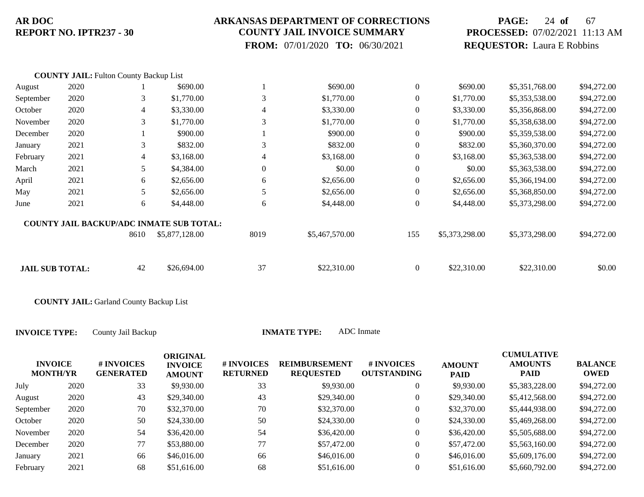### **ARKANSAS DEPARTMENT OF CORRECTIONS COUNTY JAIL INVOICE SUMMARY**

 **FROM:** 07/01/2020 **TO:** 06/30/2021

# **PAGE:** 24 **of** 67 **PROCESSED:** 07/02/2021 11:13 AM **REQUESTOR:** Laura E Robbins

|                        | <b>COUNTY JAIL: Fulton County Backup List</b> |                |                                                 |                  |                |                  |                |                |             |
|------------------------|-----------------------------------------------|----------------|-------------------------------------------------|------------------|----------------|------------------|----------------|----------------|-------------|
| August                 | 2020                                          |                | \$690.00                                        |                  | \$690.00       | $\theta$         | \$690.00       | \$5,351,768.00 | \$94,272.00 |
| September              | 2020                                          | 3              | \$1,770.00                                      | 3                | \$1,770.00     | $\boldsymbol{0}$ | \$1,770.00     | \$5,353,538.00 | \$94,272.00 |
| October                | 2020                                          | $\overline{4}$ | \$3,330.00                                      | 4                | \$3,330.00     | $\theta$         | \$3,330.00     | \$5,356,868.00 | \$94,272.00 |
| November               | 2020                                          | 3              | \$1,770.00                                      | 3                | \$1,770.00     | $\theta$         | \$1,770.00     | \$5,358,638.00 | \$94,272.00 |
| December               | 2020                                          |                | \$900.00                                        |                  | \$900.00       | $\theta$         | \$900.00       | \$5,359,538.00 | \$94,272.00 |
| January                | 2021                                          | 3              | \$832.00                                        | 3                | \$832.00       | $\theta$         | \$832.00       | \$5,360,370.00 | \$94,272.00 |
| February               | 2021                                          | 4              | \$3,168.00                                      | 4                | \$3,168.00     | $\mathbf{0}$     | \$3,168.00     | \$5,363,538.00 | \$94,272.00 |
| March                  | 2021                                          | 5              | \$4,384.00                                      | $\boldsymbol{0}$ | \$0.00         | $\mathbf{0}$     | \$0.00         | \$5,363,538.00 | \$94,272.00 |
| April                  | 2021                                          | 6              | \$2,656.00                                      | 6                | \$2,656.00     | $\mathbf{0}$     | \$2,656.00     | \$5,366,194.00 | \$94,272.00 |
| May                    | 2021                                          | 5              | \$2,656.00                                      | 5                | \$2,656.00     | $\mathbf{0}$     | \$2,656.00     | \$5,368,850.00 | \$94,272.00 |
| June                   | 2021                                          | 6              | \$4,448.00                                      | 6                | \$4,448.00     | $\mathbf{0}$     | \$4,448.00     | \$5,373,298.00 | \$94,272.00 |
|                        |                                               |                | <b>COUNTY JAIL BACKUP/ADC INMATE SUB TOTAL:</b> |                  |                |                  |                |                |             |
|                        |                                               | 8610           | \$5,877,128.00                                  | 8019             | \$5,467,570.00 | 155              | \$5,373,298.00 | \$5,373,298.00 | \$94,272.00 |
|                        |                                               |                |                                                 |                  |                |                  |                |                |             |
| <b>JAIL SUB TOTAL:</b> |                                               | 42             | \$26,694.00                                     | 37               | \$22,310.00    | $\overline{0}$   | \$22,310.00    | \$22,310.00    | \$0.00      |

**COUNTY JAIL:** Garland County Backup List

**INVOICE TYPE:** County Jail Backup **INMATE T** 

| TYPE: | ADC Inmate |
|-------|------------|
|-------|------------|

| <b>INVOICE</b><br><b>MONTH/YR</b> |      | # INVOICES<br><b>GENERATED</b> | <b>ORIGINAL</b><br><b>INVOICE</b><br><b>AMOUNT</b> | # INVOICES<br><b>RETURNED</b> | <b>REIMBURSEMENT</b><br><b>REQUESTED</b> | # INVOICES<br><b>OUTSTANDING</b> | <b>AMOUNT</b><br><b>PAID</b> | <b>CUMULATIVE</b><br><b>AMOUNTS</b><br><b>PAID</b> | <b>BALANCE</b><br>OWED |
|-----------------------------------|------|--------------------------------|----------------------------------------------------|-------------------------------|------------------------------------------|----------------------------------|------------------------------|----------------------------------------------------|------------------------|
| July                              | 2020 | 33                             | \$9,930.00                                         | 33                            | \$9,930.00                               | 0                                | \$9,930.00                   | \$5,383,228.00                                     | \$94,272.00            |
| August                            | 2020 | 43                             | \$29,340.00                                        | 43                            | \$29,340.00                              | 0                                | \$29,340.00                  | \$5,412,568.00                                     | \$94,272.00            |
| September                         | 2020 | 70                             | \$32,370.00                                        | 70                            | \$32,370.00                              | $\overline{0}$                   | \$32,370.00                  | \$5,444,938.00                                     | \$94,272.00            |
| October                           | 2020 | 50                             | \$24,330.00                                        | 50                            | \$24,330.00                              | $\boldsymbol{0}$                 | \$24,330.00                  | \$5,469,268.00                                     | \$94,272.00            |
| November                          | 2020 | 54                             | \$36,420.00                                        | 54                            | \$36,420.00                              | 0                                | \$36,420.00                  | \$5,505,688.00                                     | \$94,272.00            |
| December                          | 2020 | 77                             | \$53,880.00                                        | 77                            | \$57,472.00                              | $\boldsymbol{0}$                 | \$57,472.00                  | \$5,563,160.00                                     | \$94,272.00            |
| January                           | 2021 | 66                             | \$46,016.00                                        | 66                            | \$46,016.00                              | $\boldsymbol{0}$                 | \$46,016.00                  | \$5,609,176.00                                     | \$94,272.00            |
| February                          | 2021 | 68                             | \$51,616.00                                        | 68                            | \$51,616.00                              | 0                                | \$51,616.00                  | \$5,660,792.00                                     | \$94,272,00            |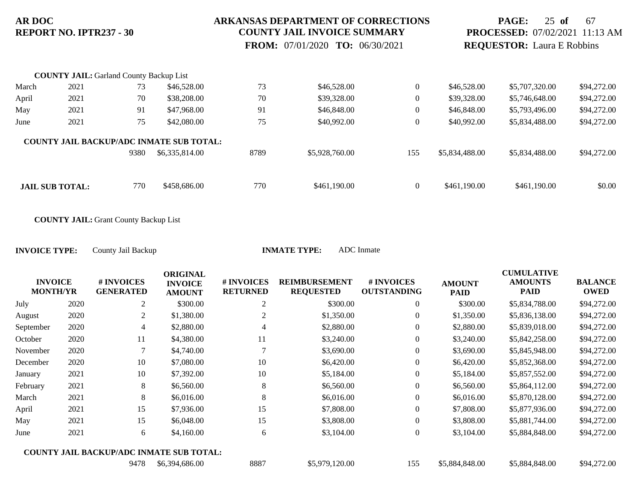#### **ARKANSAS DEPARTMENT OF CORRECTIONS COUNTY JAIL INVOICE SUMMARY**

 **FROM:** 07/01/2020 **TO:** 06/30/2021

## **PAGE:** 25 **of** 67 **PROCESSED:** 07/02/2021 11:13 AM **REQUESTOR:** Laura E Robbins

|       | <b>COUNTY JAIL: Garland County Backup List</b> |      |                                                 |      |                |                  |                |                |             |
|-------|------------------------------------------------|------|-------------------------------------------------|------|----------------|------------------|----------------|----------------|-------------|
| March | 2021                                           | 73   | \$46,528.00                                     | 73   | \$46,528.00    | $\overline{0}$   | \$46,528.00    | \$5,707,320.00 | \$94,272.00 |
| April | 2021                                           | 70   | \$38,208.00                                     | 70   | \$39,328.00    | $\overline{0}$   | \$39,328.00    | \$5,746,648.00 | \$94,272.00 |
| May   | 2021                                           | 91   | \$47,968.00                                     | 91   | \$46,848.00    | $\overline{0}$   | \$46,848.00    | \$5,793,496.00 | \$94,272.00 |
| June  | 2021                                           | 75   | \$42,080.00                                     | 75   | \$40,992.00    | $\boldsymbol{0}$ | \$40,992.00    | \$5,834,488.00 | \$94,272.00 |
|       |                                                |      | <b>COUNTY JAIL BACKUP/ADC INMATE SUB TOTAL:</b> |      |                |                  |                |                |             |
|       |                                                | 9380 | \$6,335,814.00                                  | 8789 | \$5,928,760.00 | 155              | \$5,834,488.00 | \$5,834,488.00 | \$94,272.00 |
|       |                                                |      |                                                 |      |                |                  |                |                |             |
|       | <b>JAIL SUB TOTAL:</b>                         | 770  | \$458,686.00                                    | 770  | \$461,190.00   | $\mathbf{0}$     | \$461,190.00   | \$461,190.00   | \$0.00      |

**COUNTY JAIL:** Grant County Backup List

| <b>INVOICE</b><br><b>MONTH/YR</b> |      | # INVOICES<br><b>GENERATED</b>                  | <b>ORIGINAL</b><br><b>INVOICE</b><br><b>AMOUNT</b> | # INVOICES<br><b>RETURNED</b> | <b>REIMBURSEMENT</b><br><b>REQUESTED</b> | # INVOICES<br><b>OUTSTANDING</b> | <b>AMOUNT</b><br><b>PAID</b> | <b>CUMULATIVE</b><br><b>AMOUNTS</b><br><b>PAID</b> | <b>BALANCE</b><br><b>OWED</b> |
|-----------------------------------|------|-------------------------------------------------|----------------------------------------------------|-------------------------------|------------------------------------------|----------------------------------|------------------------------|----------------------------------------------------|-------------------------------|
| July                              | 2020 | 2                                               | \$300.00                                           | $\overline{2}$                | \$300.00                                 | $\boldsymbol{0}$                 | \$300.00                     | \$5,834,788.00                                     | \$94,272.00                   |
| August                            | 2020 | $\overline{2}$                                  | \$1,380.00                                         | $\overline{2}$                | \$1,350.00                               | $\boldsymbol{0}$                 | \$1,350.00                   | \$5,836,138.00                                     | \$94,272.00                   |
| September                         | 2020 | 4                                               | \$2,880.00                                         | 4                             | \$2,880.00                               | 0                                | \$2,880.00                   | \$5,839,018.00                                     | \$94,272.00                   |
| October                           | 2020 | 11                                              | \$4,380.00                                         | 11                            | \$3,240.00                               | $\boldsymbol{0}$                 | \$3,240.00                   | \$5,842,258.00                                     | \$94,272.00                   |
| November                          | 2020 | 7                                               | \$4,740.00                                         |                               | \$3,690.00                               | $\boldsymbol{0}$                 | \$3,690.00                   | \$5,845,948.00                                     | \$94,272.00                   |
| December                          | 2020 | 10                                              | \$7,080.00                                         | 10                            | \$6,420.00                               | $\boldsymbol{0}$                 | \$6,420.00                   | \$5,852,368.00                                     | \$94,272.00                   |
| January                           | 2021 | 10                                              | \$7,392.00                                         | 10                            | \$5,184.00                               | $\boldsymbol{0}$                 | \$5,184.00                   | \$5,857,552.00                                     | \$94,272.00                   |
| February                          | 2021 | 8                                               | \$6,560.00                                         | 8                             | \$6,560.00                               | $\boldsymbol{0}$                 | \$6,560.00                   | \$5,864,112.00                                     | \$94,272.00                   |
| March                             | 2021 | 8                                               | \$6,016.00                                         | 8                             | \$6,016.00                               | $\boldsymbol{0}$                 | \$6,016.00                   | \$5,870,128.00                                     | \$94,272.00                   |
| April                             | 2021 | 15                                              | \$7,936.00                                         | 15                            | \$7,808.00                               | $\boldsymbol{0}$                 | \$7,808.00                   | \$5,877,936.00                                     | \$94,272.00                   |
| May                               | 2021 | 15                                              | \$6,048.00                                         | 15                            | \$3,808.00                               | $\boldsymbol{0}$                 | \$3,808.00                   | \$5,881,744.00                                     | \$94,272.00                   |
| June                              | 2021 | 6                                               | \$4,160.00                                         | 6                             | \$3,104.00                               | $\boldsymbol{0}$                 | \$3,104.00                   | \$5,884,848.00                                     | \$94,272.00                   |
|                                   |      | <b>COUNTY JAIL BACKUP/ADC INMATE SUB TOTAL:</b> |                                                    |                               |                                          |                                  |                              |                                                    |                               |
|                                   |      | 9478                                            | \$6,394,686.00                                     | 8887                          | \$5,979,120.00                           | 155                              | \$5,884,848.00               | \$5,884,848.00                                     | \$94,272.00                   |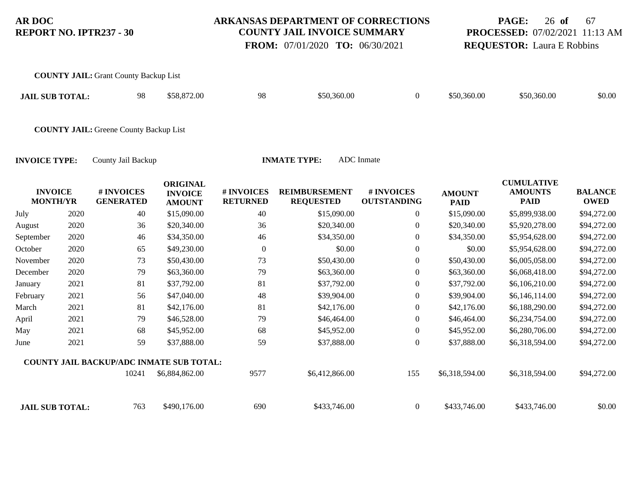#### **ARKANSAS DEPARTMENT OF CORRECTIONS COUNTY JAIL INVOICE SUMMARY**

 **FROM:** 07/01/2020 **TO:** 06/30/2021

# **PAGE:** 26 **of** 67 **PROCESSED:** 07/02/2021 11:13 AM **REQUESTOR:** Laura E Robbins

|                                   | 98                             | \$58,872.00                                        | 98                                                                                            | \$50,360.00                              | $\boldsymbol{0}$                 | \$50,360.00                  | \$50,360.00                                        | \$0.00                        |
|-----------------------------------|--------------------------------|----------------------------------------------------|-----------------------------------------------------------------------------------------------|------------------------------------------|----------------------------------|------------------------------|----------------------------------------------------|-------------------------------|
|                                   |                                |                                                    |                                                                                               |                                          |                                  |                              |                                                    |                               |
| <b>INVOICE TYPE:</b>              | County Jail Backup             |                                                    |                                                                                               |                                          |                                  |                              |                                                    |                               |
| <b>INVOICE</b><br><b>MONTH/YR</b> | # INVOICES<br><b>GENERATED</b> | <b>ORIGINAL</b><br><b>INVOICE</b><br><b>AMOUNT</b> | # INVOICES<br><b>RETURNED</b>                                                                 | <b>REIMBURSEMENT</b><br><b>REQUESTED</b> | # INVOICES<br><b>OUTSTANDING</b> | <b>AMOUNT</b><br><b>PAID</b> | <b>CUMULATIVE</b><br><b>AMOUNTS</b><br><b>PAID</b> | <b>BALANCE</b><br><b>OWED</b> |
| 2020                              | 40                             | \$15,090.00                                        | 40                                                                                            | \$15,090.00                              | $\boldsymbol{0}$                 | \$15,090.00                  | \$5,899,938.00                                     | \$94,272.00                   |
| 2020                              | 36                             | \$20,340.00                                        | 36                                                                                            | \$20,340.00                              | $\overline{0}$                   | \$20,340.00                  | \$5,920,278.00                                     | \$94,272.00                   |
| 2020                              | 46                             | \$34,350.00                                        | 46                                                                                            | \$34,350.00                              | $\boldsymbol{0}$                 | \$34,350.00                  | \$5,954,628.00                                     | \$94,272.00                   |
| 2020                              | 65                             | \$49,230.00                                        | $\boldsymbol{0}$                                                                              | \$0.00                                   | $\boldsymbol{0}$                 | \$0.00                       | \$5,954,628.00                                     | \$94,272.00                   |
| 2020                              | 73                             | \$50,430.00                                        | 73                                                                                            | \$50,430.00                              | $\boldsymbol{0}$                 | \$50,430.00                  | \$6,005,058.00                                     | \$94,272.00                   |
| 2020                              | 79                             | \$63,360.00                                        | 79                                                                                            | \$63,360.00                              | $\boldsymbol{0}$                 | \$63,360.00                  | \$6,068,418.00                                     | \$94,272.00                   |
| 2021                              | 81                             | \$37,792.00                                        | 81                                                                                            | \$37,792.00                              | $\boldsymbol{0}$                 | \$37,792.00                  | \$6,106,210.00                                     | \$94,272.00                   |
| 2021                              | 56                             | \$47,040.00                                        | 48                                                                                            | \$39,904.00                              | $\overline{0}$                   | \$39,904.00                  | \$6,146,114.00                                     | \$94,272.00                   |
| 2021                              | 81                             | \$42,176.00                                        | 81                                                                                            | \$42,176.00                              | $\overline{0}$                   | \$42,176.00                  | \$6,188,290.00                                     | \$94,272.00                   |
| 2021                              | 79                             | \$46,528.00                                        | 79                                                                                            | \$46,464.00                              | $\overline{0}$                   | \$46,464.00                  | \$6,234,754.00                                     | \$94,272.00                   |
| 2021                              | 68                             | \$45,952.00                                        | 68                                                                                            | \$45,952.00                              | $\overline{0}$                   | \$45,952.00                  | \$6,280,706.00                                     | \$94,272.00                   |
| 2021                              | 59                             | \$37,888.00                                        | 59                                                                                            | \$37,888.00                              | $\boldsymbol{0}$                 | \$37,888.00                  | \$6,318,594.00                                     | \$94,272.00                   |
|                                   |                                | <b>JAIL SUB TOTAL:</b>                             | <b>COUNTY JAIL: Grant County Backup List</b><br><b>COUNTY JAIL: Greene County Backup List</b> |                                          | <b>INMATE TYPE:</b>              | <b>ADC</b> Inmate            |                                                    |                               |

10241 \$6,884,862.00 9577 \$6,412,866.00 155 \$6,318,594.00 \$6,318,594.00 \$94,272.00 **COUNTY JAIL BACKUP/ADC INMATE SUB TOTAL:**

**JAIL SUB TOTAL:** 763 \$490,176.00 690 \$433,746.00 0 \$433,746.00 \$433,746.00 \$60.00 \$0.00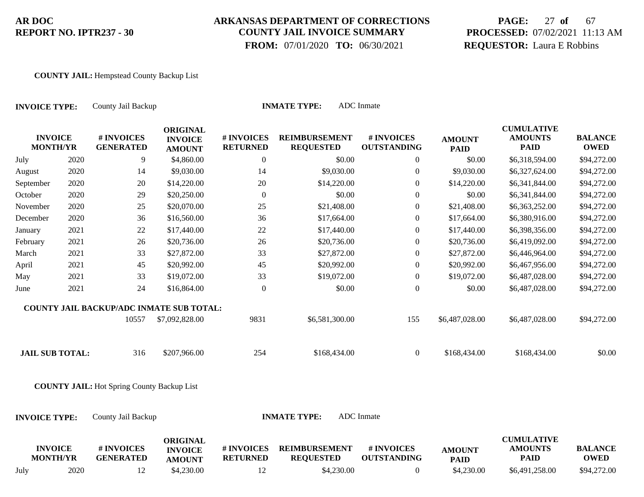### **ARKANSAS DEPARTMENT OF CORRECTIONS COUNTY JAIL INVOICE SUMMARY**

 **FROM:** 07/01/2020 **TO:** 06/30/2021

# **PAGE:** 27 **of** 67 **PROCESSED:** 07/02/2021 11:13 AM **REQUESTOR:** Laura E Robbins

#### **COUNTY JAIL:** Hempstead County Backup List

| <b>INVOICE TYPE:</b>              |      | County Jail Backup                                | ADC Inmate<br><b>INMATE TYPE:</b>                  |                               |                                          |                                  |                              |                                                    |                               |  |  |  |
|-----------------------------------|------|---------------------------------------------------|----------------------------------------------------|-------------------------------|------------------------------------------|----------------------------------|------------------------------|----------------------------------------------------|-------------------------------|--|--|--|
| <b>INVOICE</b><br><b>MONTH/YR</b> |      | # INVOICES<br><b>GENERATED</b>                    | <b>ORIGINAL</b><br><b>INVOICE</b><br><b>AMOUNT</b> | # INVOICES<br><b>RETURNED</b> | <b>REIMBURSEMENT</b><br><b>REQUESTED</b> | # INVOICES<br><b>OUTSTANDING</b> | <b>AMOUNT</b><br><b>PAID</b> | <b>CUMULATIVE</b><br><b>AMOUNTS</b><br><b>PAID</b> | <b>BALANCE</b><br><b>OWED</b> |  |  |  |
| July                              | 2020 | 9                                                 | \$4,860.00                                         | $\boldsymbol{0}$              | \$0.00                                   | $\boldsymbol{0}$                 | \$0.00                       | \$6,318,594.00                                     | \$94,272.00                   |  |  |  |
| August                            | 2020 | 14                                                | \$9,030.00                                         | 14                            | \$9,030.00                               | $\boldsymbol{0}$                 | \$9,030.00                   | \$6,327,624.00                                     | \$94,272.00                   |  |  |  |
| September                         | 2020 | 20                                                | \$14,220.00                                        | 20                            | \$14,220.00                              | $\boldsymbol{0}$                 | \$14,220.00                  | \$6,341,844.00                                     | \$94,272.00                   |  |  |  |
| October                           | 2020 | 29                                                | \$20,250.00                                        | $\boldsymbol{0}$              | \$0.00                                   | $\theta$                         | \$0.00                       | \$6,341,844.00                                     | \$94,272.00                   |  |  |  |
| November                          | 2020 | 25                                                | \$20,070.00                                        | 25                            | \$21,408.00                              | $\mathbf{0}$                     | \$21,408.00                  | \$6,363,252.00                                     | \$94,272.00                   |  |  |  |
| December                          | 2020 | 36                                                | \$16,560.00                                        | 36                            | \$17,664.00                              | $\boldsymbol{0}$                 | \$17,664.00                  | \$6,380,916.00                                     | \$94,272.00                   |  |  |  |
| January                           | 2021 | 22                                                | \$17,440.00                                        | 22                            | \$17,440.00                              | $\boldsymbol{0}$                 | \$17,440.00                  | \$6,398,356.00                                     | \$94,272.00                   |  |  |  |
| February                          | 2021 | 26                                                | \$20,736.00                                        | 26                            | \$20,736.00                              | $\boldsymbol{0}$                 | \$20,736.00                  | \$6,419,092.00                                     | \$94,272.00                   |  |  |  |
| March                             | 2021 | 33                                                | \$27,872.00                                        | 33                            | \$27,872.00                              | $\boldsymbol{0}$                 | \$27,872.00                  | \$6,446,964.00                                     | \$94,272.00                   |  |  |  |
| April                             | 2021 | 45                                                | \$20,992.00                                        | 45                            | \$20,992.00                              | $\boldsymbol{0}$                 | \$20,992.00                  | \$6,467,956.00                                     | \$94,272.00                   |  |  |  |
| May                               | 2021 | 33                                                | \$19,072.00                                        | 33                            | \$19,072.00                              | $\boldsymbol{0}$                 | \$19,072.00                  | \$6,487,028.00                                     | \$94,272.00                   |  |  |  |
| June                              | 2021 | 24                                                | \$16,864.00                                        | $\boldsymbol{0}$              | \$0.00                                   | $\boldsymbol{0}$                 | \$0.00                       | \$6,487,028.00                                     | \$94,272.00                   |  |  |  |
|                                   |      | COUNTY JAIL BACKUP/ADC INMATE SUB TOTAL:          |                                                    |                               |                                          |                                  |                              |                                                    |                               |  |  |  |
|                                   |      | 10557                                             | \$7,092,828.00                                     | 9831                          | \$6,581,300.00                           | 155                              | \$6,487,028.00               | \$6,487,028.00                                     | \$94,272.00                   |  |  |  |
| <b>JAIL SUB TOTAL:</b>            |      | 316                                               | \$207,966.00                                       | 254                           | \$168,434.00                             | $\overline{0}$                   | \$168,434.00                 | \$168,434.00                                       | \$0.00                        |  |  |  |
|                                   |      | <b>COUNTY JAIL:</b> Hot Spring County Backup List |                                                    |                               |                                          |                                  |                              |                                                    |                               |  |  |  |
| <b>INVOICE TYPE:</b>              |      | County Jail Backup                                |                                                    |                               | <b>INMATE TYPE:</b>                      | <b>ADC</b> Inmate                |                              |                                                    |                               |  |  |  |
| <b>INVOICE</b><br><b>MONTH/YR</b> |      | # INVOICES<br><b>GENERATED</b>                    | <b>ORIGINAL</b><br><b>INVOICE</b><br><b>AMOUNT</b> | # INVOICES<br><b>RETURNED</b> | <b>REIMBURSEMENT</b><br><b>REQUESTED</b> | # INVOICES<br><b>OUTSTANDING</b> | <b>AMOUNT</b><br><b>PAID</b> | <b>CUMULATIVE</b><br><b>AMOUNTS</b><br><b>PAID</b> | <b>BALANCE</b><br><b>OWED</b> |  |  |  |

July 2020 12 \$4,230.00 12 \$4,230.00 0 \$4,230.00 \$6,491,258.00 \$94,272.00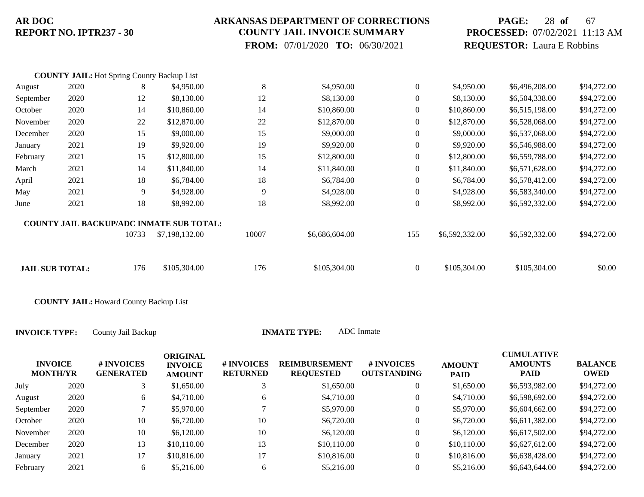### **ARKANSAS DEPARTMENT OF CORRECTIONS COUNTY JAIL INVOICE SUMMARY**

 **FROM:** 07/01/2020 **TO:** 06/30/2021

## **PAGE:** 28 **of** 67 **PROCESSED:** 07/02/2021 11:13 AM **REQUESTOR:** Laura E Robbins

|                        | <b>COUNTY JAIL:</b> Hot Spring County Backup List |       |                                                 |       |                |                  |                |                |             |
|------------------------|---------------------------------------------------|-------|-------------------------------------------------|-------|----------------|------------------|----------------|----------------|-------------|
| August                 | 2020                                              | 8     | \$4,950.00                                      | 8     | \$4,950.00     | $\overline{0}$   | \$4,950.00     | \$6,496,208.00 | \$94,272.00 |
| September              | 2020                                              | 12    | \$8,130.00                                      | 12    | \$8,130.00     | $\overline{0}$   | \$8,130.00     | \$6,504,338.00 | \$94,272.00 |
| October                | 2020                                              | 14    | \$10,860.00                                     | 14    | \$10,860.00    | $\boldsymbol{0}$ | \$10,860.00    | \$6,515,198.00 | \$94,272.00 |
| November               | 2020                                              | 22    | \$12,870.00                                     | 22    | \$12,870.00    | $\boldsymbol{0}$ | \$12,870.00    | \$6,528,068.00 | \$94,272.00 |
| December               | 2020                                              | 15    | \$9,000.00                                      | 15    | \$9,000.00     | $\overline{0}$   | \$9,000.00     | \$6,537,068.00 | \$94,272.00 |
| January                | 2021                                              | 19    | \$9,920.00                                      | 19    | \$9,920.00     | $\overline{0}$   | \$9,920.00     | \$6,546,988.00 | \$94,272.00 |
| February               | 2021                                              | 15    | \$12,800.00                                     | 15    | \$12,800.00    | $\overline{0}$   | \$12,800.00    | \$6,559,788.00 | \$94,272.00 |
| March                  | 2021                                              | 14    | \$11,840.00                                     | 14    | \$11,840.00    | $\boldsymbol{0}$ | \$11,840.00    | \$6,571,628.00 | \$94,272.00 |
| April                  | 2021                                              | 18    | \$6,784.00                                      | 18    | \$6,784.00     | $\overline{0}$   | \$6,784.00     | \$6,578,412.00 | \$94,272.00 |
| May                    | 2021                                              | 9     | \$4,928.00                                      | 9     | \$4,928.00     | $\overline{0}$   | \$4,928.00     | \$6,583,340.00 | \$94,272.00 |
| June                   | 2021                                              | 18    | \$8,992.00                                      | 18    | \$8,992.00     | $\overline{0}$   | \$8,992.00     | \$6,592,332.00 | \$94,272.00 |
|                        |                                                   |       | <b>COUNTY JAIL BACKUP/ADC INMATE SUB TOTAL:</b> |       |                |                  |                |                |             |
|                        |                                                   | 10733 | \$7,198,132.00                                  | 10007 | \$6,686,604.00 | 155              | \$6,592,332.00 | \$6,592,332.00 | \$94,272.00 |
|                        |                                                   |       |                                                 |       |                |                  |                |                |             |
| <b>JAIL SUB TOTAL:</b> |                                                   | 176   | \$105,304.00                                    | 176   | \$105,304.00   | $\boldsymbol{0}$ | \$105,304.00   | \$105,304.00   | \$0.00      |

**COUNTY JAIL:** Howard County Backup List

| <b>INVOICE</b><br><b>MONTH/YR</b> |      | # INVOICES<br><b>GENERATED</b> | <b>ORIGINAL</b><br><b>INVOICE</b><br><b>AMOUNT</b> | # INVOICES<br><b>RETURNED</b> | <b>REIMBURSEMENT</b><br><b>REQUESTED</b> | # INVOICES<br><b>OUTSTANDING</b> | <b>AMOUNT</b><br><b>PAID</b> | <b>CUMULATIVE</b><br><b>AMOUNTS</b><br><b>PAID</b> | <b>BALANCE</b><br><b>OWED</b> |
|-----------------------------------|------|--------------------------------|----------------------------------------------------|-------------------------------|------------------------------------------|----------------------------------|------------------------------|----------------------------------------------------|-------------------------------|
| July                              | 2020 |                                | \$1,650.00                                         |                               | \$1,650.00                               | 0                                | \$1,650.00                   | \$6,593,982.00                                     | \$94,272.00                   |
| August                            | 2020 | 6                              | \$4,710.00                                         | 6                             | \$4,710.00                               | 0                                | \$4,710.00                   | \$6,598,692.00                                     | \$94,272.00                   |
| September                         | 2020 |                                | \$5,970.00                                         |                               | \$5,970.00                               | 0                                | \$5,970.00                   | \$6,604,662.00                                     | \$94,272.00                   |
| October                           | 2020 | 10                             | \$6,720.00                                         | 10                            | \$6,720.00                               | $\boldsymbol{0}$                 | \$6,720.00                   | \$6,611,382.00                                     | \$94,272.00                   |
| November                          | 2020 | 10                             | \$6,120.00                                         | 10                            | \$6,120.00                               | 0                                | \$6,120.00                   | \$6,617,502.00                                     | \$94,272.00                   |
| December                          | 2020 | 13                             | \$10,110.00                                        | 13                            | \$10,110.00                              | 0                                | \$10,110.00                  | \$6,627,612.00                                     | \$94,272.00                   |
| January                           | 2021 | 17                             | \$10,816.00                                        | 17                            | \$10,816.00                              | $\boldsymbol{0}$                 | \$10,816.00                  | \$6,638,428.00                                     | \$94,272.00                   |
| February                          | 2021 | 6                              | \$5,216.00                                         | 6                             | \$5,216.00                               | 0                                | \$5,216.00                   | \$6,643,644.00                                     | \$94,272.00                   |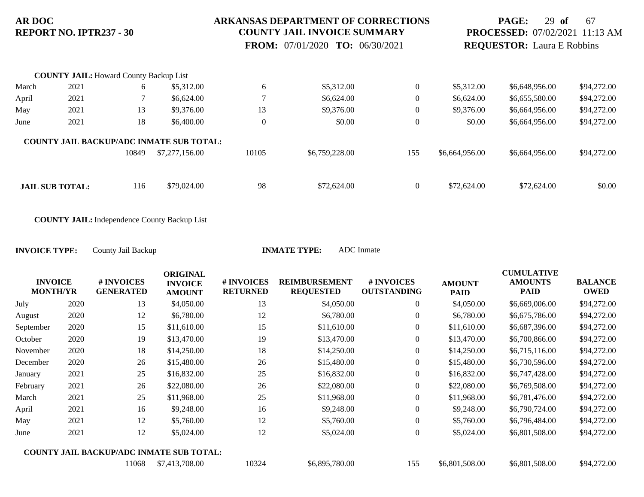#### **ARKANSAS DEPARTMENT OF CORRECTIONS COUNTY JAIL INVOICE SUMMARY**

 **FROM:** 07/01/2020 **TO:** 06/30/2021

## **PAGE:** 29 **of** 67 **PROCESSED:** 07/02/2021 11:13 AM **REQUESTOR:** Laura E Robbins

|       | <b>COUNTY JAIL:</b> Howard County Backup List |       |                                                 |                  |                |                |                |                |             |
|-------|-----------------------------------------------|-------|-------------------------------------------------|------------------|----------------|----------------|----------------|----------------|-------------|
| March | 2021                                          | 6     | \$5,312.00                                      | 6                | \$5,312.00     | $\overline{0}$ | \$5,312.00     | \$6,648,956.00 | \$94,272.00 |
| April | 2021                                          |       | \$6,624.00                                      |                  | \$6,624.00     | $\mathbf{0}$   | \$6,624.00     | \$6,655,580.00 | \$94,272.00 |
| May   | 2021                                          | 13    | \$9,376.00                                      | 13               | \$9,376.00     | $\mathbf{0}$   | \$9,376.00     | \$6,664,956.00 | \$94,272.00 |
| June  | 2021                                          | 18    | \$6,400.00                                      | $\boldsymbol{0}$ | \$0.00         | $\overline{0}$ | \$0.00         | \$6,664,956.00 | \$94,272.00 |
|       |                                               |       | <b>COUNTY JAIL BACKUP/ADC INMATE SUB TOTAL:</b> |                  |                |                |                |                |             |
|       |                                               | 10849 | \$7,277,156.00                                  | 10105            | \$6,759,228.00 | 155            | \$6,664,956.00 | \$6,664,956.00 | \$94,272.00 |
|       |                                               |       |                                                 |                  |                |                |                |                |             |
|       | <b>JAIL SUB TOTAL:</b>                        | 116   | \$79,024.00                                     | 98               | \$72,624.00    | $\overline{0}$ | \$72,624.00    | \$72,624.00    | \$0.00      |

**COUNTY JAIL:** Independence County Backup List

| <b>INVOICE</b><br><b>MONTH/YR</b> |      | # INVOICES<br><b>GENERATED</b>                  | <b>ORIGINAL</b><br><b>INVOICE</b><br><b>AMOUNT</b> | # INVOICES<br><b>RETURNED</b> | <b>REIMBURSEMENT</b><br><b>REQUESTED</b> | # INVOICES<br><b>OUTSTANDING</b> | <b>AMOUNT</b><br><b>PAID</b> | <b>CUMULATIVE</b><br><b>AMOUNTS</b><br><b>PAID</b> | <b>BALANCE</b><br><b>OWED</b> |
|-----------------------------------|------|-------------------------------------------------|----------------------------------------------------|-------------------------------|------------------------------------------|----------------------------------|------------------------------|----------------------------------------------------|-------------------------------|
| July                              | 2020 | 13                                              | \$4,050.00                                         | 13                            | \$4,050.00                               | $\overline{0}$                   | \$4,050.00                   | \$6,669,006.00                                     | \$94,272.00                   |
| August                            | 2020 | 12                                              | \$6,780.00                                         | 12                            | \$6,780.00                               | $\overline{0}$                   | \$6,780.00                   | \$6,675,786.00                                     | \$94,272.00                   |
| September                         | 2020 | 15                                              | \$11,610.00                                        | 15                            | \$11,610.00                              | 0                                | \$11,610.00                  | \$6,687,396.00                                     | \$94,272.00                   |
| October                           | 2020 | 19                                              | \$13,470.00                                        | 19                            | \$13,470.00                              | $\overline{0}$                   | \$13,470.00                  | \$6,700,866.00                                     | \$94,272.00                   |
| November                          | 2020 | 18                                              | \$14,250.00                                        | 18                            | \$14,250.00                              | $\boldsymbol{0}$                 | \$14,250.00                  | \$6,715,116.00                                     | \$94,272.00                   |
| December                          | 2020 | 26                                              | \$15,480.00                                        | 26                            | \$15,480.00                              | $\overline{0}$                   | \$15,480.00                  | \$6,730,596.00                                     | \$94,272.00                   |
| January                           | 2021 | 25                                              | \$16,832.00                                        | 25                            | \$16,832.00                              | $\overline{0}$                   | \$16,832.00                  | \$6,747,428.00                                     | \$94,272.00                   |
| February                          | 2021 | 26                                              | \$22,080.00                                        | 26                            | \$22,080.00                              | $\boldsymbol{0}$                 | \$22,080.00                  | \$6,769,508.00                                     | \$94,272.00                   |
| March                             | 2021 | 25                                              | \$11,968.00                                        | 25                            | \$11,968.00                              | $\boldsymbol{0}$                 | \$11,968.00                  | \$6,781,476.00                                     | \$94,272.00                   |
| April                             | 2021 | 16                                              | \$9,248.00                                         | 16                            | \$9,248.00                               | $\boldsymbol{0}$                 | \$9,248.00                   | \$6,790,724.00                                     | \$94,272.00                   |
| May                               | 2021 | 12                                              | \$5,760.00                                         | 12                            | \$5,760.00                               | $\boldsymbol{0}$                 | \$5,760.00                   | \$6,796,484.00                                     | \$94,272.00                   |
| June                              | 2021 | 12                                              | \$5,024.00                                         | 12                            | \$5,024.00                               | $\boldsymbol{0}$                 | \$5,024.00                   | \$6,801,508.00                                     | \$94,272.00                   |
|                                   |      | <b>COUNTY JAIL BACKUP/ADC INMATE SUB TOTAL:</b> |                                                    |                               |                                          |                                  |                              |                                                    |                               |
|                                   |      | 11068                                           | \$7,413,708.00                                     | 10324                         | \$6,895,780.00                           | 155                              | \$6,801,508.00               | \$6,801,508.00                                     | \$94,272.00                   |
|                                   |      |                                                 |                                                    |                               |                                          |                                  |                              |                                                    |                               |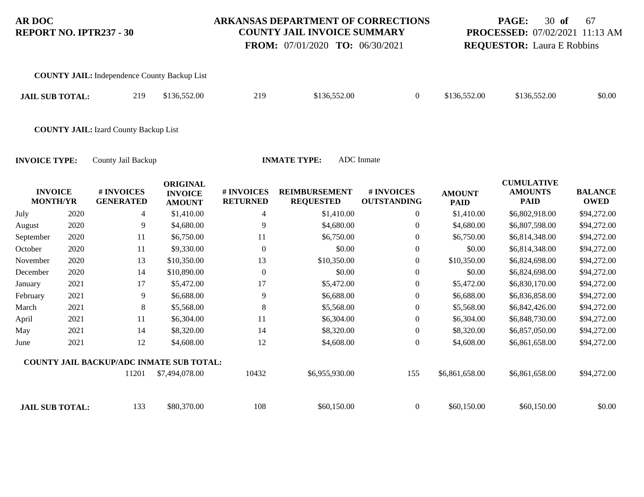### **ARKANSAS DEPARTMENT OF CORRECTIONS COUNTY JAIL INVOICE SUMMARY**

 **FROM:** 07/01/2020 **TO:** 06/30/2021

## **PAGE:** 30 **of** 67 **PROCESSED:** 07/02/2021 11:13 AM **REQUESTOR:** Laura E Robbins

| <b>COUNTY JAIL:</b> Independence County Backup List |     |              |     |              |              |              |        |
|-----------------------------------------------------|-----|--------------|-----|--------------|--------------|--------------|--------|
| <b>JAIL SUB TOTAL:</b>                              | 219 | \$136,552.00 | 219 | \$136,552.00 | \$136,552.00 | \$136,552.00 | \$0.00 |
| <b>COUNTY JAIL:</b> Izard County Backup List        |     |              |     |              |              |              |        |

|           |                                   |                                                 | <b>ORIGINAL</b>                 |                               |                                          |                                  |                              | <b>CUMULATIVE</b>             |                               |
|-----------|-----------------------------------|-------------------------------------------------|---------------------------------|-------------------------------|------------------------------------------|----------------------------------|------------------------------|-------------------------------|-------------------------------|
|           | <b>INVOICE</b><br><b>MONTH/YR</b> | # INVOICES<br><b>GENERATED</b>                  | <b>INVOICE</b><br><b>AMOUNT</b> | # INVOICES<br><b>RETURNED</b> | <b>REIMBURSEMENT</b><br><b>REQUESTED</b> | # INVOICES<br><b>OUTSTANDING</b> | <b>AMOUNT</b><br><b>PAID</b> | <b>AMOUNTS</b><br><b>PAID</b> | <b>BALANCE</b><br><b>OWED</b> |
| July      | 2020                              | 4                                               | \$1,410.00                      | 4                             | \$1,410.00                               | $\overline{0}$                   | \$1,410.00                   | \$6,802,918.00                | \$94,272.00                   |
| August    | 2020                              | 9                                               | \$4,680.00                      | 9                             | \$4,680.00                               | $\boldsymbol{0}$                 | \$4,680.00                   | \$6,807,598.00                | \$94,272.00                   |
| September | 2020                              | 11                                              | \$6,750.00                      | 11                            | \$6,750.00                               | $\overline{0}$                   | \$6,750.00                   | \$6,814,348.00                | \$94,272.00                   |
| October   | 2020                              | 11                                              | \$9,330.00                      | $\Omega$                      | \$0.00                                   | $\overline{0}$                   | \$0.00                       | \$6,814,348.00                | \$94,272.00                   |
| November  | 2020                              | 13                                              | \$10,350.00                     | 13                            | \$10,350.00                              | $\boldsymbol{0}$                 | \$10,350.00                  | \$6,824,698.00                | \$94,272.00                   |
| December  | 2020                              | 14                                              | \$10,890.00                     | $\theta$                      | \$0.00                                   | $\boldsymbol{0}$                 | \$0.00                       | \$6,824,698.00                | \$94,272.00                   |
| January   | 2021                              | 17                                              | \$5,472.00                      | 17                            | \$5,472.00                               | $\overline{0}$                   | \$5,472.00                   | \$6,830,170.00                | \$94,272.00                   |
| February  | 2021                              | 9                                               | \$6,688.00                      | 9                             | \$6,688.00                               | $\overline{0}$                   | \$6,688.00                   | \$6,836,858.00                | \$94,272.00                   |
| March     | 2021                              | 8                                               | \$5,568.00                      | 8                             | \$5,568.00                               | $\boldsymbol{0}$                 | \$5,568.00                   | \$6,842,426.00                | \$94,272.00                   |
| April     | 2021                              | 11                                              | \$6,304.00                      | 11                            | \$6,304.00                               | $\overline{0}$                   | \$6,304.00                   | \$6,848,730.00                | \$94,272.00                   |
| May       | 2021                              | 14                                              | \$8,320.00                      | 14                            | \$8,320.00                               | $\overline{0}$                   | \$8,320.00                   | \$6,857,050.00                | \$94,272.00                   |
| June      | 2021                              | 12                                              | \$4,608.00                      | 12                            | \$4,608.00                               | $\overline{0}$                   | \$4,608.00                   | \$6,861,658.00                | \$94,272.00                   |
|           |                                   | <b>COUNTY JAIL BACKUP/ADC INMATE SUB TOTAL:</b> |                                 |                               |                                          |                                  |                              |                               |                               |
|           |                                   | 11201                                           | \$7,494,078.00                  | 10432                         | \$6,955,930.00                           | 155                              | \$6,861,658.00               | \$6,861,658.00                | \$94,272.00                   |
|           | <b>JAIL SUB TOTAL:</b>            | 133                                             | \$80,370.00                     | 108                           | \$60,150.00                              | $\Omega$                         | \$60,150.00                  | \$60,150.00                   | \$0.00                        |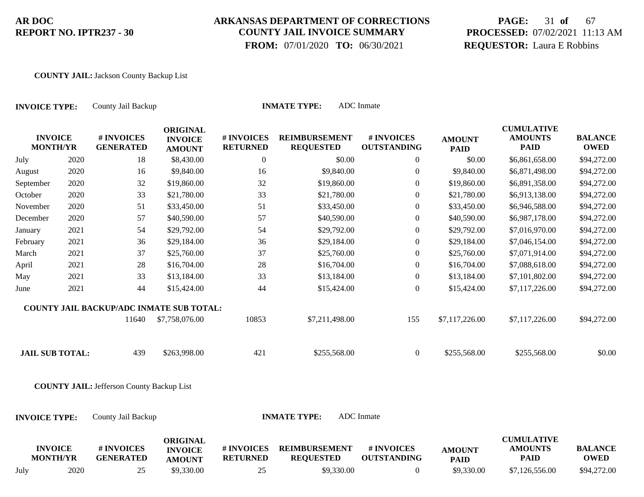## **ARKANSAS DEPARTMENT OF CORRECTIONS COUNTY JAIL INVOICE SUMMARY**

 **FROM:** 07/01/2020 **TO:** 06/30/2021

# **PAGE:** 31 **of** 67 **PROCESSED:** 07/02/2021 11:13 AM **REQUESTOR:** Laura E Robbins

#### **COUNTY JAIL:** Jackson County Backup List

| <b>ADC</b> Inmate<br><b>INMATE TYPE:</b><br>County Jail Backup<br><b>INVOICE TYPE:</b> |      |                                                  |                                                    |                               |                                          |                                  |                              |                                                    |                               |
|----------------------------------------------------------------------------------------|------|--------------------------------------------------|----------------------------------------------------|-------------------------------|------------------------------------------|----------------------------------|------------------------------|----------------------------------------------------|-------------------------------|
| <b>INVOICE</b><br><b>MONTH/YR</b>                                                      |      | # INVOICES<br><b>GENERATED</b>                   | <b>ORIGINAL</b><br><b>INVOICE</b><br><b>AMOUNT</b> | # INVOICES<br><b>RETURNED</b> | <b>REIMBURSEMENT</b><br><b>REQUESTED</b> | # INVOICES<br><b>OUTSTANDING</b> | <b>AMOUNT</b><br><b>PAID</b> | <b>CUMULATIVE</b><br><b>AMOUNTS</b><br><b>PAID</b> | <b>BALANCE</b><br><b>OWED</b> |
| July                                                                                   | 2020 | 18                                               | \$8,430.00                                         | $\boldsymbol{0}$              | \$0.00                                   | $\boldsymbol{0}$                 | \$0.00                       | \$6,861,658.00                                     | \$94,272.00                   |
| August                                                                                 | 2020 | 16                                               | \$9,840.00                                         | 16                            | \$9,840.00                               | $\boldsymbol{0}$                 | \$9,840.00                   | \$6,871,498.00                                     | \$94,272.00                   |
| September                                                                              | 2020 | 32                                               | \$19,860.00                                        | 32                            | \$19,860.00                              | $\boldsymbol{0}$                 | \$19,860.00                  | \$6,891,358.00                                     | \$94,272.00                   |
| October                                                                                | 2020 | 33                                               | \$21,780.00                                        | 33                            | \$21,780.00                              | $\overline{0}$                   | \$21,780.00                  | \$6,913,138.00                                     | \$94,272.00                   |
| November                                                                               | 2020 | 51                                               | \$33,450.00                                        | 51                            | \$33,450.00                              | $\boldsymbol{0}$                 | \$33,450.00                  | \$6,946,588.00                                     | \$94,272.00                   |
| December                                                                               | 2020 | 57                                               | \$40,590.00                                        | 57                            | \$40,590.00                              | $\overline{0}$                   | \$40,590.00                  | \$6,987,178.00                                     | \$94,272.00                   |
| January                                                                                | 2021 | 54                                               | \$29,792.00                                        | 54                            | \$29,792.00                              | $\overline{0}$                   | \$29,792.00                  | \$7,016,970.00                                     | \$94,272.00                   |
| February                                                                               | 2021 | 36                                               | \$29,184.00                                        | 36                            | \$29,184.00                              | $\overline{0}$                   | \$29,184.00                  | \$7,046,154.00                                     | \$94,272.00                   |
| March                                                                                  | 2021 | 37                                               | \$25,760.00                                        | 37                            | \$25,760.00                              | $\overline{0}$                   | \$25,760.00                  | \$7,071,914.00                                     | \$94,272.00                   |
| April                                                                                  | 2021 | 28                                               | \$16,704.00                                        | 28                            | \$16,704.00                              | $\boldsymbol{0}$                 | \$16,704.00                  | \$7,088,618.00                                     | \$94,272.00                   |
| May                                                                                    | 2021 | 33                                               | \$13,184.00                                        | 33                            | \$13,184.00                              | $\overline{0}$                   | \$13,184.00                  | \$7,101,802.00                                     | \$94,272.00                   |
| June                                                                                   | 2021 | 44                                               | \$15,424.00                                        | 44                            | \$15,424.00                              | $\overline{0}$                   | \$15,424.00                  | \$7,117,226.00                                     | \$94,272.00                   |
|                                                                                        |      | <b>COUNTY JAIL BACKUP/ADC INMATE SUB TOTAL:</b>  |                                                    |                               |                                          |                                  |                              |                                                    |                               |
|                                                                                        |      | 11640                                            | \$7,758,076.00                                     | 10853                         | \$7,211,498.00                           | 155                              | \$7,117,226.00               | \$7,117,226.00                                     | \$94,272.00                   |
| <b>JAIL SUB TOTAL:</b>                                                                 |      | 439                                              | \$263,998.00                                       | 421                           | \$255,568.00                             | $\overline{0}$                   | \$255,568.00                 | \$255,568.00                                       | \$0.00                        |
|                                                                                        |      | <b>COUNTY JAIL: Jefferson County Backup List</b> |                                                    |                               |                                          |                                  |                              |                                                    |                               |
| <b>INVOICE TYPE:</b>                                                                   |      | County Jail Backup                               |                                                    |                               | <b>INMATE TYPE:</b>                      | <b>ADC</b> Inmate                |                              |                                                    |                               |
| <b>INVOICE</b><br><b>MONTH/YR</b>                                                      |      | # INVOICES<br><b>GENERATED</b>                   | <b>ORIGINAL</b><br><b>INVOICE</b><br><b>AMOUNT</b> | # INVOICES<br><b>RETURNED</b> | <b>REIMBURSEMENT</b><br><b>REQUESTED</b> | # INVOICES<br><b>OUTSTANDING</b> | <b>AMOUNT</b><br><b>PAID</b> | <b>CUMULATIVE</b><br><b>AMOUNTS</b><br><b>PAID</b> | <b>BALANCE</b><br><b>OWED</b> |

July 2020 25 \$9,330.00 25 \$9,330.00 0 \$9,330.00 \$7,126,556.00 \$94,272.00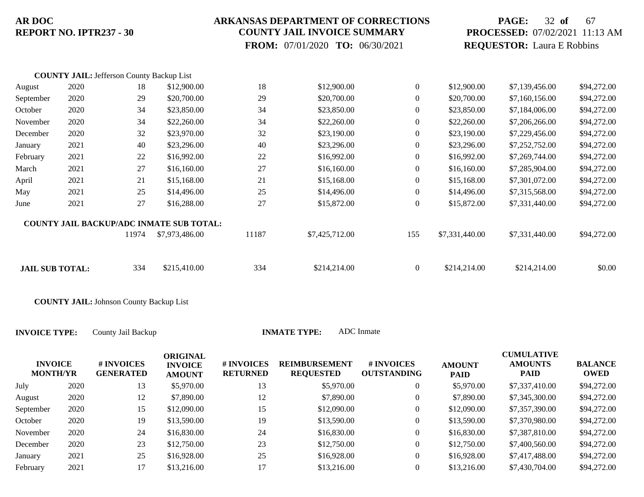### **ARKANSAS DEPARTMENT OF CORRECTIONS COUNTY JAIL INVOICE SUMMARY**

 **FROM:** 07/01/2020 **TO:** 06/30/2021

# **PAGE:** 32 **of** 67 **PROCESSED:** 07/02/2021 11:13 AM **REQUESTOR:** Laura E Robbins

|                        | <b>COUNTY JAIL: Jefferson County Backup List</b> |       |                                                 |       |                |                |                |                |             |
|------------------------|--------------------------------------------------|-------|-------------------------------------------------|-------|----------------|----------------|----------------|----------------|-------------|
| August                 | 2020                                             | 18    | \$12,900.00                                     | 18    | \$12,900.00    | $\overline{0}$ | \$12,900.00    | \$7,139,456.00 | \$94,272.00 |
| September              | 2020                                             | 29    | \$20,700.00                                     | 29    | \$20,700.00    | $\overline{0}$ | \$20,700.00    | \$7,160,156.00 | \$94,272.00 |
| October                | 2020                                             | 34    | \$23,850.00                                     | 34    | \$23,850.00    | $\overline{0}$ | \$23,850.00    | \$7,184,006.00 | \$94,272.00 |
| November               | 2020                                             | 34    | \$22,260.00                                     | 34    | \$22,260.00    | $\overline{0}$ | \$22,260.00    | \$7,206,266.00 | \$94,272.00 |
| December               | 2020                                             | 32    | \$23,970.00                                     | 32    | \$23,190.00    | $\overline{0}$ | \$23,190.00    | \$7,229,456.00 | \$94,272.00 |
| January                | 2021                                             | 40    | \$23,296.00                                     | 40    | \$23,296.00    | $\mathbf{0}$   | \$23,296.00    | \$7,252,752.00 | \$94,272.00 |
| February               | 2021                                             | 22    | \$16,992.00                                     | 22    | \$16,992.00    | $\mathbf{0}$   | \$16,992.00    | \$7,269,744.00 | \$94,272.00 |
| March                  | 2021                                             | 27    | \$16,160.00                                     | 27    | \$16,160.00    | $\overline{0}$ | \$16,160.00    | \$7,285,904.00 | \$94,272.00 |
| April                  | 2021                                             | 21    | \$15,168.00                                     | 21    | \$15,168.00    | $\mathbf{0}$   | \$15,168.00    | \$7,301,072.00 | \$94,272.00 |
| May                    | 2021                                             | 25    | \$14,496.00                                     | 25    | \$14,496.00    | $\overline{0}$ | \$14,496.00    | \$7,315,568.00 | \$94,272.00 |
| June                   | 2021                                             | 27    | \$16,288.00                                     | 27    | \$15,872.00    | $\overline{0}$ | \$15,872.00    | \$7,331,440.00 | \$94,272.00 |
|                        |                                                  |       | <b>COUNTY JAIL BACKUP/ADC INMATE SUB TOTAL:</b> |       |                |                |                |                |             |
|                        |                                                  | 11974 | \$7,973,486.00                                  | 11187 | \$7,425,712.00 | 155            | \$7,331,440.00 | \$7,331,440.00 | \$94,272.00 |
|                        |                                                  |       |                                                 |       |                |                |                |                |             |
| <b>JAIL SUB TOTAL:</b> |                                                  | 334   | \$215,410.00                                    | 334   | \$214,214.00   | $\overline{0}$ | \$214,214.00   | \$214,214.00   | \$0.00      |

**COUNTY JAIL:** Johnson County Backup List

| <b>INVOICE</b><br><b>MONTH/YR</b> |      | # INVOICES<br><b>GENERATED</b> | <b>ORIGINAL</b><br><b>INVOICE</b><br><b>AMOUNT</b> | # INVOICES<br><b>RETURNED</b> | <b>REIMBURSEMENT</b><br><b>REQUESTED</b> | <b># INVOICES</b><br><b>OUTSTANDING</b> | <b>AMOUNT</b><br><b>PAID</b> | <b>CUMULATIVE</b><br><b>AMOUNTS</b><br><b>PAID</b> | <b>BALANCE</b><br>OWED |
|-----------------------------------|------|--------------------------------|----------------------------------------------------|-------------------------------|------------------------------------------|-----------------------------------------|------------------------------|----------------------------------------------------|------------------------|
| July                              | 2020 | 13                             | \$5,970.00                                         | 13                            | \$5,970.00                               | 0                                       | \$5,970.00                   | \$7,337,410.00                                     | \$94,272.00            |
| August                            | 2020 | 12                             | \$7,890.00                                         | 12                            | \$7,890.00                               | 0                                       | \$7,890.00                   | \$7,345,300.00                                     | \$94,272.00            |
| September                         | 2020 | 15                             | \$12,090.00                                        | 15                            | \$12,090.00                              | 0                                       | \$12,090.00                  | \$7,357,390.00                                     | \$94,272.00            |
| October                           | 2020 | 19                             | \$13,590.00                                        | 19                            | \$13,590.00                              | 0                                       | \$13,590.00                  | \$7,370,980.00                                     | \$94,272.00            |
| November                          | 2020 | 24                             | \$16,830.00                                        | 24                            | \$16,830.00                              | $\overline{0}$                          | \$16,830.00                  | \$7,387,810.00                                     | \$94,272.00            |
| December                          | 2020 | 23                             | \$12,750.00                                        | 23                            | \$12,750.00                              | $\boldsymbol{0}$                        | \$12,750.00                  | \$7,400,560.00                                     | \$94,272.00            |
| January                           | 2021 | 25                             | \$16,928.00                                        | 25                            | \$16,928.00                              | $\boldsymbol{0}$                        | \$16,928.00                  | \$7,417,488.00                                     | \$94,272.00            |
| February                          | 2021 | 17                             | \$13,216.00                                        | 17                            | \$13,216.00                              |                                         | \$13,216.00                  | \$7,430,704.00                                     | \$94,272.00            |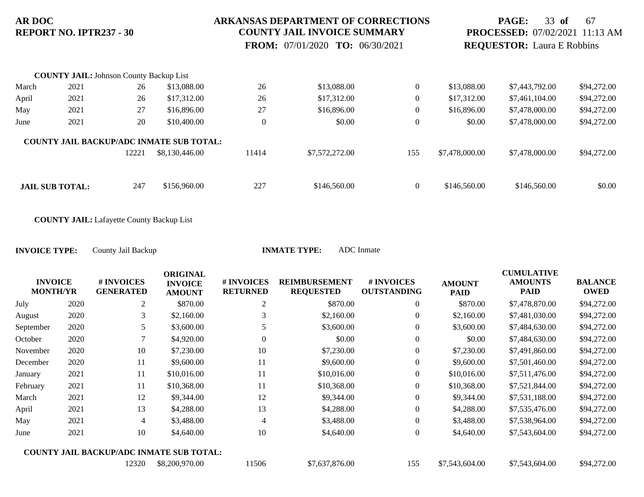### **ARKANSAS DEPARTMENT OF CORRECTIONS COUNTY JAIL INVOICE SUMMARY**

 **FROM:** 07/01/2020 **TO:** 06/30/2021

## **PAGE:** 33 **of** 67 **PROCESSED:** 07/02/2021 11:13 AM **REQUESTOR:** Laura E Robbins

|       | <b>COUNTY JAIL: Johnson County Backup List</b> |       |                                                 |          |                |                  |                |                |             |
|-------|------------------------------------------------|-------|-------------------------------------------------|----------|----------------|------------------|----------------|----------------|-------------|
| March | 2021                                           | 26    | \$13,088.00                                     | 26       | \$13,088.00    | $\overline{0}$   | \$13,088.00    | \$7,443,792.00 | \$94,272.00 |
| April | 2021                                           | 26    | \$17,312.00                                     | 26       | \$17,312.00    | $\boldsymbol{0}$ | \$17,312.00    | \$7,461,104.00 | \$94,272.00 |
| May   | 2021                                           | 27    | \$16,896.00                                     | 27       | \$16,896.00    | $\theta$         | \$16,896.00    | \$7,478,000.00 | \$94,272.00 |
| June  | 2021                                           | 20    | \$10,400.00                                     | $\theta$ | \$0.00         | $\theta$         | \$0.00         | \$7,478,000.00 | \$94,272.00 |
|       |                                                |       | <b>COUNTY JAIL BACKUP/ADC INMATE SUB TOTAL:</b> |          |                |                  |                |                |             |
|       |                                                | 12221 | \$8,130,446.00                                  | 11414    | \$7,572,272.00 | 155              | \$7,478,000.00 | \$7,478,000.00 | \$94,272.00 |
|       |                                                |       |                                                 |          |                |                  |                |                |             |
|       | <b>JAIL SUB TOTAL:</b>                         | 247   | \$156,960.00                                    | 227      | \$146,560.00   | $\theta$         | \$146,560.00   | \$146,560.00   | \$0.00      |

**COUNTY JAIL:** Lafayette County Backup List

| <b>INVOICE</b><br><b>MONTH/YR</b> |      | # INVOICES<br><b>GENERATED</b>                  | <b>ORIGINAL</b><br><b>INVOICE</b><br><b>AMOUNT</b> | # INVOICES<br><b>RETURNED</b> | <b>REIMBURSEMENT</b><br><b>REQUESTED</b> | # INVOICES<br><b>OUTSTANDING</b> | <b>AMOUNT</b><br><b>PAID</b> | <b>CUMULATIVE</b><br><b>AMOUNTS</b><br><b>PAID</b> | <b>BALANCE</b><br><b>OWED</b> |
|-----------------------------------|------|-------------------------------------------------|----------------------------------------------------|-------------------------------|------------------------------------------|----------------------------------|------------------------------|----------------------------------------------------|-------------------------------|
| July                              | 2020 | $\overline{2}$                                  | \$870.00                                           | 2                             | \$870.00                                 | $\overline{0}$                   | \$870.00                     | \$7,478,870.00                                     | \$94,272.00                   |
| August                            | 2020 | 3                                               | \$2,160.00                                         |                               | \$2,160.00                               | $\overline{0}$                   | \$2,160.00                   | \$7,481,030.00                                     | \$94,272.00                   |
| September                         | 2020 | 5                                               | \$3,600.00                                         | 5                             | \$3,600.00                               | $\overline{0}$                   | \$3,600.00                   | \$7,484,630.00                                     | \$94,272.00                   |
| October                           | 2020 | 7                                               | \$4,920.00                                         | 0                             | \$0.00                                   | $\overline{0}$                   | \$0.00                       | \$7,484,630.00                                     | \$94,272.00                   |
| November                          | 2020 | 10                                              | \$7,230.00                                         | 10                            | \$7,230.00                               | 0                                | \$7,230.00                   | \$7,491,860.00                                     | \$94,272.00                   |
| December                          | 2020 | 11                                              | \$9,600.00                                         | 11                            | \$9,600.00                               | $\overline{0}$                   | \$9,600.00                   | \$7,501,460.00                                     | \$94,272.00                   |
| January                           | 2021 | 11                                              | \$10,016.00                                        | 11                            | \$10,016.00                              | $\overline{0}$                   | \$10,016.00                  | \$7,511,476.00                                     | \$94,272.00                   |
| February                          | 2021 | 11                                              | \$10,368.00                                        | 11                            | \$10,368.00                              | 0                                | \$10,368.00                  | \$7,521,844.00                                     | \$94,272.00                   |
| March                             | 2021 | 12                                              | \$9,344.00                                         | 12                            | \$9,344.00                               | 0                                | \$9,344.00                   | \$7,531,188.00                                     | \$94,272.00                   |
| April                             | 2021 | 13                                              | \$4,288.00                                         | 13                            | \$4,288.00                               | $\overline{0}$                   | \$4,288.00                   | \$7,535,476.00                                     | \$94,272.00                   |
| May                               | 2021 | 4                                               | \$3,488.00                                         | 4                             | \$3,488.00                               | $\overline{0}$                   | \$3,488.00                   | \$7,538,964.00                                     | \$94,272.00                   |
| June                              | 2021 | 10                                              | \$4,640.00                                         | 10                            | \$4,640.00                               | $\overline{0}$                   | \$4,640.00                   | \$7,543,604.00                                     | \$94,272.00                   |
|                                   |      | <b>COUNTY JAIL BACKUP/ADC INMATE SUB TOTAL:</b> |                                                    |                               |                                          |                                  |                              |                                                    |                               |
|                                   |      | 12320                                           | \$8,200,970.00                                     | 11506                         | \$7,637,876.00                           | 155                              | \$7,543,604.00               | \$7,543,604.00                                     | \$94,272.00                   |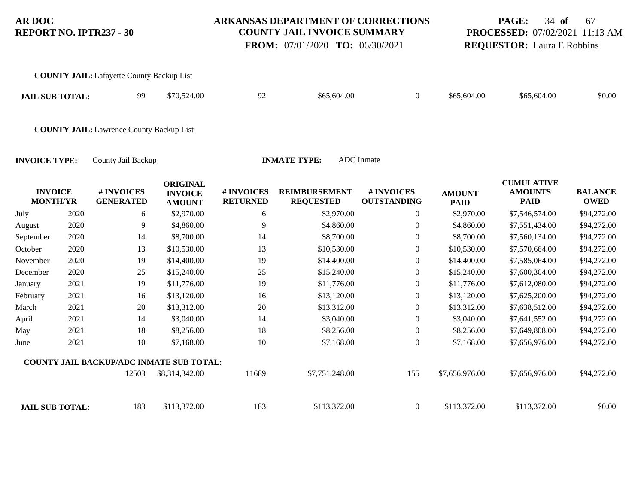### **ARKANSAS DEPARTMENT OF CORRECTIONS COUNTY JAIL INVOICE SUMMARY**

 **FROM:** 07/01/2020 **TO:** 06/30/2021

# **PAGE:** 34 **of** 67 **PROCESSED:** 07/02/2021 11:13 AM **REQUESTOR:** Laura E Robbins

CULTURATIVE<sup>1</sup>

| <b>COUNTY JAIL:</b> Lafayette County Backup List |    |             |    |             |             |             |        |
|--------------------------------------------------|----|-------------|----|-------------|-------------|-------------|--------|
| <b>JAIL SUB TOTAL:</b>                           | 99 | \$70,524.00 | 92 | \$65,604.00 | \$65,604.00 | \$65,604.00 | \$0.00 |
| <b>COUNTY JAIL:</b> Lawrence County Backup List  |    |             |    |             |             |             |        |

| <b>INVOICE</b><br><b>MONTH/YR</b> |      | # INVOICES<br><b>GENERATED</b>                  | <b>ORIGINAL</b><br><b>INVOICE</b><br><b>AMOUNT</b> | # INVOICES<br><b>RETURNED</b> | <b>REIMBURSEMENT</b><br><b>REQUESTED</b> | # INVOICES<br><b>OUTSTANDING</b> | <b>AMOUNT</b><br><b>PAID</b> | <b>CUMULATIVE</b><br><b>AMOUNTS</b><br><b>PAID</b> | <b>BALANCE</b><br><b>OWED</b> |
|-----------------------------------|------|-------------------------------------------------|----------------------------------------------------|-------------------------------|------------------------------------------|----------------------------------|------------------------------|----------------------------------------------------|-------------------------------|
| July                              | 2020 | 6                                               | \$2,970.00                                         | 6                             | \$2,970.00                               | $\overline{0}$                   | \$2,970.00                   | \$7,546,574.00                                     | \$94,272.00                   |
| August                            | 2020 | 9                                               | \$4,860.00                                         | 9                             | \$4,860.00                               | $\boldsymbol{0}$                 | \$4,860.00                   | \$7,551,434.00                                     | \$94,272.00                   |
| September                         | 2020 | 14                                              | \$8,700.00                                         | 14                            | \$8,700.00                               | $\overline{0}$                   | \$8,700.00                   | \$7,560,134.00                                     | \$94,272.00                   |
| October                           | 2020 | 13                                              | \$10,530.00                                        | 13                            | \$10,530.00                              | $\overline{0}$                   | \$10,530.00                  | \$7,570,664.00                                     | \$94,272.00                   |
| November                          | 2020 | 19                                              | \$14,400.00                                        | 19                            | \$14,400.00                              | $\overline{0}$                   | \$14,400.00                  | \$7,585,064.00                                     | \$94,272.00                   |
| December                          | 2020 | 25                                              | \$15,240.00                                        | 25                            | \$15,240.00                              | $\overline{0}$                   | \$15,240.00                  | \$7,600,304.00                                     | \$94,272.00                   |
| January                           | 2021 | 19                                              | \$11,776.00                                        | 19                            | \$11,776.00                              | $\overline{0}$                   | \$11,776.00                  | \$7,612,080.00                                     | \$94,272.00                   |
| February                          | 2021 | 16                                              | \$13,120.00                                        | 16                            | \$13,120.00                              | $\overline{0}$                   | \$13,120.00                  | \$7,625,200.00                                     | \$94,272.00                   |
| March                             | 2021 | 20                                              | \$13,312.00                                        | 20                            | \$13,312.00                              | $\overline{0}$                   | \$13,312.00                  | \$7,638,512.00                                     | \$94,272.00                   |
| April                             | 2021 | 14                                              | \$3,040.00                                         | 14                            | \$3,040.00                               | $\overline{0}$                   | \$3,040.00                   | \$7,641,552.00                                     | \$94,272.00                   |
| May                               | 2021 | 18                                              | \$8,256.00                                         | 18                            | \$8,256.00                               | $\boldsymbol{0}$                 | \$8,256.00                   | \$7,649,808.00                                     | \$94,272.00                   |
| June                              | 2021 | 10                                              | \$7,168.00                                         | 10                            | \$7,168.00                               | $\theta$                         | \$7,168.00                   | \$7,656,976.00                                     | \$94,272.00                   |
|                                   |      | <b>COUNTY JAIL BACKUP/ADC INMATE SUB TOTAL:</b> |                                                    |                               |                                          |                                  |                              |                                                    |                               |
|                                   |      | 12503                                           | \$8,314,342.00                                     | 11689                         | \$7,751,248.00                           | 155                              | \$7,656,976.00               | \$7,656,976.00                                     | \$94,272.00                   |
| <b>JAIL SUB TOTAL:</b>            |      | 183                                             | \$113,372.00                                       | 183                           | \$113,372.00                             | $\overline{0}$                   | \$113,372.00                 | \$113,372.00                                       | \$0.00                        |
|                                   |      |                                                 |                                                    |                               |                                          |                                  |                              |                                                    |                               |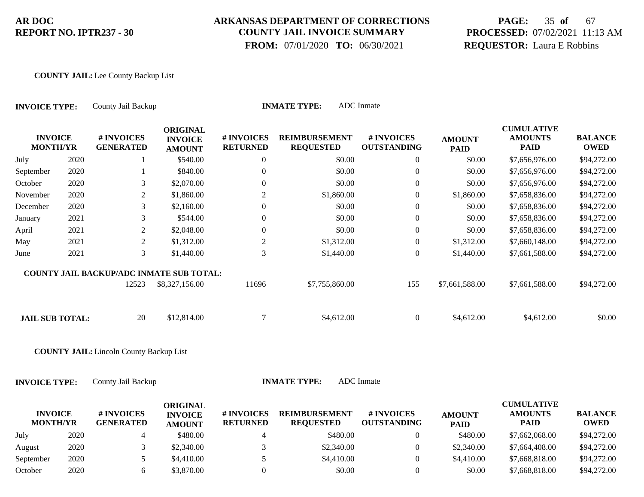### **ARKANSAS DEPARTMENT OF CORRECTIONS COUNTY JAIL INVOICE SUMMARY**

 **FROM:** 07/01/2020 **TO:** 06/30/2021

# **PAGE:** 35 **of** 67 **PROCESSED:** 07/02/2021 11:13 AM **REQUESTOR:** Laura E Robbins

### **COUNTY JAIL:** Lee County Backup List

| <b>INVOICE TYPE:</b>              |      | County Jail Backup                              |                                                    | <b>INMATE TYPE:</b>           |                                          |                                  |                              |                                                    |                               |
|-----------------------------------|------|-------------------------------------------------|----------------------------------------------------|-------------------------------|------------------------------------------|----------------------------------|------------------------------|----------------------------------------------------|-------------------------------|
| <b>INVOICE</b><br><b>MONTH/YR</b> |      | # INVOICES<br><b>GENERATED</b>                  | <b>ORIGINAL</b><br><b>INVOICE</b><br><b>AMOUNT</b> | # INVOICES<br><b>RETURNED</b> | <b>REIMBURSEMENT</b><br><b>REQUESTED</b> | # INVOICES<br><b>OUTSTANDING</b> | <b>AMOUNT</b><br><b>PAID</b> | <b>CUMULATIVE</b><br><b>AMOUNTS</b><br><b>PAID</b> | <b>BALANCE</b><br><b>OWED</b> |
| July                              | 2020 |                                                 | \$540.00                                           | 0                             | \$0.00                                   | $\overline{0}$                   | \$0.00                       | \$7,656,976.00                                     | \$94,272.00                   |
| September                         | 2020 |                                                 | \$840.00                                           |                               | \$0.00                                   | $\overline{0}$                   | \$0.00                       | \$7,656,976.00                                     | \$94,272.00                   |
| October                           | 2020 | 3                                               | \$2,070.00                                         | $\overline{0}$                | \$0.00                                   | $\boldsymbol{0}$                 | \$0.00                       | \$7,656,976.00                                     | \$94,272.00                   |
| November                          | 2020 | $\overline{2}$                                  | \$1,860.00                                         | 2                             | \$1,860.00                               | 0                                | \$1,860.00                   | \$7,658,836.00                                     | \$94,272.00                   |
| December                          | 2020 | 3                                               | \$2,160.00                                         | $\overline{0}$                | \$0.00                                   | $\overline{0}$                   | \$0.00                       | \$7,658,836.00                                     | \$94,272.00                   |
| January                           | 2021 | 3                                               | \$544.00                                           | 0                             | \$0.00                                   | $\boldsymbol{0}$                 | \$0.00                       | \$7,658,836.00                                     | \$94,272.00                   |
| April                             | 2021 | 2                                               | \$2,048.00                                         | $\overline{0}$                | \$0.00                                   | $\overline{0}$                   | \$0.00                       | \$7,658,836.00                                     | \$94,272.00                   |
| May                               | 2021 | 2                                               | \$1,312.00                                         | 2                             | \$1,312.00                               | $\boldsymbol{0}$                 | \$1,312.00                   | \$7,660,148.00                                     | \$94,272.00                   |
| June                              | 2021 | 3                                               | \$1,440.00                                         | 3                             | \$1,440.00                               | $\overline{0}$                   | \$1,440.00                   | \$7,661,588.00                                     | \$94,272.00                   |
|                                   |      | <b>COUNTY JAIL BACKUP/ADC INMATE SUB TOTAL:</b> |                                                    |                               |                                          |                                  |                              |                                                    |                               |
|                                   |      | 12523                                           | \$8,327,156.00                                     | 11696                         | \$7,755,860.00                           | 155                              | \$7,661,588.00               | \$7,661,588.00                                     | \$94,272.00                   |
| <b>JAIL SUB TOTAL:</b>            |      | 20                                              | \$12,814.00                                        | 7                             | \$4,612.00                               | $\overline{0}$                   | \$4,612.00                   | \$4,612.00                                         | \$0.00                        |
|                                   |      | <b>COUNTY JAIL:</b> Lincoln County Backup List  |                                                    |                               |                                          |                                  |                              |                                                    |                               |

| <b>INVOICE</b>  |      | # INVOICES       | ORIGINAL<br><b>INVOICE</b> | <b># INVOICES</b> | <b>REIMBURSEMENT</b> | # INVOICES         | <b>AMOUNT</b> | <b>CUMULATIVE</b><br><b>AMOUNTS</b> | <b>BALANCE</b> |
|-----------------|------|------------------|----------------------------|-------------------|----------------------|--------------------|---------------|-------------------------------------|----------------|
| <b>MONTH/YR</b> |      | <b>GENERATED</b> | <b>AMOUNT</b>              | <b>RETURNED</b>   | <b>REOUESTED</b>     | <b>OUTSTANDING</b> | <b>PAID</b>   | PAID                                | <b>OWED</b>    |
| July            | 2020 |                  | \$480.00                   |                   | \$480.00             |                    | \$480.00      | \$7,662,068.00                      | \$94,272.00    |
| August          | 2020 |                  | \$2,340.00                 |                   | \$2,340.00           |                    | \$2,340.00    | \$7,664,408.00                      | \$94,272.00    |
| September       | 2020 |                  | \$4,410.00                 |                   | \$4,410.00           |                    | \$4,410.00    | \$7,668,818,00                      | \$94,272.00    |
| October         | 2020 |                  | \$3.870.00                 |                   | \$0.00               |                    | \$0.00        | \$7,668,818.00                      | \$94,272.00    |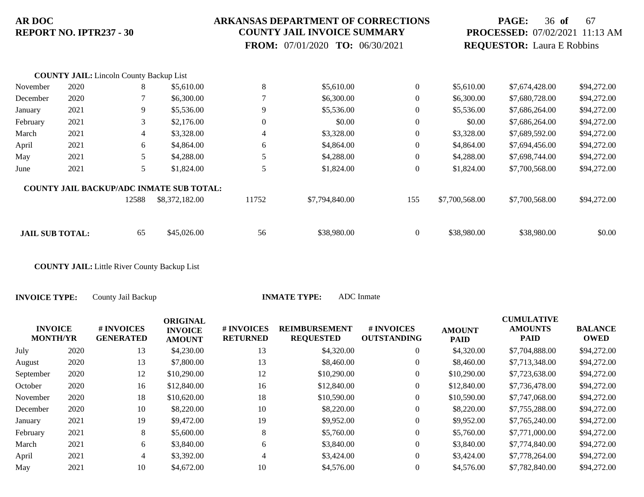### **ARKANSAS DEPARTMENT OF CORRECTIONS COUNTY JAIL INVOICE SUMMARY**

 **FROM:** 07/01/2020 **TO:** 06/30/2021

## **PAGE:** 36 **of** 67 **PROCESSED:** 07/02/2021 11:13 AM **REQUESTOR:** Laura E Robbins

|                        | <b>COUNTY JAIL:</b> Lincoln County Backup List |                |                                                 |                          |                |                  |                |                |             |
|------------------------|------------------------------------------------|----------------|-------------------------------------------------|--------------------------|----------------|------------------|----------------|----------------|-------------|
| November               | 2020                                           | 8              | \$5,610.00                                      | 8                        | \$5,610.00     | $\mathbf{0}$     | \$5,610.00     | \$7,674,428.00 | \$94,272.00 |
| December               | 2020                                           |                | \$6,300.00                                      | $\overline{\phantom{a}}$ | \$6,300.00     | $\boldsymbol{0}$ | \$6,300.00     | \$7,680,728.00 | \$94,272.00 |
| January                | 2021                                           | 9              | \$5,536.00                                      | 9                        | \$5,536.00     | $\mathbf{0}$     | \$5,536.00     | \$7,686,264.00 | \$94,272.00 |
| February               | 2021                                           | 3              | \$2,176.00                                      | $\boldsymbol{0}$         | \$0.00         | $\mathbf{0}$     | \$0.00         | \$7,686,264.00 | \$94,272.00 |
| March                  | 2021                                           | $\overline{4}$ | \$3,328.00                                      | 4                        | \$3,328.00     | $\mathbf{0}$     | \$3,328.00     | \$7,689,592.00 | \$94,272.00 |
| April                  | 2021                                           | 6              | \$4,864.00                                      | 6                        | \$4,864.00     | $\theta$         | \$4,864.00     | \$7,694,456.00 | \$94,272.00 |
| May                    | 2021                                           | 5              | \$4,288.00                                      | 5                        | \$4,288.00     | $\mathbf{0}$     | \$4,288.00     | \$7,698,744.00 | \$94,272.00 |
| June                   | 2021                                           | 5              | \$1,824.00                                      | 5                        | \$1,824.00     | $\mathbf{0}$     | \$1,824.00     | \$7,700,568.00 | \$94,272.00 |
|                        |                                                |                | <b>COUNTY JAIL BACKUP/ADC INMATE SUB TOTAL:</b> |                          |                |                  |                |                |             |
|                        |                                                | 12588          | \$8,372,182.00                                  | 11752                    | \$7,794,840.00 | 155              | \$7,700,568.00 | \$7,700,568.00 | \$94,272.00 |
|                        |                                                |                |                                                 |                          |                |                  |                |                |             |
| <b>JAIL SUB TOTAL:</b> |                                                | 65             | \$45,026.00                                     | 56                       | \$38,980.00    | $\mathbf{0}$     | \$38,980.00    | \$38,980.00    | \$0.00      |

**COUNTY JAIL:** Little River County Backup List

|      | # INVOICES<br><b>GENERATED</b>    | <b>ORIGINAL</b><br><b>INVOICE</b><br><b>AMOUNT</b> | <b># INVOICES</b><br><b>RETURNED</b> | <b>REIMBURSEMENT</b><br><b>REQUESTED</b> | # INVOICES<br><b>OUTSTANDING</b> | <b>AMOUNT</b><br><b>PAID</b> | <b>CUMULATIVE</b><br><b>AMOUNTS</b><br><b>PAID</b> | <b>BALANCE</b><br><b>OWED</b> |
|------|-----------------------------------|----------------------------------------------------|--------------------------------------|------------------------------------------|----------------------------------|------------------------------|----------------------------------------------------|-------------------------------|
| 2020 | 13                                | \$4,230.00                                         | 13                                   | \$4,320.00                               | $\overline{0}$                   | \$4,320.00                   | \$7,704,888.00                                     | \$94,272.00                   |
| 2020 | 13                                | \$7,800.00                                         | 13                                   | \$8,460.00                               | $\theta$                         | \$8,460.00                   | \$7,713,348.00                                     | \$94,272.00                   |
| 2020 | 12                                | \$10,290.00                                        | 12                                   | \$10,290.00                              | $\overline{0}$                   | \$10,290.00                  | \$7,723,638.00                                     | \$94,272.00                   |
| 2020 | 16                                | \$12,840.00                                        | 16                                   | \$12,840.00                              | $\overline{0}$                   | \$12,840.00                  | \$7,736,478.00                                     | \$94,272.00                   |
| 2020 | 18                                | \$10,620.00                                        | 18                                   | \$10,590.00                              | $\overline{0}$                   | \$10,590.00                  | \$7,747,068.00                                     | \$94,272.00                   |
| 2020 | 10                                | \$8,220.00                                         | 10                                   | \$8,220.00                               | $\overline{0}$                   | \$8,220.00                   | \$7,755,288.00                                     | \$94,272.00                   |
| 2021 | 19                                | \$9,472.00                                         | 19                                   | \$9,952.00                               | $\overline{0}$                   | \$9,952.00                   | \$7,765,240.00                                     | \$94,272.00                   |
| 2021 | 8                                 | \$5,600.00                                         | 8                                    | \$5,760.00                               | $\overline{0}$                   | \$5,760.00                   | \$7,771,000.00                                     | \$94,272.00                   |
| 2021 | 6                                 | \$3,840.00                                         | 6                                    | \$3,840.00                               | $\overline{0}$                   | \$3,840.00                   | \$7,774,840.00                                     | \$94,272.00                   |
| 2021 | $\overline{4}$                    | \$3,392.00                                         | 4                                    | \$3,424.00                               | $\Omega$                         | \$3,424.00                   | \$7,778,264.00                                     | \$94,272.00                   |
| 2021 | 10                                | \$4,672.00                                         | 10                                   | \$4,576.00                               | $\overline{0}$                   | \$4,576.00                   | \$7,782,840.00                                     | \$94,272.00                   |
|      | <b>INVOICE</b><br><b>MONTH/YR</b> |                                                    |                                      |                                          |                                  |                              |                                                    |                               |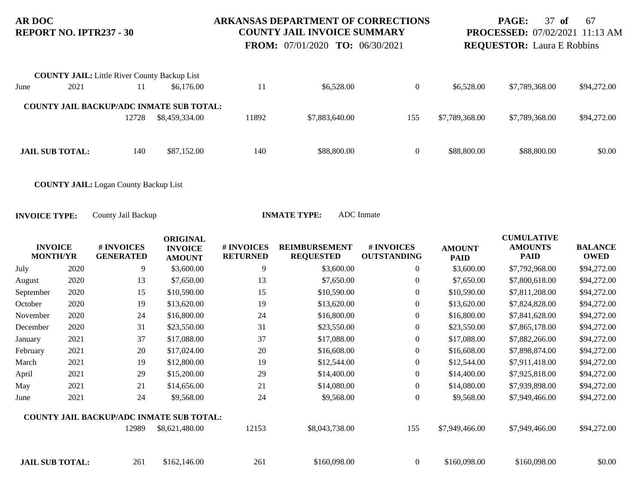### **ARKANSAS DEPARTMENT OF CORRECTIONS COUNTY JAIL INVOICE SUMMARY**

 **FROM:** 07/01/2020 **TO:** 06/30/2021

**PAGE:** 37 **of** 67 **PROCESSED:** 07/02/2021 11:13 AM **REQUESTOR:** Laura E Robbins

|      | <b>COUNTY JAIL:</b> Little River County Backup List |       |                                                 |       |                |                |                |                |             |
|------|-----------------------------------------------------|-------|-------------------------------------------------|-------|----------------|----------------|----------------|----------------|-------------|
| June | 2021                                                |       | \$6,176.00                                      | 11    | \$6,528.00     | $\theta$       | \$6,528.00     | \$7,789,368.00 | \$94,272.00 |
|      |                                                     |       | <b>COUNTY JAIL BACKUP/ADC INMATE SUB TOTAL:</b> |       |                |                |                |                |             |
|      |                                                     | 12728 | \$8,459,334.00                                  | 11892 | \$7,883,640.00 | 155            | \$7,789,368.00 | \$7,789,368.00 | \$94,272.00 |
|      |                                                     |       |                                                 |       |                |                |                |                |             |
|      | <b>JAIL SUB TOTAL:</b>                              | 140   | \$87,152.00                                     | 140   | \$88,800.00    | $\overline{0}$ | \$88,800.00    | \$88,800.00    | \$0.00      |

**COUNTY JAIL:** Logan County Backup List

| <b>INVOICE</b><br><b>MONTH/YR</b> |      | # INVOICES<br><b>GENERATED</b>                  | <b>ORIGINAL</b><br><b>INVOICE</b><br><b>AMOUNT</b> | # INVOICES<br><b>RETURNED</b> | <b>REIMBURSEMENT</b><br><b>REQUESTED</b> | # INVOICES<br><b>OUTSTANDING</b> | <b>AMOUNT</b><br><b>PAID</b> | <b>CUMULATIVE</b><br><b>AMOUNTS</b><br><b>PAID</b> | <b>BALANCE</b><br><b>OWED</b> |
|-----------------------------------|------|-------------------------------------------------|----------------------------------------------------|-------------------------------|------------------------------------------|----------------------------------|------------------------------|----------------------------------------------------|-------------------------------|
| July                              | 2020 | 9                                               | \$3,600.00                                         | 9                             | \$3,600.00                               | $\overline{0}$                   | \$3,600.00                   | \$7,792,968.00                                     | \$94,272.00                   |
| August                            | 2020 | 13                                              | \$7,650.00                                         | 13                            | \$7,650.00                               | $\mathbf{0}$                     | \$7,650.00                   | \$7,800,618.00                                     | \$94,272.00                   |
| September                         | 2020 | 15                                              | \$10,590.00                                        | 15                            | \$10,590.00                              | $\mathbf{0}$                     | \$10,590.00                  | \$7,811,208.00                                     | \$94,272.00                   |
| October                           | 2020 | 19                                              | \$13,620.00                                        | 19                            | \$13,620.00                              | $\boldsymbol{0}$                 | \$13,620.00                  | \$7,824,828.00                                     | \$94,272.00                   |
| November                          | 2020 | 24                                              | \$16,800.00                                        | 24                            | \$16,800.00                              | $\overline{0}$                   | \$16,800.00                  | \$7,841,628.00                                     | \$94,272.00                   |
| December                          | 2020 | 31                                              | \$23,550.00                                        | 31                            | \$23,550.00                              | $\boldsymbol{0}$                 | \$23,550.00                  | \$7,865,178.00                                     | \$94,272.00                   |
| January                           | 2021 | 37                                              | \$17,088.00                                        | 37                            | \$17,088.00                              | $\boldsymbol{0}$                 | \$17,088.00                  | \$7,882,266.00                                     | \$94,272.00                   |
| February                          | 2021 | 20                                              | \$17,024.00                                        | $20\,$                        | \$16,608.00                              | $\boldsymbol{0}$                 | \$16,608.00                  | \$7,898,874.00                                     | \$94,272.00                   |
| March                             | 2021 | 19                                              | \$12,800.00                                        | 19                            | \$12,544.00                              | $\overline{0}$                   | \$12,544.00                  | \$7,911,418.00                                     | \$94,272.00                   |
| April                             | 2021 | 29                                              | \$15,200.00                                        | 29                            | \$14,400.00                              | $\overline{0}$                   | \$14,400.00                  | \$7,925,818.00                                     | \$94,272.00                   |
| May                               | 2021 | 21                                              | \$14,656.00                                        | 21                            | \$14,080.00                              | $\boldsymbol{0}$                 | \$14,080.00                  | \$7,939,898.00                                     | \$94,272.00                   |
| June                              | 2021 | 24                                              | \$9,568.00                                         | 24                            | \$9,568.00                               | $\overline{0}$                   | \$9,568.00                   | \$7,949,466.00                                     | \$94,272.00                   |
|                                   |      | <b>COUNTY JAIL BACKUP/ADC INMATE SUB TOTAL:</b> |                                                    |                               |                                          |                                  |                              |                                                    |                               |
|                                   |      | 12989                                           | \$8,621,480.00                                     | 12153                         | \$8,043,738.00                           | 155                              | \$7,949,466.00               | \$7,949,466.00                                     | \$94,272.00                   |
| <b>JAIL SUB TOTAL:</b>            |      | 261                                             | \$162,146.00                                       | 261                           | \$160,098.00                             | $\overline{0}$                   | \$160,098.00                 | \$160,098.00                                       | \$0.00                        |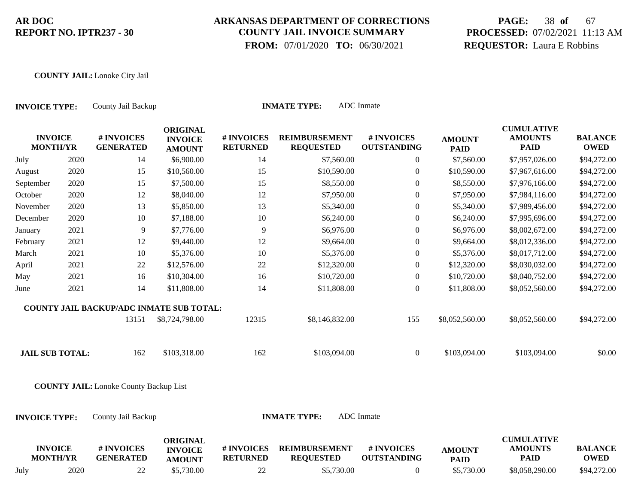# **ARKANSAS DEPARTMENT OF CORRECTIONS COUNTY JAIL INVOICE SUMMARY**

 **FROM:** 07/01/2020 **TO:** 06/30/2021

# **PAGE:** 38 **of** 67 **PROCESSED:** 07/02/2021 11:13 AM **REQUESTOR:** Laura E Robbins

#### **COUNTY JAIL:** Lonoke City Jail

| <b>INVOICE TYPE:</b> |                                   | County Jail Backup                            |                                                    |                               | <b>INMATE TYPE:</b>                      | <b>ADC</b> Inmate                |                              |                                                    |                               |
|----------------------|-----------------------------------|-----------------------------------------------|----------------------------------------------------|-------------------------------|------------------------------------------|----------------------------------|------------------------------|----------------------------------------------------|-------------------------------|
|                      | <b>INVOICE</b><br><b>MONTH/YR</b> | # INVOICES<br><b>GENERATED</b>                | <b>ORIGINAL</b><br><b>INVOICE</b><br><b>AMOUNT</b> | # INVOICES<br><b>RETURNED</b> | <b>REIMBURSEMENT</b><br><b>REQUESTED</b> | # INVOICES<br><b>OUTSTANDING</b> | <b>AMOUNT</b><br><b>PAID</b> | <b>CUMULATIVE</b><br><b>AMOUNTS</b><br><b>PAID</b> | <b>BALANCE</b><br><b>OWED</b> |
| July                 | 2020                              | 14                                            | \$6,900.00                                         | 14                            | \$7,560.00                               | $\boldsymbol{0}$                 | \$7,560.00                   | \$7,957,026.00                                     | \$94,272.00                   |
| August               | 2020                              | 15                                            | \$10,560.00                                        | 15                            | \$10,590.00                              | $\boldsymbol{0}$                 | \$10,590.00                  | \$7,967,616.00                                     | \$94,272.00                   |
| September            | 2020                              | 15                                            | \$7,500.00                                         | 15                            | \$8,550.00                               | $\overline{0}$                   | \$8,550.00                   | \$7,976,166.00                                     | \$94,272.00                   |
| October              | 2020                              | 12                                            | \$8,040.00                                         | 12                            | \$7,950.00                               | $\boldsymbol{0}$                 | \$7,950.00                   | \$7,984,116.00                                     | \$94,272.00                   |
| November             | 2020                              | 13                                            | \$5,850.00                                         | 13                            | \$5,340.00                               | $\boldsymbol{0}$                 | \$5,340.00                   | \$7,989,456.00                                     | \$94,272.00                   |
| December             | 2020                              | $10\,$                                        | \$7,188.00                                         | $10\,$                        | \$6,240.00                               | $\boldsymbol{0}$                 | \$6,240.00                   | \$7,995,696.00                                     | \$94,272.00                   |
| January              | 2021                              | $\overline{9}$                                | \$7,776.00                                         | 9                             | \$6,976.00                               | $\boldsymbol{0}$                 | \$6,976.00                   | \$8,002,672.00                                     | \$94,272.00                   |
| February             | 2021                              | 12                                            | \$9,440.00                                         | 12                            | \$9,664.00                               | $\boldsymbol{0}$                 | \$9,664.00                   | \$8,012,336.00                                     | \$94,272.00                   |
| March                | 2021                              | 10                                            | \$5,376.00                                         | 10                            | \$5,376.00                               | $\boldsymbol{0}$                 | \$5,376.00                   | \$8,017,712.00                                     | \$94,272.00                   |
| April                | 2021                              | 22                                            | \$12,576.00                                        | 22                            | \$12,320.00                              | $\boldsymbol{0}$                 | \$12,320.00                  | \$8,030,032.00                                     | \$94,272.00                   |
| May                  | 2021                              | 16                                            | \$10,304.00                                        | 16                            | \$10,720.00                              | $\boldsymbol{0}$                 | \$10,720.00                  | \$8,040,752.00                                     | \$94,272.00                   |
| June                 | 2021                              | 14                                            | \$11,808.00                                        | 14                            | \$11,808.00                              | $\boldsymbol{0}$                 | \$11,808.00                  | \$8,052,560.00                                     | \$94,272.00                   |
|                      |                                   | COUNTY JAIL BACKUP/ADC INMATE SUB TOTAL:      |                                                    |                               |                                          |                                  |                              |                                                    |                               |
|                      |                                   | 13151                                         | \$8,724,798.00                                     | 12315                         | \$8,146,832.00                           | 155                              | \$8,052,560.00               | \$8,052,560.00                                     | \$94,272.00                   |
|                      | <b>JAIL SUB TOTAL:</b>            | 162                                           | \$103,318.00                                       | 162                           | \$103,094.00                             | $\boldsymbol{0}$                 | \$103,094.00                 | \$103,094.00                                       | \$0.00                        |
|                      |                                   | <b>COUNTY JAIL:</b> Lonoke County Backup List |                                                    |                               |                                          |                                  |                              |                                                    |                               |
| <b>INVOICE TYPE:</b> |                                   | County Jail Backup                            |                                                    |                               | <b>INMATE TYPE:</b>                      | <b>ADC</b> Inmate                |                              |                                                    |                               |
|                      | <b>INVOICE</b><br><b>MONTH/YR</b> | # INVOICES<br><b>GENERATED</b>                | <b>ORIGINAL</b><br><b>INVOICE</b><br><b>AMOUNT</b> | # INVOICES<br><b>RETURNED</b> | <b>REIMBURSEMENT</b><br><b>REQUESTED</b> | # INVOICES<br><b>OUTSTANDING</b> | <b>AMOUNT</b><br><b>PAID</b> | <b>CUMULATIVE</b><br><b>AMOUNTS</b><br><b>PAID</b> | <b>BALANCE</b><br><b>OWED</b> |
| July                 | 2020                              | 22                                            | \$5,730.00                                         | 22                            | \$5,730.00                               | $\overline{0}$                   | \$5,730.00                   | \$8,058,290.00                                     | \$94,272.00                   |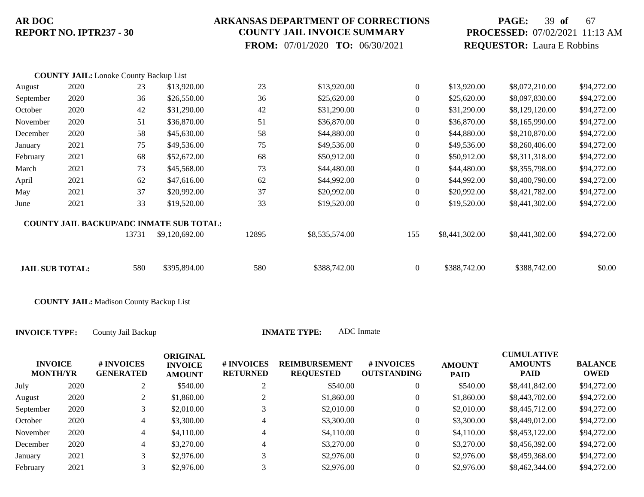### **ARKANSAS DEPARTMENT OF CORRECTIONS COUNTY JAIL INVOICE SUMMARY**

 **FROM:** 07/01/2020 **TO:** 06/30/2021

# **PAGE:** 39 **of** 67 **PROCESSED:** 07/02/2021 11:13 AM **REQUESTOR:** Laura E Robbins

|                        | <b>COUNTY JAIL:</b> Lonoke County Backup List |       |                                                 |       |                |                  |                |                |             |
|------------------------|-----------------------------------------------|-------|-------------------------------------------------|-------|----------------|------------------|----------------|----------------|-------------|
| August                 | 2020                                          | 23    | \$13,920.00                                     | 23    | \$13,920.00    | $\overline{0}$   | \$13,920.00    | \$8,072,210.00 | \$94,272.00 |
| September              | 2020                                          | 36    | \$26,550.00                                     | 36    | \$25,620.00    | $\overline{0}$   | \$25,620.00    | \$8,097,830.00 | \$94,272.00 |
| October                | 2020                                          | 42    | \$31,290.00                                     | 42    | \$31,290.00    | $\overline{0}$   | \$31,290.00    | \$8,129,120.00 | \$94,272.00 |
| November               | 2020                                          | 51    | \$36,870.00                                     | 51    | \$36,870.00    | $\overline{0}$   | \$36,870.00    | \$8,165,990.00 | \$94,272.00 |
| December               | 2020                                          | 58    | \$45,630.00                                     | 58    | \$44,880.00    | $\overline{0}$   | \$44,880.00    | \$8,210,870.00 | \$94,272.00 |
| January                | 2021                                          | 75    | \$49,536.00                                     | 75    | \$49,536.00    | $\overline{0}$   | \$49,536.00    | \$8,260,406.00 | \$94,272.00 |
| February               | 2021                                          | 68    | \$52,672.00                                     | 68    | \$50,912.00    | $\overline{0}$   | \$50,912.00    | \$8,311,318.00 | \$94,272.00 |
| March                  | 2021                                          | 73    | \$45,568.00                                     | 73    | \$44,480.00    | $\overline{0}$   | \$44,480.00    | \$8,355,798.00 | \$94,272.00 |
| April                  | 2021                                          | 62    | \$47,616.00                                     | 62    | \$44,992.00    | $\overline{0}$   | \$44,992.00    | \$8,400,790.00 | \$94,272.00 |
| May                    | 2021                                          | 37    | \$20,992.00                                     | 37    | \$20,992.00    | $\overline{0}$   | \$20,992.00    | \$8,421,782.00 | \$94,272.00 |
| June                   | 2021                                          | 33    | \$19,520.00                                     | 33    | \$19,520.00    | $\boldsymbol{0}$ | \$19,520.00    | \$8,441,302.00 | \$94,272.00 |
|                        |                                               |       | <b>COUNTY JAIL BACKUP/ADC INMATE SUB TOTAL:</b> |       |                |                  |                |                |             |
|                        |                                               | 13731 | \$9,120,692.00                                  | 12895 | \$8,535,574.00 | 155              | \$8,441,302.00 | \$8,441,302.00 | \$94,272.00 |
|                        |                                               |       |                                                 |       |                |                  |                |                |             |
| <b>JAIL SUB TOTAL:</b> |                                               | 580   | \$395,894.00                                    | 580   | \$388,742.00   | $\boldsymbol{0}$ | \$388,742.00   | \$388,742.00   | \$0.00      |

**COUNTY JAIL:** Madison County Backup List

| <b>INVOICE</b><br><b>MONTH/YR</b> |      | # INVOICES<br><b>GENERATED</b> | <b>ORIGINAL</b><br><b>INVOICE</b><br><b>AMOUNT</b> | # INVOICES<br><b>RETURNED</b> | <b>REIMBURSEMENT</b><br><b>REQUESTED</b> | # INVOICES<br><b>OUTSTANDING</b> | <b>AMOUNT</b><br><b>PAID</b> | <b>CUMULATIVE</b><br><b>AMOUNTS</b><br><b>PAID</b> | <b>BALANCE</b><br><b>OWED</b> |
|-----------------------------------|------|--------------------------------|----------------------------------------------------|-------------------------------|------------------------------------------|----------------------------------|------------------------------|----------------------------------------------------|-------------------------------|
| July                              | 2020 |                                | \$540.00                                           |                               | \$540.00                                 | $\overline{0}$                   | \$540.00                     | \$8,441,842.00                                     | \$94,272.00                   |
| August                            | 2020 | 2                              | \$1,860.00                                         |                               | \$1,860.00                               | $\mathbf{0}$                     | \$1,860.00                   | \$8,443,702.00                                     | \$94,272.00                   |
| September                         | 2020 | 3                              | \$2,010.00                                         |                               | \$2,010.00                               | $\mathbf{0}$                     | \$2,010.00                   | \$8,445,712.00                                     | \$94,272.00                   |
| October                           | 2020 | 4                              | \$3,300.00                                         |                               | \$3,300.00                               | $\overline{0}$                   | \$3,300.00                   | \$8,449,012.00                                     | \$94,272.00                   |
| November                          | 2020 | 4                              | \$4,110.00                                         | 4                             | \$4,110.00                               | $\overline{0}$                   | \$4,110.00                   | \$8,453,122.00                                     | \$94,272.00                   |
| December                          | 2020 | 4                              | \$3,270.00                                         | 4                             | \$3,270.00                               | $\mathbf{0}$                     | \$3,270.00                   | \$8,456,392.00                                     | \$94,272.00                   |
| January                           | 2021 | 3                              | \$2,976.00                                         | 3                             | \$2,976.00                               | $\overline{0}$                   | \$2,976.00                   | \$8,459,368.00                                     | \$94,272.00                   |
| February                          | 2021 |                                | \$2,976.00                                         |                               | \$2,976.00                               | $\overline{0}$                   | \$2,976.00                   | \$8,462,344.00                                     | \$94,272.00                   |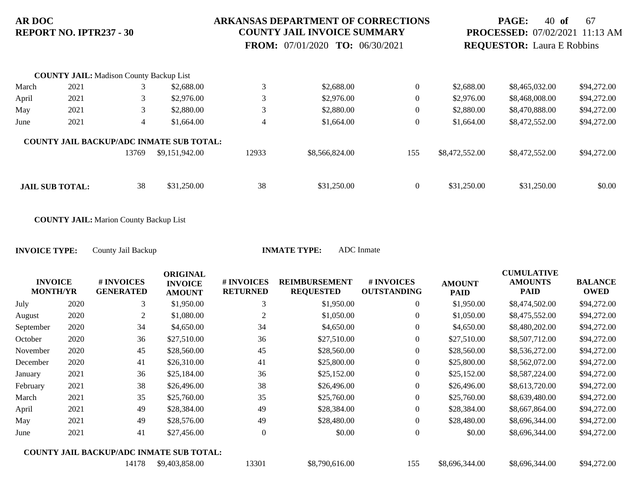### **ARKANSAS DEPARTMENT OF CORRECTIONS COUNTY JAIL INVOICE SUMMARY**

 **FROM:** 07/01/2020 **TO:** 06/30/2021

## **PAGE:** 40 **of** 67 **PROCESSED:** 07/02/2021 11:13 AM **REQUESTOR:** Laura E Robbins

|       | <b>COUNTY JAIL:</b> Madison County Backup List |       |                                                 |                |                |                  |                |                |             |
|-------|------------------------------------------------|-------|-------------------------------------------------|----------------|----------------|------------------|----------------|----------------|-------------|
| March | 2021                                           |       | \$2,688.00                                      | 3              | \$2,688.00     | $\theta$         | \$2,688.00     | \$8,465,032.00 | \$94,272.00 |
| April | 2021                                           |       | \$2,976.00                                      | 3              | \$2,976.00     | $\boldsymbol{0}$ | \$2,976.00     | \$8,468,008.00 | \$94,272.00 |
| May   | 2021                                           |       | \$2,880.00                                      | 3              | \$2,880.00     | $\boldsymbol{0}$ | \$2,880.00     | \$8,470,888.00 | \$94,272.00 |
| June  | 2021                                           | 4     | \$1,664.00                                      | $\overline{4}$ | \$1,664.00     | $\mathbf{0}$     | \$1,664.00     | \$8,472,552.00 | \$94,272.00 |
|       |                                                |       | <b>COUNTY JAIL BACKUP/ADC INMATE SUB TOTAL:</b> |                |                |                  |                |                |             |
|       |                                                | 13769 | \$9,151,942.00                                  | 12933          | \$8,566,824.00 | 155              | \$8,472,552.00 | \$8,472,552.00 | \$94,272.00 |
|       |                                                |       |                                                 |                |                |                  |                |                |             |
|       | <b>JAIL SUB TOTAL:</b>                         | 38    | \$31,250.00                                     | 38             | \$31,250.00    | $\mathbf{0}$     | \$31,250.00    | \$31,250.00    | \$0.00      |

**COUNTY JAIL:** Marion County Backup List

|           |                                   |                                                 | <b>ORIGINAL</b>                 |                               |                                          |                                  |                              | <b>CUMULATIVE</b>             |                               |
|-----------|-----------------------------------|-------------------------------------------------|---------------------------------|-------------------------------|------------------------------------------|----------------------------------|------------------------------|-------------------------------|-------------------------------|
|           | <b>INVOICE</b><br><b>MONTH/YR</b> | # INVOICES<br><b>GENERATED</b>                  | <b>INVOICE</b><br><b>AMOUNT</b> | # INVOICES<br><b>RETURNED</b> | <b>REIMBURSEMENT</b><br><b>REQUESTED</b> | # INVOICES<br><b>OUTSTANDING</b> | <b>AMOUNT</b><br><b>PAID</b> | <b>AMOUNTS</b><br><b>PAID</b> | <b>BALANCE</b><br><b>OWED</b> |
| July      | 2020                              | 3                                               | \$1,950.00                      | 3                             | \$1,950.00                               | 0                                | \$1,950.00                   | \$8,474,502.00                | \$94,272.00                   |
| August    | 2020                              | 2                                               | \$1,080.00                      | $\overline{2}$                | \$1,050.00                               | $\overline{0}$                   | \$1,050.00                   | \$8,475,552.00                | \$94,272.00                   |
| September | 2020                              | 34                                              | \$4,650.00                      | 34                            | \$4,650.00                               | $\overline{0}$                   | \$4,650.00                   | \$8,480,202.00                | \$94,272.00                   |
| October   | 2020                              | 36                                              | \$27,510.00                     | 36                            | \$27,510.00                              | $\overline{0}$                   | \$27,510.00                  | \$8,507,712.00                | \$94,272.00                   |
| November  | 2020                              | 45                                              | \$28,560.00                     | 45                            | \$28,560.00                              | $\overline{0}$                   | \$28,560.00                  | \$8,536,272.00                | \$94,272.00                   |
| December  | 2020                              | 41                                              | \$26,310.00                     | 41                            | \$25,800.00                              | $\overline{0}$                   | \$25,800.00                  | \$8,562,072.00                | \$94,272.00                   |
| January   | 2021                              | 36                                              | \$25,184.00                     | 36                            | \$25,152.00                              | $\boldsymbol{0}$                 | \$25,152.00                  | \$8,587,224.00                | \$94,272.00                   |
| February  | 2021                              | 38                                              | \$26,496.00                     | 38                            | \$26,496.00                              | $\overline{0}$                   | \$26,496.00                  | \$8,613,720.00                | \$94,272.00                   |
| March     | 2021                              | 35                                              | \$25,760.00                     | 35                            | \$25,760.00                              | $\boldsymbol{0}$                 | \$25,760.00                  | \$8,639,480.00                | \$94,272.00                   |
| April     | 2021                              | 49                                              | \$28,384.00                     | 49                            | \$28,384.00                              | $\boldsymbol{0}$                 | \$28,384.00                  | \$8,667,864.00                | \$94,272.00                   |
| May       | 2021                              | 49                                              | \$28,576.00                     | 49                            | \$28,480.00                              | $\boldsymbol{0}$                 | \$28,480.00                  | \$8,696,344.00                | \$94,272.00                   |
| June      | 2021                              | 41                                              | \$27,456.00                     | $\Omega$                      | \$0.00                                   | $\overline{0}$                   | \$0.00                       | \$8,696,344.00                | \$94,272.00                   |
|           |                                   | <b>COUNTY JAIL BACKUP/ADC INMATE SUB TOTAL:</b> |                                 |                               |                                          |                                  |                              |                               |                               |
|           |                                   | 14178                                           | \$9,403,858.00                  | 13301                         | \$8,790,616.00                           | 155                              | \$8,696,344.00               | \$8,696,344.00                | \$94,272.00                   |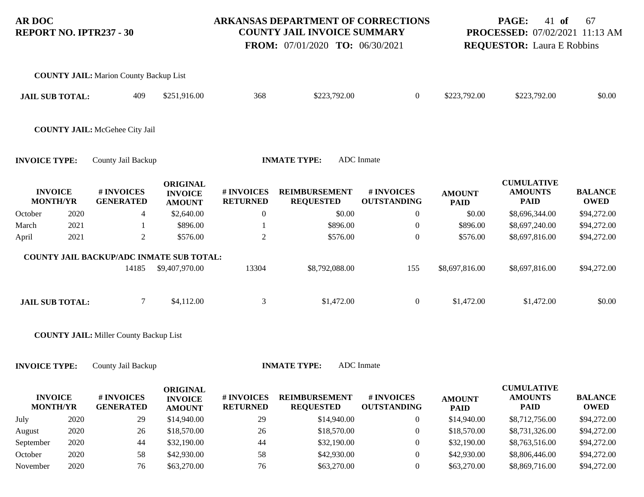### **ARKANSAS DEPARTMENT OF CORRECTIONS COUNTY JAIL INVOICE SUMMARY**

 **FROM:** 07/01/2020 **TO:** 06/30/2021

## **PAGE:** 41 **of** 67 **PROCESSED:** 07/02/2021 11:13 AM **REQUESTOR:** Laura E Robbins

|                      |                                   | <b>COUNTY JAIL:</b> Marion County Backup List   |                                                    |                               |                                          |                                  |                              |                                                    |                               |
|----------------------|-----------------------------------|-------------------------------------------------|----------------------------------------------------|-------------------------------|------------------------------------------|----------------------------------|------------------------------|----------------------------------------------------|-------------------------------|
|                      | <b>JAIL SUB TOTAL:</b>            | 409                                             | \$251,916.00                                       | 368                           | \$223,792.00                             | $\boldsymbol{0}$                 | \$223,792.00                 | \$223,792.00                                       | \$0.00                        |
|                      |                                   | <b>COUNTY JAIL: McGehee City Jail</b>           |                                                    |                               |                                          |                                  |                              |                                                    |                               |
| <b>INVOICE TYPE:</b> |                                   | County Jail Backup                              |                                                    |                               | <b>INMATE TYPE:</b>                      | <b>ADC</b> Inmate                |                              |                                                    |                               |
|                      | <b>INVOICE</b><br><b>MONTH/YR</b> | # INVOICES<br><b>GENERATED</b>                  | <b>ORIGINAL</b><br><b>INVOICE</b><br><b>AMOUNT</b> | # INVOICES<br><b>RETURNED</b> | <b>REIMBURSEMENT</b><br><b>REQUESTED</b> | # INVOICES<br><b>OUTSTANDING</b> | <b>AMOUNT</b><br><b>PAID</b> | <b>CUMULATIVE</b><br><b>AMOUNTS</b><br><b>PAID</b> | <b>BALANCE</b><br><b>OWED</b> |
| October              | 2020                              | 4                                               | \$2,640.00                                         | $\boldsymbol{0}$              | \$0.00                                   | $\boldsymbol{0}$                 | \$0.00                       | \$8,696,344.00                                     | \$94,272.00                   |
| March                | 2021                              |                                                 | \$896.00                                           |                               | \$896.00                                 | $\overline{0}$                   | \$896.00                     | \$8,697,240.00                                     | \$94,272.00                   |
| April                | 2021                              | $\overline{2}$                                  | \$576.00                                           | $\overline{2}$                | \$576.00                                 | $\boldsymbol{0}$                 | \$576.00                     | \$8,697,816.00                                     | \$94,272.00                   |
|                      |                                   | <b>COUNTY JAIL BACKUP/ADC INMATE SUB TOTAL:</b> |                                                    |                               |                                          |                                  |                              |                                                    |                               |
|                      |                                   | 14185                                           | \$9,407,970.00                                     | 13304                         | \$8,792,088.00                           | 155                              | \$8,697,816.00               | \$8,697,816.00                                     | \$94,272.00                   |
|                      | <b>JAIL SUB TOTAL:</b>            | $\overline{7}$                                  | \$4,112.00                                         | 3                             | \$1,472.00                               | $\boldsymbol{0}$                 | \$1,472.00                   | \$1,472.00                                         | \$0.00                        |

**COUNTY JAIL:** Miller County Backup List

| <b>INVOICE</b><br><b>MONTH/YR</b> |      | # INVOICES<br><b>GENERATED</b> | ORIGINAL<br><b>INVOICE</b><br><b>AMOUNT</b> | # INVOICES<br><b>RETURNED</b> | <b>REIMBURSEMENT</b><br><b>REQUESTED</b> | # INVOICES<br><b>OUTSTANDING</b> | <b>AMOUNT</b><br><b>PAID</b> | <b>CUMULATIVE</b><br><b>AMOUNTS</b><br><b>PAID</b> | <b>BALANCE</b><br><b>OWED</b> |
|-----------------------------------|------|--------------------------------|---------------------------------------------|-------------------------------|------------------------------------------|----------------------------------|------------------------------|----------------------------------------------------|-------------------------------|
| July                              | 2020 | 29                             | \$14,940.00                                 | 29                            | \$14,940.00                              |                                  | \$14,940.00                  | \$8,712,756.00                                     | \$94,272.00                   |
|                                   |      |                                |                                             |                               |                                          |                                  |                              |                                                    |                               |
| August                            | 2020 | 26                             | \$18,570.00                                 | 26                            | \$18,570.00                              |                                  | \$18,570.00                  | \$8,731,326.00                                     | \$94,272.00                   |
| September                         | 2020 | 44                             | \$32,190.00                                 | 44                            | \$32,190.00                              |                                  | \$32,190.00                  | \$8,763,516.00                                     | \$94,272.00                   |
| October                           | 2020 | 58                             | \$42,930.00                                 | 58                            | \$42,930.00                              |                                  | \$42,930.00                  | \$8,806,446.00                                     | \$94,272.00                   |
| November                          | 2020 | 76                             | \$63,270.00                                 | 76                            | \$63,270.00                              |                                  | \$63,270.00                  | \$8,869,716.00                                     | \$94,272.00                   |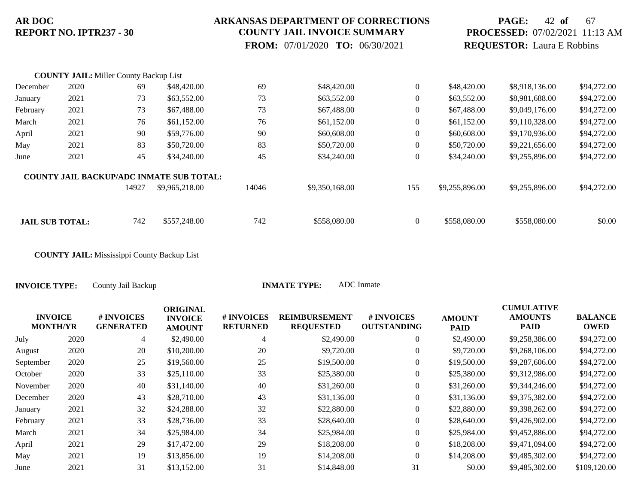#### **ARKANSAS DEPARTMENT OF CORRECTIONS COUNTY JAIL INVOICE SUMMARY**

 **FROM:** 07/01/2020 **TO:** 06/30/2021

## **PAGE:** 42 **of** 67 **PROCESSED:** 07/02/2021 11:13 AM **REQUESTOR:** Laura E Robbins

|                        | <b>COUNTY JAIL:</b> Miller County Backup List |       |                                                 |       |                |                  |                |                |             |
|------------------------|-----------------------------------------------|-------|-------------------------------------------------|-------|----------------|------------------|----------------|----------------|-------------|
| December               | 2020                                          | 69    | \$48,420.00                                     | 69    | \$48,420.00    | $\boldsymbol{0}$ | \$48,420.00    | \$8,918,136.00 | \$94,272.00 |
| January                | 2021                                          | 73    | \$63,552.00                                     | 73    | \$63,552.00    | $\theta$         | \$63,552.00    | \$8,981,688.00 | \$94,272.00 |
| February               | 2021                                          | 73    | \$67,488.00                                     | 73    | \$67,488.00    | $\boldsymbol{0}$ | \$67,488.00    | \$9,049,176.00 | \$94,272.00 |
| March                  | 2021                                          | 76    | \$61,152.00                                     | 76    | \$61,152.00    | $\overline{0}$   | \$61,152.00    | \$9,110,328.00 | \$94,272.00 |
| April                  | 2021                                          | 90    | \$59,776.00                                     | 90    | \$60,608.00    | $\boldsymbol{0}$ | \$60,608.00    | \$9,170,936.00 | \$94,272.00 |
| May                    | 2021                                          | 83    | \$50,720.00                                     | 83    | \$50,720.00    | $\overline{0}$   | \$50,720.00    | \$9,221,656.00 | \$94,272.00 |
| June                   | 2021                                          | 45    | \$34,240.00                                     | 45    | \$34,240.00    | $\overline{0}$   | \$34,240.00    | \$9,255,896.00 | \$94,272.00 |
|                        |                                               |       | <b>COUNTY JAIL BACKUP/ADC INMATE SUB TOTAL:</b> |       |                |                  |                |                |             |
|                        |                                               | 14927 | \$9,965,218.00                                  | 14046 | \$9,350,168.00 | 155              | \$9,255,896.00 | \$9,255,896.00 | \$94,272.00 |
|                        |                                               |       |                                                 |       |                |                  |                |                |             |
| <b>JAIL SUB TOTAL:</b> |                                               | 742   | \$557,248.00                                    | 742   | \$558,080.00   | $\overline{0}$   | \$558,080.00   | \$558,080.00   | \$0.00      |

**COUNTY JAIL:** Mississippi County Backup List

|                                   |      |                                | <b>ORIGINAL</b>                 |                               |                                          |                                        |                              | <b>CUMULATIVE</b>             |                               |
|-----------------------------------|------|--------------------------------|---------------------------------|-------------------------------|------------------------------------------|----------------------------------------|------------------------------|-------------------------------|-------------------------------|
| <b>INVOICE</b><br><b>MONTH/YR</b> |      | # INVOICES<br><b>GENERATED</b> | <b>INVOICE</b><br><b>AMOUNT</b> | # INVOICES<br><b>RETURNED</b> | <b>REIMBURSEMENT</b><br><b>REQUESTED</b> | <b>#INVOICES</b><br><b>OUTSTANDING</b> | <b>AMOUNT</b><br><b>PAID</b> | <b>AMOUNTS</b><br><b>PAID</b> | <b>BALANCE</b><br><b>OWED</b> |
| July                              | 2020 | 4                              | \$2,490.00                      | 4                             | \$2,490.00                               | $\overline{0}$                         | \$2,490.00                   | \$9,258,386.00                | \$94,272.00                   |
| August                            | 2020 | 20                             | \$10,200.00                     | 20                            | \$9,720.00                               | $\overline{0}$                         | \$9,720.00                   | \$9,268,106.00                | \$94,272.00                   |
| September                         | 2020 | 25                             | \$19,560.00                     | 25                            | \$19,500.00                              | $\overline{0}$                         | \$19,500.00                  | \$9,287,606.00                | \$94,272.00                   |
| October                           | 2020 | 33                             | \$25,110.00                     | 33                            | \$25,380.00                              | $\overline{0}$                         | \$25,380.00                  | \$9,312,986.00                | \$94,272.00                   |
| November                          | 2020 | 40                             | \$31,140.00                     | 40                            | \$31,260.00                              | $\overline{0}$                         | \$31,260.00                  | \$9,344,246.00                | \$94,272.00                   |
| December                          | 2020 | 43                             | \$28,710.00                     | 43                            | \$31,136.00                              | $\overline{0}$                         | \$31,136.00                  | \$9,375,382.00                | \$94,272.00                   |
| January                           | 2021 | 32                             | \$24,288.00                     | 32                            | \$22,880.00                              | $\overline{0}$                         | \$22,880.00                  | \$9,398,262.00                | \$94,272.00                   |
| February                          | 2021 | 33                             | \$28,736.00                     | 33                            | \$28,640.00                              | $\overline{0}$                         | \$28,640.00                  | \$9,426,902.00                | \$94,272.00                   |
| March                             | 2021 | 34                             | \$25,984.00                     | 34                            | \$25,984.00                              | $\overline{0}$                         | \$25,984.00                  | \$9,452,886.00                | \$94,272.00                   |
| April                             | 2021 | 29                             | \$17,472.00                     | 29                            | \$18,208.00                              | $\overline{0}$                         | \$18,208.00                  | \$9,471,094.00                | \$94,272.00                   |
| May                               | 2021 | 19                             | \$13,856.00                     | 19                            | \$14,208.00                              | $\overline{0}$                         | \$14,208.00                  | \$9,485,302.00                | \$94,272.00                   |
| June                              | 2021 | 31                             | \$13,152.00                     | 31                            | \$14,848.00                              | 31                                     | \$0.00                       | \$9,485,302.00                | \$109,120.00                  |
|                                   |      |                                |                                 |                               |                                          |                                        |                              |                               |                               |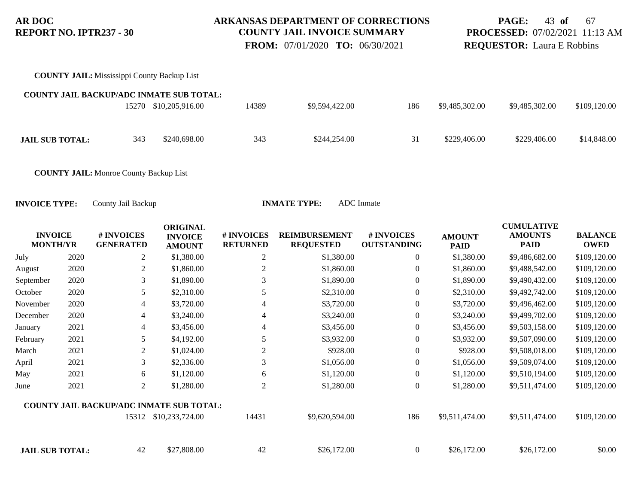### **ARKANSAS DEPARTMENT OF CORRECTIONS COUNTY JAIL INVOICE SUMMARY**

 **FROM:** 07/01/2020 **TO:** 06/30/2021

## **PAGE:** 43 **of** 67 **PROCESSED:** 07/02/2021 11:13 AM **REQUESTOR:** Laura E Robbins

**COUNTY JAIL:** Mississippi County Backup List

| <b>COUNTY JAIL BACKUP/ADC INMATE SUB TOTAL:</b> |     |                       |       |                |     |                |                |              |
|-------------------------------------------------|-----|-----------------------|-------|----------------|-----|----------------|----------------|--------------|
|                                                 |     | 15270 \$10,205,916.00 | 14389 | \$9,594,422.00 | 186 | \$9,485,302.00 | \$9,485,302.00 | \$109,120.00 |
|                                                 |     |                       |       |                |     |                |                |              |
| <b>JAIL SUB TOTAL:</b>                          | 343 | \$240,698.00          | 343   | \$244,254.00   | 31  | \$229,406.00   | \$229,406.00   | \$14,848.00  |

**COUNTY JAIL:** Monroe County Backup List

| <b>INVOICE</b><br><b>MONTH/YR</b> |      | # INVOICES<br><b>GENERATED</b> | <b>ORIGINAL</b><br><b>INVOICE</b><br><b>AMOUNT</b> | # INVOICES<br><b>RETURNED</b> | <b>REIMBURSEMENT</b><br><b>REQUESTED</b> | # INVOICES<br><b>OUTSTANDING</b> | <b>AMOUNT</b><br><b>PAID</b> | <b>CUMULATIVE</b><br><b>AMOUNTS</b><br><b>PAID</b> | <b>BALANCE</b><br><b>OWED</b> |
|-----------------------------------|------|--------------------------------|----------------------------------------------------|-------------------------------|------------------------------------------|----------------------------------|------------------------------|----------------------------------------------------|-------------------------------|
| July                              | 2020 | $\overline{2}$                 | \$1,380.00                                         | $\overline{2}$                | \$1,380.00                               | $\overline{0}$                   | \$1,380.00                   | \$9,486,682.00                                     | \$109,120.00                  |
| August                            | 2020 | 2                              | \$1,860.00                                         | $\overline{2}$                | \$1,860.00                               | $\overline{0}$                   | \$1,860.00                   | \$9,488,542.00                                     | \$109,120.00                  |
| September                         | 2020 | 3                              | \$1,890.00                                         | 3                             | \$1,890.00                               | $\overline{0}$                   | \$1,890.00                   | \$9,490,432.00                                     | \$109,120.00                  |
| October                           | 2020 | 5                              | \$2,310.00                                         | 5                             | \$2,310.00                               | $\boldsymbol{0}$                 | \$2,310.00                   | \$9,492,742.00                                     | \$109,120.00                  |
| November                          | 2020 | 4                              | \$3,720.00                                         | $\overline{4}$                | \$3,720.00                               | $\overline{0}$                   | \$3,720.00                   | \$9,496,462.00                                     | \$109,120.00                  |
| December                          | 2020 | $\overline{4}$                 | \$3,240.00                                         | $\overline{4}$                | \$3,240.00                               | $\overline{0}$                   | \$3,240.00                   | \$9,499,702.00                                     | \$109,120.00                  |
| January                           | 2021 | 4                              | \$3,456.00                                         | $\overline{4}$                | \$3,456.00                               | $\boldsymbol{0}$                 | \$3,456.00                   | \$9,503,158.00                                     | \$109,120.00                  |
| February                          | 2021 | 5                              | \$4,192.00                                         | 5                             | \$3,932.00                               | $\boldsymbol{0}$                 | \$3,932.00                   | \$9,507,090.00                                     | \$109,120.00                  |
| March                             | 2021 | 2                              | \$1,024.00                                         | $\overline{2}$                | \$928.00                                 | $\overline{0}$                   | \$928.00                     | \$9,508,018.00                                     | \$109,120.00                  |
| April                             | 2021 | 3                              | \$2,336.00                                         | 3                             | \$1,056.00                               | $\overline{0}$                   | \$1,056.00                   | \$9,509,074.00                                     | \$109,120.00                  |
| May                               | 2021 | 6                              | \$1,120.00                                         | 6                             | \$1,120.00                               | $\overline{0}$                   | \$1,120.00                   | \$9,510,194.00                                     | \$109,120.00                  |
| June                              | 2021 | 2                              | \$1,280.00                                         | $\overline{2}$                | \$1,280.00                               | $\theta$                         | \$1,280.00                   | \$9,511,474.00                                     | \$109,120.00                  |
|                                   |      |                                | <b>COUNTY JAIL BACKUP/ADC INMATE SUB TOTAL:</b>    |                               |                                          |                                  |                              |                                                    |                               |
|                                   |      | 15312                          | \$10,233,724.00                                    | 14431                         | \$9,620,594.00                           | 186                              | \$9,511,474.00               | \$9,511,474.00                                     | \$109,120.00                  |
| <b>JAIL SUB TOTAL:</b>            |      | 42                             | \$27,808.00                                        | 42                            | \$26,172.00                              | $\overline{0}$                   | \$26,172.00                  | \$26,172.00                                        | \$0.00                        |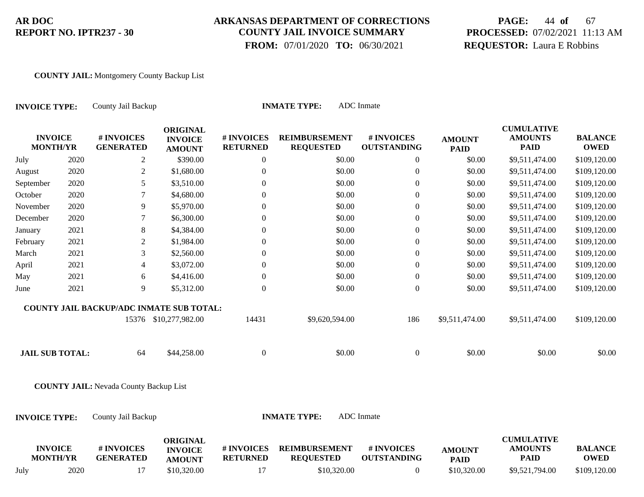## **ARKANSAS DEPARTMENT OF CORRECTIONS COUNTY JAIL INVOICE SUMMARY**

 **FROM:** 07/01/2020 **TO:** 06/30/2021

# **PAGE:** 44 **of** 67 **PROCESSED:** 07/02/2021 11:13 AM **REQUESTOR:** Laura E Robbins

#### **COUNTY JAIL:** Montgomery County Backup List

| <b>INVOICE TYPE:</b>              |      | County Jail Backup                              |                                                    |                               | <b>INMATE TYPE:</b>                      | <b>ADC</b> Inmate                |                              |                                                    |                               |
|-----------------------------------|------|-------------------------------------------------|----------------------------------------------------|-------------------------------|------------------------------------------|----------------------------------|------------------------------|----------------------------------------------------|-------------------------------|
| <b>INVOICE</b><br><b>MONTH/YR</b> |      | # INVOICES<br><b>GENERATED</b>                  | <b>ORIGINAL</b><br><b>INVOICE</b><br><b>AMOUNT</b> | # INVOICES<br><b>RETURNED</b> | <b>REIMBURSEMENT</b><br><b>REQUESTED</b> | # INVOICES<br><b>OUTSTANDING</b> | <b>AMOUNT</b><br><b>PAID</b> | <b>CUMULATIVE</b><br><b>AMOUNTS</b><br><b>PAID</b> | <b>BALANCE</b><br><b>OWED</b> |
| July                              | 2020 | 2                                               | \$390.00                                           | $\overline{0}$                | \$0.00                                   | $\boldsymbol{0}$                 | \$0.00                       | \$9,511,474.00                                     | \$109,120.00                  |
| August                            | 2020 | $\sqrt{2}$                                      | \$1,680.00                                         | $\boldsymbol{0}$              | \$0.00                                   | $\boldsymbol{0}$                 | \$0.00                       | \$9,511,474.00                                     | \$109,120.00                  |
| September                         | 2020 | 5                                               | \$3,510.00                                         | $\boldsymbol{0}$              | \$0.00                                   | $\boldsymbol{0}$                 | \$0.00                       | \$9,511,474.00                                     | \$109,120.00                  |
| October                           | 2020 | 7                                               | \$4,680.00                                         | $\overline{0}$                | \$0.00                                   | $\boldsymbol{0}$                 | \$0.00                       | \$9,511,474.00                                     | \$109,120.00                  |
| November                          | 2020 | 9                                               | \$5,970.00                                         | $\boldsymbol{0}$              | \$0.00                                   | $\boldsymbol{0}$                 | \$0.00                       | \$9,511,474.00                                     | \$109,120.00                  |
| December                          | 2020 | 7                                               | \$6,300.00                                         | $\overline{0}$                | \$0.00                                   | $\boldsymbol{0}$                 | \$0.00                       | \$9,511,474.00                                     | \$109,120.00                  |
| January                           | 2021 | $\,8\,$                                         | \$4,384.00                                         | $\boldsymbol{0}$              | \$0.00                                   | $\boldsymbol{0}$                 | \$0.00                       | \$9,511,474.00                                     | \$109,120.00                  |
| February                          | 2021 | $\sqrt{2}$                                      | \$1,984.00                                         | $\boldsymbol{0}$              | \$0.00                                   | $\boldsymbol{0}$                 | \$0.00                       | \$9,511,474.00                                     | \$109,120.00                  |
| March                             | 2021 | 3                                               | \$2,560.00                                         | $\overline{0}$                | \$0.00                                   | $\boldsymbol{0}$                 | \$0.00                       | \$9,511,474.00                                     | \$109,120.00                  |
| April                             | 2021 | $\overline{4}$                                  | \$3,072.00                                         | $\boldsymbol{0}$              | \$0.00                                   | $\boldsymbol{0}$                 | \$0.00                       | \$9,511,474.00                                     | \$109,120.00                  |
| May                               | 2021 | 6                                               | \$4,416.00                                         | $\overline{0}$                | \$0.00                                   | $\boldsymbol{0}$                 | \$0.00                       | \$9,511,474.00                                     | \$109,120.00                  |
| June                              | 2021 | 9                                               | \$5,312.00                                         | $\Omega$                      | \$0.00                                   | $\boldsymbol{0}$                 | \$0.00                       | \$9,511,474.00                                     | \$109,120.00                  |
|                                   |      | <b>COUNTY JAIL BACKUP/ADC INMATE SUB TOTAL:</b> |                                                    |                               |                                          |                                  |                              |                                                    |                               |
|                                   |      |                                                 | 15376 \$10,277,982.00                              | 14431                         | \$9,620,594.00                           | 186                              | \$9,511,474.00               | \$9,511,474.00                                     | \$109,120.00                  |
| <b>JAIL SUB TOTAL:</b>            |      | 64                                              | \$44,258.00                                        | $\boldsymbol{0}$              | \$0.00                                   | $\boldsymbol{0}$                 | \$0.00                       | \$0.00                                             | \$0.00                        |
|                                   |      | <b>COUNTY JAIL:</b> Nevada County Backup List   |                                                    |                               |                                          |                                  |                              |                                                    |                               |
| <b>INVOICE TYPE:</b>              |      | County Jail Backup                              |                                                    |                               | <b>INMATE TYPE:</b>                      | <b>ADC</b> Inmate                |                              |                                                    |                               |
| <b>INVOICE</b><br><b>MONTH/YR</b> |      | # INVOICES<br><b>GENERATED</b>                  | <b>ORIGINAL</b><br><b>INVOICE</b><br><b>AMOUNT</b> | # INVOICES<br><b>RETURNED</b> | <b>REIMBURSEMENT</b><br><b>REQUESTED</b> | # INVOICES<br><b>OUTSTANDING</b> | <b>AMOUNT</b><br><b>PAID</b> | <b>CUMULATIVE</b><br><b>AMOUNTS</b><br><b>PAID</b> | <b>BALANCE</b><br><b>OWED</b> |

July 2020 17 \$10,320.00 17 \$10,320.00 0 \$10,320.00 \$9,521,794.00 \$109,120.00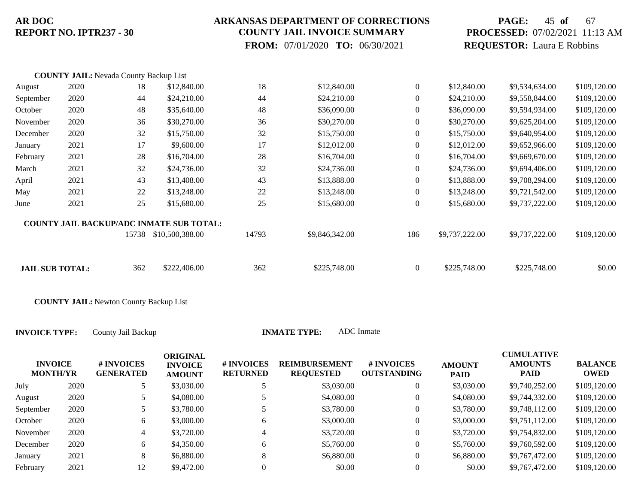### **ARKANSAS DEPARTMENT OF CORRECTIONS COUNTY JAIL INVOICE SUMMARY**

 **FROM:** 07/01/2020 **TO:** 06/30/2021

# **PAGE:** 45 **of** 67 **PROCESSED:** 07/02/2021 11:13 AM **REQUESTOR:** Laura E Robbins

|                        | <b>COUNTY JAIL: Nevada County Backup List</b> |       |                                                 |       |                |                  |                |                |              |
|------------------------|-----------------------------------------------|-------|-------------------------------------------------|-------|----------------|------------------|----------------|----------------|--------------|
| August                 | 2020                                          | 18    | \$12,840.00                                     | 18    | \$12,840.00    | $\overline{0}$   | \$12,840.00    | \$9,534,634.00 | \$109,120.00 |
| September              | 2020                                          | 44    | \$24,210.00                                     | 44    | \$24,210.00    | $\overline{0}$   | \$24,210.00    | \$9,558,844.00 | \$109,120.00 |
| October                | 2020                                          | 48    | \$35,640.00                                     | 48    | \$36,090.00    | $\theta$         | \$36,090.00    | \$9,594,934.00 | \$109,120.00 |
| November               | 2020                                          | 36    | \$30,270.00                                     | 36    | \$30,270.00    | $\overline{0}$   | \$30,270.00    | \$9,625,204.00 | \$109,120.00 |
| December               | 2020                                          | 32    | \$15,750.00                                     | 32    | \$15,750.00    | $\theta$         | \$15,750.00    | \$9,640,954.00 | \$109,120.00 |
| January                | 2021                                          | 17    | \$9,600.00                                      | 17    | \$12,012.00    | $\boldsymbol{0}$ | \$12,012.00    | \$9,652,966.00 | \$109,120.00 |
| February               | 2021                                          | 28    | \$16,704.00                                     | 28    | \$16,704.00    | $\theta$         | \$16,704.00    | \$9,669,670.00 | \$109,120.00 |
| March                  | 2021                                          | 32    | \$24,736.00                                     | 32    | \$24,736.00    | $\theta$         | \$24,736.00    | \$9,694,406.00 | \$109,120.00 |
| April                  | 2021                                          | 43    | \$13,408.00                                     | 43    | \$13,888.00    | $\theta$         | \$13,888.00    | \$9,708,294.00 | \$109,120.00 |
| May                    | 2021                                          | 22    | \$13,248.00                                     | 22    | \$13,248.00    | $\overline{0}$   | \$13,248.00    | \$9,721,542.00 | \$109,120.00 |
| June                   | 2021                                          | 25    | \$15,680.00                                     | 25    | \$15,680.00    | $\overline{0}$   | \$15,680.00    | \$9,737,222.00 | \$109,120.00 |
|                        |                                               |       | <b>COUNTY JAIL BACKUP/ADC INMATE SUB TOTAL:</b> |       |                |                  |                |                |              |
|                        |                                               | 15738 | \$10,500,388.00                                 | 14793 | \$9,846,342.00 | 186              | \$9,737,222.00 | \$9,737,222.00 | \$109,120.00 |
| <b>JAIL SUB TOTAL:</b> |                                               | 362   | \$222,406.00                                    | 362   | \$225,748.00   | $\overline{0}$   | \$225,748.00   | \$225,748.00   | \$0.00       |

**COUNTY JAIL:** Newton County Backup List

**INVOICE TYPE:** County Jail Backup **INMATE** 

| <b>INVOICE</b><br><b>MONTH/YR</b> |      | <b># INVOICES</b><br><b>GENERATED</b> | <b>ORIGINAL</b><br><b>INVOICE</b><br><b>AMOUNT</b> | # INVOICES<br><b>RETURNED</b> | <b>REIMBURSEMENT</b><br><b>REQUESTED</b> | # INVOICES<br><b>OUTSTANDING</b> | <b>AMOUNT</b><br><b>PAID</b> | <b>CUMULATIVE</b><br><b>AMOUNTS</b><br><b>PAID</b> | <b>BALANCE</b><br>OWED |
|-----------------------------------|------|---------------------------------------|----------------------------------------------------|-------------------------------|------------------------------------------|----------------------------------|------------------------------|----------------------------------------------------|------------------------|
| July                              | 2020 | 5                                     | \$3,030.00                                         |                               | \$3,030.00                               | $\mathbf{0}$                     | \$3,030.00                   | \$9,740,252.00                                     | \$109,120.00           |
| August                            | 2020 | 5                                     | \$4,080.00                                         |                               | \$4,080.00                               | $\overline{0}$                   | \$4,080.00                   | \$9,744,332.00                                     | \$109,120.00           |
| September                         | 2020 | ر                                     | \$3,780.00                                         |                               | \$3,780.00                               | $\overline{0}$                   | \$3,780.00                   | \$9,748,112.00                                     | \$109,120.00           |
| October                           | 2020 | 6                                     | \$3,000.00                                         | 6                             | \$3,000.00                               | $\overline{0}$                   | \$3,000.00                   | \$9,751,112.00                                     | \$109,120.00           |
| November                          | 2020 | $\overline{4}$                        | \$3,720.00                                         |                               | \$3,720.00                               | $\overline{0}$                   | \$3,720.00                   | \$9,754,832.00                                     | \$109,120.00           |
| December                          | 2020 | 6                                     | \$4,350.00                                         | 6                             | \$5,760.00                               | $\overline{0}$                   | \$5,760.00                   | \$9,760,592.00                                     | \$109,120.00           |
| January                           | 2021 | 8                                     | \$6,880.00                                         | 8                             | \$6,880.00                               | $\overline{0}$                   | \$6,880.00                   | \$9,767,472.00                                     | \$109,120.00           |
| February                          | 2021 | 12                                    | \$9,472.00                                         | 0                             | \$0.00                                   | $\mathbf{0}$                     | \$0.00                       | \$9,767,472.00                                     | \$109,120.00           |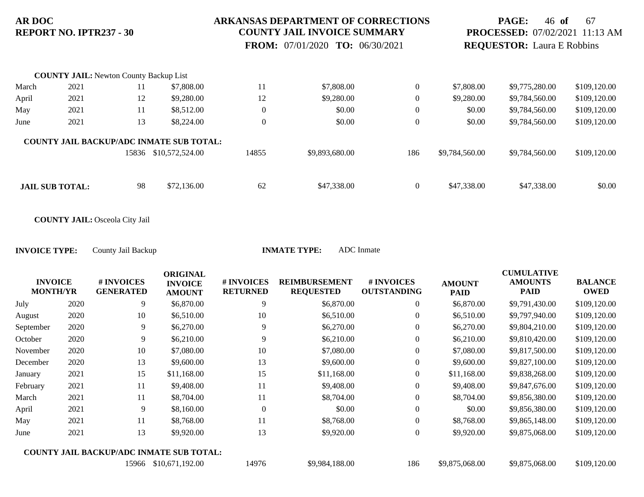### **ARKANSAS DEPARTMENT OF CORRECTIONS COUNTY JAIL INVOICE SUMMARY**

 **FROM:** 07/01/2020 **TO:** 06/30/2021

## **PAGE:** 46 **of** 67 **PROCESSED:** 07/02/2021 11:13 AM **REQUESTOR:** Laura E Robbins

|       | <b>COUNTY JAIL:</b> Newton County Backup List |       |                                                 |                  |                |                |                |                |              |
|-------|-----------------------------------------------|-------|-------------------------------------------------|------------------|----------------|----------------|----------------|----------------|--------------|
| March | 2021                                          | 11    | \$7,808.00                                      | 11               | \$7,808.00     | $\theta$       | \$7,808.00     | \$9,775,280.00 | \$109,120.00 |
| April | 2021                                          | 12    | \$9,280.00                                      | 12               | \$9,280.00     | $\theta$       | \$9,280.00     | \$9,784,560.00 | \$109,120.00 |
| May   | 2021                                          | 11    | \$8,512.00                                      | $\boldsymbol{0}$ | \$0.00         | $\theta$       | \$0.00         | \$9,784,560.00 | \$109,120.00 |
| June  | 2021                                          | 13    | \$8,224.00                                      | $\overline{0}$   | \$0.00         | $\overline{0}$ | \$0.00         | \$9,784,560.00 | \$109,120.00 |
|       |                                               |       | <b>COUNTY JAIL BACKUP/ADC INMATE SUB TOTAL:</b> |                  |                |                |                |                |              |
|       |                                               | 15836 | \$10,572,524.00                                 | 14855            | \$9,893,680.00 | 186            | \$9,784,560.00 | \$9,784,560.00 | \$109,120.00 |
|       |                                               |       |                                                 |                  |                |                |                |                |              |
|       | <b>JAIL SUB TOTAL:</b>                        | 98    | \$72,136.00                                     | 62               | \$47,338.00    | $\mathbf{0}$   | \$47,338.00    | \$47,338.00    | \$0.00       |

**COUNTY JAIL:** Osceola City Jail

| ATE TYPE: | ADC Inmate |
|-----------|------------|
|           |            |

| <b>INVOICE</b><br><b>MONTH/YR</b> |      | # INVOICES<br><b>GENERATED</b> | <b>ORIGINAL</b><br><b>INVOICE</b><br><b>AMOUNT</b> | # INVOICES<br><b>RETURNED</b> | <b>REIMBURSEMENT</b><br><b>REQUESTED</b> | # INVOICES<br><b>OUTSTANDING</b> | <b>AMOUNT</b><br><b>PAID</b> | <b>CUMULATIVE</b><br><b>AMOUNTS</b><br><b>PAID</b> | <b>BALANCE</b><br><b>OWED</b> |
|-----------------------------------|------|--------------------------------|----------------------------------------------------|-------------------------------|------------------------------------------|----------------------------------|------------------------------|----------------------------------------------------|-------------------------------|
| July                              | 2020 | 9                              | \$6,870.00                                         | 9                             | \$6,870.00                               | $\overline{0}$                   | \$6,870.00                   | \$9,791,430.00                                     | \$109,120.00                  |
| August                            | 2020 | 10                             | \$6,510.00                                         | 10                            | \$6,510.00                               | $\boldsymbol{0}$                 | \$6,510.00                   | \$9,797,940.00                                     | \$109,120.00                  |
| September                         | 2020 | 9                              | \$6,270.00                                         | 9                             | \$6,270.00                               | $\overline{0}$                   | \$6,270.00                   | \$9,804,210.00                                     | \$109,120.00                  |
| October                           | 2020 | 9                              | \$6,210.00                                         | 9                             | \$6,210.00                               | $\overline{0}$                   | \$6,210.00                   | \$9,810,420.00                                     | \$109,120.00                  |
| November                          | 2020 | 10                             | \$7,080.00                                         | 10                            | \$7,080.00                               | $\overline{0}$                   | \$7,080.00                   | \$9,817,500.00                                     | \$109,120.00                  |
| December                          | 2020 | 13                             | \$9,600.00                                         | 13                            | \$9,600.00                               | $\boldsymbol{0}$                 | \$9,600.00                   | \$9,827,100.00                                     | \$109,120.00                  |
| January                           | 2021 | 15                             | \$11,168.00                                        | 15                            | \$11,168.00                              | $\overline{0}$                   | \$11,168.00                  | \$9,838,268.00                                     | \$109,120.00                  |
| February                          | 2021 | 11                             | \$9,408.00                                         | 11                            | \$9,408.00                               | $\overline{0}$                   | \$9,408.00                   | \$9,847,676.00                                     | \$109,120.00                  |
| March                             | 2021 | 11                             | \$8,704.00                                         | 11                            | \$8,704.00                               | $\overline{0}$                   | \$8,704.00                   | \$9,856,380.00                                     | \$109,120.00                  |
| April                             | 2021 | 9                              | \$8,160.00                                         | $\theta$                      | \$0.00                                   | $\overline{0}$                   | \$0.00                       | \$9,856,380.00                                     | \$109,120.00                  |
| May                               | 2021 | 11                             | \$8,768.00                                         | 11                            | \$8,768.00                               | $\overline{0}$                   | \$8,768.00                   | \$9,865,148.00                                     | \$109,120.00                  |
| June                              | 2021 | 13                             | \$9,920.00                                         | 13                            | \$9,920.00                               | $\overline{0}$                   | \$9,920.00                   | \$9,875,068.00                                     | \$109,120.00                  |
|                                   |      |                                | <b>COUNTY JAIL BACKUP/ADC INMATE SUB TOTAL:</b>    |                               |                                          |                                  |                              |                                                    |                               |
|                                   |      | 15966                          | \$10,671,192.00                                    | 14976                         | \$9,984,188.00                           | 186                              | \$9,875,068.00               | \$9,875,068.00                                     | \$109,120.00                  |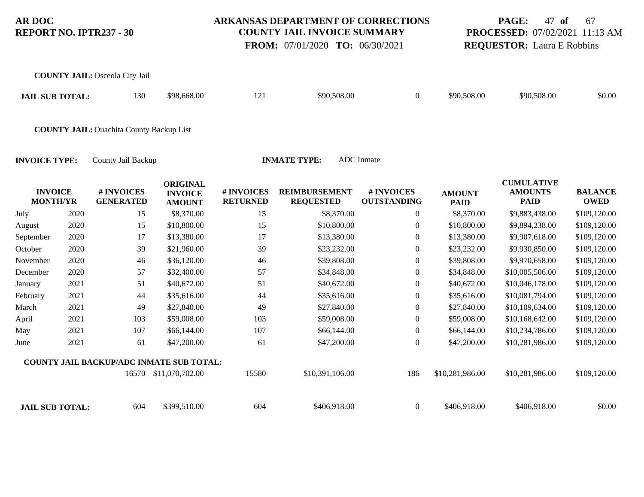### **ARKANSAS DEPARTMENT OF CORRECTIONS COUNTY JAIL INVOICE SUMMARY**

 **FROM:** 07/01/2020 **TO:** 06/30/2021

### **PAGE:** 47 **of** 67 **PROCESSED:** 07/02/2021 11:13 AM **REQUESTOR:** Laura E Robbins

|                                   |      | <b>COUNTY JAIL: Osceola City Jail</b>           |                                                    |                               |                                          |                                  |                              |                                                    |                               |
|-----------------------------------|------|-------------------------------------------------|----------------------------------------------------|-------------------------------|------------------------------------------|----------------------------------|------------------------------|----------------------------------------------------|-------------------------------|
| <b>JAIL SUB TOTAL:</b>            |      | 130                                             | \$98,668.00                                        | 121                           | \$90,508.00                              | $\boldsymbol{0}$                 | \$90,508.00                  | \$90,508.00                                        | \$0.00                        |
|                                   |      | <b>COUNTY JAIL:</b> Ouachita County Backup List |                                                    |                               |                                          |                                  |                              |                                                    |                               |
| <b>INVOICE TYPE:</b>              |      | County Jail Backup                              |                                                    |                               | <b>INMATE TYPE:</b>                      | <b>ADC</b> Inmate                |                              |                                                    |                               |
| <b>INVOICE</b><br><b>MONTH/YR</b> |      | # INVOICES<br><b>GENERATED</b>                  | <b>ORIGINAL</b><br><b>INVOICE</b><br><b>AMOUNT</b> | # INVOICES<br><b>RETURNED</b> | <b>REIMBURSEMENT</b><br><b>REQUESTED</b> | # INVOICES<br><b>OUTSTANDING</b> | <b>AMOUNT</b><br><b>PAID</b> | <b>CUMULATIVE</b><br><b>AMOUNTS</b><br><b>PAID</b> | <b>BALANCE</b><br><b>OWED</b> |
| July                              | 2020 | 15                                              | \$8,370.00                                         | 15                            | \$8,370.00                               | $\boldsymbol{0}$                 | \$8,370.00                   | \$9,883,438.00                                     | \$109,120.00                  |
| August                            | 2020 | 15                                              | \$10,800.00                                        | 15                            | \$10,800.00                              | $\boldsymbol{0}$                 | \$10,800.00                  | \$9,894,238.00                                     | \$109,120.00                  |
| September                         | 2020 | 17                                              | \$13,380.00                                        | 17                            | \$13,380.00                              | $\boldsymbol{0}$                 | \$13,380.00                  | \$9,907,618.00                                     | \$109,120.00                  |
| October                           | 2020 | 39                                              | \$21,960.00                                        | 39                            | \$23,232.00                              | $\mathbf{0}$                     | \$23,232.00                  | \$9,930,850.00                                     | \$109,120.00                  |
| November                          | 2020 | 46                                              | \$36,120.00                                        | 46                            | \$39,808.00                              | $\boldsymbol{0}$                 | \$39,808.00                  | \$9,970,658.00                                     | \$109,120.00                  |
| December                          | 2020 | 57                                              | \$32,400.00                                        | 57                            | \$34,848.00                              | $\theta$                         | \$34,848.00                  | \$10,005,506.00                                    | \$109,120.00                  |
| January                           | 2021 | 51                                              | \$40,672.00                                        | 51                            | \$40,672.00                              | $\theta$                         | \$40,672.00                  | \$10,046,178.00                                    | \$109,120.00                  |
| February                          | 2021 | 44                                              | \$35,616.00                                        | 44                            | \$35,616.00                              | $\boldsymbol{0}$                 | \$35,616.00                  | \$10,081,794.00                                    | \$109,120.00                  |
| March                             | 2021 | 49                                              | \$27,840.00                                        | 49                            | \$27,840.00                              | $\theta$                         | \$27,840.00                  | \$10,109,634.00                                    | \$109,120.00                  |
| April                             | 2021 | 103                                             | \$59,008.00                                        | 103                           | \$59,008.00                              | $\theta$                         | \$59,008.00                  | \$10,168,642.00                                    | \$109,120.00                  |
| May                               | 2021 | 107                                             | \$66,144.00                                        | 107                           | \$66,144.00                              | $\mathbf{0}$                     | \$66,144.00                  | \$10,234,786.00                                    | \$109,120.00                  |
| June                              | 2021 | 61                                              | \$47,200.00                                        | 61                            | \$47,200.00                              | $\boldsymbol{0}$                 | \$47,200.00                  | \$10,281,986.00                                    | \$109,120.00                  |
|                                   |      | <b>COUNTY JAIL BACKUP/ADC INMATE SUB TOTAL:</b> |                                                    |                               |                                          |                                  |                              |                                                    |                               |
|                                   |      | 16570                                           | \$11,070,702.00                                    | 15580                         | \$10,391,106.00                          | 186                              | \$10,281,986.00              | \$10,281,986.00                                    | \$109,120.00                  |

**JAIL SUB TOTAL:** 604 \$399,510.00 604 \$406,918.00 0 \$406,918.00 \$406,918.00 \$60.00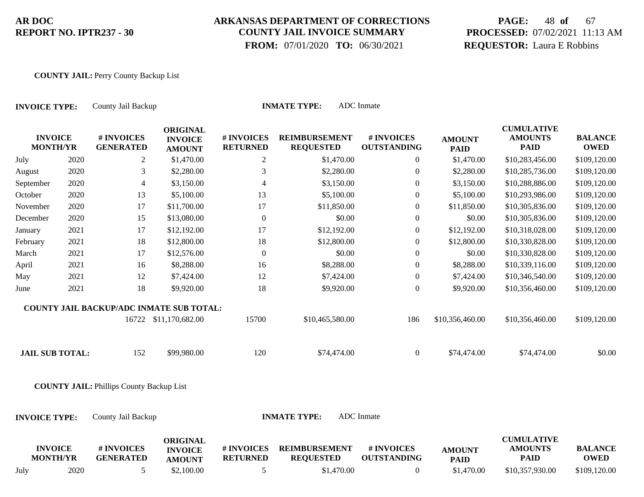## **ARKANSAS DEPARTMENT OF CORRECTIONS COUNTY JAIL INVOICE SUMMARY**

 **FROM:** 07/01/2020 **TO:** 06/30/2021

# **PAGE:** 48 **of** 67 **PROCESSED:** 07/02/2021 11:13 AM **REQUESTOR:** Laura E Robbins

#### **COUNTY JAIL:** Perry County Backup List

| <b>ADC</b> Inmate<br><b>INMATE TYPE:</b><br>County Jail Backup<br><b>INVOICE TYPE:</b> |      |                                                 |                                                    |                               |                                          |                                  |                              |                                                    |                               |
|----------------------------------------------------------------------------------------|------|-------------------------------------------------|----------------------------------------------------|-------------------------------|------------------------------------------|----------------------------------|------------------------------|----------------------------------------------------|-------------------------------|
| <b>INVOICE</b><br><b>MONTH/YR</b>                                                      |      | # INVOICES<br><b>GENERATED</b>                  | <b>ORIGINAL</b><br><b>INVOICE</b><br><b>AMOUNT</b> | # INVOICES<br><b>RETURNED</b> | <b>REIMBURSEMENT</b><br><b>REQUESTED</b> | # INVOICES<br><b>OUTSTANDING</b> | <b>AMOUNT</b><br><b>PAID</b> | <b>CUMULATIVE</b><br><b>AMOUNTS</b><br><b>PAID</b> | <b>BALANCE</b><br><b>OWED</b> |
| July                                                                                   | 2020 | $\overline{2}$                                  | \$1,470.00                                         | $\overline{c}$                | \$1,470.00                               | $\overline{0}$                   | \$1,470.00                   | \$10,283,456.00                                    | \$109,120.00                  |
| August                                                                                 | 2020 | 3                                               | \$2,280.00                                         | 3                             | \$2,280.00                               | $\boldsymbol{0}$                 | \$2,280.00                   | \$10,285,736.00                                    | \$109,120.00                  |
| September                                                                              | 2020 | $\overline{4}$                                  | \$3,150.00                                         | 4                             | \$3,150.00                               | $\boldsymbol{0}$                 | \$3,150.00                   | \$10,288,886.00                                    | \$109,120.00                  |
| October                                                                                | 2020 | 13                                              | \$5,100.00                                         | 13                            | \$5,100.00                               | $\mathbf{0}$                     | \$5,100.00                   | \$10,293,986.00                                    | \$109,120.00                  |
| November                                                                               | 2020 | 17                                              | \$11,700.00                                        | 17                            | \$11,850.00                              | $\mathbf{0}$                     | \$11,850.00                  | \$10,305,836.00                                    | \$109,120.00                  |
| December                                                                               | 2020 | 15                                              | \$13,080.00                                        | $\boldsymbol{0}$              | \$0.00                                   | $\boldsymbol{0}$                 | \$0.00                       | \$10,305,836.00                                    | \$109,120.00                  |
| January                                                                                | 2021 | 17                                              | \$12,192.00                                        | 17                            | \$12,192.00                              | $\boldsymbol{0}$                 | \$12,192.00                  | \$10,318,028.00                                    | \$109,120.00                  |
| February                                                                               | 2021 | 18                                              | \$12,800.00                                        | 18                            | \$12,800.00                              | $\boldsymbol{0}$                 | \$12,800.00                  | \$10,330,828.00                                    | \$109,120.00                  |
| March                                                                                  | 2021 | 17                                              | \$12,576.00                                        | $\overline{0}$                | \$0.00                                   | $\overline{0}$                   | \$0.00                       | \$10,330,828.00                                    | \$109,120.00                  |
| April                                                                                  | 2021 | 16                                              | \$8,288.00                                         | 16                            | \$8,288.00                               | $\boldsymbol{0}$                 | \$8,288.00                   | \$10,339,116.00                                    | \$109,120.00                  |
| May                                                                                    | 2021 | 12                                              | \$7,424.00                                         | 12                            | \$7,424.00                               | $\boldsymbol{0}$                 | \$7,424.00                   | \$10,346,540.00                                    | \$109,120.00                  |
| June                                                                                   | 2021 | 18                                              | \$9,920.00                                         | 18                            | \$9,920.00                               | $\overline{0}$                   | \$9,920.00                   | \$10,356,460.00                                    | \$109,120.00                  |
|                                                                                        |      | <b>COUNTY JAIL BACKUP/ADC INMATE SUB TOTAL:</b> |                                                    |                               |                                          |                                  |                              |                                                    |                               |
|                                                                                        |      |                                                 | 16722 \$11,170,682.00                              | 15700                         | \$10,465,580.00                          | 186                              | \$10,356,460.00              | \$10,356,460.00                                    | \$109,120.00                  |
| <b>JAIL SUB TOTAL:</b>                                                                 |      | 152                                             | \$99,980.00                                        | 120                           | \$74,474.00                              | $\overline{0}$                   | \$74,474.00                  | \$74,474.00                                        | \$0.00                        |
|                                                                                        |      | <b>COUNTY JAIL: Phillips County Backup List</b> |                                                    |                               |                                          |                                  |                              |                                                    |                               |
| <b>INVOICE TYPE:</b>                                                                   |      | County Jail Backup                              |                                                    |                               | <b>INMATE TYPE:</b>                      | <b>ADC</b> Inmate                |                              |                                                    |                               |
| <b>INVOICE</b><br><b>MONTH/YR</b>                                                      |      | # INVOICES<br><b>GENERATED</b>                  | <b>ORIGINAL</b><br><b>INVOICE</b><br><b>AMOUNT</b> | # INVOICES<br><b>RETURNED</b> | <b>REIMBURSEMENT</b><br><b>REQUESTED</b> | # INVOICES<br><b>OUTSTANDING</b> | <b>AMOUNT</b><br><b>PAID</b> | <b>CUMULATIVE</b><br><b>AMOUNTS</b><br><b>PAID</b> | <b>BALANCE</b><br><b>OWED</b> |

July 2020 5 \$2,100.00 5 \$1,470.00 0 \$1,470.00 \$10,357,930.00 \$109,120.00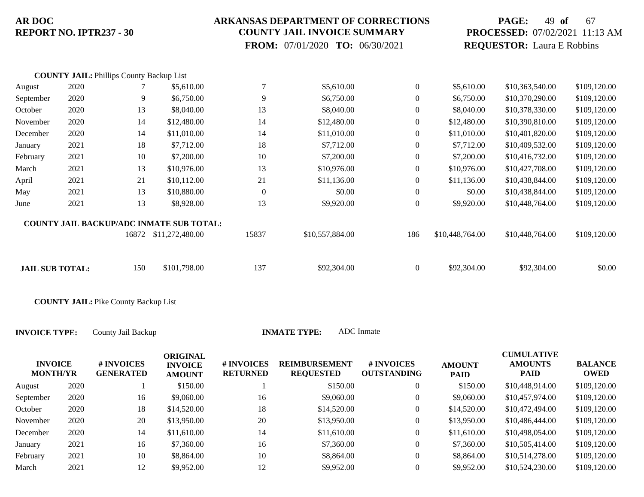### **ARKANSAS DEPARTMENT OF CORRECTIONS COUNTY JAIL INVOICE SUMMARY**

 **FROM:** 07/01/2020 **TO:** 06/30/2021

## **PAGE:** 49 **of** 67 **PROCESSED:** 07/02/2021 11:13 AM **REQUESTOR:** Laura E Robbins

|                        | <b>COUNTY JAIL: Phillips County Backup List</b> |       |                                                 |                  |                 |              |                 |                 |              |
|------------------------|-------------------------------------------------|-------|-------------------------------------------------|------------------|-----------------|--------------|-----------------|-----------------|--------------|
| August                 | 2020                                            |       | \$5,610.00                                      | $\overline{7}$   | \$5,610.00      | $\theta$     | \$5,610.00      | \$10,363,540.00 | \$109,120.00 |
| September              | 2020                                            | 9     | \$6,750.00                                      | 9                | \$6,750.00      | $\theta$     | \$6,750.00      | \$10,370,290.00 | \$109,120.00 |
| October                | 2020                                            | 13    | \$8,040.00                                      | 13               | \$8,040.00      | $\theta$     | \$8,040.00      | \$10,378,330.00 | \$109,120.00 |
| November               | 2020                                            | 14    | \$12,480.00                                     | 14               | \$12,480.00     | $\theta$     | \$12,480.00     | \$10,390,810.00 | \$109,120.00 |
| December               | 2020                                            | 14    | \$11,010.00                                     | 14               | \$11,010.00     | $\theta$     | \$11,010.00     | \$10,401,820.00 | \$109,120.00 |
| January                | 2021                                            | 18    | \$7,712.00                                      | 18               | \$7,712.00      | $\theta$     | \$7,712.00      | \$10,409,532.00 | \$109,120.00 |
| February               | 2021                                            | 10    | \$7,200.00                                      | 10               | \$7,200.00      | $\theta$     | \$7,200.00      | \$10,416,732.00 | \$109,120.00 |
| March                  | 2021                                            | 13    | \$10,976.00                                     | 13               | \$10,976.00     | $\theta$     | \$10,976.00     | \$10,427,708.00 | \$109,120.00 |
| April                  | 2021                                            | 21    | \$10,112.00                                     | 21               | \$11,136.00     | $\theta$     | \$11,136.00     | \$10,438,844.00 | \$109,120.00 |
| May                    | 2021                                            | 13    | \$10,880.00                                     | $\boldsymbol{0}$ | \$0.00          | $\mathbf{0}$ | \$0.00          | \$10,438,844.00 | \$109,120.00 |
| June                   | 2021                                            | 13    | \$8,928.00                                      | 13               | \$9,920.00      | $\theta$     | \$9,920.00      | \$10,448,764.00 | \$109,120.00 |
|                        |                                                 |       | <b>COUNTY JAIL BACKUP/ADC INMATE SUB TOTAL:</b> |                  |                 |              |                 |                 |              |
|                        |                                                 | 16872 | \$11,272,480.00                                 | 15837            | \$10,557,884.00 | 186          | \$10,448,764.00 | \$10,448,764.00 | \$109,120.00 |
| <b>JAIL SUB TOTAL:</b> |                                                 | 150   | \$101,798.00                                    | 137              | \$92,304.00     | $\theta$     | \$92,304.00     | \$92,304.00     | \$0.00       |
|                        |                                                 |       |                                                 |                  |                 |              |                 |                 |              |

**COUNTY JAIL:** Pike County Backup List

|           | <b>INVOICE</b><br><b>MONTH/YR</b> | <b># INVOICES</b><br><b>GENERATED</b> | <b>ORIGINAL</b><br><b>INVOICE</b><br><b>AMOUNT</b> | # INVOICES<br><b>RETURNED</b> | <b>REIMBURSEMENT</b><br><b>REQUESTED</b> | # INVOICES<br><b>OUTSTANDING</b> | <b>AMOUNT</b><br><b>PAID</b> | <b>CUMULATIVE</b><br><b>AMOUNTS</b><br><b>PAID</b> | <b>BALANCE</b><br>OWED |
|-----------|-----------------------------------|---------------------------------------|----------------------------------------------------|-------------------------------|------------------------------------------|----------------------------------|------------------------------|----------------------------------------------------|------------------------|
| August    | 2020                              |                                       | \$150.00                                           |                               | \$150.00                                 | $\overline{0}$                   | \$150.00                     | \$10,448,914.00                                    | \$109,120.00           |
| September | 2020                              | 16                                    | \$9,060.00                                         | 16                            | \$9,060.00                               | $\overline{0}$                   | \$9,060.00                   | \$10,457,974.00                                    | \$109,120.00           |
| October   | 2020                              | 18                                    | \$14,520.00                                        | 18                            | \$14,520.00                              | $\overline{0}$                   | \$14,520.00                  | \$10,472,494.00                                    | \$109,120.00           |
| November  | 2020                              | 20                                    | \$13,950.00                                        | 20                            | \$13,950.00                              | $\mathbf{0}$                     | \$13,950.00                  | \$10,486,444.00                                    | \$109,120.00           |
| December  | 2020                              | 14                                    | \$11,610.00                                        | 14                            | \$11,610.00                              | $\mathbf{0}$                     | \$11,610.00                  | \$10,498,054.00                                    | \$109,120.00           |
| January   | 2021                              | 16                                    | \$7,360.00                                         | 16                            | \$7,360.00                               | $\overline{0}$                   | \$7,360.00                   | \$10,505,414.00                                    | \$109,120.00           |
| February  | 2021                              | 10                                    | \$8,864.00                                         | 10                            | \$8,864.00                               | $\overline{0}$                   | \$8,864.00                   | \$10,514,278.00                                    | \$109,120.00           |
| March     | 2021                              | 12                                    | \$9,952.00                                         | 12                            | \$9,952.00                               | $\theta$                         | \$9,952.00                   | \$10,524,230.00                                    | \$109,120.00           |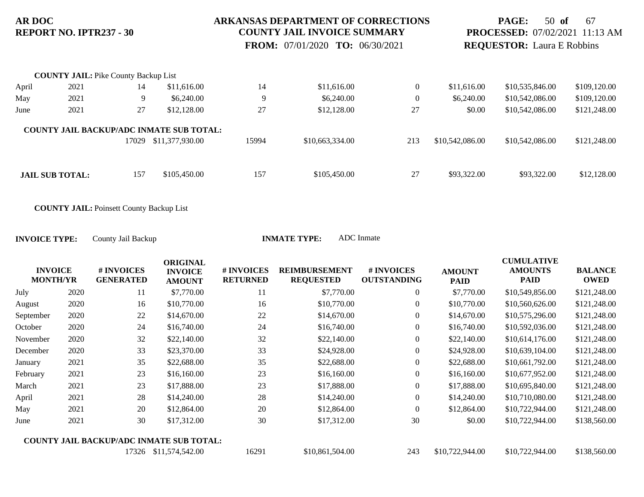### **ARKANSAS DEPARTMENT OF CORRECTIONS COUNTY JAIL INVOICE SUMMARY**

 **FROM:** 07/01/2020 **TO:** 06/30/2021

## **PAGE:** 50 **of** 67 **PROCESSED:** 07/02/2021 11:13 AM **REQUESTOR:** Laura E Robbins

|       | <b>COUNTY JAIL: Pike County Backup List</b> |       |                                                                    |       |                 |                  |                 |                 |              |
|-------|---------------------------------------------|-------|--------------------------------------------------------------------|-------|-----------------|------------------|-----------------|-----------------|--------------|
| April | 2021                                        | 14    | \$11,616.00                                                        | 14    | \$11,616.00     | $\overline{0}$   | \$11,616.00     | \$10,535,846.00 | \$109,120.00 |
| May   | 2021                                        | 9     | \$6,240.00                                                         | 9     | \$6,240.00      | $\boldsymbol{0}$ | \$6,240.00      | \$10,542,086.00 | \$109,120.00 |
| June  | 2021                                        | 27    | \$12,128.00                                                        | 27    | \$12,128.00     | 27               | \$0.00          | \$10,542,086.00 | \$121,248.00 |
|       |                                             | 17029 | <b>COUNTY JAIL BACKUP/ADC INMATE SUB TOTAL:</b><br>\$11,377,930.00 | 15994 | \$10,663,334.00 | 213              | \$10,542,086.00 | \$10,542,086.00 | \$121,248.00 |
|       | <b>JAIL SUB TOTAL:</b>                      | 157   | \$105,450.00                                                       | 157   | \$105,450.00    | 27               | \$93,322.00     | \$93,322.00     | \$12,128.00  |

**COUNTY JAIL:** Poinsett County Backup List

| <b>INVOICE</b><br><b>MONTH/YR</b> |      | # INVOICES<br><b>GENERATED</b> | <b>ORIGINAL</b><br><b>INVOICE</b><br><b>AMOUNT</b> | # INVOICES<br><b>RETURNED</b> | <b>REIMBURSEMENT</b><br><b>REQUESTED</b> | # INVOICES<br><b>OUTSTANDING</b> | <b>AMOUNT</b><br><b>PAID</b> | <b>CUMULATIVE</b><br><b>AMOUNTS</b><br><b>PAID</b> | <b>BALANCE</b><br><b>OWED</b> |
|-----------------------------------|------|--------------------------------|----------------------------------------------------|-------------------------------|------------------------------------------|----------------------------------|------------------------------|----------------------------------------------------|-------------------------------|
| July                              | 2020 | 11                             | \$7,770.00                                         | 11                            | \$7,770.00                               | $\overline{0}$                   | \$7,770.00                   | \$10,549,856.00                                    | \$121,248.00                  |
| August                            | 2020 | 16                             | \$10,770.00                                        | 16                            | \$10,770.00                              | $\overline{0}$                   | \$10,770.00                  | \$10,560,626.00                                    | \$121,248.00                  |
| September                         | 2020 | 22                             | \$14,670.00                                        | 22                            | \$14,670.00                              | $\overline{0}$                   | \$14,670.00                  | \$10,575,296.00                                    | \$121,248.00                  |
| October                           | 2020 | 24                             | \$16,740.00                                        | 24                            | \$16,740.00                              | $\overline{0}$                   | \$16,740.00                  | \$10,592,036.00                                    | \$121,248.00                  |
| November                          | 2020 | 32                             | \$22,140.00                                        | 32                            | \$22,140.00                              | $\overline{0}$                   | \$22,140.00                  | \$10,614,176.00                                    | \$121,248.00                  |
| December                          | 2020 | 33                             | \$23,370.00                                        | 33                            | \$24,928.00                              | $\mathbf{0}$                     | \$24,928.00                  | \$10,639,104.00                                    | \$121,248.00                  |
| January                           | 2021 | 35                             | \$22,688.00                                        | 35                            | \$22,688.00                              | $\overline{0}$                   | \$22,688.00                  | \$10,661,792.00                                    | \$121,248.00                  |
| February                          | 2021 | 23                             | \$16,160.00                                        | 23                            | \$16,160.00                              | $\overline{0}$                   | \$16,160.00                  | \$10,677,952.00                                    | \$121,248.00                  |
| March                             | 2021 | 23                             | \$17,888.00                                        | 23                            | \$17,888.00                              | $\overline{0}$                   | \$17,888.00                  | \$10,695,840.00                                    | \$121,248.00                  |
| April                             | 2021 | 28                             | \$14,240.00                                        | 28                            | \$14,240.00                              | $\overline{0}$                   | \$14,240.00                  | \$10,710,080.00                                    | \$121,248.00                  |
| May                               | 2021 | 20                             | \$12,864.00                                        | 20                            | \$12,864.00                              | $\mathbf{0}$                     | \$12,864.00                  | \$10,722,944.00                                    | \$121,248.00                  |
| June                              | 2021 | 30                             | \$17,312.00                                        | 30                            | \$17,312.00                              | 30                               | \$0.00                       | \$10,722,944.00                                    | \$138,560.00                  |
|                                   |      |                                | <b>COUNTY JAIL BACKUP/ADC INMATE SUB TOTAL:</b>    |                               |                                          |                                  |                              |                                                    |                               |
|                                   |      |                                | 17326 \$11,574,542.00                              | 16291                         | \$10,861,504.00                          | 243                              | \$10,722,944.00              | \$10,722,944.00                                    | \$138,560.00                  |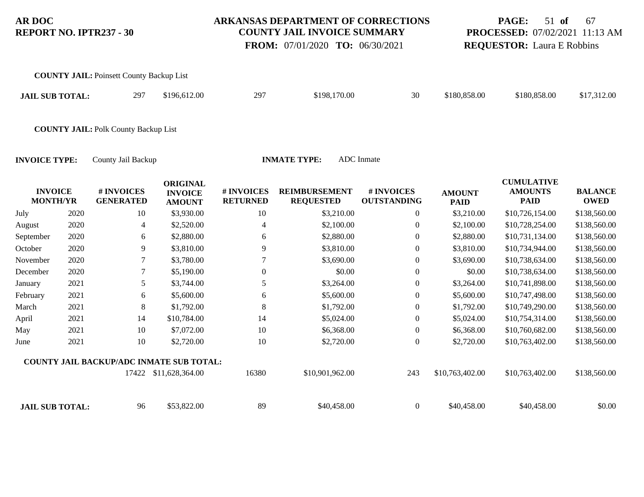#### **ARKANSAS DEPARTMENT OF CORRECTIONS COUNTY JAIL INVOICE SUMMARY**

 **FROM:** 07/01/2020 **TO:** 06/30/2021

## **PAGE:** 51 **of** 67 **PROCESSED:** 07/02/2021 11:13 AM **REQUESTOR:** Laura E Robbins

| <b>COUNTY JAIL: Poinsett County Backup List</b> |     |              |     |              |    |              |              |             |
|-------------------------------------------------|-----|--------------|-----|--------------|----|--------------|--------------|-------------|
| <b>JAIL SUB TOTAL:</b>                          | 297 | \$196,612.00 | 297 | \$198,170.00 | 30 | \$180,858.00 | \$180,858,00 | \$17,312.00 |
|                                                 |     |              |     |              |    |              |              |             |

**COUNTY JAIL:** Polk County Backup List

|           | <b>INVOICE</b><br><b>MONTH/YR</b> | # INVOICES<br><b>GENERATED</b> | <b>ORIGINAL</b><br><b>INVOICE</b><br><b>AMOUNT</b> | # INVOICES<br><b>RETURNED</b> | <b>REIMBURSEMENT</b><br><b>REQUESTED</b> | # INVOICES<br><b>OUTSTANDING</b> | <b>AMOUNT</b><br><b>PAID</b> | <b>CUMULATIVE</b><br><b>AMOUNTS</b><br><b>PAID</b> | <b>BALANCE</b><br><b>OWED</b> |
|-----------|-----------------------------------|--------------------------------|----------------------------------------------------|-------------------------------|------------------------------------------|----------------------------------|------------------------------|----------------------------------------------------|-------------------------------|
| July      | 2020                              | 10                             | \$3,930.00                                         | 10                            | \$3,210.00                               | $\overline{0}$                   | \$3,210.00                   | \$10,726,154.00                                    | \$138,560.00                  |
| August    | 2020                              | 4                              | \$2,520.00                                         | 4                             | \$2,100.00                               | $\overline{0}$                   | \$2,100.00                   | \$10,728,254.00                                    | \$138,560.00                  |
| September | 2020                              | 6                              | \$2,880.00                                         | 6                             | \$2,880.00                               | $\overline{0}$                   | \$2,880.00                   | \$10,731,134.00                                    | \$138,560.00                  |
| October   | 2020                              | 9                              | \$3,810.00                                         | 9                             | \$3,810.00                               | $\boldsymbol{0}$                 | \$3,810.00                   | \$10,734,944.00                                    | \$138,560.00                  |
| November  | 2020                              | 7                              | \$3,780.00                                         |                               | \$3,690.00                               | $\boldsymbol{0}$                 | \$3,690.00                   | \$10,738,634.00                                    | \$138,560.00                  |
| December  | 2020                              |                                | \$5,190.00                                         | $\overline{0}$                | \$0.00                                   | $\overline{0}$                   | \$0.00                       | \$10,738,634.00                                    | \$138,560.00                  |
| January   | 2021                              | 5                              | \$3,744.00                                         | 5                             | \$3,264.00                               | $\overline{0}$                   | \$3,264.00                   | \$10,741,898.00                                    | \$138,560.00                  |
| February  | 2021                              | 6                              | \$5,600.00                                         | 6                             | \$5,600.00                               | $\overline{0}$                   | \$5,600.00                   | \$10,747,498.00                                    | \$138,560.00                  |
| March     | 2021                              | 8                              | \$1,792.00                                         | 8                             | \$1,792.00                               | $\overline{0}$                   | \$1,792.00                   | \$10,749,290.00                                    | \$138,560.00                  |
| April     | 2021                              | 14                             | \$10,784.00                                        | 14                            | \$5,024.00                               | $\overline{0}$                   | \$5,024.00                   | \$10,754,314.00                                    | \$138,560.00                  |
| May       | 2021                              | 10                             | \$7,072.00                                         | 10                            | \$6,368.00                               | $\overline{0}$                   | \$6,368.00                   | \$10,760,682.00                                    | \$138,560.00                  |
| June      | 2021                              | 10                             | \$2,720.00                                         | 10                            | \$2,720.00                               | $\overline{0}$                   | \$2,720.00                   | \$10,763,402.00                                    | \$138,560.00                  |
|           |                                   |                                | <b>COUNTY JAIL BACKUP/ADC INMATE SUB TOTAL:</b>    |                               |                                          |                                  |                              |                                                    |                               |
|           |                                   | 17422                          | \$11,628,364.00                                    | 16380                         | \$10,901,962.00                          | 243                              | \$10,763,402.00              | \$10,763,402.00                                    | \$138,560.00                  |
|           | <b>JAIL SUB TOTAL:</b>            | 96                             | \$53,822.00                                        | 89                            | \$40,458.00                              | $\overline{0}$                   | \$40,458.00                  | \$40,458.00                                        | \$0.00                        |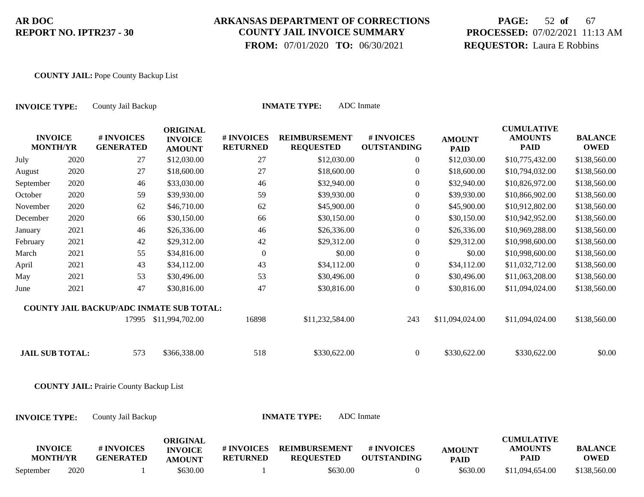## **ARKANSAS DEPARTMENT OF CORRECTIONS COUNTY JAIL INVOICE SUMMARY**

 **FROM:** 07/01/2020 **TO:** 06/30/2021

# **PAGE:** 52 **of** 67 **PROCESSED:** 07/02/2021 11:13 AM **REQUESTOR:** Laura E Robbins

#### **COUNTY JAIL:** Pope County Backup List

| <b>INVOICE TYPE:</b>              |      | County Jail Backup                              | <b>ADC</b> Inmate<br><b>INMATE TYPE:</b>           |                               |                                          |                                  |                              |                                                    |                               |  |  |  |
|-----------------------------------|------|-------------------------------------------------|----------------------------------------------------|-------------------------------|------------------------------------------|----------------------------------|------------------------------|----------------------------------------------------|-------------------------------|--|--|--|
| <b>INVOICE</b><br><b>MONTH/YR</b> |      | # INVOICES<br><b>GENERATED</b>                  | <b>ORIGINAL</b><br><b>INVOICE</b><br><b>AMOUNT</b> | # INVOICES<br><b>RETURNED</b> | <b>REIMBURSEMENT</b><br><b>REQUESTED</b> | # INVOICES<br><b>OUTSTANDING</b> | <b>AMOUNT</b><br><b>PAID</b> | <b>CUMULATIVE</b><br><b>AMOUNTS</b><br><b>PAID</b> | <b>BALANCE</b><br><b>OWED</b> |  |  |  |
| July                              | 2020 | 27                                              | \$12,030.00                                        | 27                            | \$12,030.00                              | $\overline{0}$                   | \$12,030.00                  | \$10,775,432.00                                    | \$138,560.00                  |  |  |  |
| August                            | 2020 | 27                                              | \$18,600.00                                        | 27                            | \$18,600.00                              | $\overline{0}$                   | \$18,600.00                  | \$10,794,032.00                                    | \$138,560.00                  |  |  |  |
| September                         | 2020 | 46                                              | \$33,030.00                                        | 46                            | \$32,940.00                              | $\mathbf{0}$                     | \$32,940.00                  | \$10,826,972.00                                    | \$138,560.00                  |  |  |  |
| October                           | 2020 | 59                                              | \$39,930.00                                        | 59                            | \$39,930.00                              | $\boldsymbol{0}$                 | \$39,930.00                  | \$10,866,902.00                                    | \$138,560.00                  |  |  |  |
| November                          | 2020 | 62                                              | \$46,710.00                                        | 62                            | \$45,900.00                              | $\boldsymbol{0}$                 | \$45,900.00                  | \$10,912,802.00                                    | \$138,560.00                  |  |  |  |
| December                          | 2020 | 66                                              | \$30,150.00                                        | 66                            | \$30,150.00                              | $\boldsymbol{0}$                 | \$30,150.00                  | \$10,942,952.00                                    | \$138,560.00                  |  |  |  |
| January                           | 2021 | 46                                              | \$26,336.00                                        | 46                            | \$26,336.00                              | $\boldsymbol{0}$                 | \$26,336.00                  | \$10,969,288.00                                    | \$138,560.00                  |  |  |  |
| February                          | 2021 | 42                                              | \$29,312.00                                        | $42\,$                        | \$29,312.00                              | $\boldsymbol{0}$                 | \$29,312.00                  | \$10,998,600.00                                    | \$138,560.00                  |  |  |  |
| March                             | 2021 | 55                                              | \$34,816.00                                        | $\boldsymbol{0}$              | \$0.00                                   | $\boldsymbol{0}$                 | \$0.00                       | \$10,998,600.00                                    | \$138,560.00                  |  |  |  |
| April                             | 2021 | 43                                              | \$34,112.00                                        | 43                            | \$34,112.00                              | $\boldsymbol{0}$                 | \$34,112.00                  | \$11,032,712.00                                    | \$138,560.00                  |  |  |  |
| May                               | 2021 | 53                                              | \$30,496.00                                        | 53                            | \$30,496.00                              | $\overline{0}$                   | \$30,496.00                  | \$11,063,208.00                                    | \$138,560.00                  |  |  |  |
| June                              | 2021 | 47                                              | \$30,816.00                                        | 47                            | \$30,816.00                              | $\overline{0}$                   | \$30,816.00                  | \$11,094,024.00                                    | \$138,560.00                  |  |  |  |
|                                   |      | <b>COUNTY JAIL BACKUP/ADC INMATE SUB TOTAL:</b> |                                                    |                               |                                          |                                  |                              |                                                    |                               |  |  |  |
|                                   |      |                                                 | 17995 \$11,994,702.00                              | 16898                         | \$11,232,584.00                          | 243                              | \$11,094,024.00              | \$11,094,024.00                                    | \$138,560.00                  |  |  |  |
| <b>JAIL SUB TOTAL:</b>            |      | 573                                             | \$366,338.00                                       | 518                           | \$330,622.00                             | $\overline{0}$                   | \$330,622.00                 | \$330,622.00                                       | \$0.00                        |  |  |  |
|                                   |      | <b>COUNTY JAIL: Prairie County Backup List</b>  |                                                    |                               |                                          |                                  |                              |                                                    |                               |  |  |  |
| <b>INVOICE TYPE:</b>              |      | County Jail Backup                              |                                                    |                               | <b>INMATE TYPE:</b>                      | <b>ADC</b> Inmate                |                              |                                                    |                               |  |  |  |
| <b>INVOICE</b><br><b>MONTH/YR</b> |      | # INVOICES<br><b>GENERATED</b>                  | <b>ORIGINAL</b><br><b>INVOICE</b><br><b>AMOUNT</b> | # INVOICES<br><b>RETURNED</b> | <b>REIMBURSEMENT</b><br><b>REQUESTED</b> | # INVOICES<br><b>OUTSTANDING</b> | <b>AMOUNT</b><br><b>PAID</b> | <b>CUMULATIVE</b><br><b>AMOUNTS</b><br><b>PAID</b> | <b>BALANCE</b><br><b>OWED</b> |  |  |  |
| September                         | 2020 |                                                 | \$630.00                                           |                               | \$630.00                                 | $\overline{0}$                   | \$630.00                     | \$11,094,654.00                                    | \$138,560.00                  |  |  |  |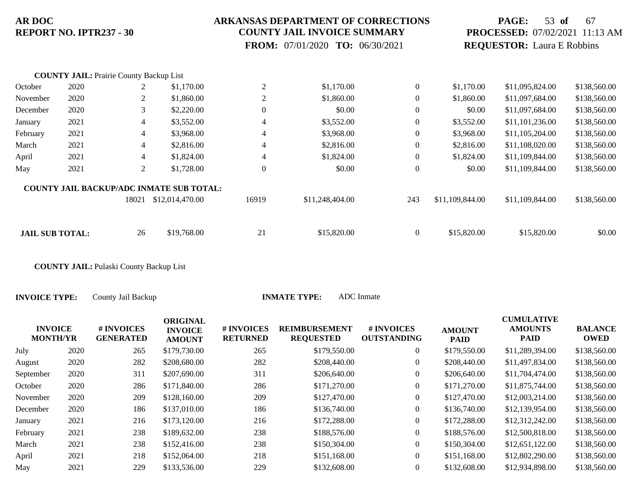#### **ARKANSAS DEPARTMENT OF CORRECTIONS COUNTY JAIL INVOICE SUMMARY**

 **FROM:** 07/01/2020 **TO:** 06/30/2021

## **PAGE:** 53 **of** 67 **PROCESSED:** 07/02/2021 11:13 AM **REQUESTOR:** Laura E Robbins

|                        | <b>COUNTY JAIL: Prairie County Backup List</b> |       |                                                 |                  |                 |                  |                 |                 |              |
|------------------------|------------------------------------------------|-------|-------------------------------------------------|------------------|-----------------|------------------|-----------------|-----------------|--------------|
| October                | 2020                                           | 2     | \$1,170.00                                      | $\overline{c}$   | \$1,170.00      | $\overline{0}$   | \$1,170.00      | \$11,095,824.00 | \$138,560.00 |
| November               | 2020                                           | 2     | \$1,860.00                                      | $\overline{c}$   | \$1,860.00      | $\boldsymbol{0}$ | \$1,860.00      | \$11,097,684.00 | \$138,560.00 |
| December               | 2020                                           | 3     | \$2,220.00                                      | $\boldsymbol{0}$ | \$0.00          | $\theta$         | \$0.00          | \$11,097,684.00 | \$138,560.00 |
| January                | 2021                                           | 4     | \$3,552.00                                      | 4                | \$3,552.00      | $\overline{0}$   | \$3,552.00      | \$11,101,236.00 | \$138,560.00 |
| February               | 2021                                           | 4     | \$3,968.00                                      | 4                | \$3,968.00      | $\theta$         | \$3,968.00      | \$11,105,204.00 | \$138,560.00 |
| March                  | 2021                                           | 4     | \$2,816.00                                      | 4                | \$2,816.00      | $\overline{0}$   | \$2,816.00      | \$11,108,020.00 | \$138,560.00 |
| April                  | 2021                                           | 4     | \$1,824.00                                      | 4                | \$1,824.00      | $\overline{0}$   | \$1,824.00      | \$11,109,844.00 | \$138,560.00 |
| May                    | 2021                                           | 2     | \$1,728.00                                      | $\mathbf{0}$     | \$0.00          | $\theta$         | \$0.00          | \$11,109,844.00 | \$138,560.00 |
|                        |                                                |       | <b>COUNTY JAIL BACKUP/ADC INMATE SUB TOTAL:</b> |                  |                 |                  |                 |                 |              |
|                        |                                                | 18021 | \$12,014,470.00                                 | 16919            | \$11,248,404.00 | 243              | \$11,109,844.00 | \$11,109,844.00 | \$138,560.00 |
|                        |                                                |       |                                                 |                  |                 |                  |                 |                 |              |
| <b>JAIL SUB TOTAL:</b> |                                                | 26    | \$19,768.00                                     | 21               | \$15,820.00     | $\overline{0}$   | \$15,820.00     | \$15,820.00     | \$0.00       |
|                        |                                                |       |                                                 |                  |                 |                  |                 |                 |              |

**COUNTY JAIL:** Pulaski County Backup List

| <b>INVOICE</b><br><b>MONTH/YR</b> |      | # INVOICES<br><b>GENERATED</b> | <b>ORIGINAL</b><br><b>INVOICE</b><br><b>AMOUNT</b> | # INVOICES<br><b>RETURNED</b> | <b>REIMBURSEMENT</b><br><b>REQUESTED</b> | # INVOICES<br><b>OUTSTANDING</b> | <b>AMOUNT</b><br><b>PAID</b> | <b>CUMULATIVE</b><br><b>AMOUNTS</b><br>PAID | <b>BALANCE</b><br><b>OWED</b> |
|-----------------------------------|------|--------------------------------|----------------------------------------------------|-------------------------------|------------------------------------------|----------------------------------|------------------------------|---------------------------------------------|-------------------------------|
| July                              | 2020 | 265                            | \$179,730.00                                       | 265                           | \$179,550.00                             | $\overline{0}$                   | \$179,550.00                 | \$11,289,394.00                             | \$138,560.00                  |
| August                            | 2020 | 282                            | \$208,680.00                                       | 282                           | \$208,440.00                             | $\overline{0}$                   | \$208,440.00                 | \$11,497,834.00                             | \$138,560.00                  |
| September                         | 2020 | 311                            | \$207,690.00                                       | 311                           | \$206,640.00                             | $\theta$                         | \$206,640.00                 | \$11,704,474.00                             | \$138,560.00                  |
| October                           | 2020 | 286                            | \$171,840.00                                       | 286                           | \$171,270.00                             | $\theta$                         | \$171,270.00                 | \$11,875,744.00                             | \$138,560.00                  |
| November                          | 2020 | 209                            | \$128,160.00                                       | 209                           | \$127,470.00                             | $\overline{0}$                   | \$127,470.00                 | \$12,003,214.00                             | \$138,560.00                  |
| December                          | 2020 | 186                            | \$137,010.00                                       | 186                           | \$136,740.00                             | $\overline{0}$                   | \$136,740.00                 | \$12,139,954.00                             | \$138,560.00                  |
| January                           | 2021 | 216                            | \$173,120.00                                       | 216                           | \$172,288.00                             | $\theta$                         | \$172,288.00                 | \$12,312,242.00                             | \$138,560.00                  |
| February                          | 2021 | 238                            | \$189,632.00                                       | 238                           | \$188,576.00                             | $\overline{0}$                   | \$188,576.00                 | \$12,500,818.00                             | \$138,560.00                  |
| March                             | 2021 | 238                            | \$152,416.00                                       | 238                           | \$150,304.00                             | $\overline{0}$                   | \$150,304.00                 | \$12,651,122.00                             | \$138,560.00                  |
| April                             | 2021 | 218                            | \$152,064.00                                       | 218                           | \$151,168.00                             | $\overline{0}$                   | \$151,168.00                 | \$12,802,290.00                             | \$138,560.00                  |
| May                               | 2021 | 229                            | \$133,536.00                                       | 229                           | \$132,608.00                             | $\theta$                         | \$132,608.00                 | \$12,934,898.00                             | \$138,560.00                  |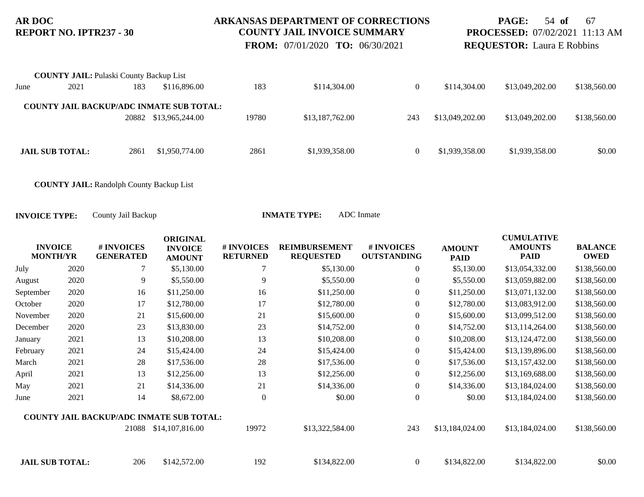### **ARKANSAS DEPARTMENT OF CORRECTIONS COUNTY JAIL INVOICE SUMMARY**

 **FROM:** 07/01/2020 **TO:** 06/30/2021

**PAGE:** 54 **of** 67 **PROCESSED:** 07/02/2021 11:13 AM **REQUESTOR:** Laura E Robbins

|      | <b>COUNTY JAIL:</b> Pulaski County Backup List |      |                                                 |       |                 |          |                 |                 |              |
|------|------------------------------------------------|------|-------------------------------------------------|-------|-----------------|----------|-----------------|-----------------|--------------|
| June | 2021                                           | 183  | \$116,896.00                                    | 183   | \$114,304.00    | 0        | \$114,304.00    | \$13,049,202.00 | \$138,560.00 |
|      |                                                |      |                                                 |       |                 |          |                 |                 |              |
|      |                                                |      | <b>COUNTY JAIL BACKUP/ADC INMATE SUB TOTAL:</b> |       |                 |          |                 |                 |              |
|      |                                                |      | 20882 \$13,965,244.00                           | 19780 | \$13,187,762.00 | 243      | \$13,049,202.00 | \$13,049,202.00 | \$138,560.00 |
|      |                                                |      |                                                 |       |                 |          |                 |                 |              |
|      |                                                |      |                                                 |       |                 |          |                 |                 |              |
|      | <b>JAIL SUB TOTAL:</b>                         | 2861 | \$1,950,774.00                                  | 2861  | \$1,939,358.00  | $\left($ | \$1,939,358.00  | \$1,939,358.00  | \$0.00       |

**COUNTY JAIL:** Randolph County Backup List

| <b>INVOICE</b><br><b>MONTH/YR</b> |      | # INVOICES<br><b>GENERATED</b> | <b>ORIGINAL</b><br><b>INVOICE</b><br><b>AMOUNT</b> | # INVOICES<br><b>RETURNED</b> | <b>REIMBURSEMENT</b><br><b>REQUESTED</b> | # INVOICES<br><b>OUTSTANDING</b> | <b>AMOUNT</b><br><b>PAID</b> | <b>CUMULATIVE</b><br><b>AMOUNTS</b><br><b>PAID</b> | <b>BALANCE</b><br><b>OWED</b> |
|-----------------------------------|------|--------------------------------|----------------------------------------------------|-------------------------------|------------------------------------------|----------------------------------|------------------------------|----------------------------------------------------|-------------------------------|
| July                              | 2020 | 7                              | \$5,130.00                                         |                               | \$5,130.00                               | $\overline{0}$                   | \$5,130.00                   | \$13,054,332.00                                    | \$138,560.00                  |
| August                            | 2020 | 9                              | \$5,550.00                                         | 9                             | \$5,550.00                               | $\overline{0}$                   | \$5,550.00                   | \$13,059,882.00                                    | \$138,560.00                  |
| September                         | 2020 | 16                             | \$11,250.00                                        | 16                            | \$11,250.00                              | $\boldsymbol{0}$                 | \$11,250.00                  | \$13,071,132.00                                    | \$138,560.00                  |
| October                           | 2020 | 17                             | \$12,780.00                                        | 17                            | \$12,780.00                              | $\boldsymbol{0}$                 | \$12,780.00                  | \$13,083,912.00                                    | \$138,560.00                  |
| November                          | 2020 | 21                             | \$15,600.00                                        | 21                            | \$15,600.00                              | $\boldsymbol{0}$                 | \$15,600.00                  | \$13,099,512.00                                    | \$138,560.00                  |
| December                          | 2020 | 23                             | \$13,830.00                                        | 23                            | \$14,752.00                              | $\overline{0}$                   | \$14,752.00                  | \$13,114,264.00                                    | \$138,560.00                  |
| January                           | 2021 | 13                             | \$10,208.00                                        | 13                            | \$10,208.00                              | $\boldsymbol{0}$                 | \$10,208.00                  | \$13,124,472.00                                    | \$138,560.00                  |
| February                          | 2021 | 24                             | \$15,424.00                                        | 24                            | \$15,424.00                              | $\boldsymbol{0}$                 | \$15,424.00                  | \$13,139,896.00                                    | \$138,560.00                  |
| March                             | 2021 | 28                             | \$17,536.00                                        | 28                            | \$17,536.00                              | $\boldsymbol{0}$                 | \$17,536.00                  | \$13,157,432.00                                    | \$138,560.00                  |
| April                             | 2021 | 13                             | \$12,256.00                                        | 13                            | \$12,256.00                              | $\overline{0}$                   | \$12,256.00                  | \$13,169,688.00                                    | \$138,560.00                  |
| May                               | 2021 | 21                             | \$14,336.00                                        | 21                            | \$14,336.00                              | $\overline{0}$                   | \$14,336.00                  | \$13,184,024.00                                    | \$138,560.00                  |
| June                              | 2021 | 14                             | \$8,672.00                                         | $\overline{0}$                | \$0.00                                   | $\mathbf{0}$                     | \$0.00                       | \$13,184,024.00                                    | \$138,560.00                  |
|                                   |      |                                | <b>COUNTY JAIL BACKUP/ADC INMATE SUB TOTAL:</b>    |                               |                                          |                                  |                              |                                                    |                               |
|                                   |      | 21088                          | \$14,107,816.00                                    | 19972                         | \$13,322,584.00                          | 243                              | \$13,184,024.00              | \$13,184,024.00                                    | \$138,560.00                  |
| <b>JAIL SUB TOTAL:</b>            |      | 206                            | \$142,572.00                                       | 192                           | \$134,822.00                             | $\Omega$                         | \$134,822.00                 | \$134,822.00                                       | \$0.00                        |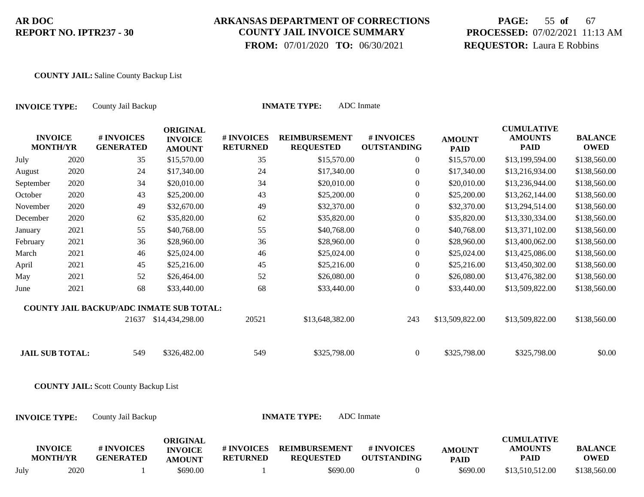### **ARKANSAS DEPARTMENT OF CORRECTIONS COUNTY JAIL INVOICE SUMMARY**

 **FROM:** 07/01/2020 **TO:** 06/30/2021

# **PAGE:** 55 **of** 67 **PROCESSED:** 07/02/2021 11:13 AM **REQUESTOR:** Laura E Robbins

#### **COUNTY JAIL:** Saline County Backup List

| <b>INVOICE TYPE:</b>              |      | <b>ADC</b> Inmate<br><b>INMATE TYPE:</b><br>County Jail Backup |                                                    |                               |                                          |                                  |                              |                                                    |                               |  |  |
|-----------------------------------|------|----------------------------------------------------------------|----------------------------------------------------|-------------------------------|------------------------------------------|----------------------------------|------------------------------|----------------------------------------------------|-------------------------------|--|--|
| <b>INVOICE</b><br><b>MONTH/YR</b> |      | # INVOICES<br><b>GENERATED</b>                                 | <b>ORIGINAL</b><br><b>INVOICE</b><br><b>AMOUNT</b> | # INVOICES<br><b>RETURNED</b> | <b>REIMBURSEMENT</b><br><b>REQUESTED</b> | # INVOICES<br><b>OUTSTANDING</b> | <b>AMOUNT</b><br><b>PAID</b> | <b>CUMULATIVE</b><br><b>AMOUNTS</b><br><b>PAID</b> | <b>BALANCE</b><br><b>OWED</b> |  |  |
| July                              | 2020 | 35                                                             | \$15,570.00                                        | 35                            | \$15,570.00                              | $\boldsymbol{0}$                 | \$15,570.00                  | \$13,199,594.00                                    | \$138,560.00                  |  |  |
| August                            | 2020 | 24                                                             | \$17,340.00                                        | 24                            | \$17,340.00                              | $\boldsymbol{0}$                 | \$17,340.00                  | \$13,216,934.00                                    | \$138,560.00                  |  |  |
| September                         | 2020 | 34                                                             | \$20,010.00                                        | 34                            | \$20,010.00                              | $\mathbf{0}$                     | \$20,010.00                  | \$13,236,944.00                                    | \$138,560.00                  |  |  |
| October                           | 2020 | 43                                                             | \$25,200.00                                        | 43                            | \$25,200.00                              | $\boldsymbol{0}$                 | \$25,200.00                  | \$13,262,144.00                                    | \$138,560.00                  |  |  |
| November                          | 2020 | 49                                                             | \$32,670.00                                        | 49                            | \$32,370.00                              | $\boldsymbol{0}$                 | \$32,370.00                  | \$13,294,514.00                                    | \$138,560.00                  |  |  |
| December                          | 2020 | 62                                                             | \$35,820.00                                        | 62                            | \$35,820.00                              | $\boldsymbol{0}$                 | \$35,820.00                  | \$13,330,334.00                                    | \$138,560.00                  |  |  |
| January                           | 2021 | 55                                                             | \$40,768.00                                        | 55                            | \$40,768.00                              | $\boldsymbol{0}$                 | \$40,768.00                  | \$13,371,102.00                                    | \$138,560.00                  |  |  |
| February                          | 2021 | 36                                                             | \$28,960.00                                        | 36                            | \$28,960.00                              | $\boldsymbol{0}$                 | \$28,960.00                  | \$13,400,062.00                                    | \$138,560.00                  |  |  |
| March                             | 2021 | 46                                                             | \$25,024.00                                        | 46                            | \$25,024.00                              | $\overline{0}$                   | \$25,024.00                  | \$13,425,086.00                                    | \$138,560.00                  |  |  |
| April                             | 2021 | 45                                                             | \$25,216.00                                        | 45                            | \$25,216.00                              | $\boldsymbol{0}$                 | \$25,216.00                  | \$13,450,302.00                                    | \$138,560.00                  |  |  |
| May                               | 2021 | 52                                                             | \$26,464.00                                        | 52                            | \$26,080.00                              | $\boldsymbol{0}$                 | \$26,080.00                  | \$13,476,382.00                                    | \$138,560.00                  |  |  |
| June                              | 2021 | 68                                                             | \$33,440.00                                        | 68                            | \$33,440.00                              | $\boldsymbol{0}$                 | \$33,440.00                  | \$13,509,822.00                                    | \$138,560.00                  |  |  |
|                                   |      | COUNTY JAIL BACKUP/ADC INMATE SUB TOTAL:                       |                                                    |                               |                                          |                                  |                              |                                                    |                               |  |  |
|                                   |      |                                                                | 21637 \$14,434,298.00                              | 20521                         | \$13,648,382.00                          | 243                              | \$13,509,822.00              | \$13,509,822.00                                    | \$138,560.00                  |  |  |
| <b>JAIL SUB TOTAL:</b>            |      | 549                                                            | \$326,482.00                                       | 549                           | \$325,798.00                             | $\boldsymbol{0}$                 | \$325,798.00                 | \$325,798.00                                       | \$0.00                        |  |  |
|                                   |      | <b>COUNTY JAIL:</b> Scott County Backup List                   |                                                    |                               |                                          |                                  |                              |                                                    |                               |  |  |
| <b>INVOICE TYPE:</b>              |      | County Jail Backup                                             |                                                    |                               | <b>INMATE TYPE:</b>                      | <b>ADC</b> Inmate                |                              |                                                    |                               |  |  |
| <b>INVOICE</b><br><b>MONTH/YR</b> |      | # INVOICES<br><b>GENERATED</b>                                 | <b>ORIGINAL</b><br><b>INVOICE</b><br><b>AMOUNT</b> | # INVOICES<br><b>RETURNED</b> | <b>REIMBURSEMENT</b><br><b>REQUESTED</b> | # INVOICES<br><b>OUTSTANDING</b> | <b>AMOUNT</b><br><b>PAID</b> | <b>CUMULATIVE</b><br><b>AMOUNTS</b><br><b>PAID</b> | <b>BALANCE</b><br><b>OWED</b> |  |  |
| July                              | 2020 |                                                                | \$690.00                                           |                               | \$690.00                                 | $\overline{0}$                   | \$690.00                     | \$13,510,512.00                                    | \$138,560.00                  |  |  |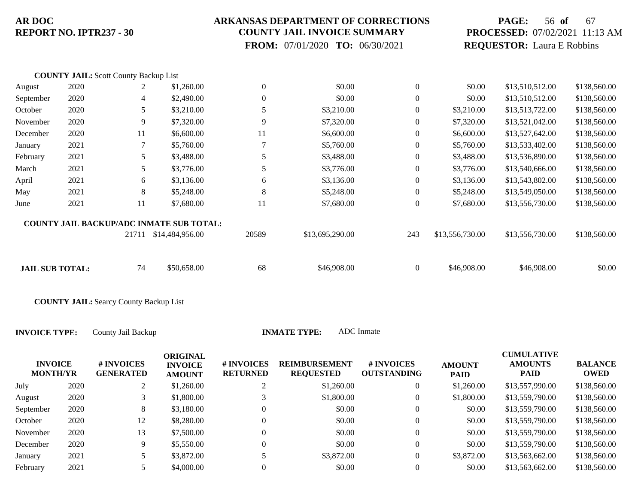### **ARKANSAS DEPARTMENT OF CORRECTIONS COUNTY JAIL INVOICE SUMMARY**

 **FROM:** 07/01/2020 **TO:** 06/30/2021

# **PAGE:** 56 **of** 67 **PROCESSED:** 07/02/2021 11:13 AM **REQUESTOR:** Laura E Robbins

|                        | <b>COUNTY JAIL:</b> Scott County Backup List |       |                                                 |                  |                 |                  |                 |                 |              |
|------------------------|----------------------------------------------|-------|-------------------------------------------------|------------------|-----------------|------------------|-----------------|-----------------|--------------|
| August                 | 2020                                         |       | \$1,260.00                                      | $\boldsymbol{0}$ | \$0.00          | $\boldsymbol{0}$ | \$0.00          | \$13,510,512.00 | \$138,560.00 |
| September              | 2020                                         | 4     | \$2,490.00                                      | $\boldsymbol{0}$ | \$0.00          | $\theta$         | \$0.00          | \$13,510,512.00 | \$138,560.00 |
| October                | 2020                                         | 5     | \$3,210.00                                      | 5                | \$3,210.00      | $\mathbf{0}$     | \$3,210.00      | \$13,513,722.00 | \$138,560.00 |
| November               | 2020                                         | 9     | \$7,320.00                                      | 9                | \$7,320.00      | $\theta$         | \$7,320.00      | \$13,521,042.00 | \$138,560.00 |
| December               | 2020                                         | 11    | \$6,600.00                                      | 11               | \$6,600.00      | $\Omega$         | \$6,600.00      | \$13,527,642.00 | \$138,560.00 |
| January                | 2021                                         | 7     | \$5,760.00                                      | $\overline{7}$   | \$5,760.00      | $\mathbf{0}$     | \$5,760.00      | \$13,533,402.00 | \$138,560.00 |
| February               | 2021                                         | 5.    | \$3,488.00                                      | 5                | \$3,488.00      | $\theta$         | \$3,488.00      | \$13,536,890.00 | \$138,560.00 |
| March                  | 2021                                         | 5     | \$3,776.00                                      | 5                | \$3,776.00      | $\theta$         | \$3,776.00      | \$13,540,666.00 | \$138,560.00 |
| April                  | 2021                                         | 6     | \$3,136.00                                      | 6                | \$3,136.00      | $\mathbf{0}$     | \$3,136.00      | \$13,543,802.00 | \$138,560.00 |
| May                    | 2021                                         | 8     | \$5,248.00                                      | 8                | \$5,248.00      | $\theta$         | \$5,248.00      | \$13,549,050.00 | \$138,560.00 |
| June                   | 2021                                         | 11    | \$7,680.00                                      | 11               | \$7,680.00      | $\theta$         | \$7,680.00      | \$13,556,730.00 | \$138,560.00 |
|                        |                                              |       | <b>COUNTY JAIL BACKUP/ADC INMATE SUB TOTAL:</b> |                  |                 |                  |                 |                 |              |
|                        |                                              | 21711 | \$14,484,956.00                                 | 20589            | \$13,695,290.00 | 243              | \$13,556,730.00 | \$13,556,730.00 | \$138,560.00 |
| <b>JAIL SUB TOTAL:</b> |                                              | 74    | \$50,658.00                                     | 68               | \$46,908.00     | $\Omega$         | \$46,908.00     | \$46,908.00     | \$0.00       |
|                        |                                              |       |                                                 |                  |                 |                  |                 |                 |              |

**COUNTY JAIL:** Searcy County Backup List

| <b>INVOICE</b><br><b>MONTH/YR</b> |      | <b># INVOICES</b><br><b>GENERATED</b> | <b>ORIGINAL</b><br><b>INVOICE</b><br><b>AMOUNT</b> | # INVOICES<br><b>RETURNED</b> | <b>REIMBURSEMENT</b><br><b>REQUESTED</b> | # INVOICES<br><b>OUTSTANDING</b> | <b>AMOUNT</b><br><b>PAID</b> | <b>CUMULATIVE</b><br><b>AMOUNTS</b><br><b>PAID</b> | <b>BALANCE</b><br><b>OWED</b> |
|-----------------------------------|------|---------------------------------------|----------------------------------------------------|-------------------------------|------------------------------------------|----------------------------------|------------------------------|----------------------------------------------------|-------------------------------|
| July                              | 2020 | $\gamma$<br>∠                         | \$1,260.00                                         | ◠                             | \$1,260.00                               | 0                                | \$1,260.00                   | \$13,557,990.00                                    | \$138,560.00                  |
| August                            | 2020 |                                       | \$1,800.00                                         |                               | \$1,800.00                               | 0                                | \$1,800.00                   | \$13,559,790.00                                    | \$138,560.00                  |
| September                         | 2020 | 8                                     | \$3,180.00                                         |                               | \$0.00                                   | 0                                | \$0.00                       | \$13,559,790.00                                    | \$138,560.00                  |
| October                           | 2020 | 12                                    | \$8,280.00                                         | $\Omega$                      | \$0.00                                   | $\overline{0}$                   | \$0.00                       | \$13,559,790.00                                    | \$138,560.00                  |
| November                          | 2020 | 13                                    | \$7,500.00                                         | $\Omega$                      | \$0.00                                   | 0                                | \$0.00                       | \$13,559,790.00                                    | \$138,560.00                  |
| December                          | 2020 | 9                                     | \$5,550.00                                         | $\Omega$                      | \$0.00                                   | $\overline{0}$                   | \$0.00                       | \$13,559,790.00                                    | \$138,560.00                  |
| January                           | 2021 | J                                     | \$3,872.00                                         |                               | \$3,872.00                               | $\overline{0}$                   | \$3,872.00                   | \$13,563,662.00                                    | \$138,560.00                  |
| February                          | 2021 |                                       | \$4,000.00                                         |                               | \$0.00                                   |                                  | \$0.00                       | \$13,563,662.00                                    | \$138,560.00                  |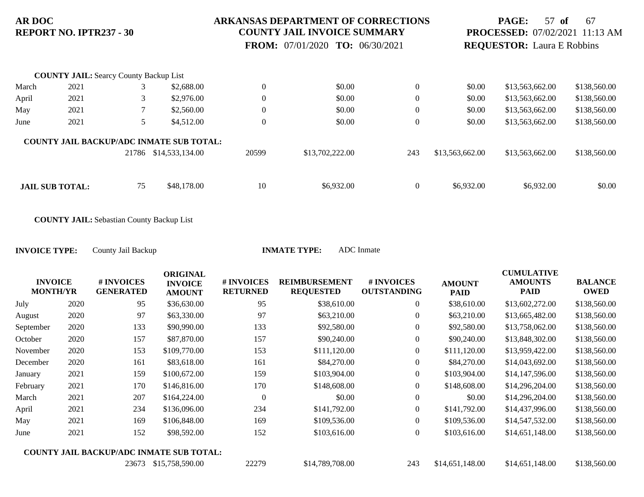### **ARKANSAS DEPARTMENT OF CORRECTIONS COUNTY JAIL INVOICE SUMMARY**

 **FROM:** 07/01/2020 **TO:** 06/30/2021

## **PAGE:** 57 **of** 67 **PROCESSED:** 07/02/2021 11:13 AM **REQUESTOR:** Laura E Robbins

|                                                 | <b>COUNTY JAIL:</b> Searcy County Backup List |       |                 |                  |                 |                |                 |                 |              |
|-------------------------------------------------|-----------------------------------------------|-------|-----------------|------------------|-----------------|----------------|-----------------|-----------------|--------------|
| March                                           | 2021                                          |       | \$2,688.00      | $\boldsymbol{0}$ | \$0.00          | $\theta$       | \$0.00          | \$13,563,662.00 | \$138,560.00 |
| April                                           | 2021                                          |       | \$2,976.00      | $\theta$         | \$0.00          | $\overline{0}$ | \$0.00          | \$13,563,662.00 | \$138,560.00 |
| May                                             | 2021                                          |       | \$2,560.00      | $\boldsymbol{0}$ | \$0.00          | $\theta$       | \$0.00          | \$13,563,662.00 | \$138,560.00 |
| June                                            | 2021                                          |       | \$4,512.00      | $\theta$         | \$0.00          | $\overline{0}$ | \$0.00          | \$13,563,662.00 | \$138,560.00 |
| <b>COUNTY JAIL BACKUP/ADC INMATE SUB TOTAL:</b> |                                               |       |                 |                  |                 |                |                 |                 |              |
|                                                 |                                               | 21786 | \$14,533,134.00 | 20599            | \$13,702,222.00 | 243            | \$13,563,662.00 | \$13,563,662.00 | \$138,560.00 |
|                                                 |                                               |       |                 |                  |                 |                |                 |                 |              |
|                                                 | <b>JAIL SUB TOTAL:</b>                        | 75    | \$48,178.00     | 10               | \$6,932.00      | $\theta$       | \$6,932.00      | \$6,932.00      | \$0.00       |

**COUNTY JAIL:** Sebastian County Backup List

| IL IIFL: | ADU INHIQUE |
|----------|-------------|
|          |             |

|                                   |      |                                | <b>ORIGINAL</b>                                 |                               |                                          |                                  |                              | <b>CUMULATIVE</b>             |                               |
|-----------------------------------|------|--------------------------------|-------------------------------------------------|-------------------------------|------------------------------------------|----------------------------------|------------------------------|-------------------------------|-------------------------------|
| <b>INVOICE</b><br><b>MONTH/YR</b> |      | # INVOICES<br><b>GENERATED</b> | <b>INVOICE</b><br><b>AMOUNT</b>                 | # INVOICES<br><b>RETURNED</b> | <b>REIMBURSEMENT</b><br><b>REQUESTED</b> | # INVOICES<br><b>OUTSTANDING</b> | <b>AMOUNT</b><br><b>PAID</b> | <b>AMOUNTS</b><br><b>PAID</b> | <b>BALANCE</b><br><b>OWED</b> |
| July                              | 2020 | 95                             | \$36,630.00                                     | 95                            | \$38,610.00                              | $\overline{0}$                   | \$38,610.00                  | \$13,602,272.00               | \$138,560.00                  |
| August                            | 2020 | 97                             | \$63,330.00                                     | 97                            | \$63,210.00                              | $\overline{0}$                   | \$63,210.00                  | \$13,665,482.00               | \$138,560.00                  |
| September                         | 2020 | 133                            | \$90,990.00                                     | 133                           | \$92,580.00                              | $\overline{0}$                   | \$92,580.00                  | \$13,758,062.00               | \$138,560.00                  |
| October                           | 2020 | 157                            | \$87,870.00                                     | 157                           | \$90,240.00                              | $\Omega$                         | \$90,240.00                  | \$13,848,302.00               | \$138,560.00                  |
| November                          | 2020 | 153                            | \$109,770.00                                    | 153                           | \$111,120.00                             | $\boldsymbol{0}$                 | \$111,120.00                 | \$13,959,422.00               | \$138,560.00                  |
| December                          | 2020 | 161                            | \$83,618.00                                     | 161                           | \$84,270.00                              | $\overline{0}$                   | \$84,270.00                  | \$14,043,692.00               | \$138,560.00                  |
| January                           | 2021 | 159                            | \$100,672.00                                    | 159                           | \$103,904.00                             | $\overline{0}$                   | \$103,904.00                 | \$14,147,596.00               | \$138,560.00                  |
| February                          | 2021 | 170                            | \$146,816.00                                    | 170                           | \$148,608.00                             | $\overline{0}$                   | \$148,608.00                 | \$14,296,204.00               | \$138,560.00                  |
| March                             | 2021 | 207                            | \$164,224.00                                    | $\Omega$                      | \$0.00                                   | $\mathbf{0}$                     | \$0.00                       | \$14,296,204.00               | \$138,560.00                  |
| April                             | 2021 | 234                            | \$136,096.00                                    | 234                           | \$141,792.00                             | $\overline{0}$                   | \$141,792.00                 | \$14,437,996.00               | \$138,560.00                  |
| May                               | 2021 | 169                            | \$106,848.00                                    | 169                           | \$109,536.00                             | $\overline{0}$                   | \$109,536.00                 | \$14,547,532.00               | \$138,560.00                  |
| June                              | 2021 | 152                            | \$98,592.00                                     | 152                           | \$103,616.00                             | $\mathbf{0}$                     | \$103,616.00                 | \$14,651,148.00               | \$138,560.00                  |
|                                   |      |                                | <b>COUNTY JAIL BACKUP/ADC INMATE SUB TOTAL:</b> |                               |                                          |                                  |                              |                               |                               |
|                                   |      | 23673                          | \$15,758,590.00                                 | 22279                         | \$14,789,708.00                          | 243                              | \$14,651,148.00              | \$14,651,148.00               | \$138,560.00                  |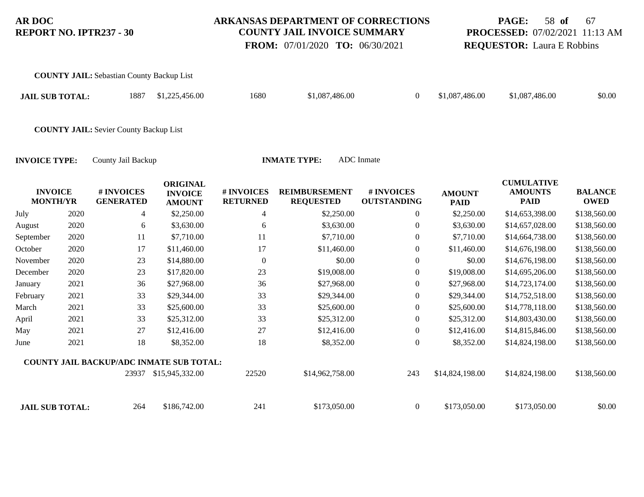**COUNTY JAIL:** Sebastian County Backup List

### **ARKANSAS DEPARTMENT OF CORRECTIONS COUNTY JAIL INVOICE SUMMARY**

 **FROM:** 07/01/2020 **TO:** 06/30/2021

## **PAGE:** 58 **of** 67 **PROCESSED:** 07/02/2021 11:13 AM **REQUESTOR:** Laura E Robbins

| <b>JAIL SUB TOTAL:</b>            |      | 1887                                          | \$1,225,456.00                                     | 1680                          | \$1,087,486.00                           | $\boldsymbol{0}$                 | \$1,087,486.00               | \$1,087,486.00                                     | \$0.00                        |
|-----------------------------------|------|-----------------------------------------------|----------------------------------------------------|-------------------------------|------------------------------------------|----------------------------------|------------------------------|----------------------------------------------------|-------------------------------|
|                                   |      | <b>COUNTY JAIL: Sevier County Backup List</b> |                                                    |                               |                                          |                                  |                              |                                                    |                               |
| <b>INVOICE TYPE:</b>              |      | County Jail Backup                            |                                                    |                               | <b>INMATE TYPE:</b>                      | <b>ADC</b> Inmate                |                              |                                                    |                               |
| <b>INVOICE</b><br><b>MONTH/YR</b> |      | # INVOICES<br><b>GENERATED</b>                | <b>ORIGINAL</b><br><b>INVOICE</b><br><b>AMOUNT</b> | # INVOICES<br><b>RETURNED</b> | <b>REIMBURSEMENT</b><br><b>REQUESTED</b> | # INVOICES<br><b>OUTSTANDING</b> | <b>AMOUNT</b><br><b>PAID</b> | <b>CUMULATIVE</b><br><b>AMOUNTS</b><br><b>PAID</b> | <b>BALANCE</b><br><b>OWED</b> |
| July                              | 2020 | 4                                             | \$2,250.00                                         | 4                             | \$2,250.00                               | $\boldsymbol{0}$                 | \$2,250.00                   | \$14,653,398.00                                    | \$138,560.00                  |
| August                            | 2020 | 6                                             | \$3,630.00                                         | 6                             | \$3,630.00                               | $\overline{0}$                   | \$3,630.00                   | \$14,657,028.00                                    | \$138,560.00                  |
| September                         | 2020 | 11                                            | \$7,710.00                                         | 11                            | \$7,710.00                               | $\boldsymbol{0}$                 | \$7,710.00                   | \$14,664,738.00                                    | \$138,560.00                  |
| October                           | 2020 | 17                                            | \$11,460.00                                        | 17                            | \$11,460.00                              | 0                                | \$11,460.00                  | \$14,676,198.00                                    | \$138,560.00                  |
| November                          | 2020 | 23                                            | \$14,880.00                                        | $\mathbf{0}$                  | \$0.00                                   | $\boldsymbol{0}$                 | \$0.00                       | \$14,676,198.00                                    | \$138,560.00                  |
| December                          | 2020 | 23                                            | \$17,820.00                                        | 23                            | \$19,008.00                              | 0                                | \$19,008.00                  | \$14,695,206.00                                    | \$138,560.00                  |
| January                           | 2021 | 36                                            | \$27,968.00                                        | 36                            | \$27,968.00                              | $\boldsymbol{0}$                 | \$27,968.00                  | \$14,723,174.00                                    | \$138,560.00                  |
| February                          | 2021 | 33                                            | \$29,344.00                                        | 33                            | \$29,344.00                              | $\boldsymbol{0}$                 | \$29,344.00                  | \$14,752,518.00                                    | \$138,560.00                  |
| March                             | 2021 | 33                                            | \$25,600.00                                        | 33                            | \$25,600.00                              | $\boldsymbol{0}$                 | \$25,600.00                  | \$14,778,118.00                                    | \$138,560.00                  |
| April                             | 2021 | 33                                            | \$25,312.00                                        | 33                            | \$25,312.00                              | $\boldsymbol{0}$                 | \$25,312.00                  | \$14,803,430.00                                    | \$138,560.00                  |
| May                               | 2021 | 27                                            | \$12,416.00                                        | $27\,$                        | \$12,416.00                              | $\boldsymbol{0}$                 | \$12,416.00                  | \$14,815,846.00                                    | \$138,560.00                  |
| June                              | 2021 | 18                                            | \$8,352.00                                         | 18                            | \$8,352.00                               | $\boldsymbol{0}$                 | \$8,352.00                   | \$14,824,198.00                                    | \$138,560.00                  |
|                                   |      | COUNTY JAIL BACKUP/ADC INMATE SUB TOTAL:      |                                                    |                               |                                          |                                  |                              |                                                    |                               |
|                                   |      | 23937                                         | \$15,945,332.00                                    | 22520                         | \$14,962,758.00                          | 243                              | \$14,824,198.00              | \$14,824,198.00                                    | \$138,560.00                  |

**JAIL SUB TOTAL:** 264 \$186,742.00 241 \$173,050.00 0 \$173,050.00 \$173,050.00 \$0.00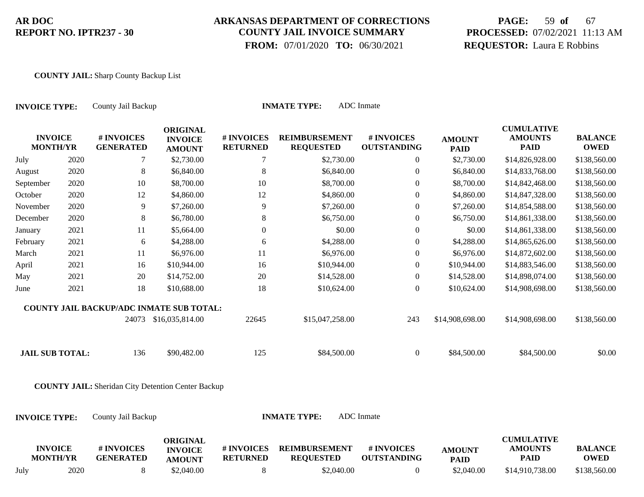## **ARKANSAS DEPARTMENT OF CORRECTIONS COUNTY JAIL INVOICE SUMMARY**

 **FROM:** 07/01/2020 **TO:** 06/30/2021

# **PAGE:** 59 **of** 67 **PROCESSED:** 07/02/2021 11:13 AM **REQUESTOR:** Laura E Robbins

#### **COUNTY JAIL:** Sharp County Backup List

| <b>INVOICE TYPE:</b>              |      |                                                           | <b>ADC</b> Inmate<br><b>INMATE TYPE:</b><br>County Jail Backup |                               |                                          |                                  |                              |                                                    |                               |  |  |  |
|-----------------------------------|------|-----------------------------------------------------------|----------------------------------------------------------------|-------------------------------|------------------------------------------|----------------------------------|------------------------------|----------------------------------------------------|-------------------------------|--|--|--|
| <b>INVOICE</b><br><b>MONTH/YR</b> |      | # INVOICES<br><b>GENERATED</b>                            | <b>ORIGINAL</b><br><b>INVOICE</b><br><b>AMOUNT</b>             | # INVOICES<br><b>RETURNED</b> | <b>REIMBURSEMENT</b><br><b>REQUESTED</b> | # INVOICES<br><b>OUTSTANDING</b> | <b>AMOUNT</b><br><b>PAID</b> | <b>CUMULATIVE</b><br><b>AMOUNTS</b><br><b>PAID</b> | <b>BALANCE</b><br><b>OWED</b> |  |  |  |
| July                              | 2020 | 7                                                         | \$2,730.00                                                     | 7                             | \$2,730.00                               | $\mathbf{0}$                     | \$2,730.00                   | \$14,826,928.00                                    | \$138,560.00                  |  |  |  |
| August                            | 2020 | $\,8\,$                                                   | \$6,840.00                                                     | $8\,$                         | \$6,840.00                               | $\boldsymbol{0}$                 | \$6,840.00                   | \$14,833,768.00                                    | \$138,560.00                  |  |  |  |
| September                         | 2020 | 10                                                        | \$8,700.00                                                     | 10                            | \$8,700.00                               | $\boldsymbol{0}$                 | \$8,700.00                   | \$14,842,468.00                                    | \$138,560.00                  |  |  |  |
| October                           | 2020 | 12                                                        | \$4,860.00                                                     | 12                            | \$4,860.00                               | $\boldsymbol{0}$                 | \$4,860.00                   | \$14,847,328.00                                    | \$138,560.00                  |  |  |  |
| November                          | 2020 | 9                                                         | \$7,260.00                                                     | 9                             | \$7,260.00                               | $\boldsymbol{0}$                 | \$7,260.00                   | \$14,854,588.00                                    | \$138,560.00                  |  |  |  |
| December                          | 2020 | 8                                                         | \$6,780.00                                                     | 8                             | \$6,750.00                               | $\boldsymbol{0}$                 | \$6,750.00                   | \$14,861,338.00                                    | \$138,560.00                  |  |  |  |
| January                           | 2021 | 11                                                        | \$5,664.00                                                     | $\boldsymbol{0}$              | \$0.00                                   | $\boldsymbol{0}$                 | \$0.00                       | \$14,861,338.00                                    | \$138,560.00                  |  |  |  |
| February                          | 2021 | 6                                                         | \$4,288.00                                                     | 6                             | \$4,288.00                               | $\boldsymbol{0}$                 | \$4,288.00                   | \$14,865,626.00                                    | \$138,560.00                  |  |  |  |
| March                             | 2021 | 11                                                        | \$6,976.00                                                     | 11                            | \$6,976.00                               | $\boldsymbol{0}$                 | \$6,976.00                   | \$14,872,602.00                                    | \$138,560.00                  |  |  |  |
| April                             | 2021 | 16                                                        | \$10,944.00                                                    | 16                            | \$10,944.00                              | $\boldsymbol{0}$                 | \$10,944.00                  | \$14,883,546.00                                    | \$138,560.00                  |  |  |  |
| May                               | 2021 | 20                                                        | \$14,752.00                                                    | 20                            | \$14,528.00                              | $\boldsymbol{0}$                 | \$14,528.00                  | \$14,898,074.00                                    | \$138,560.00                  |  |  |  |
| June                              | 2021 | 18                                                        | \$10,688.00                                                    | 18                            | \$10,624.00                              | $\mathbf{0}$                     | \$10,624.00                  | \$14,908,698.00                                    | \$138,560.00                  |  |  |  |
|                                   |      | <b>COUNTY JAIL BACKUP/ADC INMATE SUB TOTAL:</b>           |                                                                |                               |                                          |                                  |                              |                                                    |                               |  |  |  |
|                                   |      |                                                           | 24073 \$16,035,814.00                                          | 22645                         | \$15,047,258.00                          | 243                              | \$14,908,698.00              | \$14,908,698.00                                    | \$138,560.00                  |  |  |  |
| <b>JAIL SUB TOTAL:</b>            |      | 136                                                       | \$90,482.00                                                    | 125                           | \$84,500.00                              | $\boldsymbol{0}$                 | \$84,500.00                  | \$84,500.00                                        | \$0.00                        |  |  |  |
|                                   |      | <b>COUNTY JAIL:</b> Sheridan City Detention Center Backup |                                                                |                               |                                          |                                  |                              |                                                    |                               |  |  |  |
| <b>INVOICE TYPE:</b>              |      | County Jail Backup                                        |                                                                |                               | <b>INMATE TYPE:</b>                      | <b>ADC</b> Inmate                |                              |                                                    |                               |  |  |  |
| <b>INVOICE</b><br><b>MONTH/YR</b> |      | # INVOICES<br><b>GENERATED</b>                            | <b>ORIGINAL</b><br><b>INVOICE</b><br><b>AMOUNT</b>             | # INVOICES<br><b>RETURNED</b> | <b>REIMBURSEMENT</b><br><b>REQUESTED</b> | # INVOICES<br><b>OUTSTANDING</b> | <b>AMOUNT</b><br><b>PAID</b> | <b>CUMULATIVE</b><br><b>AMOUNTS</b><br><b>PAID</b> | <b>BALANCE</b><br><b>OWED</b> |  |  |  |
| July                              | 2020 | $\,8\,$                                                   | \$2,040.00                                                     | 8                             | \$2,040.00                               | $\overline{0}$                   | \$2,040.00                   | \$14,910,738.00                                    | \$138,560.00                  |  |  |  |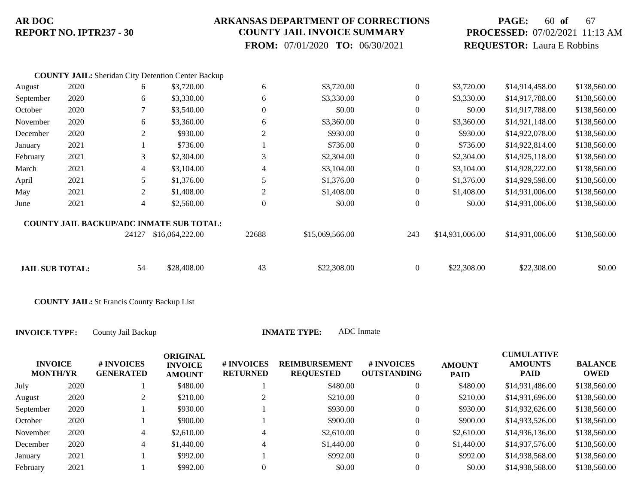### **ARKANSAS DEPARTMENT OF CORRECTIONS COUNTY JAIL INVOICE SUMMARY**

 **FROM:** 07/01/2020 **TO:** 06/30/2021

## **PAGE:** 60 **of** 67 **PROCESSED:** 07/02/2021 11:13 AM **REQUESTOR:** Laura E Robbins

|                        |      |       | <b>COUNTY JAIL:</b> Sheridan City Detention Center Backup |                  |                 |                  |                 |                 |              |
|------------------------|------|-------|-----------------------------------------------------------|------------------|-----------------|------------------|-----------------|-----------------|--------------|
| August                 | 2020 | 6     | \$3,720.00                                                | 6                | \$3,720.00      | $\boldsymbol{0}$ | \$3,720.00      | \$14,914,458.00 | \$138,560.00 |
| September              | 2020 | 6     | \$3,330.00                                                | 6                | \$3,330.00      | $\boldsymbol{0}$ | \$3,330.00      | \$14,917,788.00 | \$138,560.00 |
| October                | 2020 |       | \$3,540.00                                                | $\boldsymbol{0}$ | \$0.00          | $\mathbf{0}$     | \$0.00          | \$14,917,788.00 | \$138,560.00 |
| November               | 2020 | 6     | \$3,360.00                                                | 6                | \$3,360.00      | $\mathbf{0}$     | \$3,360.00      | \$14,921,148.00 | \$138,560.00 |
| December               | 2020 | 2     | \$930.00                                                  | $\overline{2}$   | \$930.00        | $\mathbf{0}$     | \$930.00        | \$14,922,078.00 | \$138,560.00 |
| January                | 2021 |       | \$736.00                                                  |                  | \$736.00        | $\mathbf{0}$     | \$736.00        | \$14,922,814.00 | \$138,560.00 |
| February               | 2021 | 3     | \$2,304.00                                                | 3                | \$2,304.00      | $\mathbf{0}$     | \$2,304.00      | \$14,925,118.00 | \$138,560.00 |
| March                  | 2021 | 4     | \$3,104.00                                                | $\overline{4}$   | \$3,104.00      | $\mathbf{0}$     | \$3,104.00      | \$14,928,222.00 | \$138,560.00 |
| April                  | 2021 | 5     | \$1,376.00                                                | 5                | \$1,376.00      | $\mathbf{0}$     | \$1,376.00      | \$14,929,598.00 | \$138,560.00 |
| May                    | 2021 | 2     | \$1,408.00                                                | 2                | \$1,408.00      | $\mathbf{0}$     | \$1,408.00      | \$14,931,006.00 | \$138,560.00 |
| June                   | 2021 | 4     | \$2,560.00                                                | $\boldsymbol{0}$ | \$0.00          | $\theta$         | \$0.00          | \$14,931,006.00 | \$138,560.00 |
|                        |      |       | <b>COUNTY JAIL BACKUP/ADC INMATE SUB TOTAL:</b>           |                  |                 |                  |                 |                 |              |
|                        |      | 24127 | \$16,064,222.00                                           | 22688            | \$15,069,566.00 | 243              | \$14,931,006.00 | \$14,931,006.00 | \$138,560.00 |
| <b>JAIL SUB TOTAL:</b> |      | 54    | \$28,408.00                                               | 43               | \$22,308.00     | $\overline{0}$   | \$22,308.00     | \$22,308.00     | \$0.00       |
|                        |      |       |                                                           |                  |                 |                  |                 |                 |              |

**COUNTY JAIL:** St Francis County Backup List

| <b>INVOICE</b><br><b>MONTH/YR</b> |      | # INVOICES<br><b>GENERATED</b> | <b>ORIGINAL</b><br><b>INVOICE</b><br><b>AMOUNT</b> | # INVOICES<br><b>RETURNED</b> | <b>REIMBURSEMENT</b><br><b>REQUESTED</b> | # INVOICES<br><b>OUTSTANDING</b> | <b>AMOUNT</b><br><b>PAID</b> | <b>CUMULATIVE</b><br><b>AMOUNTS</b><br><b>PAID</b> | <b>BALANCE</b><br><b>OWED</b> |
|-----------------------------------|------|--------------------------------|----------------------------------------------------|-------------------------------|------------------------------------------|----------------------------------|------------------------------|----------------------------------------------------|-------------------------------|
| July                              | 2020 |                                | \$480.00                                           |                               | \$480.00                                 | $\boldsymbol{0}$                 | \$480.00                     | \$14,931,486.00                                    | \$138,560.00                  |
| August                            | 2020 | ∠                              | \$210.00                                           |                               | \$210.00                                 | $\boldsymbol{0}$                 | \$210.00                     | \$14,931,696.00                                    | \$138,560.00                  |
| September                         | 2020 |                                | \$930.00                                           |                               | \$930.00                                 | $\overline{0}$                   | \$930.00                     | \$14,932,626.00                                    | \$138,560.00                  |
| October                           | 2020 |                                | \$900.00                                           |                               | \$900.00                                 | $\boldsymbol{0}$                 | \$900.00                     | \$14,933,526.00                                    | \$138,560.00                  |
| November                          | 2020 | 4                              | \$2,610.00                                         | 4                             | \$2,610.00                               | $\boldsymbol{0}$                 | \$2,610.00                   | \$14,936,136.00                                    | \$138,560.00                  |
| December                          | 2020 | 4                              | \$1,440.00                                         | 4                             | \$1,440.00                               | $\boldsymbol{0}$                 | \$1,440.00                   | \$14,937,576.00                                    | \$138,560.00                  |
| January                           | 2021 |                                | \$992.00                                           |                               | \$992.00                                 | $\boldsymbol{0}$                 | \$992.00                     | \$14,938,568.00                                    | \$138,560.00                  |
| February                          | 2021 |                                | \$992.00                                           |                               | \$0.00                                   | $\overline{0}$                   | \$0.00                       | \$14,938,568.00                                    | \$138,560.00                  |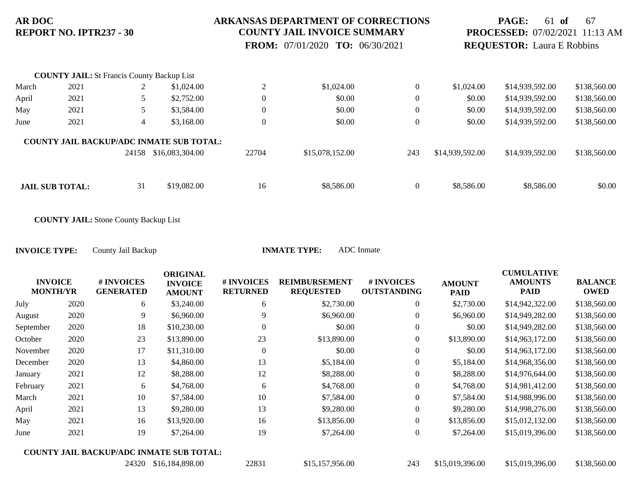### **ARKANSAS DEPARTMENT OF CORRECTIONS COUNTY JAIL INVOICE SUMMARY**

 **FROM:** 07/01/2020 **TO:** 06/30/2021

## **PAGE:** 61 **of** 67 **PROCESSED:** 07/02/2021 11:13 AM **REQUESTOR:** Laura E Robbins

|       | <b>COUNTY JAIL:</b> St Francis County Backup List |       |                                                 |                  |                 |                |                 |                 |              |
|-------|---------------------------------------------------|-------|-------------------------------------------------|------------------|-----------------|----------------|-----------------|-----------------|--------------|
| March | 2021                                              | ∠     | \$1,024.00                                      | $\bigcap$<br>∠   | \$1,024.00      | $\mathbf{0}$   | \$1,024.00      | \$14,939,592.00 | \$138,560.00 |
| April | 2021                                              |       | \$2,752.00                                      | $\overline{0}$   | \$0.00          | $\theta$       | \$0.00          | \$14,939,592.00 | \$138,560.00 |
| May   | 2021                                              |       | \$3,584.00                                      | $\boldsymbol{0}$ | \$0.00          | $\overline{0}$ | \$0.00          | \$14,939,592.00 | \$138,560.00 |
| June  | 2021                                              | 4     | \$3,168,00                                      | $\boldsymbol{0}$ | \$0.00          | $\overline{0}$ | \$0.00          | \$14,939,592.00 | \$138,560.00 |
|       |                                                   |       | <b>COUNTY JAIL BACKUP/ADC INMATE SUB TOTAL:</b> |                  |                 |                |                 |                 |              |
|       |                                                   | 24158 | \$16,083,304.00                                 | 22704            | \$15,078,152.00 | 243            | \$14,939,592.00 | \$14,939,592.00 | \$138,560.00 |
|       |                                                   |       |                                                 |                  |                 |                |                 |                 |              |
|       | <b>JAIL SUB TOTAL:</b>                            | 31    | \$19,082.00                                     | 16               | \$8,586.00      | $\mathbf{0}$   | \$8,586.00      | \$8,586.00      | \$0.00       |

**COUNTY JAIL:** Stone County Backup List

| ALL I YPE: | ADU inihate |
|------------|-------------|
|            |             |

|                                                 |      |                                | <b>ORIGINAL</b>                 |                               |                                          |                                  |                              | <b>CUMULATIVE</b>             |                               |
|-------------------------------------------------|------|--------------------------------|---------------------------------|-------------------------------|------------------------------------------|----------------------------------|------------------------------|-------------------------------|-------------------------------|
| <b>INVOICE</b><br><b>MONTH/YR</b>               |      | # INVOICES<br><b>GENERATED</b> | <b>INVOICE</b><br><b>AMOUNT</b> | # INVOICES<br><b>RETURNED</b> | <b>REIMBURSEMENT</b><br><b>REQUESTED</b> | # INVOICES<br><b>OUTSTANDING</b> | <b>AMOUNT</b><br><b>PAID</b> | <b>AMOUNTS</b><br><b>PAID</b> | <b>BALANCE</b><br><b>OWED</b> |
| July                                            | 2020 | 6                              | \$3,240.00                      | 6                             | \$2,730.00                               | $\boldsymbol{0}$                 | \$2,730.00                   | \$14,942,322.00               | \$138,560.00                  |
| August                                          | 2020 | 9                              | \$6,960.00                      | 9                             | \$6,960.00                               | $\overline{0}$                   | \$6,960.00                   | \$14,949,282.00               | \$138,560.00                  |
| September                                       | 2020 | 18                             | \$10,230.00                     | $\Omega$                      | \$0.00                                   | $\mathbf{0}$                     | \$0.00                       | \$14,949,282.00               | \$138,560.00                  |
| October                                         | 2020 | 23                             | \$13,890.00                     | 23                            | \$13,890.00                              | $\mathbf{0}$                     | \$13,890.00                  | \$14,963,172.00               | \$138,560.00                  |
| November                                        | 2020 | 17                             | \$11,310.00                     | $\Omega$                      | \$0.00                                   | $\mathbf{0}$                     | \$0.00                       | \$14,963,172.00               | \$138,560.00                  |
| December                                        | 2020 | 13                             | \$4,860.00                      | 13                            | \$5,184.00                               | $\boldsymbol{0}$                 | \$5,184.00                   | \$14,968,356.00               | \$138,560.00                  |
| January                                         | 2021 | 12                             | \$8,288.00                      | 12                            | \$8,288.00                               | $\mathbf{0}$                     | \$8,288.00                   | \$14,976,644.00               | \$138,560.00                  |
| February                                        | 2021 | 6                              | \$4,768.00                      | 6                             | \$4,768.00                               | $\overline{0}$                   | \$4,768.00                   | \$14,981,412.00               | \$138,560.00                  |
| March                                           | 2021 | 10                             | \$7,584.00                      | 10                            | \$7,584.00                               | $\boldsymbol{0}$                 | \$7,584.00                   | \$14,988,996.00               | \$138,560.00                  |
| April                                           | 2021 | 13                             | \$9,280.00                      | 13                            | \$9,280.00                               | $\mathbf{0}$                     | \$9,280.00                   | \$14,998,276.00               | \$138,560.00                  |
| May                                             | 2021 | 16                             | \$13,920.00                     | 16                            | \$13,856.00                              | $\overline{0}$                   | \$13,856.00                  | \$15,012,132.00               | \$138,560.00                  |
| June                                            | 2021 | 19                             | \$7,264.00                      | 19                            | \$7,264.00                               | $\boldsymbol{0}$                 | \$7,264.00                   | \$15,019,396.00               | \$138,560.00                  |
| <b>COUNTY JAIL BACKUP/ADC INMATE SUB TOTAL:</b> |      |                                |                                 |                               |                                          |                                  |                              |                               |                               |
|                                                 |      | 24320                          | \$16,184,898.00                 | 22831                         | \$15,157,956.00                          | 243                              | \$15,019,396.00              | \$15,019,396.00               | \$138,560.00                  |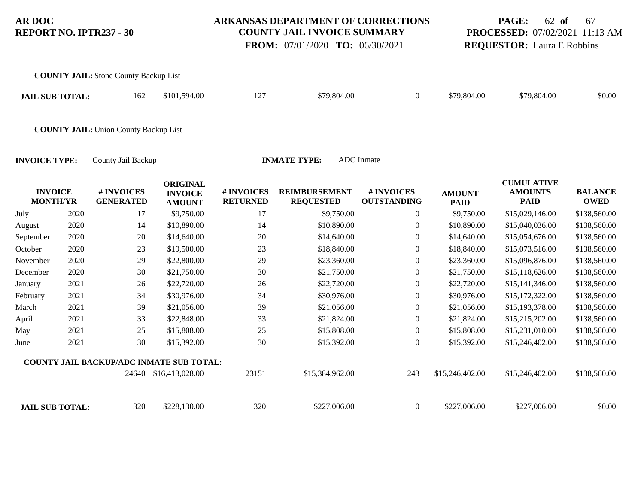**COUNTY JAIL:** Stone County Backup List

### **ARKANSAS DEPARTMENT OF CORRECTIONS COUNTY JAIL INVOICE SUMMARY**

 **FROM:** 07/01/2020 **TO:** 06/30/2021

# **PAGE:** 62 **of** 67 **PROCESSED:** 07/02/2021 11:13 AM **REQUESTOR:** Laura E Robbins

| <b>JAIL SUB TOTAL:</b>            |      | 162                                             | \$101,594.00                                       | 127                           | \$79,804.00                              | $\boldsymbol{0}$                 | \$79,804.00                  | \$79,804.00                                        | \$0.00                        |
|-----------------------------------|------|-------------------------------------------------|----------------------------------------------------|-------------------------------|------------------------------------------|----------------------------------|------------------------------|----------------------------------------------------|-------------------------------|
|                                   |      | <b>COUNTY JAIL: Union County Backup List</b>    |                                                    |                               |                                          |                                  |                              |                                                    |                               |
| <b>INVOICE TYPE:</b>              |      | County Jail Backup                              |                                                    |                               | <b>INMATE TYPE:</b>                      | <b>ADC</b> Inmate                |                              |                                                    |                               |
| <b>INVOICE</b><br><b>MONTH/YR</b> |      | # INVOICES<br><b>GENERATED</b>                  | <b>ORIGINAL</b><br><b>INVOICE</b><br><b>AMOUNT</b> | # INVOICES<br><b>RETURNED</b> | <b>REIMBURSEMENT</b><br><b>REQUESTED</b> | # INVOICES<br><b>OUTSTANDING</b> | <b>AMOUNT</b><br><b>PAID</b> | <b>CUMULATIVE</b><br><b>AMOUNTS</b><br><b>PAID</b> | <b>BALANCE</b><br><b>OWED</b> |
| July                              | 2020 | 17                                              | \$9,750.00                                         | 17                            | \$9,750.00                               | $\theta$                         | \$9,750.00                   | \$15,029,146.00                                    | \$138,560.00                  |
| August                            | 2020 | 14                                              | \$10,890.00                                        | 14                            | \$10,890.00                              | $\mathbf{0}$                     | \$10,890.00                  | \$15,040,036.00                                    | \$138,560.00                  |
| September                         | 2020 | 20                                              | \$14,640.00                                        | 20                            | \$14,640.00                              | $\mathbf{0}$                     | \$14,640.00                  | \$15,054,676.00                                    | \$138,560.00                  |
| October                           | 2020 | 23                                              | \$19,500.00                                        | 23                            | \$18,840.00                              | $\Omega$                         | \$18,840.00                  | \$15,073,516.00                                    | \$138,560.00                  |
| November                          | 2020 | 29                                              | \$22,800.00                                        | 29                            | \$23,360.00                              | $\mathbf{0}$                     | \$23,360.00                  | \$15,096,876.00                                    | \$138,560.00                  |
| December                          | 2020 | 30                                              | \$21,750.00                                        | 30                            | \$21,750.00                              | $\mathbf{0}$                     | \$21,750.00                  | \$15,118,626.00                                    | \$138,560.00                  |
| January                           | 2021 | 26                                              | \$22,720.00                                        | 26                            | \$22,720.00                              | $\mathbf{0}$                     | \$22,720.00                  | \$15,141,346.00                                    | \$138,560.00                  |
| February                          | 2021 | 34                                              | \$30,976.00                                        | 34                            | \$30,976.00                              | $\mathbf{0}$                     | \$30,976.00                  | \$15,172,322.00                                    | \$138,560.00                  |
| March                             | 2021 | 39                                              | \$21,056.00                                        | 39                            | \$21,056.00                              | $\mathbf{0}$                     | \$21,056.00                  | \$15,193,378.00                                    | \$138,560.00                  |
| April                             | 2021 | 33                                              | \$22,848.00                                        | 33                            | \$21,824.00                              | $\boldsymbol{0}$                 | \$21,824.00                  | \$15,215,202.00                                    | \$138,560.00                  |
| May                               | 2021 | 25                                              | \$15,808.00                                        | 25                            | \$15,808.00                              | $\mathbf{0}$                     | \$15,808.00                  | \$15,231,010.00                                    | \$138,560.00                  |
| June                              | 2021 | 30                                              | \$15,392.00                                        | 30                            | \$15,392.00                              | $\boldsymbol{0}$                 | \$15,392.00                  | \$15,246,402.00                                    | \$138,560.00                  |
|                                   |      | <b>COUNTY JAIL BACKUP/ADC INMATE SUB TOTAL:</b> |                                                    |                               |                                          |                                  |                              |                                                    |                               |
|                                   |      |                                                 | 24640 \$16,413,028.00                              | 23151                         | \$15,384,962.00                          | 243                              | \$15,246,402.00              | \$15,246,402.00                                    | \$138,560.00                  |
| <b>JAIL SUB TOTAL:</b>            |      | 320                                             | \$228,130.00                                       | 320                           | \$227,006.00                             | $\mathbf{0}$                     | \$227,006.00                 | \$227,006.00                                       | \$0.00                        |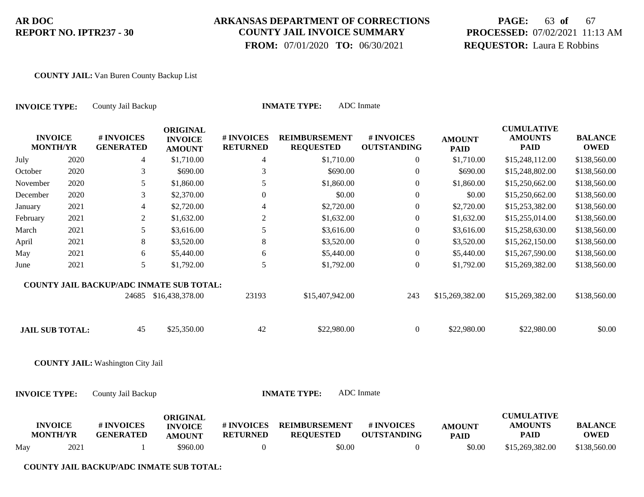### **ARKANSAS DEPARTMENT OF CORRECTIONS COUNTY JAIL INVOICE SUMMARY**

 **FROM:** 07/01/2020 **TO:** 06/30/2021

# **PAGE:** 63 **of** 67 **PROCESSED:** 07/02/2021 11:13 AM **REQUESTOR:** Laura E Robbins

#### **COUNTY JAIL:** Van Buren County Backup List

| <b>INVOICE TYPE:</b>              |      | County Jail Backup                       |                                                    | <b>INMATE TYPE:</b>           |                                          |                                  |                              |                                                    |                               |
|-----------------------------------|------|------------------------------------------|----------------------------------------------------|-------------------------------|------------------------------------------|----------------------------------|------------------------------|----------------------------------------------------|-------------------------------|
| <b>INVOICE</b><br><b>MONTH/YR</b> |      | # INVOICES<br><b>GENERATED</b>           | <b>ORIGINAL</b><br><b>INVOICE</b><br><b>AMOUNT</b> | # INVOICES<br><b>RETURNED</b> | <b>REIMBURSEMENT</b><br><b>REQUESTED</b> | # INVOICES<br><b>OUTSTANDING</b> | <b>AMOUNT</b><br><b>PAID</b> | <b>CUMULATIVE</b><br><b>AMOUNTS</b><br><b>PAID</b> | <b>BALANCE</b><br><b>OWED</b> |
| July                              | 2020 | 4                                        | \$1,710.00                                         | 4                             | \$1,710.00                               | $\overline{0}$                   | \$1,710.00                   | \$15,248,112.00                                    | \$138,560.00                  |
| October                           | 2020 | 3                                        | \$690.00                                           | 3                             | \$690.00                                 | $\boldsymbol{0}$                 | \$690.00                     | \$15,248,802.00                                    | \$138,560.00                  |
| November                          | 2020 | 5                                        | \$1,860.00                                         | 5                             | \$1,860.00                               | $\boldsymbol{0}$                 | \$1,860.00                   | \$15,250,662.00                                    | \$138,560.00                  |
| December                          | 2020 | 3                                        | \$2,370.00                                         | $\boldsymbol{0}$              | \$0.00                                   | $\boldsymbol{0}$                 | \$0.00                       | \$15,250,662.00                                    | \$138,560.00                  |
| January                           | 2021 | 4                                        | \$2,720.00                                         | 4                             | \$2,720.00                               | $\theta$                         | \$2,720.00                   | \$15,253,382.00                                    | \$138,560.00                  |
| February                          | 2021 | $\overline{2}$                           | \$1,632.00                                         | $\overline{2}$                | \$1,632.00                               | $\boldsymbol{0}$                 | \$1,632.00                   | \$15,255,014.00                                    | \$138,560.00                  |
| March                             | 2021 | 5                                        | \$3,616.00                                         | 5                             | \$3,616.00                               | $\theta$                         | \$3,616.00                   | \$15,258,630.00                                    | \$138,560.00                  |
| April                             | 2021 | 8                                        | \$3,520.00                                         | $8\,$                         | \$3,520.00                               | $\boldsymbol{0}$                 | \$3,520.00                   | \$15,262,150.00                                    | \$138,560.00                  |
| May                               | 2021 | 6                                        | \$5,440.00                                         | 6                             | \$5,440.00                               | $\boldsymbol{0}$                 | \$5,440.00                   | \$15,267,590.00                                    | \$138,560.00                  |
| June                              | 2021 | 5                                        | \$1,792.00                                         | 5                             | \$1,792.00                               | $\theta$                         | \$1,792.00                   | \$15,269,382.00                                    | \$138,560.00                  |
|                                   |      | COUNTY JAIL BACKUP/ADC INMATE SUB TOTAL: |                                                    |                               |                                          |                                  |                              |                                                    |                               |
|                                   |      |                                          | 24685 \$16,438,378.00                              | 23193                         | \$15,407,942.00                          | 243                              | \$15,269,382.00              | \$15,269,382.00                                    | \$138,560.00                  |
| <b>JAIL SUB TOTAL:</b>            |      | 45                                       | \$25,350.00                                        | 42                            | \$22,980.00                              | $\boldsymbol{0}$                 | \$22,980.00                  | \$22,980.00                                        | \$0.00                        |
|                                   |      | <b>COUNTY JAIL:</b> Washington City Jail |                                                    |                               |                                          |                                  |                              |                                                    |                               |
| <b>INVOICE TYPE:</b>              |      | County Jail Backup                       |                                                    |                               | <b>INMATE TYPE:</b>                      | <b>ADC</b> Inmate                |                              |                                                    |                               |
| <b>INVOICE</b><br><b>MONTH/YR</b> |      | # INVOICES<br><b>GENERATED</b>           | <b>ORIGINAL</b><br><b>INVOICE</b><br><b>AMOUNT</b> | # INVOICES<br><b>RETURNED</b> | <b>REIMBURSEMENT</b><br><b>REQUESTED</b> | # INVOICES<br><b>OUTSTANDING</b> | <b>AMOUNT</b><br><b>PAID</b> | <b>CUMULATIVE</b><br><b>AMOUNTS</b><br><b>PAID</b> | <b>BALANCE</b><br><b>OWED</b> |
| May                               | 2021 | -1                                       | \$960.00                                           | $\overline{0}$                | \$0.00                                   | $\overline{0}$                   | \$0.00                       | \$15,269,382.00                                    | \$138,560.00                  |

**COUNTY JAIL BACKUP/ADC INMATE SUB TOTAL:**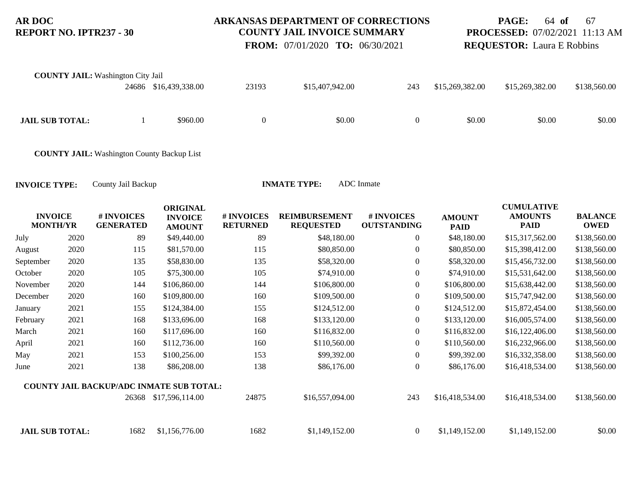### **ARKANSAS DEPARTMENT OF CORRECTIONS COUNTY JAIL INVOICE SUMMARY**

**PAGE:** 64 **of** 67 **PROCESSED:** 07/02/2021 11:13 AM **REQUESTOR:** Laura E Robbins

**CULLATIVE** A FINEST

 **FROM:** 07/01/2020 **TO:** 06/30/2021

| <b>COUNTY JAIL:</b> Washington City Jail | 24686 \$16,439,338.00 | 23193 | \$15,407,942.00 | 243      | \$15,269,382.00 | \$15,269,382.00 | \$138,560.00 |
|------------------------------------------|-----------------------|-------|-----------------|----------|-----------------|-----------------|--------------|
| <b>JAIL SUB TOTAL:</b>                   | \$960.00              |       | \$0.00          | $\left($ | \$0.00          | \$0.00          | \$0.00       |

**COUNTY JAIL:** Washington County Backup List

| <b>INVOICE</b><br><b>MONTH/YR</b> |      | # INVOICES<br><b>GENERATED</b> | <b>ORIGINAL</b><br><b>INVOICE</b><br><b>AMOUNT</b> | # INVOICES<br><b>RETURNED</b> | <b>REIMBURSEMENT</b><br><b>REQUESTED</b> | # INVOICES<br><b>OUTSTANDING</b> | <b>AMOUNT</b><br><b>PAID</b> | <b>CUMULATIVE</b><br><b>AMOUNTS</b><br><b>PAID</b> | <b>BALANCE</b><br><b>OWED</b> |
|-----------------------------------|------|--------------------------------|----------------------------------------------------|-------------------------------|------------------------------------------|----------------------------------|------------------------------|----------------------------------------------------|-------------------------------|
| July                              | 2020 | 89                             | \$49,440.00                                        | 89                            | \$48,180.00                              | $\boldsymbol{0}$                 | \$48,180.00                  | \$15,317,562.00                                    | \$138,560.00                  |
| August                            | 2020 | 115                            | \$81,570.00                                        | 115                           | \$80,850.00                              | $\boldsymbol{0}$                 | \$80,850.00                  | \$15,398,412.00                                    | \$138,560.00                  |
| September                         | 2020 | 135                            | \$58,830.00                                        | 135                           | \$58,320.00                              | $\boldsymbol{0}$                 | \$58,320.00                  | \$15,456,732.00                                    | \$138,560.00                  |
| October                           | 2020 | 105                            | \$75,300.00                                        | 105                           | \$74,910.00                              | $\overline{0}$                   | \$74,910.00                  | \$15,531,642.00                                    | \$138,560.00                  |
| November                          | 2020 | 144                            | \$106,860.00                                       | 144                           | \$106,800.00                             | $\overline{0}$                   | \$106,800.00                 | \$15,638,442.00                                    | \$138,560.00                  |
| December                          | 2020 | 160                            | \$109,800.00                                       | 160                           | \$109,500.00                             | $\boldsymbol{0}$                 | \$109,500.00                 | \$15,747,942.00                                    | \$138,560.00                  |
| January                           | 2021 | 155                            | \$124,384.00                                       | 155                           | \$124,512.00                             | $\boldsymbol{0}$                 | \$124,512.00                 | \$15,872,454.00                                    | \$138,560.00                  |
| February                          | 2021 | 168                            | \$133,696.00                                       | 168                           | \$133,120.00                             | $\overline{0}$                   | \$133,120.00                 | \$16,005,574.00                                    | \$138,560.00                  |
| March                             | 2021 | 160                            | \$117,696.00                                       | 160                           | \$116,832.00                             | $\overline{0}$                   | \$116,832.00                 | \$16,122,406.00                                    | \$138,560.00                  |
| April                             | 2021 | 160                            | \$112,736.00                                       | 160                           | \$110,560.00                             | $\overline{0}$                   | \$110,560.00                 | \$16,232,966.00                                    | \$138,560.00                  |
| May                               | 2021 | 153                            | \$100,256.00                                       | 153                           | \$99,392.00                              | $\overline{0}$                   | \$99,392.00                  | \$16,332,358.00                                    | \$138,560.00                  |
| June                              | 2021 | 138                            | \$86,208.00                                        | 138                           | \$86,176.00                              | $\boldsymbol{0}$                 | \$86,176.00                  | \$16,418,534.00                                    | \$138,560.00                  |
|                                   |      |                                | <b>COUNTY JAIL BACKUP/ADC INMATE SUB TOTAL:</b>    |                               |                                          |                                  |                              |                                                    |                               |
|                                   |      |                                | 26368 \$17,596,114.00                              | 24875                         | \$16,557,094.00                          | 243                              | \$16,418,534.00              | \$16,418,534.00                                    | \$138,560.00                  |
| <b>JAIL SUB TOTAL:</b>            |      | 1682                           | \$1,156,776.00                                     | 1682                          | \$1,149,152.00                           | $\boldsymbol{0}$                 | \$1,149,152.00               | \$1,149,152.00                                     | \$0.00                        |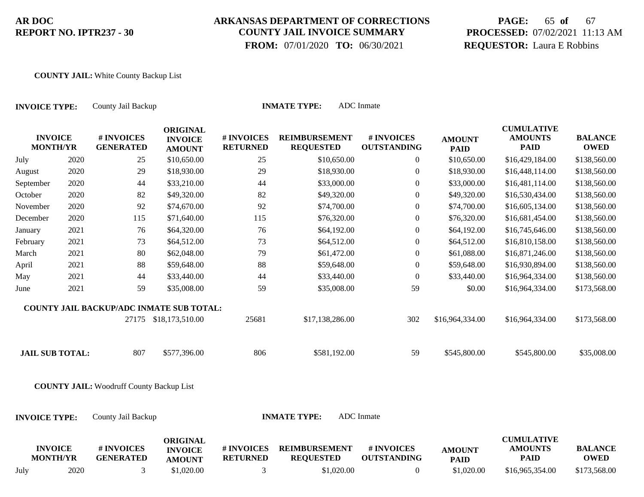# **ARKANSAS DEPARTMENT OF CORRECTIONS COUNTY JAIL INVOICE SUMMARY**

 **FROM:** 07/01/2020 **TO:** 06/30/2021

# **PAGE:** 65 **of** 67 **PROCESSED:** 07/02/2021 11:13 AM **REQUESTOR:** Laura E Robbins

#### **COUNTY JAIL:** White County Backup List

| <b>INVOICE TYPE:</b>              |      | County Jail Backup                              |                                                    | <b>INMATE TYPE:</b>           |                                          |                                  |                              |                                                    |                               |
|-----------------------------------|------|-------------------------------------------------|----------------------------------------------------|-------------------------------|------------------------------------------|----------------------------------|------------------------------|----------------------------------------------------|-------------------------------|
| <b>INVOICE</b><br><b>MONTH/YR</b> |      | # INVOICES<br><b>GENERATED</b>                  | <b>ORIGINAL</b><br><b>INVOICE</b><br><b>AMOUNT</b> | # INVOICES<br><b>RETURNED</b> | <b>REIMBURSEMENT</b><br><b>REQUESTED</b> | # INVOICES<br><b>OUTSTANDING</b> | <b>AMOUNT</b><br><b>PAID</b> | <b>CUMULATIVE</b><br><b>AMOUNTS</b><br><b>PAID</b> | <b>BALANCE</b><br><b>OWED</b> |
| July                              | 2020 | 25                                              | \$10,650.00                                        | 25                            | \$10,650.00                              | $\overline{0}$                   | \$10,650.00                  | \$16,429,184.00                                    | \$138,560.00                  |
| August                            | 2020 | 29                                              | \$18,930.00                                        | 29                            | \$18,930.00                              | $\boldsymbol{0}$                 | \$18,930.00                  | \$16,448,114.00                                    | \$138,560.00                  |
| September                         | 2020 | 44                                              | \$33,210.00                                        | 44                            | \$33,000.00                              | $\mathbf{0}$                     | \$33,000.00                  | \$16,481,114.00                                    | \$138,560.00                  |
| October                           | 2020 | 82                                              | \$49,320.00                                        | 82                            | \$49,320.00                              | $\boldsymbol{0}$                 | \$49,320.00                  | \$16,530,434.00                                    | \$138,560.00                  |
| November                          | 2020 | 92                                              | \$74,670.00                                        | 92                            | \$74,700.00                              | $\boldsymbol{0}$                 | \$74,700.00                  | \$16,605,134.00                                    | \$138,560.00                  |
| December                          | 2020 | 115                                             | \$71,640.00                                        | 115                           | \$76,320.00                              | $\overline{0}$                   | \$76,320.00                  | \$16,681,454.00                                    | \$138,560.00                  |
| January                           | 2021 | 76                                              | \$64,320.00                                        | 76                            | \$64,192.00                              | $\boldsymbol{0}$                 | \$64,192.00                  | \$16,745,646.00                                    | \$138,560.00                  |
| February                          | 2021 | 73                                              | \$64,512.00                                        | 73                            | \$64,512.00                              | $\boldsymbol{0}$                 | \$64,512.00                  | \$16,810,158.00                                    | \$138,560.00                  |
| March                             | 2021 | 80                                              | \$62,048.00                                        | 79                            | \$61,472.00                              | $\boldsymbol{0}$                 | \$61,088.00                  | \$16,871,246.00                                    | \$138,560.00                  |
| April                             | 2021 | 88                                              | \$59,648.00                                        | 88                            | \$59,648.00                              | $\boldsymbol{0}$                 | \$59,648.00                  | \$16,930,894.00                                    | \$138,560.00                  |
| May                               | 2021 | 44                                              | \$33,440.00                                        | 44                            | \$33,440.00                              | $\theta$                         | \$33,440.00                  | \$16,964,334.00                                    | \$138,560.00                  |
| June                              | 2021 | 59                                              | \$35,008.00                                        | 59                            | \$35,008.00                              | 59                               | \$0.00                       | \$16,964,334.00                                    | \$173,568.00                  |
|                                   |      | <b>COUNTY JAIL BACKUP/ADC INMATE SUB TOTAL:</b> |                                                    |                               |                                          |                                  |                              |                                                    |                               |
|                                   |      |                                                 | 27175 \$18,173,510.00                              | 25681                         | \$17,138,286.00                          | 302                              | \$16,964,334.00              | \$16,964,334.00                                    | \$173,568.00                  |
| <b>JAIL SUB TOTAL:</b>            |      | 807                                             | \$577,396.00                                       | 806                           | \$581,192.00                             | 59                               | \$545,800.00                 | \$545,800.00                                       | \$35,008.00                   |
|                                   |      | <b>COUNTY JAIL: Woodruff County Backup List</b> |                                                    |                               |                                          |                                  |                              |                                                    |                               |
| <b>INVOICE TYPE:</b>              |      | County Jail Backup                              |                                                    |                               | <b>INMATE TYPE:</b>                      | ADC Inmate                       |                              |                                                    |                               |
| <b>INVOICE</b><br><b>MONTH/YR</b> |      | # INVOICES<br><b>GENERATED</b>                  | <b>ORIGINAL</b><br><b>INVOICE</b><br><b>AMOUNT</b> | # INVOICES<br><b>RETURNED</b> | <b>REIMBURSEMENT</b><br><b>REQUESTED</b> | # INVOICES<br><b>OUTSTANDING</b> | <b>AMOUNT</b><br><b>PAID</b> | <b>CUMULATIVE</b><br><b>AMOUNTS</b><br><b>PAID</b> | <b>BALANCE</b><br><b>OWED</b> |
| July                              | 2020 | 3                                               | \$1,020.00                                         | 3                             | \$1,020.00                               | $\overline{0}$                   | \$1,020.00                   | \$16,965,354.00                                    | \$173,568.00                  |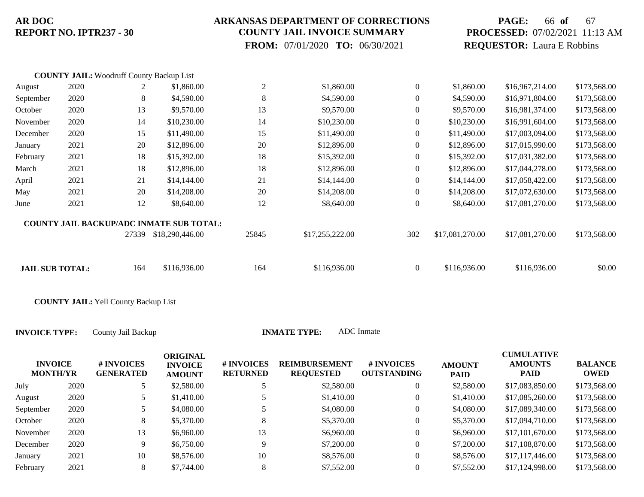### **ARKANSAS DEPARTMENT OF CORRECTIONS COUNTY JAIL INVOICE SUMMARY**

 **FROM:** 07/01/2020 **TO:** 06/30/2021

# **PAGE:** 66 **of** 67 **PROCESSED:** 07/02/2021 11:13 AM **REQUESTOR:** Laura E Robbins

|                        | <b>COUNTY JAIL:</b> Woodruff County Backup List |       |                                                 |                |                 |                |                 |                 |              |
|------------------------|-------------------------------------------------|-------|-------------------------------------------------|----------------|-----------------|----------------|-----------------|-----------------|--------------|
| August                 | 2020                                            | 2     | \$1,860.00                                      | $\overline{2}$ | \$1,860.00      | $\overline{0}$ | \$1,860.00      | \$16,967,214.00 | \$173,568.00 |
| September              | 2020                                            | 8     | \$4,590.00                                      | 8              | \$4,590.00      | $\overline{0}$ | \$4,590.00      | \$16,971,804.00 | \$173,568.00 |
| October                | 2020                                            | 13    | \$9,570.00                                      | 13             | \$9,570.00      | $\overline{0}$ | \$9,570.00      | \$16,981,374.00 | \$173,568.00 |
| November               | 2020                                            | 14    | \$10,230.00                                     | 14             | \$10,230.00     | $\overline{0}$ | \$10,230.00     | \$16,991,604.00 | \$173,568.00 |
| December               | 2020                                            | 15    | \$11,490.00                                     | 15             | \$11,490.00     | $\mathbf{0}$   | \$11,490.00     | \$17,003,094.00 | \$173,568.00 |
| January                | 2021                                            | 20    | \$12,896.00                                     | 20             | \$12,896.00     | $\Omega$       | \$12,896.00     | \$17,015,990.00 | \$173,568.00 |
| February               | 2021                                            | 18    | \$15,392.00                                     | 18             | \$15,392.00     | $\Omega$       | \$15,392.00     | \$17,031,382.00 | \$173,568.00 |
| March                  | 2021                                            | 18    | \$12,896.00                                     | 18             | \$12,896.00     | $\overline{0}$ | \$12,896.00     | \$17,044,278.00 | \$173,568.00 |
| April                  | 2021                                            | 21    | \$14,144.00                                     | 21             | \$14,144.00     | $\mathbf{0}$   | \$14,144.00     | \$17,058,422.00 | \$173,568.00 |
| May                    | 2021                                            | 20    | \$14,208.00                                     | 20             | \$14,208.00     | $\overline{0}$ | \$14,208.00     | \$17,072,630.00 | \$173,568.00 |
| June                   | 2021                                            | 12    | \$8,640.00                                      | 12             | \$8,640.00      | $\theta$       | \$8,640.00      | \$17,081,270.00 | \$173,568.00 |
|                        |                                                 |       | <b>COUNTY JAIL BACKUP/ADC INMATE SUB TOTAL:</b> |                |                 |                |                 |                 |              |
|                        |                                                 | 27339 | \$18,290,446.00                                 | 25845          | \$17,255,222.00 | 302            | \$17,081,270.00 | \$17,081,270.00 | \$173,568.00 |
| <b>JAIL SUB TOTAL:</b> |                                                 | 164   | \$116,936.00                                    | 164            | \$116,936.00    | $\overline{0}$ | \$116,936.00    | \$116,936.00    | \$0.00       |
|                        |                                                 |       |                                                 |                |                 |                |                 |                 |              |

**COUNTY JAIL:** Yell County Backup List

| <b>INVOICE</b><br><b>MONTH/YR</b> |           |      | # INVOICES<br><b>GENERATED</b> | <b>ORIGINAL</b><br><b>INVOICE</b><br><b>AMOUNT</b> | # INVOICES<br><b>RETURNED</b> | <b>REIMBURSEMENT</b><br><b>REQUESTED</b> | # INVOICES<br><b>OUTSTANDING</b> | <b>AMOUNT</b><br><b>PAID</b> | <b>CUMULATIVE</b><br><b>AMOUNTS</b><br><b>PAID</b> | <b>BALANCE</b><br>OWED |
|-----------------------------------|-----------|------|--------------------------------|----------------------------------------------------|-------------------------------|------------------------------------------|----------------------------------|------------------------------|----------------------------------------------------|------------------------|
|                                   | July      | 2020 |                                | \$2,580.00                                         |                               | \$2,580.00                               | 0                                | \$2,580.00                   | \$17,083,850.00                                    | \$173,568.00           |
|                                   | August    | 2020 | $\tilde{\phantom{a}}$<br>J     | \$1,410.00                                         |                               | \$1,410.00                               | $\mathbf{0}$                     | \$1,410.00                   | \$17,085,260.00                                    | \$173,568.00           |
|                                   | September | 2020 | 5                              | \$4,080.00                                         |                               | \$4,080.00                               | 0                                | \$4,080.00                   | \$17,089,340.00                                    | \$173,568.00           |
|                                   | October   | 2020 | 8                              | \$5,370.00                                         | 8                             | \$5,370.00                               | $\overline{0}$                   | \$5,370.00                   | \$17,094,710.00                                    | \$173,568.00           |
|                                   | November  | 2020 | 13                             | \$6,960.00                                         | 13                            | \$6,960.00                               | 0                                | \$6,960.00                   | \$17,101,670.00                                    | \$173,568.00           |
|                                   | December  | 2020 | 9                              | \$6,750.00                                         | 9                             | \$7,200.00                               | $\theta$                         | \$7,200.00                   | \$17,108,870.00                                    | \$173,568.00           |
|                                   | January   | 2021 | 10                             | \$8,576.00                                         | 10                            | \$8,576.00                               | $\overline{0}$                   | \$8,576.00                   | \$17,117,446.00                                    | \$173,568.00           |
|                                   | February  | 2021 | 8                              | \$7,744.00                                         | 8                             | \$7,552.00                               | 0                                | \$7,552.00                   | \$17,124,998.00                                    | \$173,568.00           |